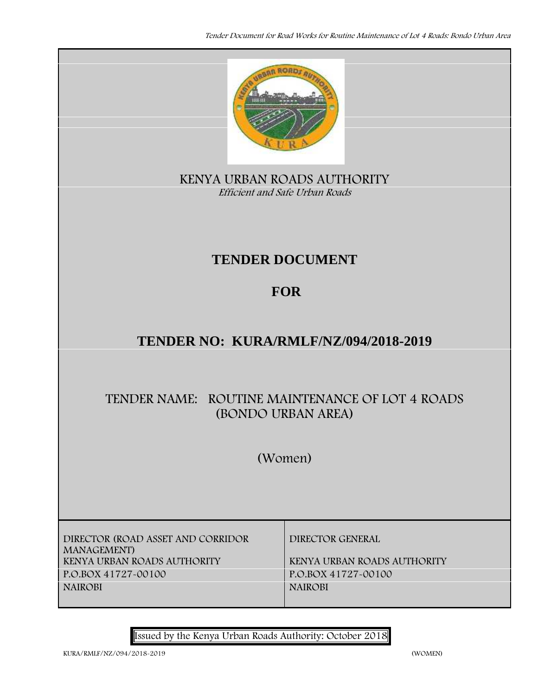

**KENYA URBAN ROADS AUTHORITY** *Efficient and Safe Urban Roads*

# **TENDER DOCUMENT**

# **FOR**

# **TENDER NO: KURA/RMLF/NZ/094/2018-2019**

# **TENDER NAME: ROUTINE MAINTENANCE OF LOT 4 ROADS (BONDO URBAN AREA)**

**(Women)**

**DIRECTOR (ROAD ASSET AND CORRIDOR MANAGEMENT) KENYA URBAN ROADS AUTHORITY KENYA URBAN ROADS AUTHORITY P.O.BOX 41727-00100 P.O.BOX 41727-00100 NAIROBI NAIROBI**

**DIRECTOR GENERAL**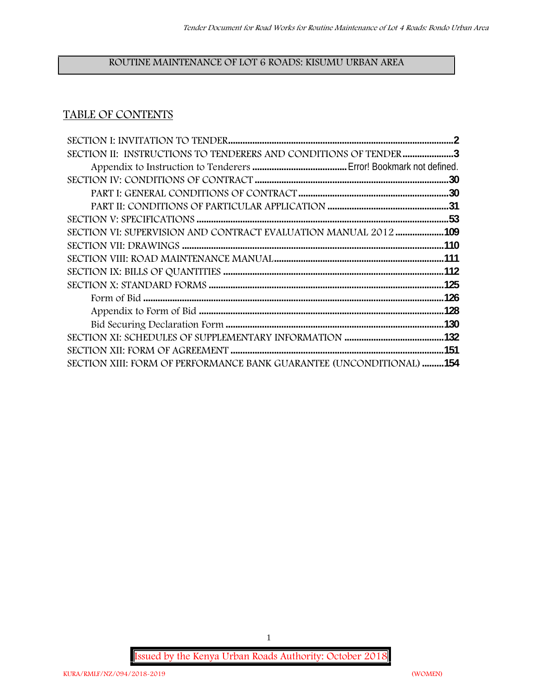# **ROUTINE MAINTENANCE OF LOT 6 ROADS: KISUMU URBAN AREA**

# **TABLE OF CONTENTS**

| SECTION II: INSTRUCTIONS TO TENDERERS AND CONDITIONS OF TENDER 3     |     |
|----------------------------------------------------------------------|-----|
|                                                                      |     |
|                                                                      |     |
|                                                                      |     |
|                                                                      |     |
|                                                                      |     |
| SECTION VI: SUPERVISION AND CONTRACT EVALUATION MANUAL 2012 109      |     |
|                                                                      | 110 |
|                                                                      |     |
|                                                                      |     |
|                                                                      |     |
|                                                                      |     |
|                                                                      |     |
|                                                                      |     |
|                                                                      |     |
|                                                                      |     |
| SECTION XIII: FORM OF PERFORMANCE BANK GUARANTEE (UNCONDITIONAL) 154 |     |

**Issued by the Kenya Urban Roads Authority: October 2018**

1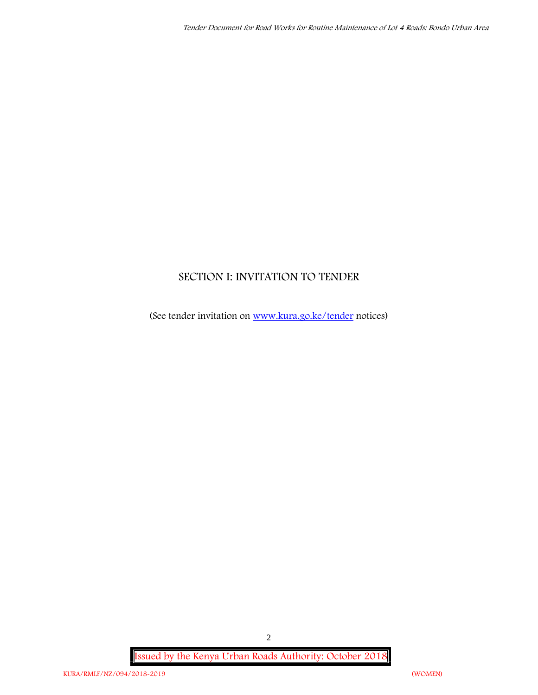# **SECTION I: INVITATION TO TENDER**

(See tender invitation on www.kura.go.ke/tender notices)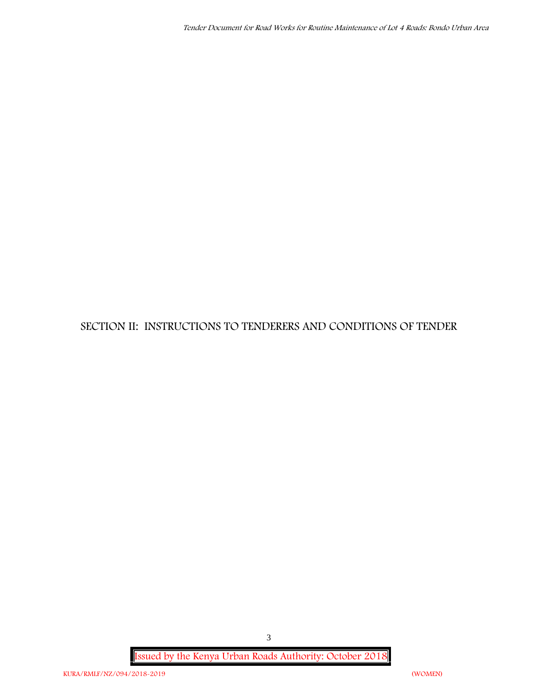**SECTION II: INSTRUCTIONS TO TENDERERS AND CONDITIONS OF TENDER**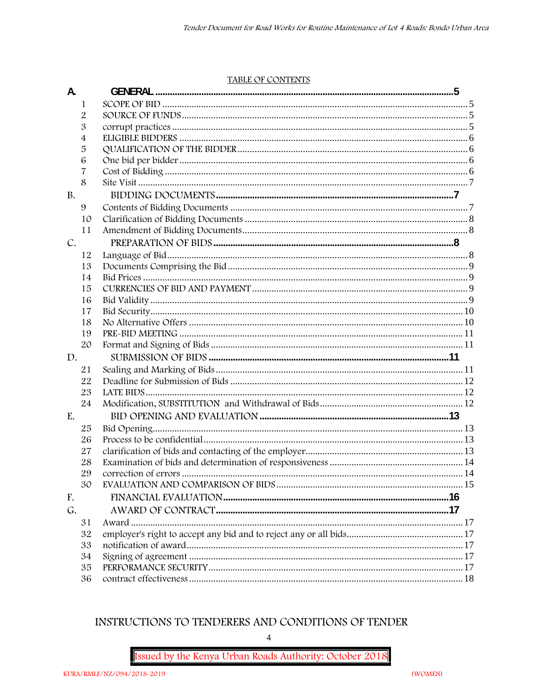#### TABLE OF CONTENTS

| A.            |                |  |
|---------------|----------------|--|
|               | 1              |  |
|               | $\overline{2}$ |  |
|               | 3              |  |
|               | 4              |  |
|               | 5              |  |
|               | 6              |  |
|               | 7              |  |
|               | 8              |  |
| <b>B.</b>     |                |  |
|               | 9              |  |
|               | 10             |  |
|               | 11             |  |
| $C_{\bullet}$ |                |  |
|               | 12             |  |
|               | 13             |  |
|               | 14             |  |
|               | 15             |  |
|               | 16             |  |
|               | 17             |  |
|               | 18             |  |
|               | 19             |  |
|               | 20             |  |
| D.            |                |  |
|               | 21             |  |
|               | 22             |  |
|               | 23             |  |
|               | 24             |  |
| E.            |                |  |
|               | 25             |  |
|               | 26             |  |
|               | 27             |  |
|               | 28             |  |
|               | 29             |  |
|               | 30             |  |
| F.            |                |  |
| G.            |                |  |
|               | 31             |  |
|               | 32             |  |
|               | 33             |  |
|               | 34             |  |
|               | 35             |  |
|               | 36             |  |

# INSTRUCTIONS TO TENDERERS AND CONDITIONS OF TENDER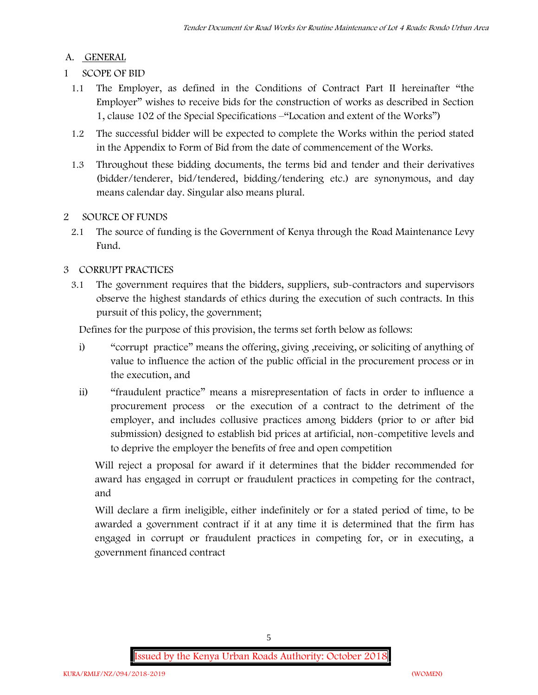# **A. GENERAL**

- **1 SCOPE OF BID**
	- 1.1 The Employer, as defined in the Conditions of Contract Part II hereinafter "the Employer" wishes to receive bids for the construction of works as described in Section 1, clause 102 of the Special Specifications –"Location and extent of the Works")
	- 1.2 The successful bidder will be expected to complete the Works within the period stated in the Appendix to Form of Bid from the date of commencement of the Works.
	- 1.3 Throughout these bidding documents, the terms bid and tender and their derivatives (bidder/tenderer, bid/tendered, bidding/tendering etc.) are synonymous, and day means calendar day. Singular also means plural.

# **2 SOURCE OF FUNDS**

2.1 The source of funding is the Government of Kenya through the Road Maintenance Levy Fund.

# **3 CORRUPT PRACTICES**

3.1 The government requires that the bidders, suppliers, sub-contractors and supervisors observe the highest standards of ethics during the execution of such contracts. In this pursuit of this policy, the government;

Defines for the purpose of this provision, the terms set forth below as follows:

- i) "corrupt practice" means the offering, giving ,receiving, or soliciting of anything of value to influence the action of the public official in the procurement process or in the execution, and
- ii) "fraudulent practice" means a misrepresentation of facts in order to influence a procurement process or the execution of a contract to the detriment of the employer, and includes collusive practices among bidders (prior to or after bid submission) designed to establish bid prices at artificial, non-competitive levels and to deprive the employer the benefits of free and open competition

Will reject a proposal for award if it determines that the bidder recommended for award has engaged in corrupt or fraudulent practices in competing for the contract, and

Will declare a firm ineligible, either indefinitely or for a stated period of time, to be awarded a government contract if it at any time it is determined that the firm has engaged in corrupt or fraudulent practices in competing for, or in executing, a government financed contract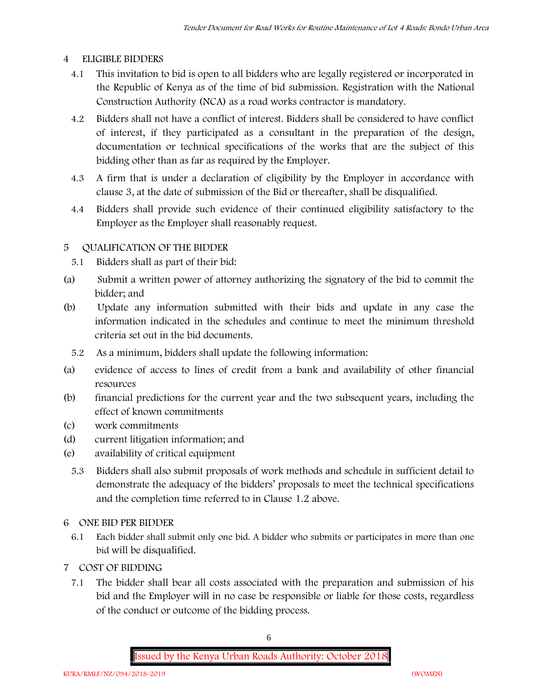## **4 ELIGIBLE BIDDERS**

- 4.1 This invitation to bid is open to all bidders who are legally registered or incorporated in the Republic of Kenya as of the time of bid submission. Registration with the National Construction Authority (NCA) as a road works contractor is mandatory.
- 4.2 Bidders shall not have a conflict of interest. Bidders shall be considered to have conflict of interest, if they participated as a consultant in the preparation of the design, documentation or technical specifications of the works that are the subject of this bidding other than as far as required by the Employer.
- 4.3 A firm that is under a declaration of eligibility by the Employer in accordance with clause 3, at the date of submission of the Bid or thereafter, shall be disqualified.
- 4.4 Bidders shall provide such evidence of their continued eligibility satisfactory to the Employer as the Employer shall reasonably request.

# **5 QUALIFICATION OF THE BIDDER**

- 5.1 Bidders shall as part of their bid:
- (a) Submit a written power of attorney authorizing the signatory of the bid to commit the bidder; and
- (b) Update any information submitted with their bids and update in any case the information indicated in the schedules and continue to meet the minimum threshold criteria set out in the bid documents.
	- 5.2 As a minimum, bidders shall update the following information:
- (a) evidence of access to lines of credit from a bank and availability of other financial resources
- (b) financial predictions for the current year and the two subsequent years, including the effect of known commitments
- (c) work commitments
- (d) current litigation information; and
- (e) availability of critical equipment
	- 5.3 Bidders shall also submit proposals of work methods and schedule in sufficient detail to demonstrate the adequacy of the bidders' proposals to meet the technical specifications and the completion time referred to in Clause 1.2 above.

## **6 ONE BID PER BIDDER**

- 6.1 Each bidder shall submit only one bid. A bidder who submits or participates in more than one bid will be disqualified.
- **7 COST OF BIDDING**
	- 7.1 The bidder shall bear all costs associated with the preparation and submission of his bid and the Employer will in no case be responsible or liable for those costs, regardless of the conduct or outcome of the bidding process.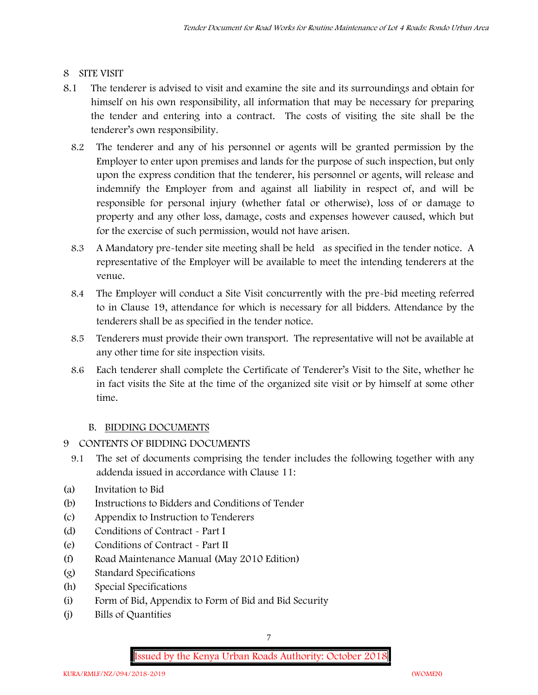## **8 SITE VISIT**

- 8.1 The tenderer is advised to visit and examine the site and its surroundings and obtain for himself on his own responsibility, all information that may be necessary for preparing the tender and entering into a contract. The costs of visiting the site shall be the tenderer's own responsibility.
	- 8.2 The tenderer and any of his personnel or agents will be granted permission by the Employer to enter upon premises and lands for the purpose of such inspection, but only upon the express condition that the tenderer, his personnel or agents, will release and indemnify the Employer from and against all liability in respect of, and will be responsible for personal injury (whether fatal or otherwise), loss of or damage to property and any other loss, damage, costs and expenses however caused, which but for the exercise of such permission, would not have arisen.
	- 8.3 A Mandatory pre-tender site meeting shall be held as specified in the tender notice. A representative of the Employer will be available to meet the intending tenderers at the venue.
	- 8.4 The Employer will conduct a Site Visit concurrently with the pre-bid meeting referred to in Clause 19, attendance for which is necessary for all bidders. Attendance by the tenderers shall be as specified in the tender notice.
	- 8.5 Tenderers must provide their own transport. The representative will not be available at any other time for site inspection visits.
	- 8.6 Each tenderer shall complete the Certificate of Tenderer's Visit to the Site, whether he in fact visits the Site at the time of the organized site visit or by himself at some other time.

# **B. BIDDING DOCUMENTS**

- 9 CONTENTS OF BIDDING DOCUMENTS
	- 9.1 The set of documents comprising the tender includes the following together with any addenda issued in accordance with Clause 11:
- (a) Invitation to Bid
- (b) Instructions to Bidders and Conditions of Tender
- (c) Appendix to Instruction to Tenderers
- (d) Conditions of Contract Part I
- (e) Conditions of Contract Part II
- (f) Road Maintenance Manual (May 2010 Edition)
- (g) Standard Specifications
- (h) Special Specifications
- (i) Form of Bid, Appendix to Form of Bid and Bid Security
- (j) Bills of Quantities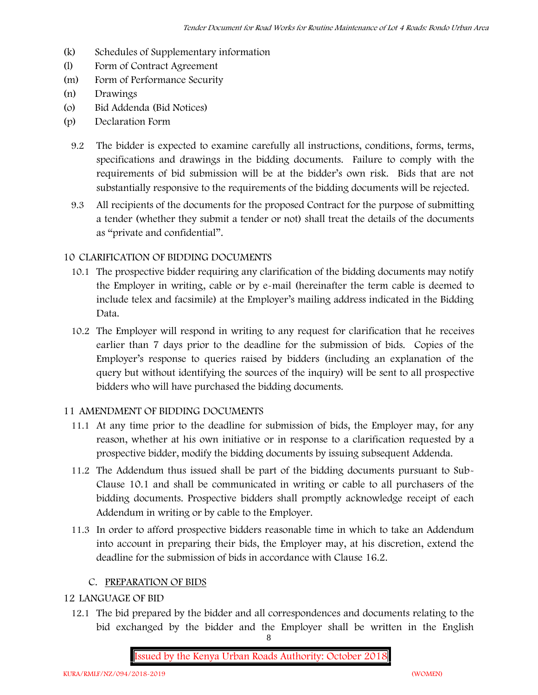- (k) Schedules of Supplementary information
- (l) Form of Contract Agreement
- (m) Form of Performance Security
- (n) Drawings
- (o) Bid Addenda (Bid Notices)
- (p) Declaration Form
	- 9.2 The bidder is expected to examine carefully all instructions, conditions, forms, terms, specifications and drawings in the bidding documents. Failure to comply with the requirements of bid submission will be at the bidder's own risk. Bids that are not substantially responsive to the requirements of the bidding documents will be rejected.
	- 9.3 All recipients of the documents for the proposed Contract for the purpose of submitting a tender (whether they submit a tender or not) shall treat the details of the documents as "private and confidential".

#### **10 CLARIFICATION OF BIDDING DOCUMENTS**

- 10.1 The prospective bidder requiring any clarification of the bidding documents may notify the Employer in writing, cable or by e-mail (hereinafter the term cable is deemed to include telex and facsimile) at the Employer's mailing address indicated in the Bidding Data.
- 10.2 The Employer will respond in writing to any request for clarification that he receives earlier than 7 days prior to the deadline for the submission of bids. Copies of the Employer's response to queries raised by bidders (including an explanation of the query but without identifying the sources of the inquiry) will be sent to all prospective bidders who will have purchased the bidding documents.

#### **11 AMENDMENT OF BIDDING DOCUMENTS**

- 11.1 At any time prior to the deadline for submission of bids, the Employer may, for any reason, whether at his own initiative or in response to a clarification requested by a prospective bidder, modify the bidding documents by issuing subsequent Addenda.
- 11.2 The Addendum thus issued shall be part of the bidding documents pursuant to Sub- Clause 10.1 and shall be communicated in writing or cable to all purchasers of the bidding documents. Prospective bidders shall promptly acknowledge receipt of each Addendum in writing or by cable to the Employer.
- 11.3 In order to afford prospective bidders reasonable time in which to take an Addendum into account in preparing their bids, the Employer may, at his discretion, extend the deadline for the submission of bids in accordance with Clause 16.2.

## **C. PREPARATION OF BIDS**

#### **12 LANGUAGE OF BID**

12.1 The bid prepared by the bidder and all correspondences and documents relating to the bid exchanged by the bidder and the Employer shall be written in the English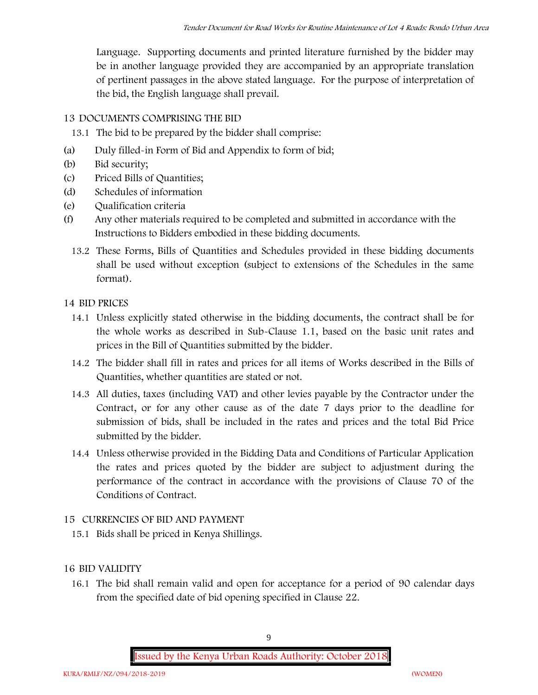Language. Supporting documents and printed literature furnished by the bidder may be in another language provided they are accompanied by an appropriate translation of pertinent passages in the above stated language. For the purpose of interpretation of the bid, the English language shall prevail.

#### **13 DOCUMENTS COMPRISING THE BID**

- 13.1 The bid to be prepared by the bidder shall comprise:
- (a) Duly filled-in Form of Bid and Appendix to form of bid;
- (b) Bid security;
- (c) Priced Bills of Quantities;
- (d) Schedules of information
- (e) Qualification criteria
- (f) Any other materials required to be completed and submitted in accordance with the Instructions to Bidders embodied in these bidding documents.
	- 13.2 These Forms, Bills of Quantities and Schedules provided in these bidding documents shall be used without exception (subject to extensions of the Schedules in the same format).

#### **14 BID PRICES**

- 14.1 Unless explicitly stated otherwise in the bidding documents, the contract shall be for the whole works as described in Sub-Clause 1.1, based on the basic unit rates and prices in the Bill of Quantities submitted by the bidder.
- 14.2 The bidder shall fill in rates and prices for all items of Works described in the Bills of Quantities, whether quantities are stated or not.
- 14.3 All duties, taxes (including VAT) and other levies payable by the Contractor under the Contract, or for any other cause as of the date 7 days prior to the deadline for submission of bids, shall be included in the rates and prices and the total Bid Price submitted by the bidder.
- 14.4 Unless otherwise provided in the Bidding Data and Conditions of Particular Application the rates and prices quoted by the bidder are subject to adjustment during the performance of the contract in accordance with the provisions of Clause 70 of the Conditions of Contract.

## **15 CURRENCIES OF BID AND PAYMENT**

15.1 Bids shall be priced in Kenya Shillings.

## **16 BID VALIDITY**

16.1 The bid shall remain valid and open for acceptance for a period of 90 calendar days from the specified date of bid opening specified in Clause 22.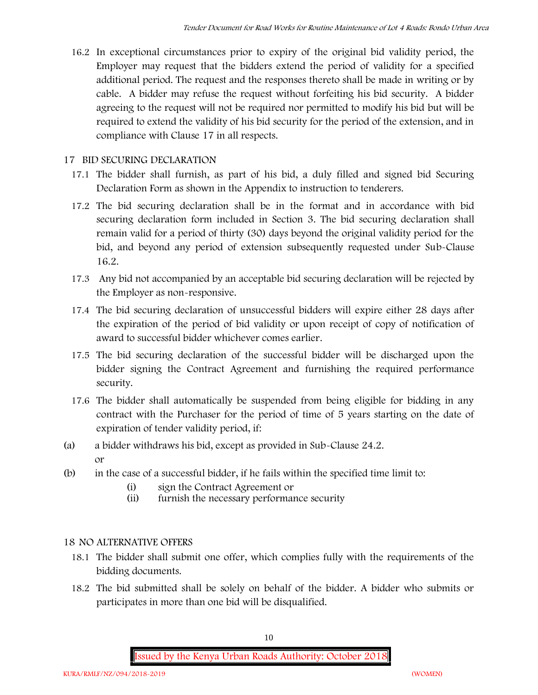16.2 In exceptional circumstances prior to expiry of the original bid validity period, the Employer may request that the bidders extend the period of validity for a specified additional period. The request and the responses thereto shall be made in writing or by cable. A bidder may refuse the request without forfeiting his bid security. A bidder agreeing to the request will not be required nor permitted to modify his bid but will be required to extend the validity of his bid security for the period of the extension, and in compliance with Clause 17 in all respects.

#### **17 BID SECURING DECLARATION**

- 17.1 The bidder shall furnish, as part of his bid, a duly filled and signed bid Securing Declaration Form as shown in the Appendix to instruction to tenderers.
- 17.2 The bid securing declaration shall be in the format and in accordance with bid securing declaration form included in Section 3. The bid securing declaration shall remain valid for a period of thirty (30) days beyond the original validity period for the bid, and beyond any period of extension subsequently requested under Sub-Clause 16.2.
- 17.3 Any bid not accompanied by an acceptable bid securing declaration will be rejected by the Employer as non-responsive.
- 17.4 The bid securing declaration of unsuccessful bidders will expire either 28 days after the expiration of the period of bid validity or upon receipt of copy of notification of award to successful bidder whichever comes earlier.
- 17.5 The bid securing declaration of the successful bidder will be discharged upon the bidder signing the Contract Agreement and furnishing the required performance security.
- 17.6 The bidder shall automatically be suspended from being eligible for bidding in any contract with the Purchaser for the period of time of 5 years starting on the date of expiration of tender validity period, if:
- (a) a bidder withdraws his bid, except as provided in Sub-Clause 24.2. or
- (b) in the case of a successful bidder, if he fails within the specified time limit to:
	- (i) sign the Contract Agreement or
	- (ii) furnish the necessary performance security

## **18 NO ALTERNATIVE OFFERS**

- 18.1 The bidder shall submit one offer, which complies fully with the requirements of the bidding documents.
- 18.2 The bid submitted shall be solely on behalf of the bidder. A bidder who submits or participates in more than one bid will be disqualified.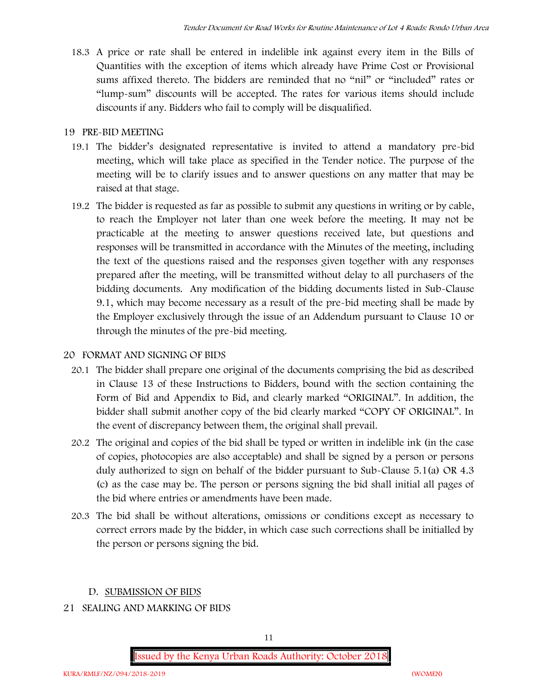18.3 A price or rate shall be entered in indelible ink against every item in the Bills of Quantities with the exception of items which already have Prime Cost or Provisional sums affixed thereto. The bidders are reminded that no "nil" or "included" rates or "lump-sum" discounts will be accepted. The rates for various items should include discounts if any. Bidders who fail to comply will be disqualified.

#### **19 PRE-BID MEETING**

- 19.1 The bidder's designated representative is invited to attend a mandatory pre-bid meeting, which will take place as specified in the Tender notice. The purpose of the meeting will be to clarify issues and to answer questions on any matter that may be raised at that stage.
- 19.2 The bidder is requested as far as possible to submit any questions in writing or by cable, to reach the Employer not later than one week before the meeting. It may not be practicable at the meeting to answer questions received late, but questions and responses will be transmitted in accordance with the Minutes of the meeting, including the text of the questions raised and the responses given together with any responses prepared after the meeting, will be transmitted without delay to all purchasers of the bidding documents. Any modification of the bidding documents listed in Sub-Clause 9.1, which may become necessary as a result of the pre-bid meeting shall be made by the Employer exclusively through the issue of an Addendum pursuant to Clause 10 or through the minutes of the pre-bid meeting.

## **20 FORMAT AND SIGNING OF BIDS**

- 20.1 The bidder shall prepare one original of the documents comprising the bid as described in Clause 13 of these Instructions to Bidders, bound with the section containing the Form of Bid and Appendix to Bid, and clearly marked "ORIGINAL". In addition, the bidder shall submit another copy of the bid clearly marked "COPY OF ORIGINAL". In the event of discrepancy between them, the original shall prevail.
- 20.2 The original and copies of the bid shall be typed or written in indelible ink (in the case of copies, photocopies are also acceptable) and shall be signed by a person or persons duly authorized to sign on behalf of the bidder pursuant to Sub-Clause 5.1(a) OR 4.3 (c) as the case may be. The person or persons signing the bid shall initial all pages of the bid where entries or amendments have been made.
- 20.3 The bid shall be without alterations, omissions or conditions except as necessary to correct errors made by the bidder, in which case such corrections shall be initialled by the person or persons signing the bid.

## **D. SUBMISSION OF BIDS**

#### **21 SEALING AND MARKING OF BIDS**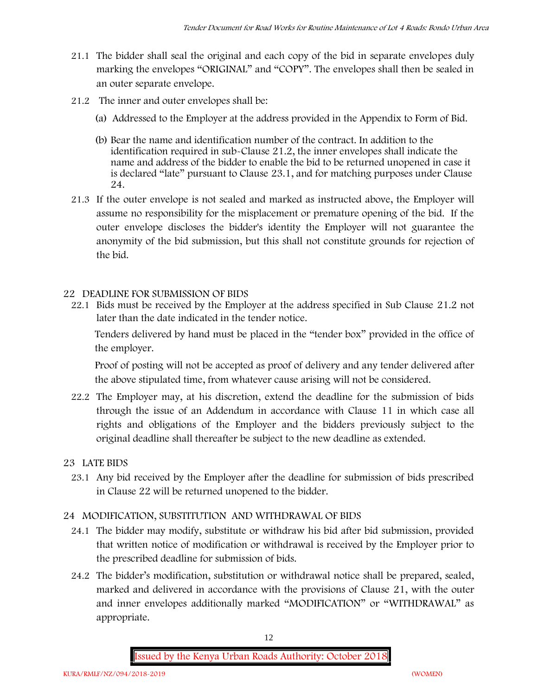- 21.1 The bidder shall seal the original and each copy of the bid in separate envelopes duly marking the envelopes "ORIGINAL" and "COPY". The envelopes shall then be sealed in an outer separate envelope.
- 21.2 The inner and outer envelopes shall be:
	- (a) Addressed to the Employer at the address provided in the Appendix to Form of Bid.
	- (b) Bear the name and identification number of the contract. In addition to the identification required in sub-Clause 21.2, the inner envelopes shall indicate the name and address of the bidder to enable the bid to be returned unopened in case it is declared "late" pursuant to Clause 23.1, and for matching purposes under Clause 24.
- 21.3 If the outer envelope is not sealed and marked as instructed above, the Employer will assume no responsibility for the misplacement or premature opening of the bid. If the outer envelope discloses the bidder's identity the Employer will not guarantee the anonymity of the bid submission, but this shall not constitute grounds for rejection of the bid.

#### **22 DEADLINE FOR SUBMISSION OF BIDS**

22.1 Bids must be received by the Employer at the address specified in Sub Clause 21.2 not later than **the date indicated in the tender notice.**

Tenders delivered by hand must be placed in the "tender box" provided in the office of the employer.

Proof of posting will not be accepted as proof of delivery and any tender delivered after the above stipulated time, from whatever cause arising will not be considered.

22.2 The Employer may, at his discretion, extend the deadline for the submission of bids through the issue of an Addendum in accordance with Clause 11 in which case all rights and obligations of the Employer and the bidders previously subject to the original deadline shall thereafter be subject to the new deadline as extended.

## **23 LATE BIDS**

23.1 Any bid received by the Employer after the deadline for submission of bids prescribed in Clause 22 will be returned unopened to the bidder.

## **24 MODIFICATION, SUBSTITUTION AND WITHDRAWAL OF BIDS**

- 24.1 The bidder may modify, substitute or withdraw his bid after bid submission, provided that written notice of modification or withdrawal is received by the Employer prior to the prescribed deadline for submission of bids.
- 24.2 The bidder's modification, substitution or withdrawal notice shall be prepared, sealed, marked and delivered in accordance with the provisions of Clause 21, with the outer and inner envelopes additionally marked "MODIFICATION" or "WITHDRAWAL" as appropriate.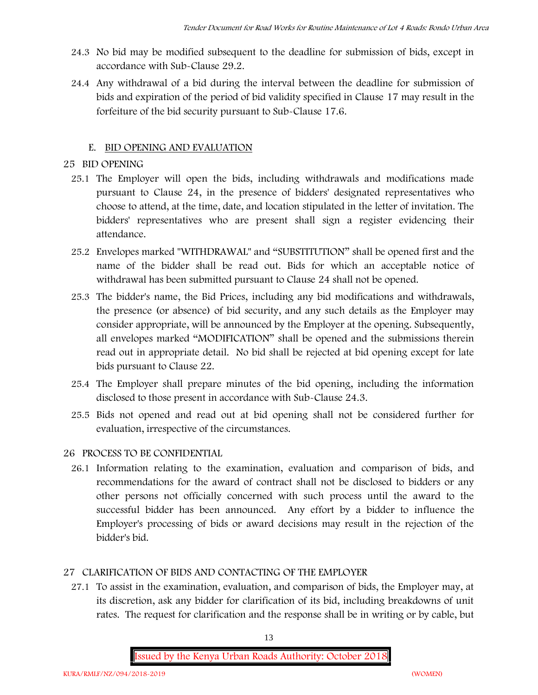- 24.3 No bid may be modified subsequent to the deadline for submission of bids, except in accordance with Sub-Clause 29.2.
- 24.4 Any withdrawal of a bid during the interval between the deadline for submission of bids and expiration of the period of bid validity specified in Clause 17 may result in the forfeiture of the bid security pursuant to Sub-Clause 17.6.

## **E. BID OPENING AND EVALUATION**

## **25 BID OPENING**

- 25.1 The Employer will open the bids, including withdrawals and modifications made pursuant to Clause 24, in the presence of bidders' designated representatives who choose to attend, at the time, date, and location stipulated in the letter of invitation. The bidders' representatives who are present shall sign a register evidencing their attendance.
- 25.2 Envelopes marked "WITHDRAWAL" and "SUBSTITUTION" shall be opened first and the name of the bidder shall be read out. Bids for which an acceptable notice of withdrawal has been submitted pursuant to Clause 24 shall not be opened.
- 25.3 The bidder's name, the Bid Prices, including any bid modifications and withdrawals, the presence (or absence) of bid security, and any such details as the Employer may consider appropriate, will be announced by the Employer at the opening. Subsequently, all envelopes marked "MODIFICATION" shall be opened and the submissions therein read out in appropriate detail. No bid shall be rejected at bid opening except for late bids pursuant to Clause 22.
- 25.4 The Employer shall prepare minutes of the bid opening, including the information disclosed to those present in accordance with Sub-Clause 24.3.
- 25.5 Bids not opened and read out at bid opening shall not be considered further for evaluation, irrespective of the circumstances.

## **26 PROCESS TO BE CONFIDENTIAL**

26.1 Information relating to the examination, evaluation and comparison of bids, and recommendations for the award of contract shall not be disclosed to bidders or any other persons not officially concerned with such process until the award to the successful bidder has been announced. Any effort by a bidder to influence the Employer's processing of bids or award decisions may result in the rejection of the bidder's bid.

## **27 CLARIFICATION OF BIDS AND CONTACTING OF THE EMPLOYER**

27.1 To assist in the examination, evaluation, and comparison of bids, the Employer may, at its discretion, ask any bidder for clarification of its bid, including breakdowns of unit rates. The request for clarification and the response shall be in writing or by cable, but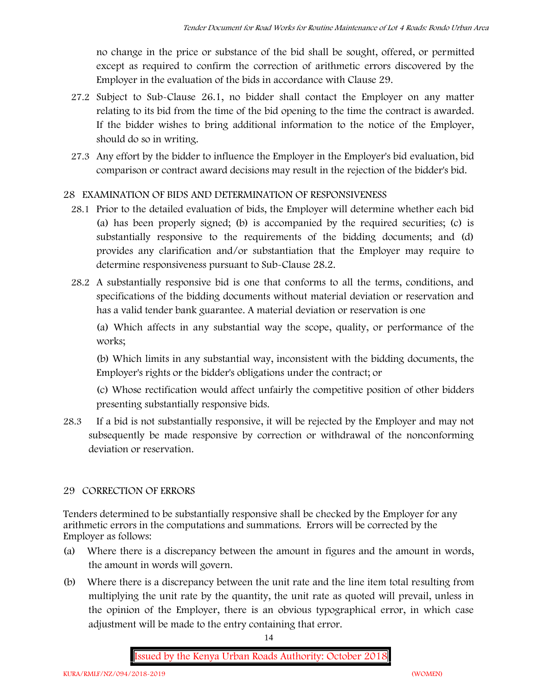no change in the price or substance of the bid shall be sought, offered, or permitted except as required to confirm the correction of arithmetic errors discovered by the Employer in the evaluation of the bids in accordance with Clause 29.

- 27.2 Subject to Sub-Clause 26.1, no bidder shall contact the Employer on any matter relating to its bid from the time of the bid opening to the time the contract is awarded. If the bidder wishes to bring additional information to the notice of the Employer, should do so in writing.
- 27.3 Any effort by the bidder to influence the Employer in the Employer's bid evaluation, bid comparison or contract award decisions may result in the rejection of the bidder's bid.

## **28 EXAMINATION OF BIDS AND DETERMINATION OF RESPONSIVENESS**

- 28.1 Prior to the detailed evaluation of bids, the Employer will determine whether each bid (a) has been properly signed; (b) is accompanied by the required securities; (c) is substantially responsive to the requirements of the bidding documents; and (d) provides any clarification and/or substantiation that the Employer may require to determine responsiveness pursuant to Sub-Clause 28.2.
- 28.2 A substantially responsive bid is one that conforms to all the terms, conditions, and specifications of the bidding documents without material deviation or reservation and has a valid tender bank guarantee. A material deviation or reservation is one

(a) Which affects in any substantial way the scope, quality, or performance of the works;

(b) Which limits in any substantial way, inconsistent with the bidding documents, the Employer's rights or the bidder's obligations under the contract; or

(c) Whose rectification would affect unfairly the competitive position of other bidders presenting substantially responsive bids.

28.3 If a bid is not substantially responsive, it will be rejected by the Employer and may not subsequently be made responsive by correction or withdrawal of the nonconforming deviation or reservation.

## **29 CORRECTION OF ERRORS**

Tenders determined to be substantially responsive shall be checked by the Employer for any arithmetic errors in the computations and summations. Errors will be corrected by the Employer as follows:

- (a) Where there is a discrepancy between the amount in figures and the amount in words, the amount in words will govern.
- (b) Where there is a discrepancy between the unit rate and the line item total resulting from multiplying the unit rate by the quantity, the unit rate as quoted will prevail, unless in the opinion of the Employer, there is an obvious typographical error, in which case adjustment will be made to the entry containing that error.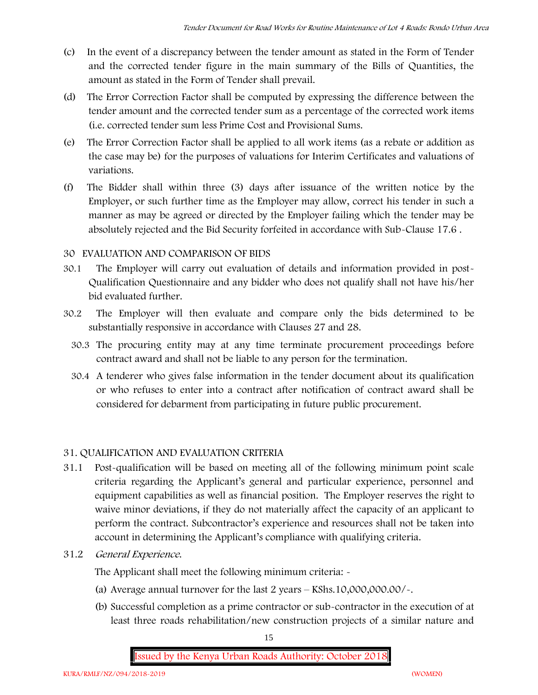- (c) In the event of a discrepancy between the tender amount as stated in the Form of Tender and the corrected tender figure in the main summary of the Bills of Quantities, the amount as stated in the Form of Tender shall prevail.
- (d) The Error Correction Factor shall be computed by expressing the difference between the tender amount and the corrected tender sum as a percentage of the corrected work items (i.e. corrected tender sum less Prime Cost and Provisional Sums.
- (e) The Error Correction Factor shall be applied to all work items (as a rebate or addition as the case may be) for the purposes of valuations for Interim Certificates and valuations of variations.
- (f) The Bidder shall within three (3) days after issuance of the written notice by the Employer, or such further time as the Employer may allow, correct his tender in such a manner as may be agreed or directed by the Employer failing which the tender may be absolutely rejected and the Bid Security forfeited in accordance with Sub-Clause 17.6 .

#### **30 EVALUATION AND COMPARISON OF BIDS**

- 30.1 The Employer will carry out evaluation of details and information provided in post- Qualification Questionnaire and any bidder who does not qualify shall not have his/her bid evaluated further.
- 30.2 The Employer will then evaluate and compare only the bids determined to be substantially responsive in accordance with Clauses 27 and 28.
	- 30.3 The procuring entity may at any time terminate procurement proceedings before contract award and shall not be liable to any person for the termination.
	- 30.4 A tenderer who gives false information in the tender document about its qualification or who refuses to enter into a contract after notification of contract award shall be considered for debarment from participating in future public procurement.

## **31. QUALIFICATION AND EVALUATION CRITERIA**

- 31.1 Post-qualification will be based on meeting all of the following minimum point scale criteria regarding the Applicant's general and particular experience, personnel and equipment capabilities as well as financial position. The Employer reserves the right to waive minor deviations, if they do not materially affect the capacity of an applicant to perform the contract. Subcontractor's experience and resources shall not be taken into account in determining the Applicant's compliance with qualifying criteria.
- **31.2** *General Experience***.**

The Applicant shall meet the following minimum criteria: -

- (a) Average annual turnover for the last 2 years **KShs.10,000,000.00/-.**
- (b) Successful completion as a prime contractor or sub-contractor in the execution of at least three roads rehabilitation/new construction projects of a similar nature and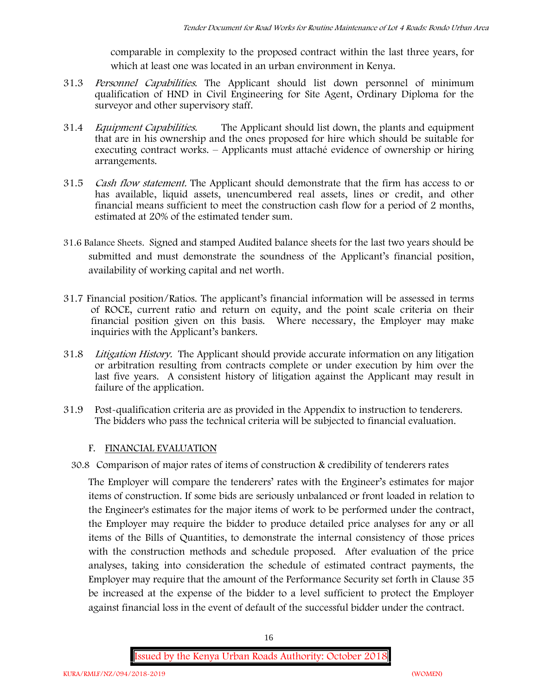comparable in complexity to the proposed contract within the last three years, for which at least one was located in an urban environment in Kenya.

- 31.3 *Personnel Capabilities***.** The Applicant should list down personnel of minimum qualification of HND in Civil Engineering for Site Agent, Ordinary Diploma for the surveyor and other supervisory staff.
- 31.4 *Equipment Capabilities.* The Applicant should list down, the plants and equipment that are in his ownership and the ones proposed for hire which should be suitable for executing contract works. – Applicants must attaché evidence of ownership or hiring arrangements.
- 31.5 *Cash flow statement.* The Applicant should demonstrate that the firm has access to or has available, liquid assets, unencumbered real assets, lines or credit, and other financial means sufficient to meet the construction cash flow for a period of 2 months, estimated at 20% of the estimated tender sum.
- **31.6 Balance Sheets***.* Signed and stamped Audited balance sheets for the last two years should be submitted and must demonstrate the soundness of the Applicant's financial position, availability of working capital and net worth.
- **31.7 Financial position/Ratios.** The applicant's financial information will be assessed in terms of ROCE, current ratio and return on equity, and the point scale criteria on their financial position given on this basis. Where necessary, the Employer may make inquiries with the Applicant's bankers.
- 31.8 *Litigation History.* The Applicant should provide accurate information on any litigation or arbitration resulting from contracts complete or under execution by him over the last five years. A consistent history of litigation against the Applicant may result in failure of the application.
- 31.9 Post-qualification criteria are as provided in the Appendix to instruction to tenderers. The bidders who pass the technical criteria will be subjected to financial evaluation.

#### **F. FINANCIAL EVALUATION**

30.8 Comparison of major rates of items of construction & credibility of tenderers rates

The Employer will compare the tenderers' rates with the Engineer's estimates for major items of construction. If some bids are seriously unbalanced or front loaded in relation to the Engineer's estimates for the major items of work to be performed under the contract, the Employer may require the bidder to produce detailed price analyses for any or all items of the Bills of Quantities, to demonstrate the internal consistency of those prices with the construction methods and schedule proposed. After evaluation of the price analyses, taking into consideration the schedule of estimated contract payments, the Employer may require that the amount of the Performance Security set forth in Clause 35 be increased at the expense of the bidder to a level sufficient to protect the Employer against financial loss in the event of default of the successful bidder under the contract.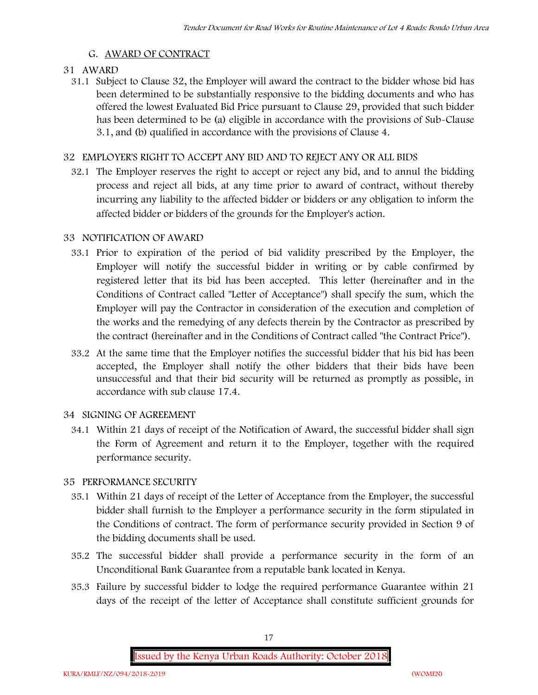#### **G. AWARD OF CONTRACT**

#### **31 AWARD**

31.1 Subject to Clause 32, the Employer will award the contract to the bidder whose bid has been determined to be substantially responsive to the bidding documents and who has offered the lowest Evaluated Bid Price pursuant to Clause 29, provided that such bidder has been determined to be (a) eligible in accordance with the provisions of Sub-Clause 3.1, and (b) qualified in accordance with the provisions of Clause 4.

#### **32 EMPLOYER'S RIGHT TO ACCEPT ANY BID AND TO REJECT ANY OR ALL BIDS**

32.1 The Employer reserves the right to accept or reject any bid, and to annul the bidding process and reject all bids, at any time prior to award of contract, without thereby incurring any liability to the affected bidder or bidders or any obligation to inform the affected bidder or bidders of the grounds for the Employer's action.

#### **33 NOTIFICATION OF AWARD**

- 33.1 Prior to expiration of the period of bid validity prescribed by the Employer, the Employer will notify the successful bidder in writing or by cable confirmed by registered letter that its bid has been accepted. This letter (hereinafter and in the Conditions of Contract called "Letter of Acceptance") shall specify the sum, which the Employer will pay the Contractor in consideration of the execution and completion of the works and the remedying of any defects therein by the Contractor as prescribed by the contract (hereinafter and in the Conditions of Contract called "the Contract Price").
- 33.2 At the same time that the Employer notifies the successful bidder that his bid has been accepted, the Employer shall notify the other bidders that their bids have been unsuccessful and that their bid security will be returned as promptly as possible, in accordance with sub clause 17.4.

#### **34 SIGNING OF AGREEMENT**

34.1 Within 21 days of receipt of the Notification of Award, the successful bidder shall sign the Form of Agreement and return it to the Employer, together with the required performance security.

#### **35 PERFORMANCE SECURITY**

- 35.1 Within 21 days of receipt of the Letter of Acceptance from the Employer, the successful bidder shall furnish to the Employer a performance security in the form stipulated in the Conditions of contract. The form of performance security provided in Section 9 of the bidding documents shall be used.
- 35.2 The successful bidder shall provide a performance security in the form of an Unconditional Bank Guarantee from a reputable bank located in Kenya.
- 35.3 Failure by successful bidder to lodge the required performance Guarantee within 21 days of the receipt of the letter of Acceptance shall constitute sufficient grounds for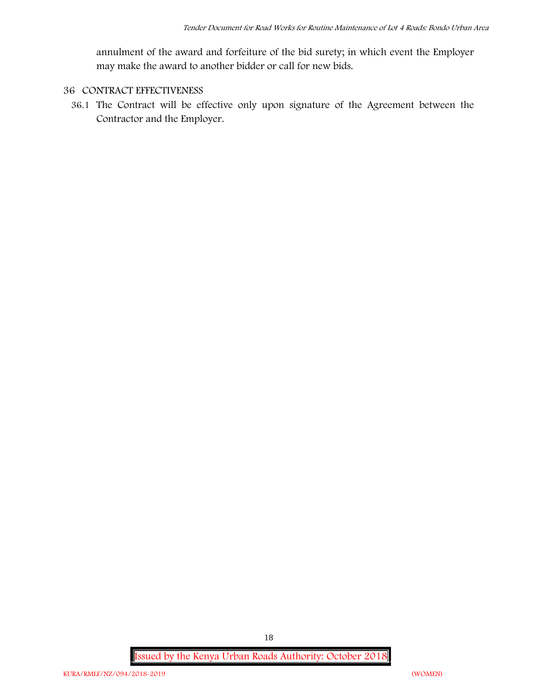annulment of the award and forfeiture of the bid surety; in which event the Employer may make the award to another bidder or call for new bids.

## **36 CONTRACT EFFECTIVENESS**

36.1 The Contract will be effective only upon signature of the Agreement between the Contractor and the Employer.

**Issued by the Kenya Urban Roads Authority: October 2018**

18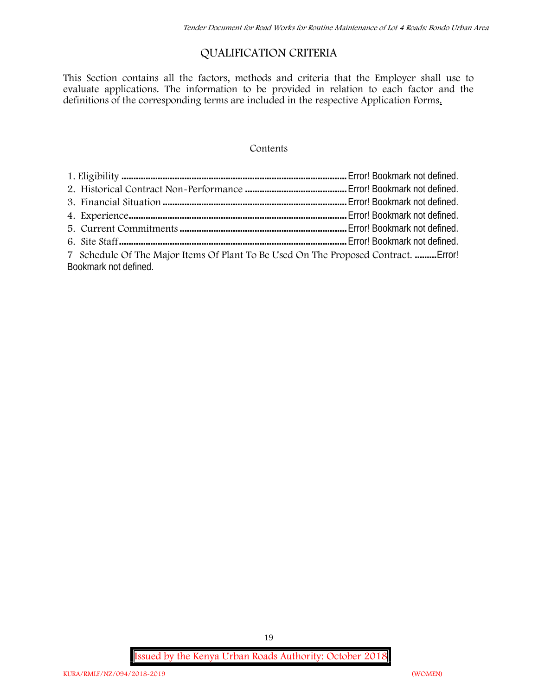# **QUALIFICATION CRITERIA**

This Section contains all the factors, methods and criteria that the Employer shall use to evaluate applications. The information to be provided in relation to each factor and the definitions of the corresponding terms are included in the respective Application Forms.

#### **Contents**

| 7 Schedule Of The Major Items Of Plant To Be Used On The Proposed Contract.  Error! |  |
|-------------------------------------------------------------------------------------|--|
| Bookmark not defined.                                                               |  |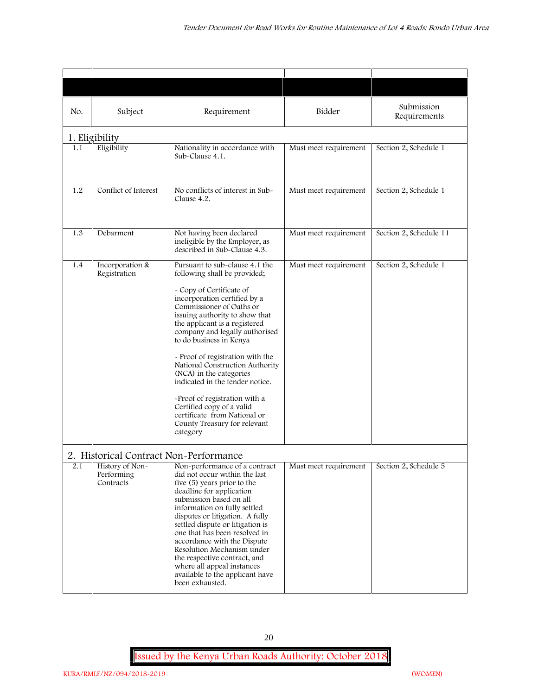| No. | Subject                                    | Requirement                                                                                                                                                                                                                                                                                                                                                                                                                                                                                                                                                           | Bidder                | Submission<br>Requirements |
|-----|--------------------------------------------|-----------------------------------------------------------------------------------------------------------------------------------------------------------------------------------------------------------------------------------------------------------------------------------------------------------------------------------------------------------------------------------------------------------------------------------------------------------------------------------------------------------------------------------------------------------------------|-----------------------|----------------------------|
|     | 1. Eligibility                             |                                                                                                                                                                                                                                                                                                                                                                                                                                                                                                                                                                       |                       |                            |
| 1.1 | Eligibility                                | Nationality in accordance with<br>Sub-Clause 4.1.                                                                                                                                                                                                                                                                                                                                                                                                                                                                                                                     | Must meet requirement | Section 2, Schedule 1      |
| 1.2 | Conflict of Interest                       | No conflicts of interest in Sub-<br>Clause 4.2.                                                                                                                                                                                                                                                                                                                                                                                                                                                                                                                       | Must meet requirement | Section 2, Schedule 1      |
| 1.3 | Debarment                                  | Not having been declared<br>ineligible by the Employer, as<br>described in Sub-Clause 4.3.                                                                                                                                                                                                                                                                                                                                                                                                                                                                            | Must meet requirement | Section 2, Schedule 11     |
| 1.4 | Incorporation &<br>Registration            | Pursuant to sub-clause 4.1 the<br>following shall be provided;<br>- Copy of Certificate of<br>incorporation certified by a<br>Commissioner of Oaths or<br>issuing authority to show that<br>the applicant is a registered<br>company and legally authorised<br>to do business in Kenya<br>- Proof of registration with the<br>National Construction Authority<br>(NCA) in the categories<br>indicated in the tender notice.<br>-Proof of registration with a<br>Certified copy of a valid<br>certificate from National or<br>County Treasury for relevant<br>category | Must meet requirement | Section 2, Schedule 1      |
|     | 2. Historical Contract Non-Performance     |                                                                                                                                                                                                                                                                                                                                                                                                                                                                                                                                                                       |                       |                            |
| 2.1 | History of Non-<br>Performing<br>Contracts | Non-performance of a contract<br>did not occur within the last<br>five (5) years prior to the<br>deadline for application<br>submission based on all<br>information on fully settled<br>disputes or litigation. A fully<br>settled dispute or litigation is<br>one that has been resolved in<br>accordance with the Dispute<br>Resolution Mechanism under<br>the respective contract, and<br>where all appeal instances<br>available to the applicant have<br>been exhausted.                                                                                         | Must meet requirement | Section 2, Schedule 5      |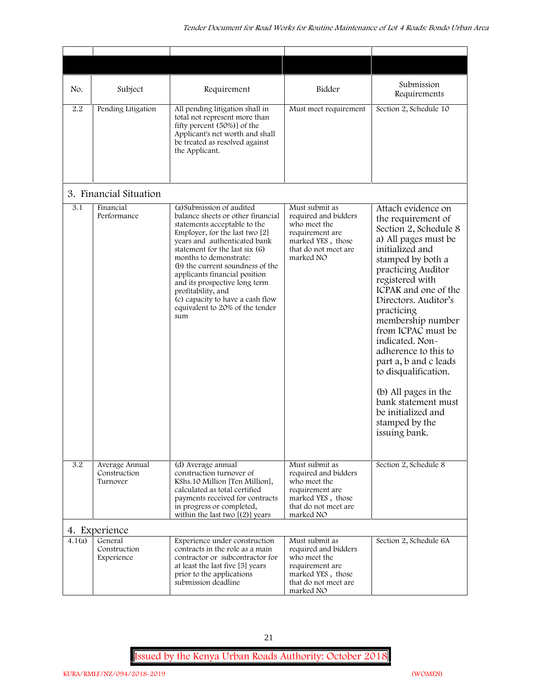| No.    | Subject                                    | Requirement                                                                                                                                                                                                                                                                                                                                                                                                                            | Bidder                                                                                                                              | Submission<br>Requirements                                                                                                                                                                                                                                                                                                                                                                                                                                                              |
|--------|--------------------------------------------|----------------------------------------------------------------------------------------------------------------------------------------------------------------------------------------------------------------------------------------------------------------------------------------------------------------------------------------------------------------------------------------------------------------------------------------|-------------------------------------------------------------------------------------------------------------------------------------|-----------------------------------------------------------------------------------------------------------------------------------------------------------------------------------------------------------------------------------------------------------------------------------------------------------------------------------------------------------------------------------------------------------------------------------------------------------------------------------------|
| 2.2    | Pending Litigation                         | All pending litigation shall in<br>total not represent more than<br>fifty percent (50%)] of the<br>Applicant's net worth and shall<br>be treated as resolved against<br>the Applicant.                                                                                                                                                                                                                                                 | Must meet requirement                                                                                                               | Section 2, Schedule 10                                                                                                                                                                                                                                                                                                                                                                                                                                                                  |
|        | 3. Financial Situation                     |                                                                                                                                                                                                                                                                                                                                                                                                                                        |                                                                                                                                     |                                                                                                                                                                                                                                                                                                                                                                                                                                                                                         |
| 3.1    | Financial<br>Performance                   | (a) Submission of audited<br>balance sheets or other financial<br>statements acceptable to the<br>Employer, for the last two [2]<br>years and authenticated bank<br>statement for the last six (6)<br>months to demonstrate:<br>(b) the current soundness of the<br>applicants financial position<br>and its prospective long term<br>profitability, and<br>(c) capacity to have a cash flow<br>equivalent to 20% of the tender<br>sum | Must submit as<br>required and bidders<br>who meet the<br>requirement are<br>marked YES, those<br>that do not meet are<br>marked NO | Attach evidence on<br>the requirement of<br>Section 2, Schedule 8<br>a) All pages must be<br>initialized and<br>stamped by both a<br>practicing Auditor<br>registered with<br>ICPAK and one of the<br>Directors. Auditor's<br>practicing<br>membership number<br>from ICPAC must be<br>indicated. Non-<br>adherence to this to<br>part a, b and c leads<br>to disqualification.<br>(b) All pages in the<br>bank statement must<br>be initialized and<br>stamped by the<br>issuing bank. |
| 3.2    | Average Annual<br>Construction<br>Turnover | (d) Average annual<br>construction turnover of<br>KShs.10 Million [Ten Million],<br>calculated as total certified<br>payments received for contracts<br>in progress or completed,<br>within the last two $[(2)]$ years                                                                                                                                                                                                                 | Must submit as<br>required and bidders<br>who meet the<br>requirement are<br>marked YES, those<br>that do not meet are<br>marked NO | Section 2, Schedule 8                                                                                                                                                                                                                                                                                                                                                                                                                                                                   |
|        | 4. Experience                              |                                                                                                                                                                                                                                                                                                                                                                                                                                        |                                                                                                                                     |                                                                                                                                                                                                                                                                                                                                                                                                                                                                                         |
| 4.1(a) | General<br>Construction<br>Experience      | Experience under construction<br>contracts in the role as a main<br>contractor or subcontractor for<br>at least the last five [5] years<br>prior to the applications<br>submission deadline                                                                                                                                                                                                                                            | Must submit as<br>required and bidders<br>who meet the<br>requirement are<br>marked YES, those<br>that do not meet are<br>marked NO | Section 2, Schedule 6A                                                                                                                                                                                                                                                                                                                                                                                                                                                                  |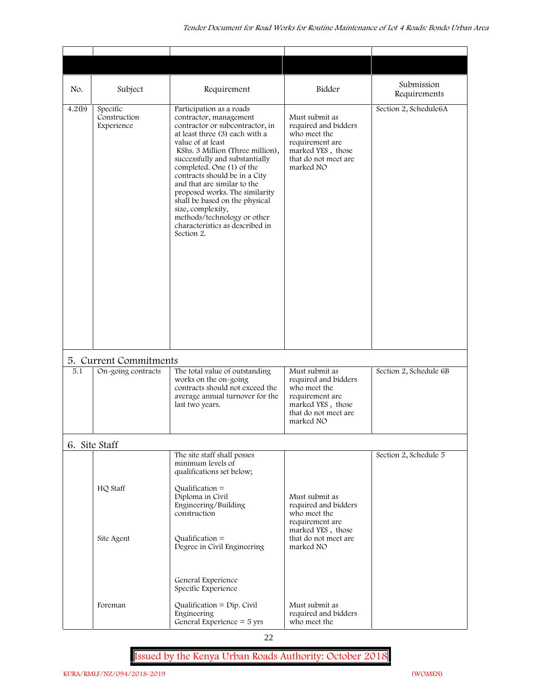| No.    | Subject                                | Requirement                                                                                                                                                                                                                                                                                                                                                                                                                                                                              | Bidder                                                                                                                              | Submission<br>Requirements |
|--------|----------------------------------------|------------------------------------------------------------------------------------------------------------------------------------------------------------------------------------------------------------------------------------------------------------------------------------------------------------------------------------------------------------------------------------------------------------------------------------------------------------------------------------------|-------------------------------------------------------------------------------------------------------------------------------------|----------------------------|
| 4.2(b) | Specific<br>Construction<br>Experience | Participation as a roads<br>contractor, management<br>contractor or subcontractor, in<br>at least three (3) each with a<br>value of at least<br>KShs. 3 Million (Three million),<br>successfully and substantially<br>completed. One (1) of the<br>contracts should be in a City<br>and that are similar to the<br>proposed works. The similarity<br>shall be based on the physical<br>size, complexity,<br>methods/technology or other<br>characteristics as described in<br>Section 2. | Must submit as<br>required and bidders<br>who meet the<br>requirement are<br>marked YES, those<br>that do not meet are<br>marked NO | Section 2, Schedule6A      |
|        | 5. Current Commitments                 |                                                                                                                                                                                                                                                                                                                                                                                                                                                                                          |                                                                                                                                     |                            |
| 5.1    | On-going contracts                     | The total value of outstanding<br>works on the on-going<br>contracts should not exceed the<br>average annual turnover for the<br>last two years.                                                                                                                                                                                                                                                                                                                                         | Must submit as<br>required and bidders<br>who meet the<br>requirement are<br>marked YES, those<br>that do not meet are<br>marked NO | Section 2, Schedule 6B     |
|        | 6. Site Staff                          |                                                                                                                                                                                                                                                                                                                                                                                                                                                                                          |                                                                                                                                     |                            |
|        | HQ Staff                               | The site staff shall posses<br>minimum levels of<br>qualifications set below;<br>Qualification $=$<br>Diploma in Civil<br>Engineering/Building<br>construction                                                                                                                                                                                                                                                                                                                           | Must submit as<br>required and bidders<br>who meet the<br>requirement are<br>marked YES, those                                      | Section 2, Schedule 5      |
|        | Site Agent                             | Qualification $=$<br>Degree in Civil Engineering<br>General Experience<br>Specific Experience                                                                                                                                                                                                                                                                                                                                                                                            | that do not meet are<br>marked NO                                                                                                   |                            |
|        | Foreman                                | Qualification = $Dip$ . Civil<br>Engineering<br>General Experience $=$ 5 yrs                                                                                                                                                                                                                                                                                                                                                                                                             | Must submit as<br>required and bidders<br>who meet the                                                                              |                            |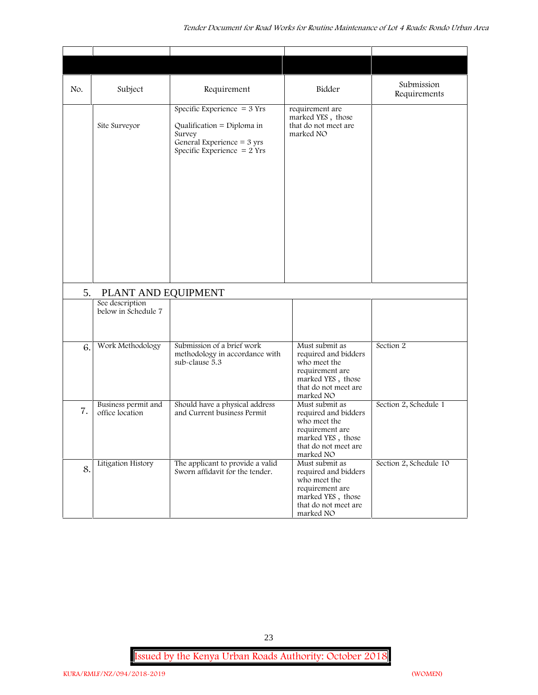| No. | Subject                                | Requirement                                                                                                                            | Bidder                                                                                                                              | Submission<br>Requirements |
|-----|----------------------------------------|----------------------------------------------------------------------------------------------------------------------------------------|-------------------------------------------------------------------------------------------------------------------------------------|----------------------------|
|     | Site Surveyor                          | Specific Experience $=$ 3 Yrs<br>Qualification = Diploma in<br>Survey<br>General Experience $=$ 3 yrs<br>Specific Experience $= 2$ Yrs | requirement are<br>marked YES, those<br>that do not meet are<br>marked NO                                                           |                            |
| 5.  | PLANT AND EQUIPMENT                    |                                                                                                                                        |                                                                                                                                     |                            |
|     | See description<br>below in Schedule 7 |                                                                                                                                        |                                                                                                                                     |                            |
| 6.  | Work Methodology                       | Submission of a brief work<br>methodology in accordance with<br>sub-clause 5.3                                                         | Must submit as<br>required and bidders<br>who meet the<br>requirement are<br>marked YES, those<br>that do not meet are<br>marked NO | Section 2                  |
| 7.  | Business permit and<br>office location | Should have a physical address<br>and Current business Permit                                                                          | Must submit as<br>required and bidders<br>who meet the<br>requirement are<br>marked YES, those<br>that do not meet are<br>marked NO | Section 2, Schedule 1      |
| 8.  | Litigation History                     | The applicant to provide a valid<br>Sworn affidavit for the tender.                                                                    | Must submit as<br>required and bidders<br>who meet the<br>requirement are<br>marked YES, those<br>that do not meet are<br>marked NO | Section 2, Schedule 10     |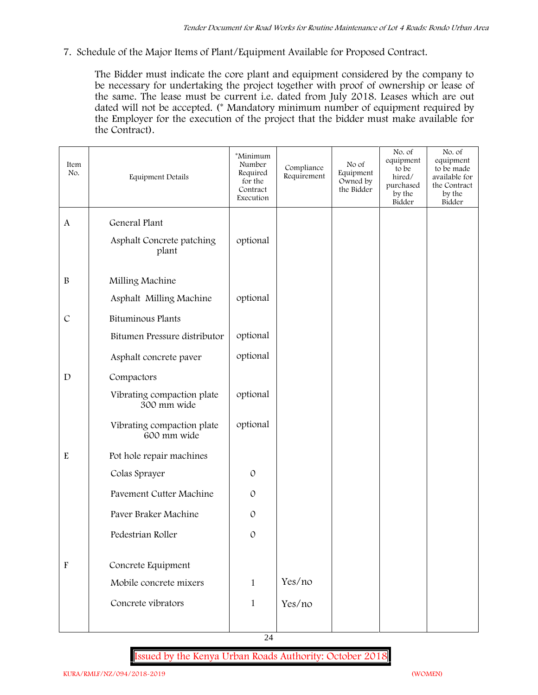**7. Schedule of the Major Items of Plant/Equipment Available for Proposed Contract.**

The Bidder must indicate the core plant and equipment considered by the company to be necessary for undertaking the project together with proof of ownership or lease of the same. The lease must be current i.e. dated from July 2018. Leases which are out dated will not be accepted. (\* Mandatory minimum number of equipment required by the Employer for the execution of the project that the bidder must make available for the Contract).

| Item<br>No.               | Equipment Details                         | *Minimum<br>Number<br>Required<br>for the<br>Contract<br>Execution | Compliance<br>Requirement | No of<br>Equipment<br>Owned by<br>the Bidder | No. of<br>equipment<br>to be<br>hired/<br>purchased<br>by the<br>Bidder | No. of<br>equipment<br>to be made<br>available for<br>the Contract<br>by the<br>Bidder |
|---------------------------|-------------------------------------------|--------------------------------------------------------------------|---------------------------|----------------------------------------------|-------------------------------------------------------------------------|----------------------------------------------------------------------------------------|
| A                         | General Plant                             |                                                                    |                           |                                              |                                                                         |                                                                                        |
|                           | Asphalt Concrete patching<br>plant        | optional                                                           |                           |                                              |                                                                         |                                                                                        |
| $\, {\bf B}$              | Milling Machine                           |                                                                    |                           |                                              |                                                                         |                                                                                        |
|                           | Asphalt Milling Machine                   | optional                                                           |                           |                                              |                                                                         |                                                                                        |
| $\cal C$                  | <b>Bituminous Plants</b>                  |                                                                    |                           |                                              |                                                                         |                                                                                        |
|                           | Bitumen Pressure distributor              | optional                                                           |                           |                                              |                                                                         |                                                                                        |
|                           | Asphalt concrete paver                    | optional                                                           |                           |                                              |                                                                         |                                                                                        |
| $\mathbf D$               | Compactors                                |                                                                    |                           |                                              |                                                                         |                                                                                        |
|                           | Vibrating compaction plate<br>300 mm wide | optional                                                           |                           |                                              |                                                                         |                                                                                        |
|                           | Vibrating compaction plate<br>600 mm wide | optional                                                           |                           |                                              |                                                                         |                                                                                        |
| E                         | Pot hole repair machines                  |                                                                    |                           |                                              |                                                                         |                                                                                        |
|                           | Colas Sprayer                             | $\mathcal{O}$                                                      |                           |                                              |                                                                         |                                                                                        |
|                           | Pavement Cutter Machine                   | $\mathcal{O}$                                                      |                           |                                              |                                                                         |                                                                                        |
|                           | Paver Braker Machine                      | $\mathcal{O}$                                                      |                           |                                              |                                                                         |                                                                                        |
|                           | Pedestrian Roller                         | $\mathcal{O}$                                                      |                           |                                              |                                                                         |                                                                                        |
| $\boldsymbol{\mathrm{F}}$ |                                           |                                                                    |                           |                                              |                                                                         |                                                                                        |
|                           | Concrete Equipment                        |                                                                    |                           |                                              |                                                                         |                                                                                        |
|                           | Mobile concrete mixers                    | $\mathbf{1}$                                                       | Yes/no                    |                                              |                                                                         |                                                                                        |
|                           | Concrete vibrators                        | $\mathbf{1}$                                                       | Yes/no                    |                                              |                                                                         |                                                                                        |
|                           |                                           |                                                                    |                           |                                              |                                                                         |                                                                                        |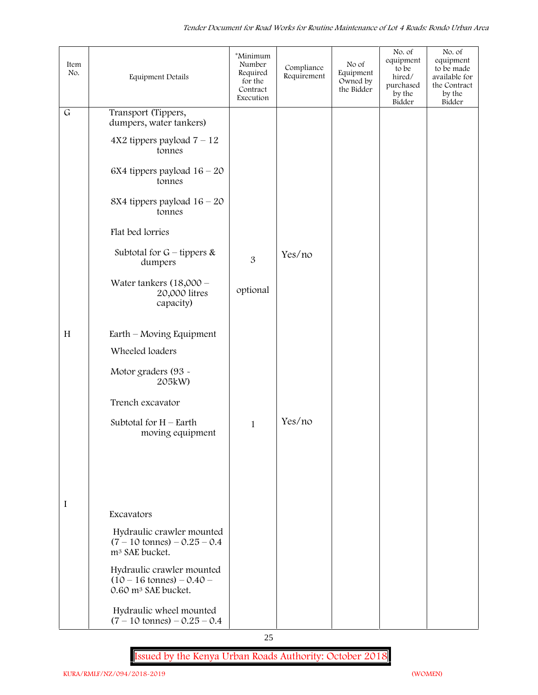| Item<br>No.  | <b>Equipment Details</b>                                                                          | *Minimum<br>Number<br>Required<br>for the<br>Contract<br>Execution | Compliance<br>Requirement | No of<br>Equipment<br>Owned by<br>the Bidder | No. of<br>equipment<br>to be<br>hired/<br>purchased<br>by the<br>Bidder | No. of<br>equipment<br>to be made<br>available for<br>the Contract<br>by the<br>Bidder |
|--------------|---------------------------------------------------------------------------------------------------|--------------------------------------------------------------------|---------------------------|----------------------------------------------|-------------------------------------------------------------------------|----------------------------------------------------------------------------------------|
| $\mathsf{G}$ | Transport (Tippers,<br>dumpers, water tankers)                                                    |                                                                    |                           |                                              |                                                                         |                                                                                        |
|              | $4X2$ tippers payload $7 - 12$<br>tonnes                                                          |                                                                    |                           |                                              |                                                                         |                                                                                        |
|              | 6X4 tippers payload $16 - 20$<br>tonnes                                                           |                                                                    |                           |                                              |                                                                         |                                                                                        |
|              | 8X4 tippers payload $16 - 20$<br>tonnes                                                           |                                                                    |                           |                                              |                                                                         |                                                                                        |
|              | Flat bed lorries                                                                                  |                                                                    |                           |                                              |                                                                         |                                                                                        |
|              | Subtotal for $G$ – tippers &<br>dumpers                                                           | 3                                                                  | Yes/no                    |                                              |                                                                         |                                                                                        |
|              | Water tankers $(18,000 -$<br>20,000 litres<br>capacity)                                           | optional                                                           |                           |                                              |                                                                         |                                                                                        |
| H            | Earth – Moving Equipment                                                                          |                                                                    |                           |                                              |                                                                         |                                                                                        |
|              | Wheeled loaders                                                                                   |                                                                    |                           |                                              |                                                                         |                                                                                        |
|              | Motor graders (93 -<br>205kW)                                                                     |                                                                    |                           |                                              |                                                                         |                                                                                        |
|              | Trench excavator                                                                                  |                                                                    |                           |                                              |                                                                         |                                                                                        |
|              | Subtotal for $H$ – Earth<br>moving equipment                                                      | $\mathbf{1}$                                                       | Yes/no                    |                                              |                                                                         |                                                                                        |
|              |                                                                                                   |                                                                    |                           |                                              |                                                                         |                                                                                        |
|              |                                                                                                   |                                                                    |                           |                                              |                                                                         |                                                                                        |
| I            |                                                                                                   |                                                                    |                           |                                              |                                                                         |                                                                                        |
|              | Excavators                                                                                        |                                                                    |                           |                                              |                                                                         |                                                                                        |
|              | Hydraulic crawler mounted<br>$(7 - 10 \text{ tonnes}) - 0.25 - 0.4$<br>m <sup>3</sup> SAE bucket. |                                                                    |                           |                                              |                                                                         |                                                                                        |
|              | Hydraulic crawler mounted<br>$(10 - 16 \text{ tonnes}) - 0.40$<br>0.60 m <sup>3</sup> SAE bucket. |                                                                    |                           |                                              |                                                                         |                                                                                        |
|              | Hydraulic wheel mounted<br>$(7 - 10 \text{ tonnes}) - 0.25 - 0.4$                                 |                                                                    |                           |                                              |                                                                         |                                                                                        |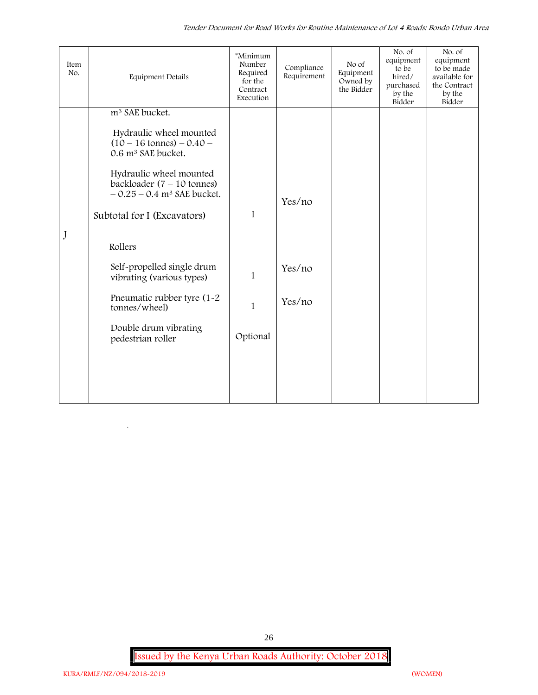| Item<br>No. | <b>Equipment Details</b>                                                                                    | *Minimum<br>Number<br>Required<br>for the<br>Contract<br>Execution | Compliance<br>Requirement | No of<br>Equipment<br>Owned by<br>the Bidder | No. of<br>equipment<br>to be<br>hired/<br>purchased<br>by the<br>Bidder | No. of<br>equipment<br>to be made<br>available for<br>the Contract<br>by the<br>Bidder |
|-------------|-------------------------------------------------------------------------------------------------------------|--------------------------------------------------------------------|---------------------------|----------------------------------------------|-------------------------------------------------------------------------|----------------------------------------------------------------------------------------|
|             | m <sup>3</sup> SAE bucket.                                                                                  |                                                                    |                           |                                              |                                                                         |                                                                                        |
|             | Hydraulic wheel mounted<br>$(10 - 16 \text{ tonnes}) - 0.40 -$<br>0.6 m <sup>3</sup> SAE bucket.            |                                                                    |                           |                                              |                                                                         |                                                                                        |
|             | Hydraulic wheel mounted<br>backloader $(7 - 10 \text{ tonnes})$<br>$-0.25 - 0.4$ m <sup>3</sup> SAE bucket. |                                                                    | Yes/no                    |                                              |                                                                         |                                                                                        |
|             | Subtotal for I (Excavators)                                                                                 | $\mathbf{1}$                                                       |                           |                                              |                                                                         |                                                                                        |
| J           | Rollers                                                                                                     |                                                                    |                           |                                              |                                                                         |                                                                                        |
|             | Self-propelled single drum<br>vibrating (various types)                                                     | $\mathbf{1}$                                                       | Yes/no                    |                                              |                                                                         |                                                                                        |
|             | Pneumatic rubber tyre (1-2)<br>tonnes/wheel)                                                                | $\mathbf{1}$                                                       | Yes/no                    |                                              |                                                                         |                                                                                        |
|             | Double drum vibrating<br>pedestrian roller                                                                  | Optional                                                           |                           |                                              |                                                                         |                                                                                        |
|             |                                                                                                             |                                                                    |                           |                                              |                                                                         |                                                                                        |
|             |                                                                                                             |                                                                    |                           |                                              |                                                                         |                                                                                        |
|             |                                                                                                             |                                                                    |                           |                                              |                                                                         |                                                                                        |

26

 $\overline{\phantom{a}}$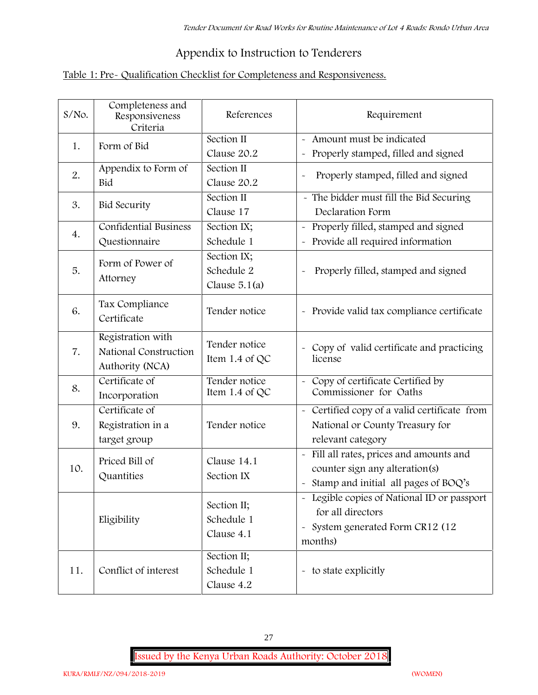# **Appendix to Instruction to Tenderers**

# **Table 1: Pre- Qualification Checklist for Completeness and Responsiveness.**

| S/No. | Completeness and<br>Responsiveness<br>Criteria                | References                                   | Requirement                                                                                                                                |  |
|-------|---------------------------------------------------------------|----------------------------------------------|--------------------------------------------------------------------------------------------------------------------------------------------|--|
| 1.    | Form of Bid                                                   | Section II<br>Clause 20.2                    | Amount must be indicated<br>Properly stamped, filled and signed<br>$\tilde{\phantom{a}}$                                                   |  |
| 2.    | Appendix to Form of<br>Bid                                    | Section II<br>Clause 20.2                    | Properly stamped, filled and signed                                                                                                        |  |
| 3.    | <b>Bid Security</b>                                           | Section II<br>Clause 17                      | - The bidder must fill the Bid Securing<br>Declaration Form                                                                                |  |
| 4.    | <b>Confidential Business</b><br>Questionnaire                 | Section IX;<br>Schedule 1                    | Properly filled, stamped and signed<br>$\tilde{\phantom{a}}$<br>Provide all required information<br>$\tilde{\phantom{a}}$                  |  |
| 5.    | Form of Power of<br>Attorney                                  | Section IX;<br>Schedule 2<br>Clause $5.1(a)$ | Properly filled, stamped and signed                                                                                                        |  |
| 6.    | Tax Compliance<br>Certificate                                 | Tender notice                                | - Provide valid tax compliance certificate                                                                                                 |  |
| 7.    | Registration with<br>National Construction<br>Authority (NCA) | Tender notice<br>Item 1.4 of QC              | - Copy of valid certificate and practicing<br>license                                                                                      |  |
| 8.    | Certificate of<br>Incorporation                               | Tender notice<br>Item 1.4 of QC              | Copy of certificate Certified by<br>Commissioner for Oaths                                                                                 |  |
| 9.    | Certificate of<br>Registration in a<br>target group           | Tender notice                                | - Certified copy of a valid certificate from<br>National or County Treasury for<br>relevant category                                       |  |
| 10.   | Priced Bill of<br>Quantities                                  | Clause 14.1<br>Section IX                    | Fill all rates, prices and amounts and<br>$\tilde{\phantom{a}}$<br>counter sign any alteration(s)<br>Stamp and initial all pages of BOQ's  |  |
|       | Eligibility                                                   | Section II;<br>Schedule 1<br>Clause 4.1      | - Legible copies of National ID or passport<br>for all directors<br>System generated Form CR12 (12<br>$\widetilde{\phantom{m}}$<br>months) |  |
| 11.   | Conflict of interest                                          | Section II;<br>Schedule 1<br>Clause 4.2      | - to state explicitly                                                                                                                      |  |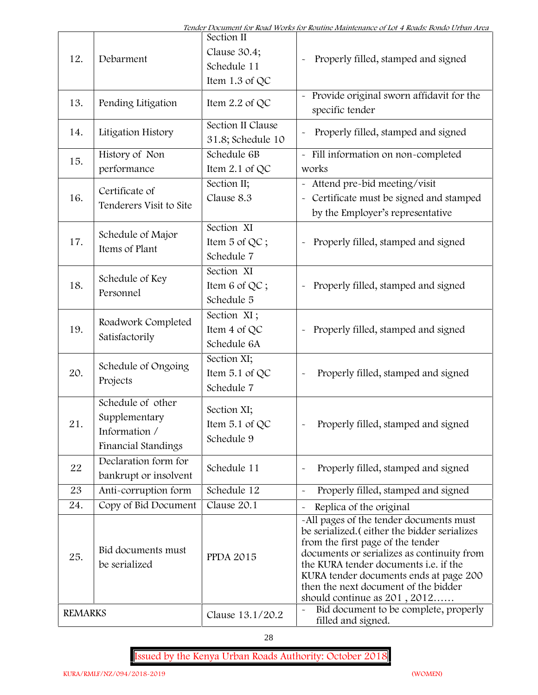| 12.            | Debarment                                                                         | Section II<br>Clause 30.4;<br>Schedule 11<br>Item $1.3$ of QC | Properly filled, stamped and signed                                                                                                                                                                                                                                                                                                     |
|----------------|-----------------------------------------------------------------------------------|---------------------------------------------------------------|-----------------------------------------------------------------------------------------------------------------------------------------------------------------------------------------------------------------------------------------------------------------------------------------------------------------------------------------|
| 13.            | Pending Litigation                                                                | Item $2.2$ of QC                                              | Provide original sworn affidavit for the<br>specific tender                                                                                                                                                                                                                                                                             |
| 14.            | Litigation History                                                                | Section II Clause<br>31.8; Schedule 10                        | Properly filled, stamped and signed                                                                                                                                                                                                                                                                                                     |
| 15.            | History of Non<br>performance                                                     | Schedule 6B<br>Item $2.1$ of QC                               | - Fill information on non-completed<br>works                                                                                                                                                                                                                                                                                            |
| 16.            | Certificate of<br>Tenderers Visit to Site                                         | Section II;<br>Clause 8.3                                     | Attend pre-bid meeting/visit<br>Certificate must be signed and stamped<br>by the Employer's representative                                                                                                                                                                                                                              |
| 17.            | Schedule of Major<br>Items of Plant                                               | Section XI<br>Item 5 of QC;<br>Schedule 7                     | Properly filled, stamped and signed                                                                                                                                                                                                                                                                                                     |
| 18.            | Schedule of Key<br>Personnel                                                      | Section XI<br>Item 6 of QC;<br>Schedule 5                     | Properly filled, stamped and signed                                                                                                                                                                                                                                                                                                     |
| 19.            | Roadwork Completed<br>Satisfactorily                                              | Section XI;<br>Item 4 of QC<br>Schedule 6A                    | Properly filled, stamped and signed<br>$\tilde{\phantom{a}}$                                                                                                                                                                                                                                                                            |
| 20.            | Schedule of Ongoing<br>Projects                                                   | Section XI;<br>Item 5.1 of QC<br>Schedule 7                   | Properly filled, stamped and signed                                                                                                                                                                                                                                                                                                     |
| $2\sqrt{1}$    | Schedule of other<br>Supplementary<br>Information /<br><b>Financial Standings</b> | Section XI;<br>Item $5.1$ of QC<br>Schedule 9                 | Properly filled, stamped and signed                                                                                                                                                                                                                                                                                                     |
| 22             | Declaration form for<br>bankrupt or insolvent                                     | Schedule 11                                                   | Properly filled, stamped and signed                                                                                                                                                                                                                                                                                                     |
| 23             | Anti-corruption form                                                              | Schedule 12                                                   | Properly filled, stamped and signed                                                                                                                                                                                                                                                                                                     |
| 24.            | Copy of Bid Document                                                              | Clause 20.1                                                   | Replica of the original                                                                                                                                                                                                                                                                                                                 |
| 25.            | Bid documents must<br>be serialized                                               | <b>PPDA 2015</b>                                              | -All pages of the tender documents must<br>be serialized. (either the bidder serializes<br>from the first page of the tender<br>documents or serializes as continuity from<br>the KURA tender documents i.e. if the<br>KURA tender documents ends at page 200<br>then the next document of the bidder<br>should continue as $201, 2012$ |
| <b>REMARKS</b> |                                                                                   | Clause 13.1/20.2                                              | Bid document to be complete, properly<br>$\sim$<br>filled and signed.                                                                                                                                                                                                                                                                   |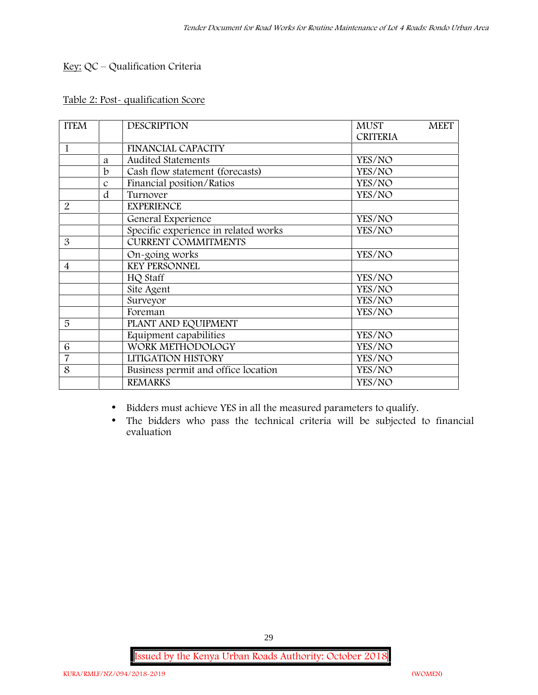# **Key:** QC – Qualification Criteria

## **Table 2: Post- qualification Score**

| <b>ITEM</b>    |               | <b>DESCRIPTION</b>                   | <b>MUST</b>     | <b>MEET</b> |
|----------------|---------------|--------------------------------------|-----------------|-------------|
|                |               |                                      | <b>CRITERIA</b> |             |
| 1              |               | <b>FINANCIAL CAPACITY</b>            |                 |             |
|                | a             | <b>Audited Statements</b>            | YES/NO          |             |
|                | b             | Cash flow statement (forecasts)      | YES/NO          |             |
|                | $\mathcal{C}$ | Financial position/Ratios            | YES/NO          |             |
|                | d             | Turnover                             | YES/NO          |             |
| $\overline{2}$ |               | <b>EXPERIENCE</b>                    |                 |             |
|                |               | General Experience                   | YES/NO          |             |
|                |               | Specific experience in related works | YES/NO          |             |
| 3              |               | <b>CURRENT COMMITMENTS</b>           |                 |             |
|                |               | On-going works                       | YES/NO          |             |
| $\overline{4}$ |               | <b>KEY PERSONNEL</b>                 |                 |             |
|                |               | HQ Staff                             | YES/NO          |             |
|                |               | Site Agent                           | YES/NO          |             |
|                |               | Surveyor                             | YES/NO          |             |
|                |               | Foreman                              | YES/NO          |             |
| 5              |               | PLANT AND EQUIPMENT                  |                 |             |
|                |               | Equipment capabilities               | YES/NO          |             |
| 6              |               | WORK METHODOLOGY                     | YES/NO          |             |
| $\overline{7}$ |               | LITIGATION HISTORY                   | YES/NO          |             |
| 8              |               | Business permit and office location  | YES/NO          |             |
|                |               | <b>REMARKS</b>                       | YES/NO          |             |

- Bidders must achieve YES in all the measured parameters to qualify.
- The bidders who pass the technical criteria will be subjected to financial evaluation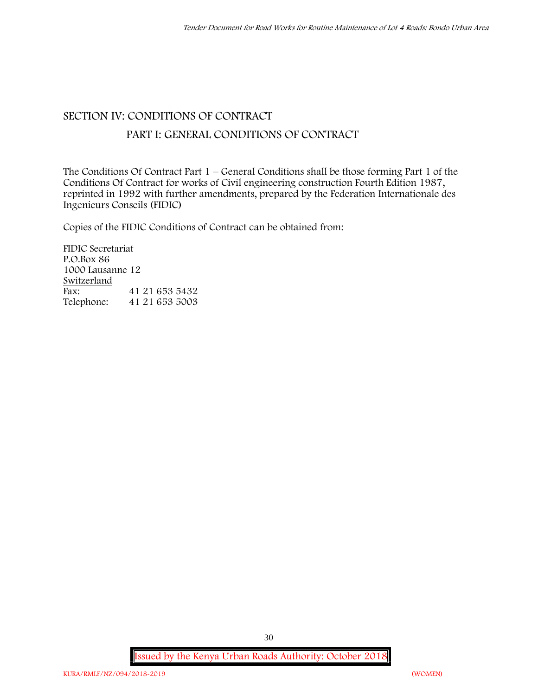# **SECTION IV: CONDITIONS OF CONTRACT**

# **PART I: GENERAL CONDITIONS OF CONTRACT**

The Conditions Of Contract Part 1 – General Conditions shall be those forming Part 1 of the Conditions Of Contract for works of Civil engineering construction Fourth Edition 1987, reprinted in 1992 with further amendments, prepared by the Federation Internationale des Ingenieurs Conseils (FIDIC)

Copies of the FIDIC Conditions of Contract can be obtained from:

FIDIC Secretariat P.O.Box 86 1000 Lausanne 12 **Switzerland** Fax: 41 21 653 5432<br>Telephone: 41 21 653 5003 Telephone: 41 21 653 5003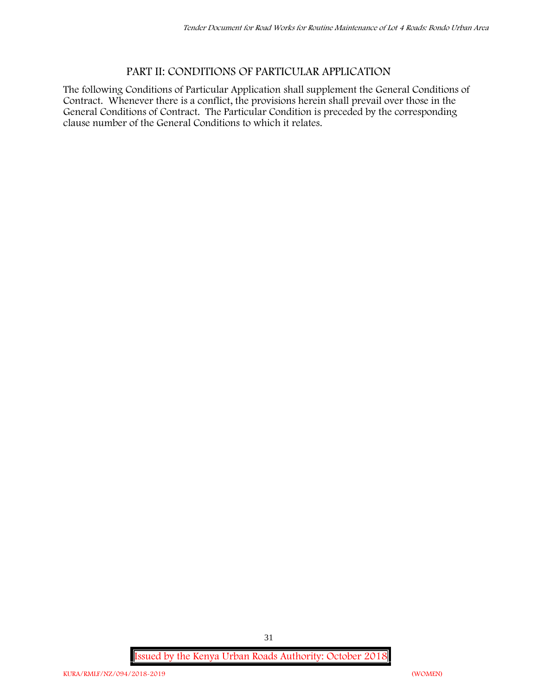# **PART II: CONDITIONS OF PARTICULAR APPLICATION**

The following Conditions of Particular Application shall supplement the General Conditions of Contract. Whenever there is a conflict, the provisions herein shall prevail over those in the General Conditions of Contract. The Particular Condition is preceded by the corresponding clause number of the General Conditions to which it relates.

**Issued by the Kenya Urban Roads Authority: October 2018**

31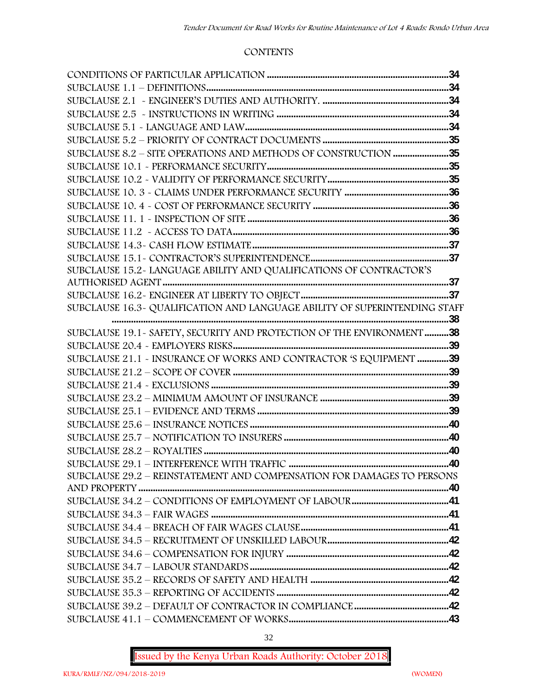#### **CONTENTS**

| SUBCLAUSE 8.2 - SITE OPERATIONS AND METHODS OF CONSTRUCTION 35             |  |
|----------------------------------------------------------------------------|--|
|                                                                            |  |
|                                                                            |  |
|                                                                            |  |
|                                                                            |  |
|                                                                            |  |
|                                                                            |  |
|                                                                            |  |
|                                                                            |  |
| SUBCLAUSE 15.2~ LANGUAGE ABILITY AND QUALIFICATIONS OF CONTRACTOR'S        |  |
|                                                                            |  |
|                                                                            |  |
| SUBCLAUSE 16.3~ QUALIFICATION AND LANGUAGE ABILITY OF SUPERINTENDING STAFF |  |
|                                                                            |  |
| SUBCLAUSE 19.1 - SAFETY, SECURITY AND PROTECTION OF THE ENVIRONMENT 38     |  |
|                                                                            |  |
| SUBCLAUSE 21.1 - INSURANCE OF WORKS AND CONTRACTOR 'S EQUIPMENT 39         |  |
|                                                                            |  |
|                                                                            |  |
|                                                                            |  |
|                                                                            |  |
|                                                                            |  |
|                                                                            |  |
|                                                                            |  |
| SUBCLAUSE 29.2 - REINSTATEMENT AND COMPENSATION FOR DAMAGES TO PERSONS     |  |
|                                                                            |  |
|                                                                            |  |
|                                                                            |  |
|                                                                            |  |
|                                                                            |  |
|                                                                            |  |
|                                                                            |  |
|                                                                            |  |
|                                                                            |  |
|                                                                            |  |
|                                                                            |  |
|                                                                            |  |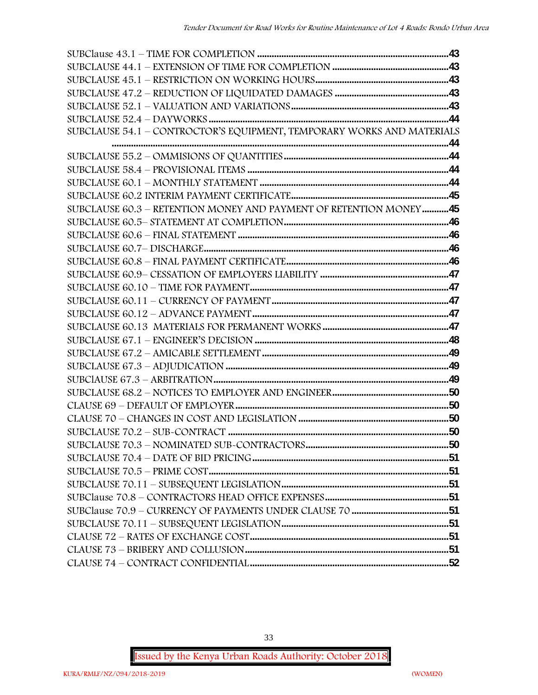| SUBCLAUSE 54.1 - CONTROCTOR'S EQUIPMENT, TEMPORARY WORKS AND MATERIALS |  |
|------------------------------------------------------------------------|--|
|                                                                        |  |
|                                                                        |  |
|                                                                        |  |
|                                                                        |  |
|                                                                        |  |
| SUBCLAUSE 60.3 - RETENTION MONEY AND PAYMENT OF RETENTION MONEY45      |  |
|                                                                        |  |
|                                                                        |  |
|                                                                        |  |
|                                                                        |  |
|                                                                        |  |
|                                                                        |  |
|                                                                        |  |
|                                                                        |  |
|                                                                        |  |
|                                                                        |  |
|                                                                        |  |
|                                                                        |  |
|                                                                        |  |
|                                                                        |  |
|                                                                        |  |
|                                                                        |  |
|                                                                        |  |
|                                                                        |  |
|                                                                        |  |
|                                                                        |  |
|                                                                        |  |
|                                                                        |  |
|                                                                        |  |
|                                                                        |  |
|                                                                        |  |
|                                                                        |  |
|                                                                        |  |

33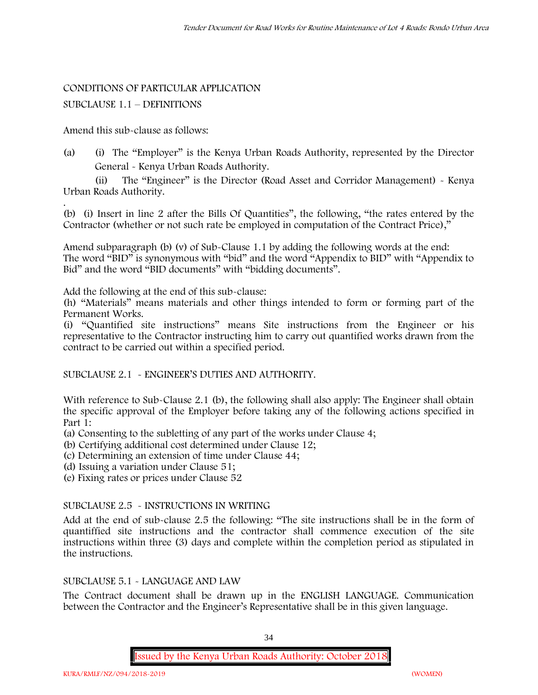#### CONDITIONS OF PARTICULAR APPLICATION

#### SUBCLAUSE 1.1 – DEFINITIONS

Amend this sub-clause as follows:

(a) (i) The "Employer" is the Kenya Urban Roads Authority, represented by the Director General - Kenya Urban Roads Authority.

(ii) The "Engineer" is the Director (Road Asset and Corridor Management) - Kenya Urban Roads Authority.

.(b) (i) Insert in line 2 after the Bills Of Quantities", the following, "the rates entered by the Contractor (whether or not such rate be employed in computation of the Contract Price),"

Amend subparagraph (b) (v) of Sub-Clause 1.1 by adding the following words at the end: The word "BID" is synonymous with "bid" and the word "Appendix to BID" with "Appendix to Bid" and the word "BID documents" with "bidding documents".

Add the following at the end of this sub-clause:

(h) "Materials" means materials and other things intended to form or forming part of the Permanent Works.

(i) "Quantified site instructions" means Site instructions from the Engineer or his representative to the Contractor instructing him to carry out quantified works drawn from the contract to be carried out within a specified period.

SUBCLAUSE 2.1 - ENGINEER'S DUTIES AND AUTHORITY.

With reference to Sub-Clause 2.1 (b), the following shall also apply: The Engineer shall obtain the specific approval of the Employer before taking any of the following actions specified in Part 1:

(a) Consenting to the subletting of any part of the works under Clause 4;

(b) Certifying additional cost determined under Clause 12;

(c) Determining an extension of time under Clause 44;

(d) Issuing a variation under Clause 51;

(e) Fixing rates or prices under Clause 52

#### SUBCLAUSE 2.5 - INSTRUCTIONS IN WRITING

Add at the end of sub-clause 2.5 the following: "The site instructions shall be in the form of quantiffied site instructions and the contractor shall commence execution of the site instructions within three (3) days and complete within the completion period as stipulated in the instructions.

#### SUBCLAUSE 5.1 - LANGUAGE AND LAW

The Contract document shall be drawn up in the ENGLISH LANGUAGE. Communication between the Contractor and the Engineer's Representative shall be in this given language.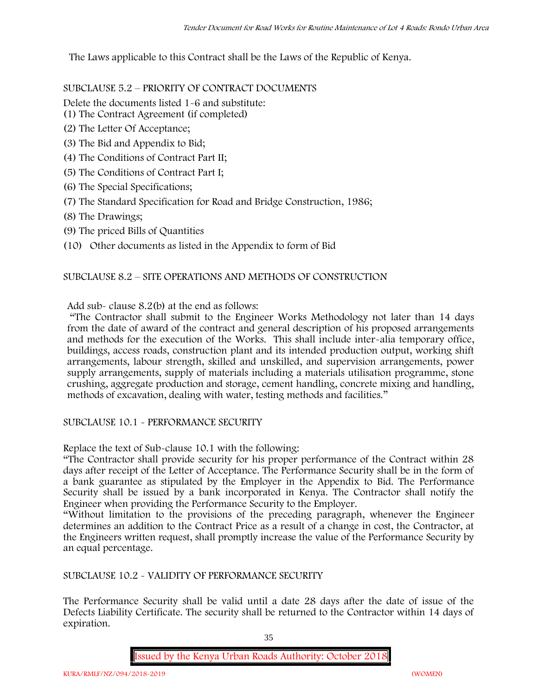The Laws applicable to this Contract shall be the Laws of the Republic of Kenya.

SUBCLAUSE 5.2 – PRIORITY OF CONTRACT DOCUMENTS

Delete the documents listed 1-6 and substitute:

- (1) The Contract Agreement (if completed)
- (2) The Letter Of Acceptance;
- (3) The Bid and Appendix to Bid;
- (4) The Conditions of Contract Part II;
- (5) The Conditions of Contract Part I;
- (6) The Special Specifications;
- (7) The Standard Specification for Road and Bridge Construction, 1986;
- (8) The Drawings;
- (9) The priced Bills of Quantities
- (10) Other documents as listed in the Appendix to form of Bid

#### SUBCLAUSE 8.2 – SITE OPERATIONS AND METHODS OF CONSTRUCTION

Add sub- clause 8.2(b) at the end as follows:

"The Contractor shall submit to the Engineer Works Methodology not later than 14 days from the date of award of the contract and general description of his proposed arrangements and methods for the execution of the Works. This shall include inter-alia temporary office, buildings, access roads, construction plant and its intended production output, working shift arrangements, labour strength, skilled and unskilled, and supervision arrangements, power supply arrangements, supply of materials including a materials utilisation programme, stone crushing, aggregate production and storage, cement handling, concrete mixing and handling, methods of excavation, dealing with water, testing methods and facilities."

SUBCLAUSE 10.1 - PERFORMANCE SECURITY

Replace the text of Sub-clause 10.1 with the following:

"The Contractor shall provide security for his proper performance of the Contract within 28 days after receipt of the Letter of Acceptance. The Performance Security shall be in the form of a bank guarantee as stipulated by the Employer in the Appendix to Bid. The Performance Security shall be issued by a bank incorporated in Kenya. The Contractor shall notify the Engineer when providing the Performance Security to the Employer.

"Without limitation to the provisions of the preceding paragraph, whenever the Engineer determines an addition to the Contract Price as a result of a change in cost, the Contractor, at the Engineers written request, shall promptly increase the value of the Performance Security by an equal percentage.

SUBCLAUSE 10.2 - VALIDITY OF PERFORMANCE SECURITY

The Performance Security shall be valid until a date 28 days after the date of issue of the Defects Liability Certificate. The security shall be returned to the Contractor within 14 days of expiration.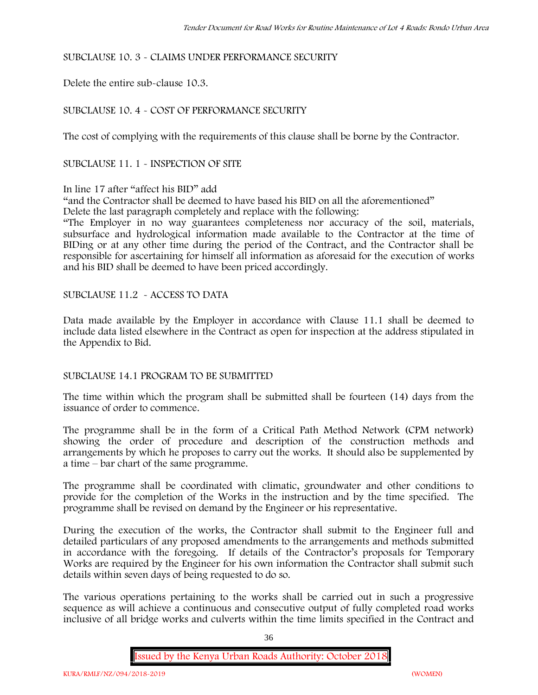# SUBCLAUSE 10. 3 - CLAIMS UNDER PERFORMANCE SECURITY

Delete the entire sub-clause 10.3.

# SUBCLAUSE 10. 4 - COST OF PERFORMANCE SECURITY

The cost of complying with the requirements of this clause shall be borne by the Contractor.

SUBCLAUSE 11. 1 - INSPECTION OF SITE

# In line 17 after "affect his BID" add

"and the Contractor shall be deemed to have based his BID on all the aforementioned" Delete the last paragraph completely and replace with the following:

"The Employer in no way guarantees completeness nor accuracy of the soil, materials, subsurface and hydrological information made available to the Contractor at the time of BIDing or at any other time during the period of the Contract, and the Contractor shall be responsible for ascertaining for himself all information as aforesaid for the execution of works and his BID shall be deemed to have been priced accordingly.

SUBCLAUSE 11.2 - ACCESS TO DATA

Data made available by the Employer in accordance with Clause 11.1 shall be deemed to include data listed elsewhere in the Contract as open for inspection at the address stipulated in the Appendix to Bid.

# SUBCLAUSE 14.1 PROGRAM TO BE SUBMITTED

The time within which the program shall be submitted shall be fourteen (14) days from the issuance of order to commence**.**

The programme shall be in the form of a Critical Path Method Network (CPM network) showing the order of procedure and description of the construction methods and arrangements by which he proposes to carry out the works. It should also be supplemented by a time – bar chart of the same programme.

The programme shall be coordinated with climatic, groundwater and other conditions to provide for the completion of the Works in the instruction and by the time specified. The programme shall be revised on demand by the Engineer or his representative.

During the execution of the works, the Contractor shall submit to the Engineer full and detailed particulars of any proposed amendments to the arrangements and methods submitted in accordance with the foregoing. If details of the Contractor's proposals for Temporary Works are required by the Engineer for his own information the Contractor shall submit such details within seven days of being requested to do so.

The various operations pertaining to the works shall be carried out in such a progressive sequence as will achieve a continuous and consecutive output of fully completed road works inclusive of all bridge works and culverts within the time limits specified in the Contract and

36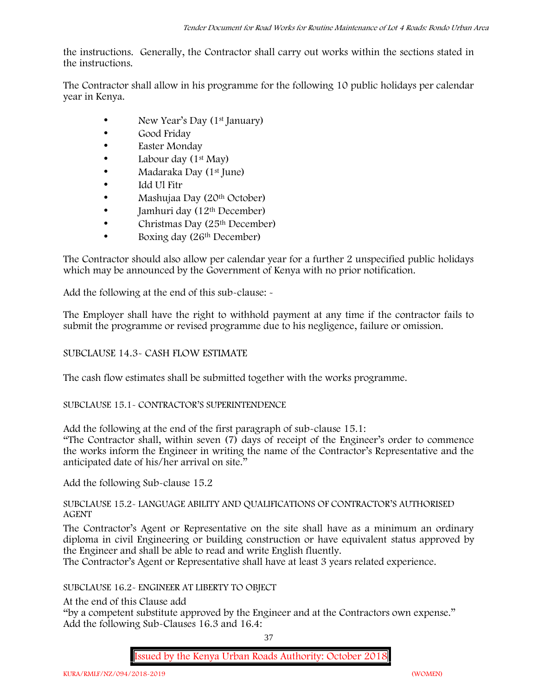the instructions. Generally, the Contractor shall carry out works within the sections stated in the instructions.

The Contractor shall allow in his programme for the following 10 public holidays per calendar year in Kenya.

- New Year's Day (1<sup>st</sup> January)
- Good Friday
- Easter Monday
- Labour day (1<sup>st</sup> May)
- Madaraka Day (1<sup>st</sup> June)
- Idd Ul Fitr
- Mashujaa Day (20<sup>th</sup> October)
- $\bullet$  Jamhuri day (12<sup>th</sup> December)
- $\bullet$  Christmas Day (25<sup>th</sup> December)
- Boxing day (26<sup>th</sup> December)

The Contractor should also allow per calendar year for a further 2 unspecified public holidays which may be announced by the Government of Kenya with no prior notification.

Add the following at the end of this sub-clause: -

The Employer shall have the right to withhold payment at any time if the contractor fails to submit the programme or revised programme due to his negligence, failure or omission.

# SUBCLAUSE 14.3- CASH FLOW ESTIMATE

The cash flow estimates shall be submitted together with the works programme.

# SUBCLAUSE 15.1- CONTRACTOR'S SUPERINTENDENCE

Add the following at the end of the first paragraph of sub-clause 15.1:

"The Contractor shall, within seven (7) days of receipt of the Engineer's order to commence the works inform the Engineer in writing the name of the Contractor's Representative and the anticipated date of his/her arrival on site."

Add the following Sub-clause 15.2

# SUBCLAUSE 15.2- LANGUAGE ABILITY AND QUALIFICATIONS OF CONTRACTOR'S AUTHORISED AGENT

The Contractor's Agent or Representative on the site shall have as a minimum an ordinary diploma in civil Engineering or building construction or have equivalent status approved by the Engineer and shall be able to read and write English fluently.

The Contractor's Agent or Representative shall have at least 3 years related experience.

# SUBCLAUSE 16.2- ENGINEER AT LIBERTY TO OBJECT

At the end of this Clause add

"by a competent substitute approved by the Engineer and at the Contractors own expense." Add the following Sub-Clauses 16.3 and 16.4:

37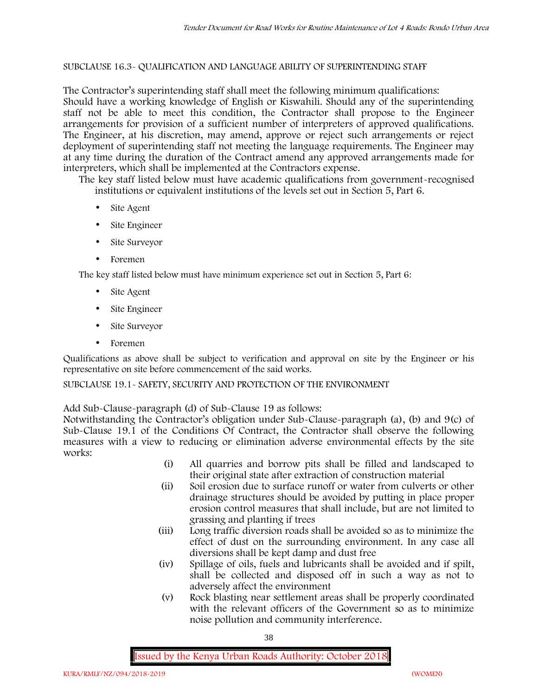# SUBCLAUSE 16.3- QUALIFICATION AND LANGUAGE ABILITY OF SUPERINTENDING STAFF

The Contractor's superintending staff shall meet the following minimum qualifications: Should have a working knowledge of English or Kiswahili. Should any of the superintending staff not be able to meet this condition, the Contractor shall propose to the Engineer arrangements for provision of a sufficient number of interpreters of approved qualifications. The Engineer, at his discretion, may amend, approve or reject such arrangements or reject deployment of superintending staff not meeting the language requirements. The Engineer may at any time during the duration of the Contract amend any approved arrangements made for interpreters, which shall be implemented at the Contractors expense.

The key staff listed below must have academic qualifications from government-recognised institutions or equivalent institutions of the levels set out in Section 5, Part 6.

- Site Agent
- Site Engineer
- Site Surveyor
- Foremen

The key staff listed below must have minimum experience set out in Section 5, Part 6:

- Site Agent
- Site Engineer
- Site Surveyor
- Foremen

Qualifications as above shall be subject to verification and approval on site by the Engineer or his representative on site before commencement of the said works.

SUBCLAUSE 19.1- SAFETY, SECURITY AND PROTECTION OF THE ENVIRONMENT

Add Sub-Clause-paragraph (d) of Sub-Clause 19 as follows:

Notwithstanding the Contractor's obligation under Sub-Clause-paragraph (a), (b) and 9(c) of Sub-Clause 19.1 of the Conditions Of Contract, the Contractor shall observe the following measures with a view to reducing or elimination adverse environmental effects by the site works:

- (i) All quarries and borrow pits shall be filled and landscaped to their original state after extraction of construction material
- (ii) Soil erosion due to surface runoff or water from culverts or other drainage structures should be avoided by putting in place proper erosion control measures that shall include, but are not limited to grassing and planting if trees
- (iii) Long traffic diversion roads shall be avoided so as to minimize the effect of dust on the surrounding environment. In any case all diversions shall be kept damp and dust free
- (iv) Spillage of oils, fuels and lubricants shall be avoided and if spilt, shall be collected and disposed off in such a way as not to adversely affect the environment
- (v) Rock blasting near settlement areas shall be properly coordinated with the relevant officers of the Government so as to minimize noise pollution and community interference.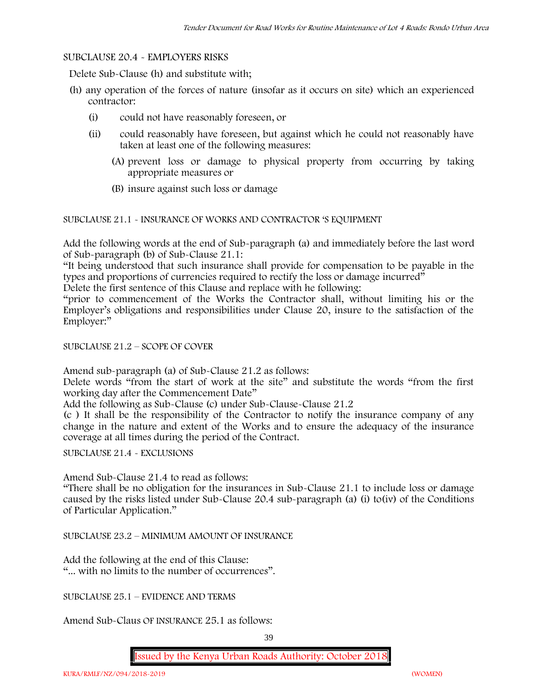# SUBCLAUSE 20.4 - EMPLOYERS RISKS

Delete Sub-Clause (h) and substitute with;

- (h) any operation of the forces of nature (insofar as it occurs on site) which an experienced contractor:
	- (i) could not have reasonably foreseen, or
	- (ii) could reasonably have foreseen, but against which he could not reasonably have taken at least one of the following measures:
		- (A) prevent loss or damage to physical property from occurring by taking appropriate measures or
		- (B) insure against such loss or damage

SUBCLAUSE 21.1 - INSURANCE OF WORKS AND CONTRACTOR 'S EQUIPMENT

Add the following words at the end of Sub-paragraph (a) and immediately before the last word of Sub-paragraph (b) of Sub-Clause 21.1:

"It being understood that such insurance shall provide for compensation to be payable in the types and proportions of currencies required to rectify the loss or damage incurred"

Delete the first sentence of this Clause and replace with he following:

"prior to commencement of the Works the Contractor shall, without limiting his or the Employer's obligations and responsibilities under Clause 20, insure to the satisfaction of the Employer:"

### SUBCLAUSE 21.2 – SCOPE OF COVER

Amend sub-paragraph (a) of Sub-Clause 21.2 as follows:

Delete words "from the start of work at the site" and substitute the words "from the first working day after the Commencement Date"

Add the following as Sub-Clause (c) under Sub-Clause-Clause 21.2

(c ) It shall be the responsibility of the Contractor to notify the insurance company of any change in the nature and extent of the Works and to ensure the adequacy of the insurance coverage at all times during the period of the Contract.

SUBCLAUSE 21.4 - EXCLUSIONS

Amend Sub-Clause 21.4 to read as follows:

"There shall be no obligation for the insurances in Sub-Clause 21.1 to include loss or damage caused by the risks listed under Sub-Clause 20.4 sub-paragraph (a) (i) to(iv) of the Conditions of Particular Application."

SUBCLAUSE 23.2 – MINIMUM AMOUNT OF INSURANCE

Add the following at the end of this Clause: "... with no limits to the number of occurrences".

SUBCLAUSE 25.1 – EVIDENCE AND TERMS

Amend Sub-Claus OF INSURANCE 25.1 as follows: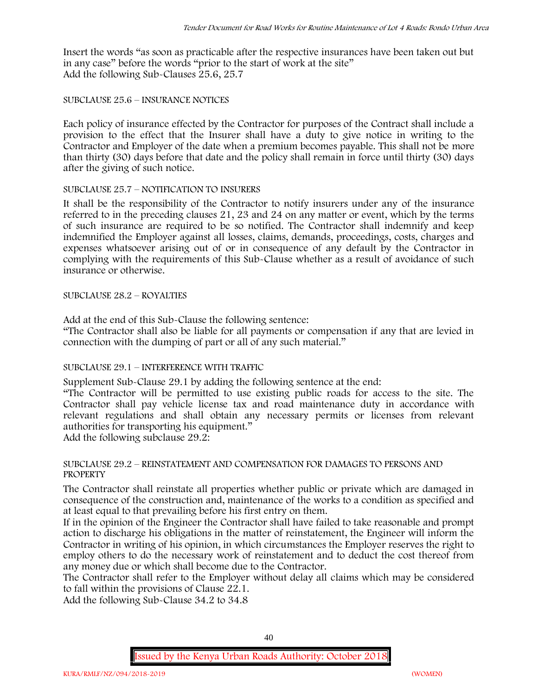Insert the words "as soon as practicable after the respective insurances have been taken out but in any case" before the words "prior to the start of work at the site" Add the following Sub-Clauses 25.6, 25.7

# SUBCLAUSE 25.6 – INSURANCE NOTICES

Each policy of insurance effected by the Contractor for purposes of the Contract shall include a provision to the effect that the Insurer shall have a duty to give notice in writing to the Contractor and Employer of the date when a premium becomes payable. This shall not be more than thirty (30) days before that date and the policy shall remain in force until thirty (30) days after the giving of such notice.

# SUBCLAUSE 25.7 – NOTIFICATION TO INSURERS

It shall be the responsibility of the Contractor to notify insurers under any of the insurance referred to in the preceding clauses 21, 23 and 24 on any matter or event, which by the terms of such insurance are required to be so notified. The Contractor shall indemnify and keep indemnified the Employer against all losses, claims, demands, proceedings, costs, charges and expenses whatsoever arising out of or in consequence of any default by the Contractor in complying with the requirements of this Sub-Clause whether as a result of avoidance of such insurance or otherwise.

# SUBCLAUSE 28.2 – ROYALTIES

Add at the end of this Sub-Clause the following sentence:

"The Contractor shall also be liable for all payments or compensation if any that are levied in connection with the dumping of part or all of any such material."

# SUBCLAUSE 29.1 – INTERFERENCE WITH TRAFFIC

Supplement Sub-Clause 29.1 by adding the following sentence at the end:

"The Contractor will be permitted to use existing public roads for access to the site. The Contractor shall pay vehicle license tax and road maintenance duty in accordance with relevant regulations and shall obtain any necessary permits or licenses from relevant authorities for transporting his equipment."

Add the following subclause 29.2:

# SUBCLAUSE 29.2 – REINSTATEMENT AND COMPENSATION FOR DAMAGES TO PERSONS AND **PROPERTY**

The Contractor shall reinstate all properties whether public or private which are damaged in consequence of the construction and, maintenance of the works to a condition as specified and at least equal to that prevailing before his first entry on them.

If in the opinion of the Engineer the Contractor shall have failed to take reasonable and prompt action to discharge his obligations in the matter of reinstatement, the Engineer will inform the Contractor in writing of his opinion, in which circumstances the Employer reserves the right to employ others to do the necessary work of reinstatement and to deduct the cost thereof from any money due or which shall become due to the Contractor.

The Contractor shall refer to the Employer without delay all claims which may be considered to fall within the provisions of Clause 22.1.

Add the following Sub-Clause 34.2 to 34.8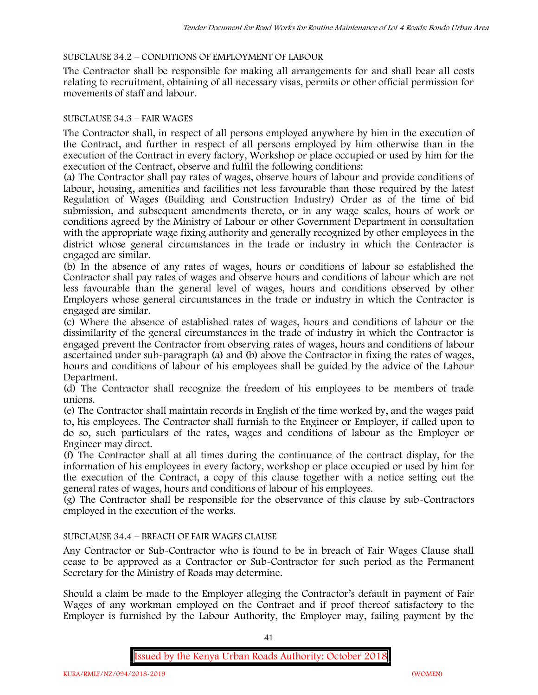# SUBCLAUSE 34.2 – CONDITIONS OF EMPLOYMENT OF LABOUR

The Contractor shall be responsible for making all arrangements for and shall bear all costs relating to recruitment, obtaining of all necessary visas, permits or other official permission for movements of staff and labour.

# SUBCLAUSE 34.3 – FAIR WAGES

The Contractor shall, in respect of all persons employed anywhere by him in the execution of the Contract, and further in respect of all persons employed by him otherwise than in the execution of the Contract in every factory, Workshop or place occupied or used by him for the execution of the Contract, observe and fulfil the following conditions:

(a) The Contractor shall pay rates of wages, observe hours of labour and provide conditions of labour, housing, amenities and facilities not less favourable than those required by the latest Regulation of Wages (Building and Construction Industry) Order as of the time of bid submission, and subsequent amendments thereto, or in any wage scales, hours of work or conditions agreed by the Ministry of Labour or other Government Department in consultation with the appropriate wage fixing authority and generally recognized by other employees in the district whose general circumstances in the trade or industry in which the Contractor is engaged are similar.

(b) In the absence of any rates of wages, hours or conditions of labour so established the Contractor shall pay rates of wages and observe hours and conditions of labour which are not less favourable than the general level of wages, hours and conditions observed by other Employers whose general circumstances in the trade or industry in which the Contractor is engaged are similar.

(c) Where the absence of established rates of wages, hours and conditions of labour or the dissimilarity of the general circumstances in the trade of industry in which the Contractor is engaged prevent the Contractor from observing rates of wages, hours and conditions of labour ascertained under sub-paragraph (a) and (b) above the Contractor in fixing the rates of wages, hours and conditions of labour of his employees shall be guided by the advice of the Labour Department.

(d) The Contractor shall recognize the freedom of his employees to be members of trade unions.

(e) The Contractor shall maintain records in English of the time worked by, and the wages paid to, his employees. The Contractor shall furnish to the Engineer or Employer, if called upon to do so, such particulars of the rates, wages and conditions of labour as the Employer or Engineer may direct.

(f) The Contractor shall at all times during the continuance of the contract display, for the information of his employees in every factory, workshop or place occupied or used by him for the execution of the Contract, a copy of this clause together with a notice setting out the general rates of wages, hours and conditions of labour of his employees.

(g) The Contractor shall be responsible for the observance of this clause by sub-Contractors employed in the execution of the works.

# SUBCLAUSE 34.4 – BREACH OF FAIR WAGES CLAUSE

Any Contractor or Sub-Contractor who is found to be in breach of Fair Wages Clause shall cease to be approved as a Contractor or Sub-Contractor for such period as the Permanent Secretary for the Ministry of Roads may determine.

Should a claim be made to the Employer alleging the Contractor's default in payment of Fair Wages of any workman employed on the Contract and if proof thereof satisfactory to the Employer is furnished by the Labour Authority, the Employer may, failing payment by the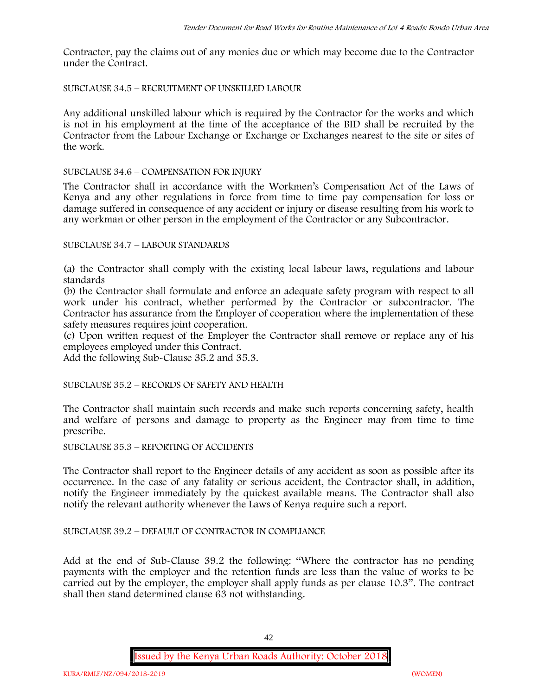Contractor, pay the claims out of any monies due or which may become due to the Contractor under the Contract.

# SUBCLAUSE 34.5 – RECRUITMENT OF UNSKILLED LABOUR

Any additional unskilled labour which is required by the Contractor for the works and which is not in his employment at the time of the acceptance of the BID shall be recruited by the Contractor from the Labour Exchange or Exchange or Exchanges nearest to the site or sites of the work.

### SUBCLAUSE 34.6 – COMPENSATION FOR INJURY

The Contractor shall in accordance with the Workmen's Compensation Act of the Laws of Kenya and any other regulations in force from time to time pay compensation for loss or damage suffered in consequence of any accident or injury or disease resulting from his work to any workman or other person in the employment of the Contractor or any Subcontractor.

### SUBCLAUSE 34.7 – LABOUR STANDARDS

(a) the Contractor shall comply with the existing local labour laws, regulations and labour standards

(b) the Contractor shall formulate and enforce an adequate safety program with respect to all work under his contract, whether performed by the Contractor or subcontractor. The Contractor has assurance from the Employer of cooperation where the implementation of these safety measures requires joint cooperation.

(c) Upon written request of the Employer the Contractor shall remove or replace any of his employees employed under this Contract.

Add the following Sub-Clause 35.2 and 35.3.

SUBCLAUSE 35.2 – RECORDS OF SAFETY AND HEALTH

The Contractor shall maintain such records and make such reports concerning safety, health and welfare of persons and damage to property as the Engineer may from time to time prescribe.

SUBCLAUSE 35.3 – REPORTING OF ACCIDENTS

The Contractor shall report to the Engineer details of any accident as soon as possible after its occurrence. In the case of any fatality or serious accident, the Contractor shall, in addition, notify the Engineer immediately by the quickest available means. The Contractor shall also notify the relevant authority whenever the Laws of Kenya require such a report.

# SUBCLAUSE 39.2 – DEFAULT OF CONTRACTOR IN COMPLIANCE

Add at the end of Sub-Clause 39.2 the following: "Where the contractor has no pending payments with the employer and the retention funds are less than the value of works to be carried out by the employer, the employer shall apply funds as per clause 10.3". The contract shall then stand determined clause 63 not withstanding.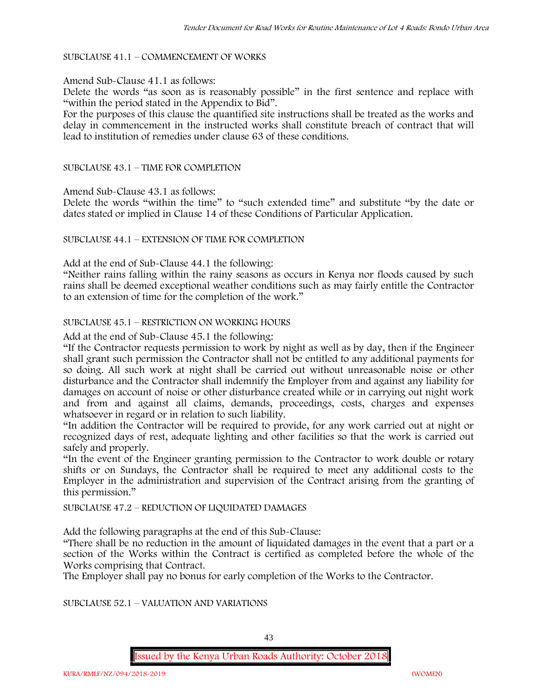### SUBCLAUSE 41.1 – COMMENCEMENT OF WORKS

#### Amend Sub-Clause 41.1 as follows:

Delete the words "as soon as is reasonably possible" in the first sentence and replace with "within the period stated in the Appendix to Bid".

For the purposes of this clause the quantified site instructions shall be treated as the works and delay in commencement in the instructed works shall constitute breach of contract that will lead to institution of remedies under clause 63 of these conditions.

### SUBCLAUSE 43.1 – TIME FOR COMPLETION

Amend Sub-Clause 43.1 as follows:

Delete the words "within the time" to "such extended time" and substitute "by the date or dates stated or implied in Clause 14 of these Conditions of Particular Application.

### SUBCLAUSE 44.1 – EXTENSION OF TIME FOR COMPLETION

Add at the end of Sub-Clause 44.1 the following:

"Neither rains falling within the rainy seasons as occurs in Kenya nor floods caused by such rains shall be deemed exceptional weather conditions such as may fairly entitle the Contractor to an extension of time for the completion of the work."

### SUBCLAUSE 45.1 – RESTRICTION ON WORKING HOURS

Add at the end of Sub-Clause 45.1 the following:

"If the Contractor requests permission to work by night as well as by day, then if the Engineer shall grant such permission the Contractor shall not be entitled to any additional payments for so doing. All such work at night shall be carried out without unreasonable noise or other disturbance and the Contractor shall indemnify the Employer from and against any liability for damages on account of noise or other disturbance created while or in carrying out night work and from and against all claims, demands, proceedings, costs, charges and expenses whatsoever in regard or in relation to such liability.

"In addition the Contractor will be required to provide, for any work carried out at night or recognized days of rest, adequate lighting and other facilities so that the work is carried out safely and properly.

"In the event of the Engineer granting permission to the Contractor to work double or rotary shifts or on Sundays, the Contractor shall be required to meet any additional costs to the Employer in the administration and supervision of the Contract arising from the granting of this permission."

#### SUBCLAUSE 47.2 – REDUCTION OF LIQUIDATED DAMAGES

Add the following paragraphs at the end of this Sub-Clause:

"There shall be no reduction in the amount of liquidated damages in the event that a part or a section of the Works within the Contract is certified as completed before the whole of the Works comprising that Contract.

The Employer shall pay no bonus for early completion of the Works to the Contractor.

SUBCLAUSE 52.1 – VALUATION AND VARIATIONS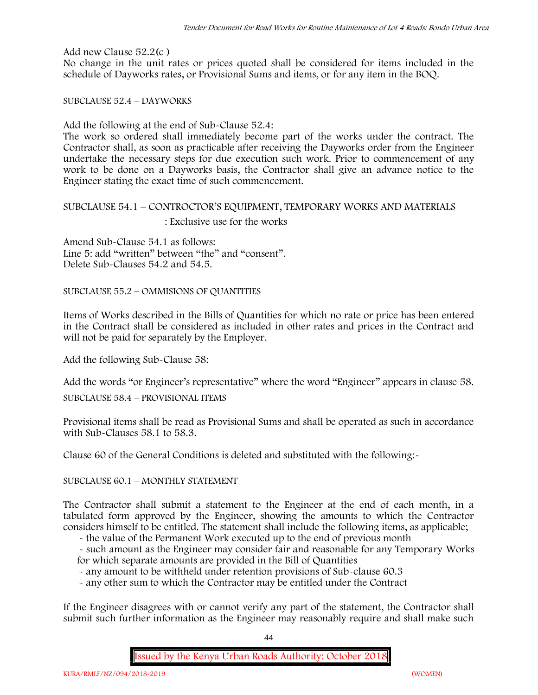Add new Clause 52.2(c )

No change in the unit rates or prices quoted shall be considered for items included in the schedule of Dayworks rates, or Provisional Sums and items, or for any item in the BOQ.

SUBCLAUSE 52.4 – DAYWORKS

Add the following at the end of Sub-Clause 52.4:

The work so ordered shall immediately become part of the works under the contract. The Contractor shall, as soon as practicable after receiving the Dayworks order from the Engineer undertake the necessary steps for due execution such work. Prior to commencement of any work to be done on a Dayworks basis, the Contractor shall give an advance notice to the Engineer stating the exact time of such commencement.

# SUBCLAUSE 54.1 – CONTROCTOR'S EQUIPMENT, TEMPORARY WORKS AND MATERIALS : Exclusive use for the works

Amend Sub-Clause 54.1 as follows: Line 5: add "written" between "the" and "consent". Delete Sub-Clauses 54.2 and 54.5.

SUBCLAUSE 55.2 – OMMISIONS OF QUANTITIES

Items of Works described in the Bills of Quantities for which no rate or price has been entered in the Contract shall be considered as included in other rates and prices in the Contract and will not be paid for separately by the Employer.

Add the following Sub-Clause 58:

Add the words "or Engineer's representative" where the word "Engineer" appears in clause 58.

SUBCLAUSE 58.4 – PROVISIONAL ITEMS

Provisional items shall be read as Provisional Sums and shall be operated as such in accordance with Sub-Clauses 58.1 to 58.3.

Clause 60 of the General Conditions is deleted and substituted with the following:-

SUBCLAUSE 60.1 – MONTHLY STATEMENT

The Contractor shall submit a statement to the Engineer at the end of each month, in a tabulated form approved by the Engineer, showing the amounts to which the Contractor considers himself to be entitled. The statement shall include the following items, as applicable;

- the value of the Permanent Work executed up to the end of previous month

- such amount as the Engineer may consider fair and reasonable for any Temporary Works for which separate amounts are provided in the Bill of Quantities

- any amount to be withheld under retention provisions of Sub-clause 60.3

- any other sum to which the Contractor may be entitled under the Contract

If the Engineer disagrees with or cannot verify any part of the statement, the Contractor shall submit such further information as the Engineer may reasonably require and shall make such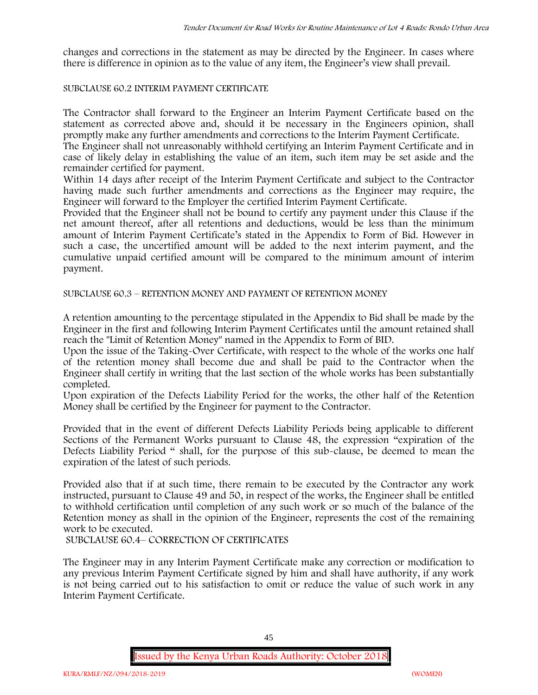changes and corrections in the statement as may be directed by the Engineer. In cases where there is difference in opinion as to the value of any item, the Engineer's view shall prevail.

# SUBCLAUSE 60.2 INTERIM PAYMENT CERTIFICATE

The Contractor shall forward to the Engineer an Interim Payment Certificate based on the statement as corrected above and, should it be necessary in the Engineers opinion, shall promptly make any further amendments and corrections to the Interim Payment Certificate.

The Engineer shall not unreasonably withhold certifying an Interim Payment Certificate and in case of likely delay in establishing the value of an item, such item may be set aside and the remainder certified for payment.

Within 14 days after receipt of the Interim Payment Certificate and subject to the Contractor having made such further amendments and corrections as the Engineer may require, the Engineer will forward to the Employer the certified Interim Payment Certificate.

Provided that the Engineer shall not be bound to certify any payment under this Clause if the net amount thereof, after all retentions and deductions, would be less than the minimum amount of Interim Payment Certificate's stated in the Appendix to Form of Bid. However in such a case, the uncertified amount will be added to the next interim payment, and the cumulative unpaid certified amount will be compared to the minimum amount of interim payment.

SUBCLAUSE 60.3 – RETENTION MONEY AND PAYMENT OF RETENTION MONEY

A retention amounting to the percentage stipulated in the Appendix to Bid shall be made by the Engineer in the first and following Interim Payment Certificates until the amount retained shall reach the "Limit of Retention Money" named in the Appendix to Form of BID.

Upon the issue of the Taking-Over Certificate, with respect to the whole of the works one half of the retention money shall become due and shall be paid to the Contractor when the Engineer shall certify in writing that the last section of the whole works has been substantially completed.

Upon expiration of the Defects Liability Period for the works, the other half of the Retention Money shall be certified by the Engineer for payment to the Contractor.

Provided that in the event of different Defects Liability Periods being applicable to different Sections of the Permanent Works pursuant to Clause 48, the expression "expiration of the Defects Liability Period " shall, for the purpose of this sub-clause, be deemed to mean the expiration of the latest of such periods.

Provided also that if at such time, there remain to be executed by the Contractor any work instructed, pursuant to Clause 49 and 50, in respect of the works, the Engineer shall be entitled to withhold certification until completion of any such work or so much of the balance of the Retention money as shall in the opinion of the Engineer, represents the cost of the remaining work to be executed.

SUBCLAUSE 60.4– CORRECTION OF CERTIFICATES

The Engineer may in any Interim Payment Certificate make any correction or modification to any previous Interim Payment Certificate signed by him and shall have authority, if any work is not being carried out to his satisfaction to omit or reduce the value of such work in any Interim Payment Certificate.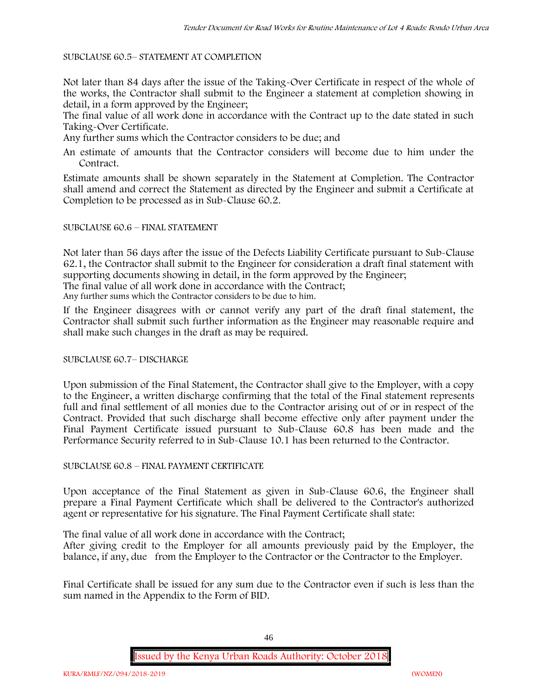### SUBCLAUSE 60.5– STATEMENT AT COMPLETION

Not later than 84 days after the issue of the Taking-Over Certificate in respect of the whole of the works, the Contractor shall submit to the Engineer a statement at completion showing in detail, in a form approved by the Engineer;

The final value of all work done in accordance with the Contract up to the date stated in such Taking-Over Certificate.

Any further sums which the Contractor considers to be due; and

An estimate of amounts that the Contractor considers will become due to him under the Contract.

Estimate amounts shall be shown separately in the Statement at Completion. The Contractor shall amend and correct the Statement as directed by the Engineer and submit a Certificate at Completion to be processed as in Sub-Clause 60.2.

### SUBCLAUSE 60.6 – FINAL STATEMENT

Not later than 56 days after the issue of the Defects Liability Certificate pursuant to Sub-Clause 62.1, the Contractor shall submit to the Engineer for consideration a draft final statement with supporting documents showing in detail, in the form approved by the Engineer;

The final value of all work done in accordance with the Contract;

Any further sums which the Contractor considers to be due to him.

If the Engineer disagrees with or cannot verify any part of the draft final statement, the Contractor shall submit such further information as the Engineer may reasonable require and shall make such changes in the draft as may be required.

# SUBCLAUSE 60.7– DISCHARGE

Upon submission of the Final Statement, the Contractor shall give to the Employer, with a copy to the Engineer, a written discharge confirming that the total of the Final statement represents full and final settlement of all monies due to the Contractor arising out of or in respect of the Contract. Provided that such discharge shall become effective only after payment under the Final Payment Certificate issued pursuant to Sub-Clause 60.8 has been made and the Performance Security referred to in Sub-Clause 10.1 has been returned to the Contractor.

# SUBCLAUSE 60.8 – FINAL PAYMENT CERTIFICATE

Upon acceptance of the Final Statement as given in Sub-Clause 60.6, the Engineer shall prepare a Final Payment Certificate which shall be delivered to the Contractor's authorized agent or representative for his signature. The Final Payment Certificate shall state:

The final value of all work done in accordance with the Contract;

After giving credit to the Employer for all amounts previously paid by the Employer, the balance, if any, due from the Employer to the Contractor or the Contractor to the Employer.

Final Certificate shall be issued for any sum due to the Contractor even if such is less than the sum named in the Appendix to the Form of BID.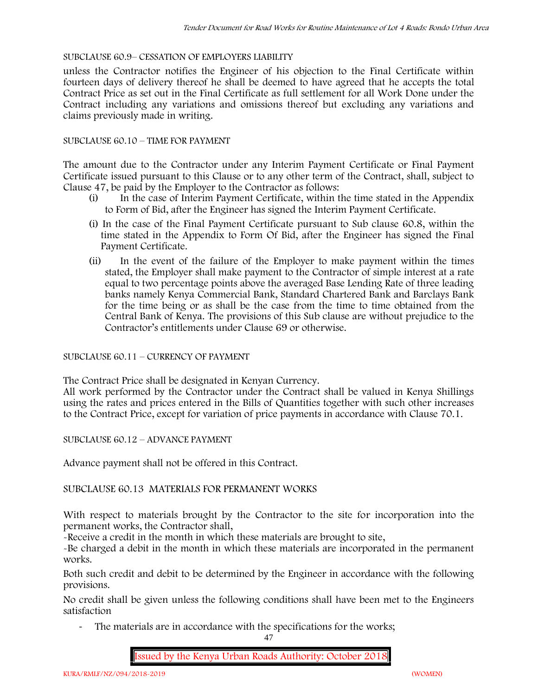# SUBCLAUSE 60.9– CESSATION OF EMPLOYERS LIABILITY

unless the Contractor notifies the Engineer of his objection to the Final Certificate within fourteen days of delivery thereof he shall be deemed to have agreed that he accepts the total Contract Price as set out in the Final Certificate as full settlement for all Work Done under the Contract including any variations and omissions thereof but excluding any variations and claims previously made in writing.

# SUBCLAUSE 60.10 – TIME FOR PAYMENT

The amount due to the Contractor under any Interim Payment Certificate or Final Payment Certificate issued pursuant to this Clause or to any other term of the Contract, shall, subject to Clause 47, be paid by the Employer to the Contractor as follows:

- (i) In the case of Interim Payment Certificate, within the time stated in the Appendix to Form of Bid, after the Engineer has signed the Interim Payment Certificate.
- (i) In the case of the Final Payment Certificate pursuant to Sub clause 60.8, within the time stated in the Appendix to Form Of Bid, after the Engineer has signed the Final Payment Certificate.
- (ii) In the event of the failure of the Employer to make payment within the times stated, the Employer shall make payment to the Contractor of simple interest at a rate equal to two percentage points above the averaged Base Lending Rate of three leading banks namely Kenya Commercial Bank, Standard Chartered Bank and Barclays Bank for the time being or as shall be the case from the time to time obtained from the Central Bank of Kenya. The provisions of this Sub clause are without prejudice to the Contractor's entitlements under Clause 69 or otherwise.

# SUBCLAUSE 60.11 – CURRENCY OF PAYMENT

The Contract Price shall be designated in Kenyan Currency.

All work performed by the Contractor under the Contract shall be valued in Kenya Shillings using the rates and prices entered in the Bills of Quantities together with such other increases to the Contract Price, except for variation of price payments in accordance with Clause 70.1.

SUBCLAUSE 60.12 – ADVANCE PAYMENT

Advance payment shall not be offered in this Contract.

# SUBCLAUSE 60.13 MATERIALS FOR PERMANENT WORKS

With respect to materials brought by the Contractor to the site for incorporation into the permanent works, the Contractor shall,

-Receive a credit in the month in which these materials are brought to site,

-Be charged a debit in the month in which these materials are incorporated in the permanent works.

Both such credit and debit to be determined by the Engineer in accordance with the following provisions.

No credit shall be given unless the following conditions shall have been met to the Engineers satisfaction

- The materials are in accordance with the specifications for the works;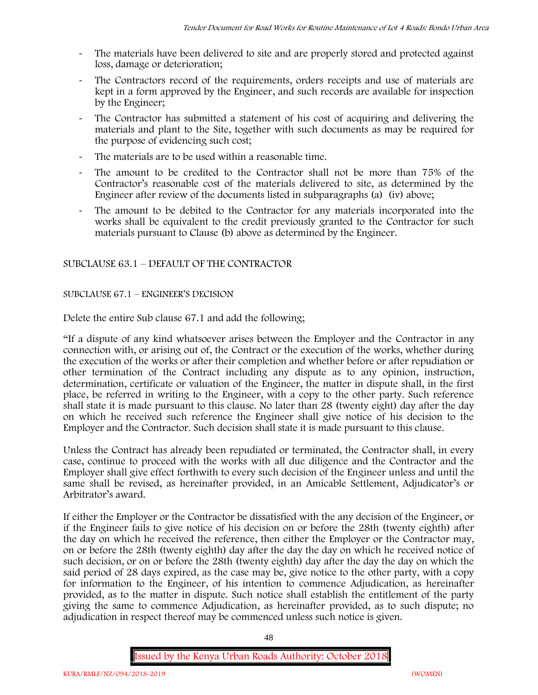- The materials have been delivered to site and are properly stored and protected against loss, damage or deterioration;
- The Contractors record of the requirements, orders receipts and use of materials are kept in a form approved by the Engineer, and such records are available for inspection by the Engineer;
- The Contractor has submitted a statement of his cost of acquiring and delivering the materials and plant to the Site, together with such documents as may be required for the purpose of evidencing such cost;
- The materials are to be used within a reasonable time.
- The amount to be credited to the Contractor shall not be more than 75% of the Contractor's reasonable cost of the materials delivered to site, as determined by the Engineer after review of the documents listed in subparagraphs (a) (iv) above;
- The amount to be debited to the Contractor for any materials incorporated into the works shall be equivalent to the credit previously granted to the Contractor for such materials pursuant to Clause (b) above as determined by the Engineer.

# SUBCLAUSE 63.1 – DEFAULT OF THE CONTRACTOR

# SUBCLAUSE 67.1 – ENGINEER'S DECISION

Delete the entire Sub clause 67.1 and add the following;

"If a dispute of any kind whatsoever arises between the Employer and the Contractor in any connection with, or arising out of, the Contract or the execution of the works, whether during the execution of the works or after their completion and whether before or after repudiation or other termination of the Contract including any dispute as to any opinion, instruction, determination, certificate or valuation of the Engineer, the matter in dispute shall, in the first place, be referred in writing to the Engineer, with a copy to the other party. Such reference shall state it is made pursuant to this clause. No later than 28 (twenty eight) day after the day on which he received such reference the Engineer shall give notice of his decision to the Employer and the Contractor. Such decision shall state it is made pursuant to this clause.

Unless the Contract has already been repudiated or terminated, the Contractor shall, in every case, continue to proceed with the works with all due diligence and the Contractor and the Employer shall give effect forthwith to every such decision of the Engineer unless and until the same shall be revised, as hereinafter provided, in an Amicable Settlement, Adjudicator's or Arbitrator's award.

If either the Employer or the Contractor be dissatisfied with the any decision of the Engineer, or if the Engineer fails to give notice of his decision on or before the 28th (twenty eighth) after the day on which he received the reference, then either the Employer or the Contractor may, on or before the 28th (twenty eighth) day after the day the day on which he received notice of such decision, or on or before the 28th (twenty eighth) day after the day the day on which the said period of 28 days expired, as the case may be, give notice to the other party, with a copy for information to the Engineer, of his intention to commence Adjudication, as hereinafter provided, as to the matter in dispute. Such notice shall establish the entitlement of the party giving the same to commence Adjudication, as hereinafter provided, as to such dispute; no adjudication in respect thereof may be commenced unless such notice is given.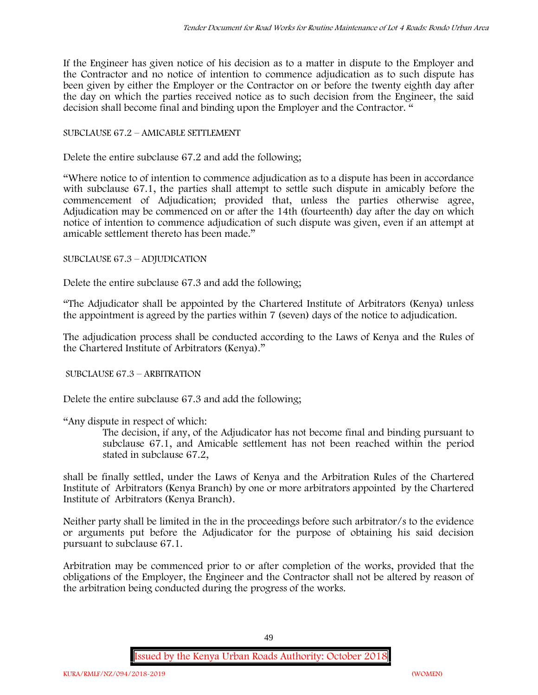If the Engineer has given notice of his decision as to a matter in dispute to the Employer and the Contractor and no notice of intention to commence adjudication as to such dispute has been given by either the Employer or the Contractor on or before the twenty eighth day after the day on which the parties received notice as to such decision from the Engineer, the said decision shall become final and binding upon the Employer and the Contractor. "

# SUBCLAUSE 67.2 – AMICABLE SETTLEMENT

Delete the entire subclause 67.2 and add the following;

"Where notice to of intention to commence adjudication as to a dispute has been in accordance with subclause 67.1, the parties shall attempt to settle such dispute in amicably before the commencement of Adjudication; provided that, unless the parties otherwise agree, Adjudication may be commenced on or after the 14th (fourteenth) day after the day on which notice of intention to commence adjudication of such dispute was given, even if an attempt at amicable settlement thereto has been made."

# SUBCLAUSE 67.3 – ADJUDICATION

Delete the entire subclause 67.3 and add the following;

"The Adjudicator shall be appointed by the Chartered Institute of Arbitrators (Kenya) unless the appointment is agreed by the parties within 7 (seven) days of the notice to adjudication.

The adjudication process shall be conducted according to the Laws of Kenya and the Rules of the Chartered Institute of Arbitrators (Kenya)."

SUBCLAUSE 67.3 – ARBITRATION

Delete the entire subclause 67.3 and add the following;

"Any dispute in respect of which:

The decision, if any, of the Adjudicator has not become final and binding pursuant to subclause 67.1, and Amicable settlement has not been reached within the period stated in subclause 67.2,

shall be finally settled, under the Laws of Kenya and the Arbitration Rules of the Chartered Institute of Arbitrators (Kenya Branch) by one or more arbitrators appointed by the Chartered Institute of Arbitrators (Kenya Branch).

Neither party shall be limited in the in the proceedings before such arbitrator/s to the evidence or arguments put before the Adjudicator for the purpose of obtaining his said decision pursuant to subclause 67.1.

Arbitration may be commenced prior to or after completion of the works, provided that the obligations of the Employer, the Engineer and the Contractor shall not be altered by reason of the arbitration being conducted during the progress of the works.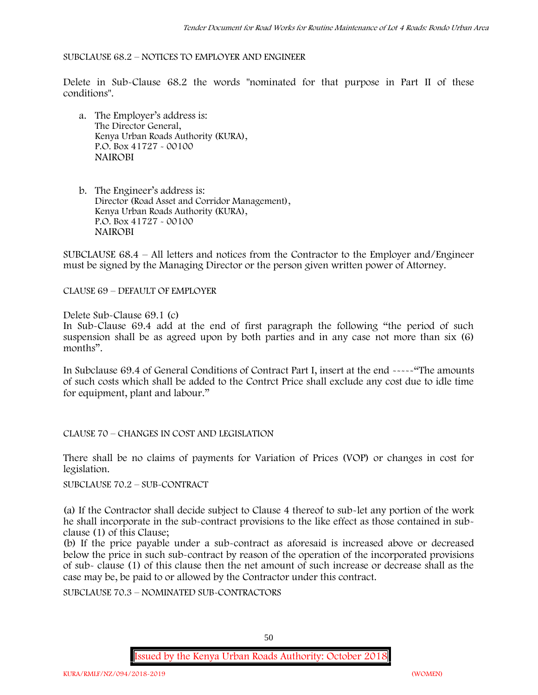### SUBCLAUSE 68.2 – NOTICES TO EMPLOYER AND ENGINEER

Delete in Sub-Clause 68.2 the words "nominated for that purpose in Part II of these conditions".

- a. The Employer's address is: The Director General, Kenya Urban Roads Authority (KURA), P.O. Box 41727 - 00100 **NAIROBI**
- b. The Engineer's address is: Director (Road Asset and Corridor Management), Kenya Urban Roads Authority (KURA), P.O. Box 41727 - 00100 **NAIROBI**

SUBCLAUSE 68.4 – All letters and notices from the Contractor to the Employer and/Engineer must be signed by the Managing Director or the person given written power of Attorney.

CLAUSE 69 – DEFAULT OF EMPLOYER

Delete Sub-Clause 69.1 (c)

In Sub-Clause 69.4 add at the end of first paragraph the following "the period of such suspension shall be as agreed upon by both parties and in any case not more than six (6) months".

In Subclause 69.4 of General Conditions of Contract Part I, insert at the end -----"The amounts of such costs which shall be added to the Contrct Price shall exclude any cost due to idle time for equipment, plant and labour."

CLAUSE 70 – CHANGES IN COST AND LEGISLATION

There shall be no claims of payments for Variation of Prices (VOP) or changes in cost for legislation.

SUBCLAUSE 70.2 – SUB-CONTRACT

(a) If the Contractor shall decide subject to Clause 4 thereof to sub-let any portion of the work he shall incorporate in the sub-contract provisions to the like effect as those contained in sub clause (1) of this Clause;

(b) If the price payable under a sub-contract as aforesaid is increased above or decreased below the price in such sub-contract by reason of the operation of the incorporated provisions of sub- clause (1) of this clause then the net amount of such increase or decrease shall as the case may be, be paid to or allowed by the Contractor under this contract.

SUBCLAUSE 70.3 – NOMINATED SUB-CONTRACTORS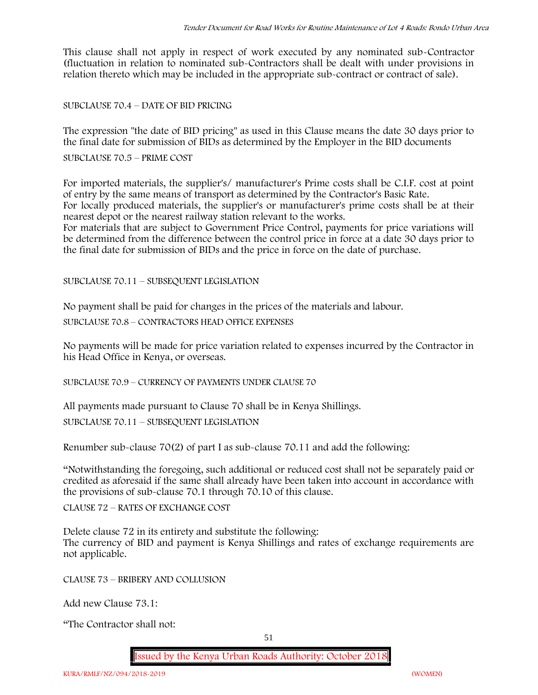This clause shall not apply in respect of work executed by any nominated sub-Contractor (fluctuation in relation to nominated sub-Contractors shall be dealt with under provisions in relation thereto which may be included in the appropriate sub-contract or contract of sale).

SUBCLAUSE 70.4 – DATE OF BID PRICING

The expression "the date of BID pricing" as used in this Clause means the date 30 days prior to the final date for submission of BIDs as determined by the Employer in the BID documents

SUBCLAUSE 70.5 – PRIME COST

For imported materials, the supplier's/ manufacturer's Prime costs shall be C.I.F. cost at point of entry by the same means of transport as determined by the Contractor's Basic Rate. For locally produced materials, the supplier's or manufacturer's prime costs shall be at their nearest depot or the nearest railway station relevant to the works.

For materials that are subject to Government Price Control, payments for price variations will be determined from the difference between the control price in force at a date 30 days prior to the final date for submission of BIDs and the price in force on the date of purchase.

SUBCLAUSE 70.11 – SUBSEQUENT LEGISLATION

No payment shall be paid for changes in the prices of the materials and labour.

SUBCLAUSE 70.8 – CONTRACTORS HEAD OFFICE EXPENSES

No payments will be made for price variation related to expenses incurred by the Contractor in his Head Office in Kenya, or overseas.

SUBCLAUSE 70.9 – CURRENCY OF PAYMENTS UNDER CLAUSE 70

All payments made pursuant to Clause 70 shall be in Kenya Shillings.

SUBCLAUSE 70.11 – SUBSEQUENT LEGISLATION

Renumber sub-clause 70(2) of part I as sub-clause 70.11 and add the following:

"Notwithstanding the foregoing, such additional or reduced cost shall not be separately paid or credited as aforesaid if the same shall already have been taken into account in accordance with the provisions of sub-clause 70.1 through 70.10 of this clause.

CLAUSE 72 – RATES OF EXCHANGE COST

Delete clause 72 in its entirety and substitute the following: The currency of BID and payment is Kenya Shillings and rates of exchange requirements are not applicable.

CLAUSE 73 – BRIBERY AND COLLUSION

Add new Clause 73.1:

"The Contractor shall not: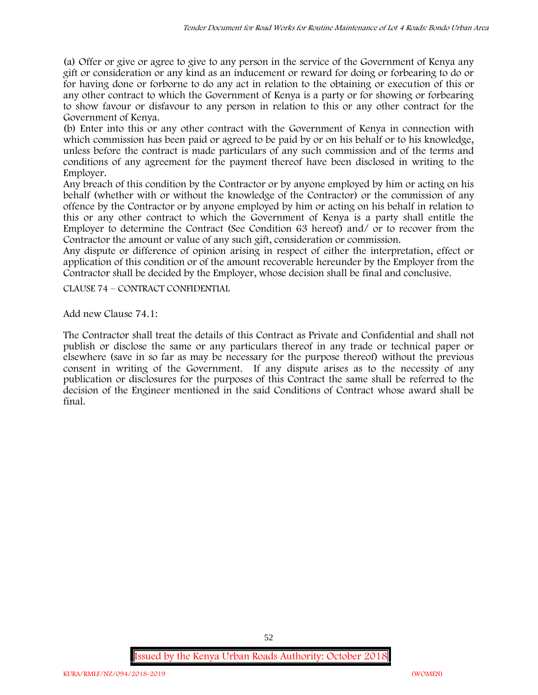(a) Offer or give or agree to give to any person in the service of the Government of Kenya any gift or consideration or any kind as an inducement or reward for doing or forbearing to do or for having done or forborne to do any act in relation to the obtaining or execution of this or any other contract to which the Government of Kenya is a party or for showing or forbearing to show favour or disfavour to any person in relation to this or any other contract for the Government of Kenya.

(b) Enter into this or any other contract with the Government of Kenya in connection with which commission has been paid or agreed to be paid by or on his behalf or to his knowledge, unless before the contract is made particulars of any such commission and of the terms and conditions of any agreement for the payment thereof have been disclosed in writing to the Employer.

Any breach of this condition by the Contractor or by anyone employed by him or acting on his behalf (whether with or without the knowledge of the Contractor) or the commission of any offence by the Contractor or by anyone employed by him or acting on his behalf in relation to this or any other contract to which the Government of Kenya is a party shall entitle the Employer to determine the Contract (See Condition 63 hereof) and/ or to recover from the Contractor the amount or value of any such gift, consideration or commission.

Any dispute or difference of opinion arising in respect of either the interpretation, effect or application of this condition or of the amount recoverable hereunder by the Employer from the Contractor shall be decided by the Employer, whose decision shall be final and conclusive.

CLAUSE 74 – CONTRACT CONFIDENTIAL

Add new Clause 74.1:

The Contractor shall treat the details of this Contract as Private and Confidential and shall not publish or disclose the same or any particulars thereof in any trade or technical paper or elsewhere (save in so far as may be necessary for the purpose thereof) without the previous consent in writing of the Government. If any dispute arises as to the necessity of any publication or disclosures for the purposes of this Contract the same shall be referred to the decision of the Engineer mentioned in the said Conditions of Contract whose award shall be final.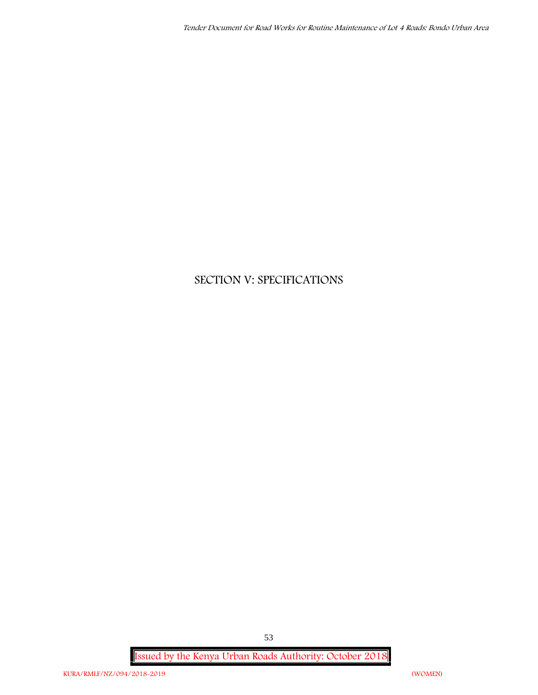# **SECTION V: SPECIFICATIONS**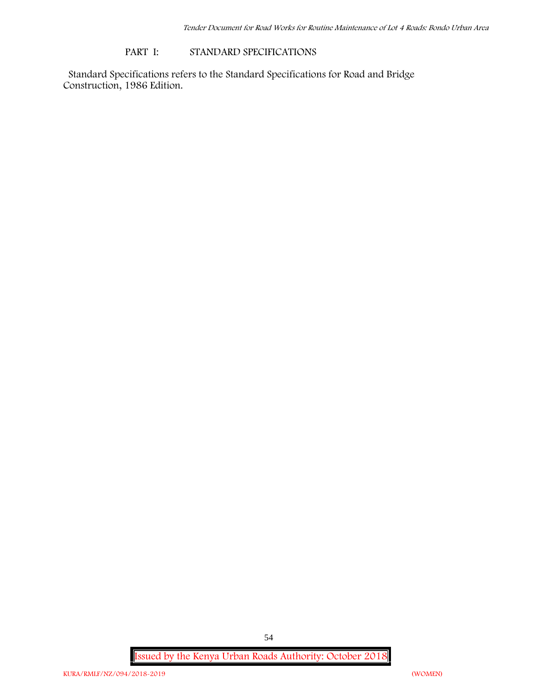### **PART I: STANDARD SPECIFICATIONS**

Standard Specifications refers to the Standard Specifications for Road and Bridge Construction, 1986 Edition.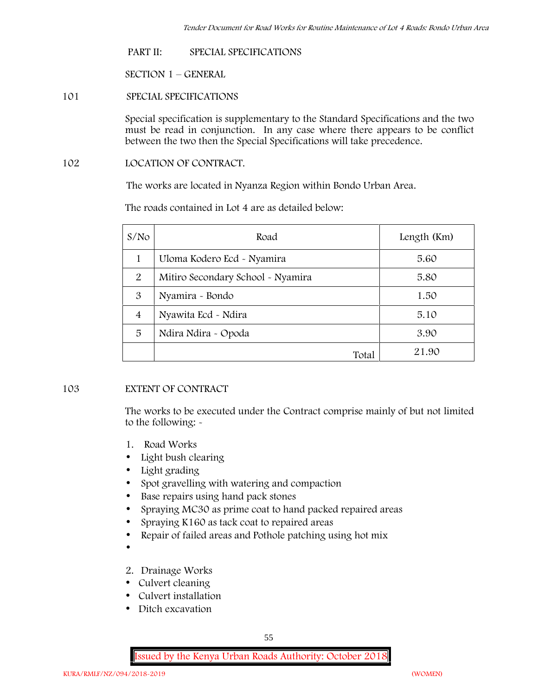#### **PART II: SPECIAL SPECIFICATIONS**

**SECTION 1 – GENERAL**

# **101 SPECIAL SPECIFICATIONS**

Special specification is supplementary to the Standard Specifications and the two must be read in conjunction. In any case where there appears to be conflict between the two then the Special Specifications will take precedence.

# **102 LOCATION OF CONTRACT.**

The works are located in Nyanza Region within Bondo Urban Area.

| S/N <sub>O</sub> | Road                              | Length (Km) |
|------------------|-----------------------------------|-------------|
|                  | Uloma Kodero Ecd - Nyamira        | 5.60        |
| 2                | Mitiro Secondary School - Nyamira | 5.80        |
| 3                | Nyamira - Bondo                   | 1.50        |
| $\overline{4}$   | Nyawita Ecd - Ndira               | 5.10        |
| 5                | Ndira Ndira - Opoda               | 3.90        |
|                  | Total                             | 21.90       |

The roads contained in Lot 4 are as detailed below:

# **103 EXTENT OF CONTRACT**

The works to be executed under the Contract comprise mainly of but not limited to the following: -

- **1. Road Works**
- Light bush clearing
- Light grading
- Spot gravelling with watering and compaction
- Base repairs using hand pack stones
- Spraying MC30 as prime coat to hand packed repaired areas
- Spraying K160 as tack coat to repaired areas
- Repair of failed areas and Pothole patching using hot mix

 $\bullet$ 

- **2. Drainage Works**
- Culvert cleaning
- Culvert installation
- Ditch excavation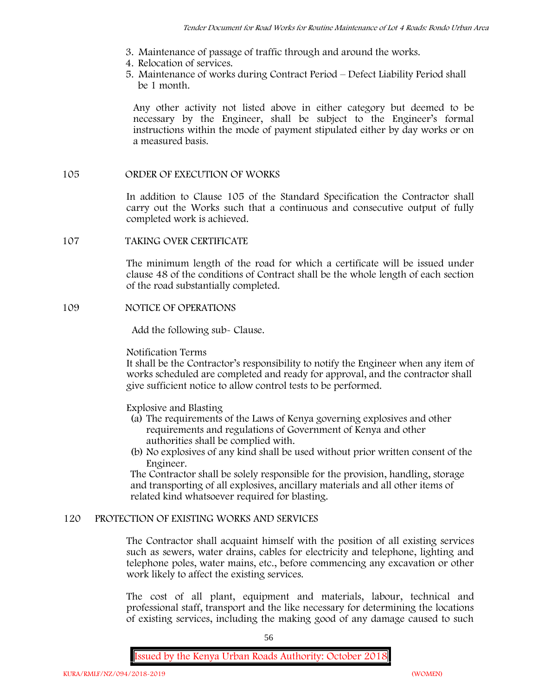- **3. Maintenance of passage of traffic through and around the works.**
- **4. Relocation of services.**
- **5. Maintenance of works during Contract Period – Defect Liability Period shall be 1 month.**

Any other activity not listed above in either category but deemed to be necessary by the Engineer, shall be subject to the Engineer's formal instructions within the mode of payment stipulated either by day works or on a measured basis.

### **105 ORDER OF EXECUTION OF WORKS**

In addition to Clause 105 of the Standard Specification the Contractor shall carry out the Works such that a continuous and consecutive output of fully completed work is achieved.

# **107 TAKING OVER CERTIFICATE**

The minimum length of the road for which a certificate will be issued under clause 48 of the conditions of Contract shall be the whole length of each section of the road substantially completed.

### **109 NOTICE OF OPERATIONS**

Add the following sub- Clause.

#### Notification Terms

It shall be the Contractor's responsibility to notify the Engineer when any item of works scheduled are completed and ready for approval, and the contractor shall give sufficient notice to allow control tests to be performed.

Explosive and Blasting

- (a) The requirements of the Laws of Kenya governing explosives and other requirements and regulations of Government of Kenya and other authorities shall be complied with.
- (b) No explosives of any kind shall be used without prior written consent of the Engineer.

The Contractor shall be solely responsible for the provision, handling, storage and transporting of all explosives, ancillary materials and all other items of related kind whatsoever required for blasting.

# **120 PROTECTION OF EXISTING WORKS AND SERVICES**

The Contractor shall acquaint himself with the position of all existing services such as sewers, water drains, cables for electricity and telephone, lighting and telephone poles, water mains, etc., before commencing any excavation or other work likely to affect the existing services.

The cost of all plant, equipment and materials, labour, technical and professional staff, transport and the like necessary for determining the locations of existing services, including the making good of any damage caused to such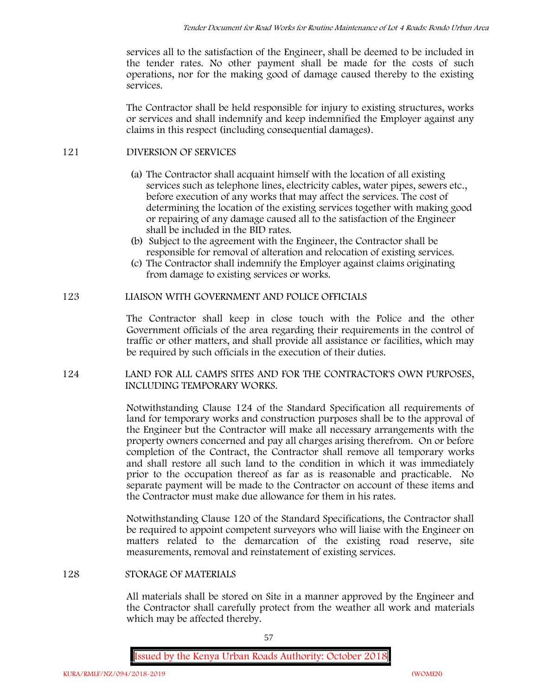services all to the satisfaction of the Engineer, shall be deemed to be included in the tender rates. No other payment shall be made for the costs of such operations, nor for the making good of damage caused thereby to the existing services.

The Contractor shall be held responsible for injury to existing structures, works or services and shall indemnify and keep indemnified the Employer against any claims in this respect (including consequential damages).

# **121 DIVERSION OF SERVICES**

- (a) The Contractor shall acquaint himself with the location of all existing services such as telephone lines, electricity cables, water pipes, sewers etc., before execution of any works that may affect the services. The cost of determining the location of the existing services together with making good or repairing of any damage caused all to the satisfaction of the Engineer shall be included in the BID rates.
- (b) Subject to the agreement with the Engineer, the Contractor shall be responsible for removal of alteration and relocation of existing services.
- (c) The Contractor shall indemnify the Employer against claims originating from damage to existing services or works.

# **123 LIAISON WITH GOVERNMENT AND POLICE OFFICIALS**

The Contractor shall keep in close touch with the Police and the other Government officials of the area regarding their requirements in the control of traffic or other matters, and shall provide all assistance or facilities, which may be required by such officials in the execution of their duties.

# **124 LAND FOR ALL CAMPS SITES AND FOR THE CONTRACTOR'S OWN PURPOSES, INCLUDING TEMPORARY WORKS.**

Notwithstanding Clause 124 of the Standard Specification all requirements of land for temporary works and construction purposes shall be to the approval of the Engineer but the Contractor will make all necessary arrangements with the property owners concerned and pay all charges arising therefrom. On or before completion of the Contract, the Contractor shall remove all temporary works and shall restore all such land to the condition in which it was immediately prior to the occupation thereof as far as is reasonable and practicable. No separate payment will be made to the Contractor on account of these items and the Contractor must make due allowance for them in his rates.

Notwithstanding Clause 120 of the Standard Specifications, the Contractor shall be required to appoint competent surveyors who will liaise with the Engineer on matters related to the demarcation of the existing road reserve, site measurements, removal and reinstatement of existing services.

# **128 STORAGE OF MATERIALS**

All materials shall be stored on Site in a manner approved by the Engineer and the Contractor shall carefully protect from the weather all work and materials which may be affected thereby.

57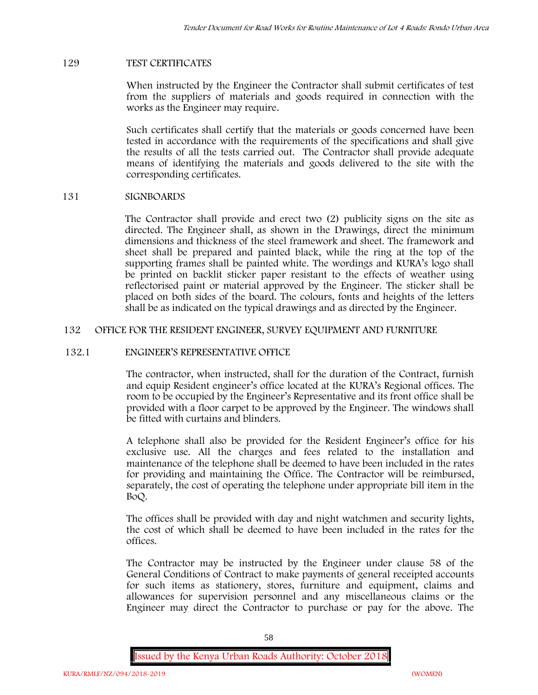### **129 TEST CERTIFICATES**

When instructed by the Engineer the Contractor shall submit certificates of test from the suppliers of materials and goods required in connection with the works as the Engineer may require.

Such certificates shall certify that the materials or goods concerned have been tested in accordance with the requirements of the specifications and shall give the results of all the tests carried out. The Contractor shall provide adequate means of identifying the materials and goods delivered to the site with the corresponding certificates.

### **131 SIGNBOARDS**

The Contractor shall provide and erect two (2) publicity signs on the site as directed. The Engineer shall, as shown in the Drawings, direct the minimum dimensions and thickness of the steel framework and sheet. The framework and sheet shall be prepared and painted black, while the ring at the top of the supporting frames shall be painted white. The wordings and KURA's logo shall be printed on backlit sticker paper resistant to the effects of weather using reflectorised paint or material approved by the Engineer. The sticker shall be placed on both sides of the board. The colours, fonts and heights of the letters shall be as indicated on the typical drawings and as directed by the Engineer.

### **132 OFFICE FOR THE RESIDENT ENGINEER, SURVEY EQUIPMENT AND FURNITURE**

# **132.1 ENGINEER'S REPRESENTATIVE OFFICE**

The contractor, when instructed, shall for the duration of the Contract, furnish and equip Resident engineer's office located at the KURA's Regional offices. The room to be occupied by the Engineer's Representative and its front office shall be provided with a floor carpet to be approved by the Engineer. The windows shall be fitted with curtains and blinders.

A telephone shall also be provided for the Resident Engineer's office for his exclusive use. All the charges and fees related to the installation and maintenance of the telephone shall be deemed to have been included in the rates for providing and maintaining the Office. The Contractor will be reimbursed, separately, the cost of operating the telephone under appropriate bill item in the BoQ.

The offices shall be provided with day and night watchmen and security lights, the cost of which shall be deemed to have been included in the rates for the offices.

The Contractor may be instructed by the Engineer under clause 58 of the General Conditions of Contract to make payments of general receipted accounts for such items as stationery, stores, furniture and equipment, claims and allowances for supervision personnel and any miscellaneous claims or the Engineer may direct the Contractor to purchase or pay for the above. The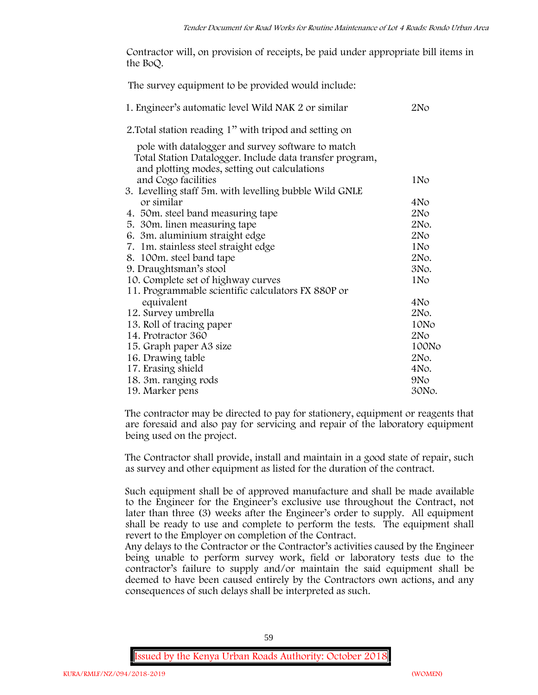Contractor will, on provision of receipts, be paid under appropriate bill items in the BoQ.

| The survey equipment to be provided would include:                                                                                                            |                 |
|---------------------------------------------------------------------------------------------------------------------------------------------------------------|-----------------|
| 1. Engineer's automatic level Wild NAK 2 or similar                                                                                                           | 2N <sub>O</sub> |
| 2. Total station reading 1" with tripod and setting on                                                                                                        |                 |
| pole with datalogger and survey software to match<br>Total Station Datalogger. Include data transfer program,<br>and plotting modes, setting out calculations |                 |
| and Cogo facilities                                                                                                                                           | 1No             |
| 3. Levelling staff 5m. with levelling bubble Wild GNLE                                                                                                        |                 |
| or similar                                                                                                                                                    | 4No             |
| 4. 50m. steel band measuring tape                                                                                                                             | 2N <sub>O</sub> |
| 5. 30m. linen measuring tape                                                                                                                                  | 2No.            |
| 6. 3m. aluminium straight edge                                                                                                                                | 2N <sub>O</sub> |
| 7. 1m. stainless steel straight edge                                                                                                                          | 1No             |
| 8. 100m. steel band tape                                                                                                                                      | 2No.            |
| 9. Draughtsman's stool                                                                                                                                        | 3No.            |
| 10. Complete set of highway curves                                                                                                                            | 1N <sub>o</sub> |
| 11. Programmable scientific calculators FX 880P or                                                                                                            |                 |
| equivalent                                                                                                                                                    | 4No             |
| 12. Survey umbrella                                                                                                                                           | 2No.            |
| 13. Roll of tracing paper                                                                                                                                     | 10No            |
| 14. Protractor 360                                                                                                                                            | 2N <sub>O</sub> |
| 15. Graph paper A3 size                                                                                                                                       | 100No           |
| 16. Drawing table                                                                                                                                             | 2No.            |
| 17. Erasing shield                                                                                                                                            | 4No.            |
| 18. 3m. ranging rods                                                                                                                                          | 9N <sub>o</sub> |
| 19. Marker pens                                                                                                                                               | 30No.           |

The contractor may be directed to pay for stationery, equipment or reagents that are foresaid and also pay for servicing and repair of the laboratory equipment being used on the project.

The Contractor shall provide, install and maintain in a good state of repair, such as survey and other equipment as listed for the duration of the contract.

Such equipment shall be of approved manufacture and shall be made available to the Engineer for the Engineer's exclusive use throughout the Contract, not later than three (3) weeks after the Engineer's order to supply. All equipment shall be ready to use and complete to perform the tests. The equipment shall revert to the Employer on completion of the Contract.

Any delays to the Contractor or the Contractor's activities caused by the Engineer being unable to perform survey work, field or laboratory tests due to the contractor's failure to supply and/or maintain the said equipment shall be deemed to have been caused entirely by the Contractors own actions, and any consequences of such delays shall be interpreted as such.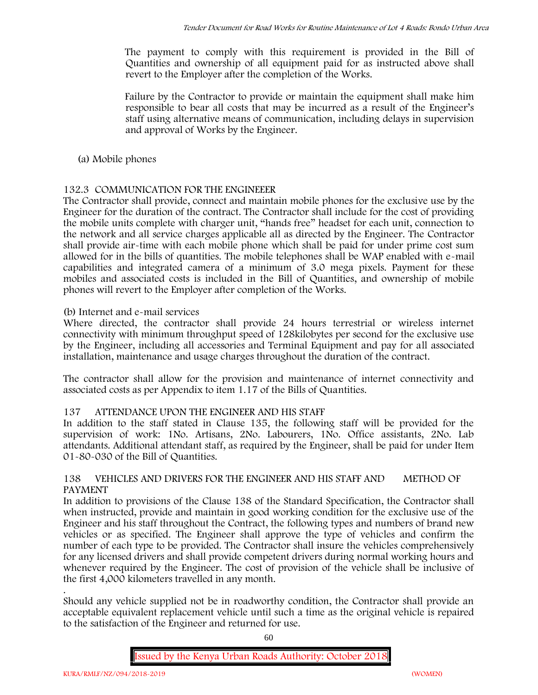The payment to comply with this requirement is provided in the Bill of Quantities and ownership of all equipment paid for as instructed above shall revert to the Employer after the completion of the Works.

Failure by the Contractor to provide or maintain the equipment shall make him responsible to bear all costs that may be incurred as a result of the Engineer's staff using alternative means of communication, including delays in supervision and approval of Works by the Engineer.

**(a) Mobile phones**

# **132.3 COMMUNICATION FOR THE ENGINEEER**

The Contractor shall provide, connect and maintain mobile phones for the exclusive use by the Engineer for the duration of the contract. The Contractor shall include for the cost of providing the mobile units complete with charger unit, "hands free" headset for each unit, connection to the network and all service charges applicable all as directed by the Engineer. The Contractor shall provide air-time with each mobile phone which shall be paid for under prime cost sum allowed for in the bills of quantities. The mobile telephones shall be WAP enabled with e-mail capabilities and integrated camera of a minimum of 3.0 mega pixels. Payment for these mobiles and associated costs is included in the Bill of Quantities, and ownership of mobile phones will revert to the Employer after completion of the Works.

# **(b) Internet and e-mail services**

Where directed, the contractor shall provide 24 hours terrestrial or wireless internet connectivity with minimum throughput speed of 128kilobytes per second for the exclusive use by the Engineer, including all accessories and Terminal Equipment and pay for all associated installation, maintenance and usage charges throughout the duration of the contract.

The contractor shall allow for the provision and maintenance of internet connectivity and associated costs as per Appendix to item 1.17 of the Bills of Quantities.

# **137 ATTENDANCE UPON THE ENGINEER AND HIS STAFF**

In addition to the staff stated in Clause 135, the following staff will be provided for the supervision of work: 1No. Artisans, 2No. Labourers, 1No. Office assistants, 2No. Lab attendants. Additional attendant staff, as required by the Engineer, shall be paid for under Item 01-80-030 of the Bill of Quantities.

# **138 VEHICLES AND DRIVERS FOR THE ENGINEER AND HIS STAFF AND METHOD OF PAYMENT**

In addition to provisions of the Clause 138 of the Standard Specification, the Contractor shall when instructed, provide and maintain in good working condition for the exclusive use of the Engineer and his staff throughout the Contract, the following types and numbers of brand new vehicles or as specified. The Engineer shall approve the type of vehicles and confirm the number of each type to be provided. The Contractor shall insure the vehicles comprehensively for any licensed drivers and shall provide competent drivers during normal working hours and whenever required by the Engineer. The cost of provision of the vehicle shall be inclusive of the first 4,000 kilometers travelled in any month.

.Should any vehicle supplied not be in roadworthy condition, the Contractor shall provide an acceptable equivalent replacement vehicle until such a time as the original vehicle is repaired to the satisfaction of the Engineer and returned for use.

60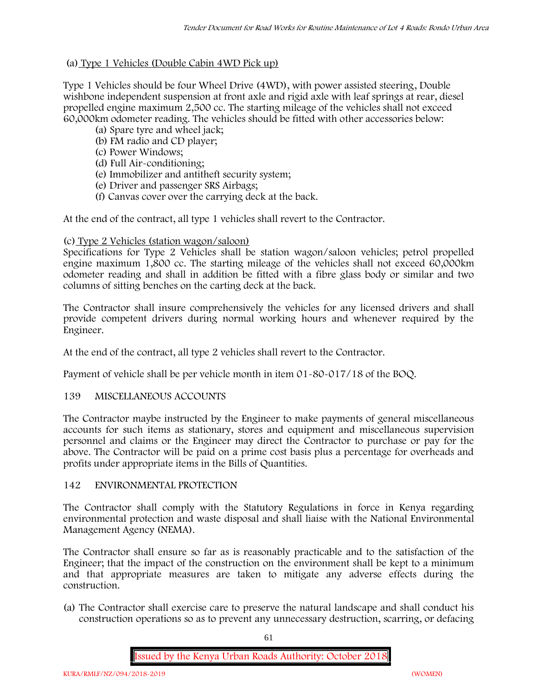# **(a) Type 1 Vehicles (Double Cabin 4WD Pick up)**

Type 1 Vehicles should be four Wheel Drive (4WD), with power assisted steering, Double wishbone independent suspension at front axle and rigid axle with leaf springs at rear, diesel propelled engine maximum 2,500 cc. The starting mileage of the vehicles shall not exceed 60,000km odometer reading. The vehicles should be fitted with other accessories below:

- (a) Spare tyre and wheel jack;
- (b) FM radio and CD player;
- (c) Power Windows;
- (d) Full Air-conditioning;
- (e) Immobilizer and antitheft security system;
- (e) Driver and passenger SRS Airbags;
- (f) Canvas cover over the carrying deck at the back.

At the end of the contract, all type 1 vehicles shall revert to the Contractor.

# **(c) Type 2 Vehicles (station wagon/saloon)**

Specifications for Type 2 Vehicles shall be station wagon/saloon vehicles; petrol propelled engine maximum 1,800 cc. The starting mileage of the vehicles shall not exceed 60,000km odometer reading and shall in addition be fitted with a fibre glass body or similar and two columns of sitting benches on the carting deck at the back.

The Contractor shall insure comprehensively the vehicles for any licensed drivers and shall provide competent drivers during normal working hours and whenever required by the Engineer.

At the end of the contract, all type 2 vehicles shall revert to the Contractor.

Payment of vehicle shall be per vehicle month in item 01-80-017/18 of the BOQ.

# **139 MISCELLANEOUS ACCOUNTS**

The Contractor maybe instructed by the Engineer to make payments of general miscellaneous accounts for such items as stationary, stores and equipment and miscellaneous supervision personnel and claims or the Engineer may direct the Contractor to purchase or pay for the above. The Contractor will be paid on a prime cost basis plus a percentage for overheads and profits under appropriate items in the Bills of Quantities.

# **142 ENVIRONMENTAL PROTECTION**

The Contractor shall comply with the Statutory Regulations in force in Kenya regarding environmental protection and waste disposal and shall liaise with the National Environmental Management Agency (NEMA).

The Contractor shall ensure so far as is reasonably practicable and to the satisfaction of the Engineer; that the impact of the construction on the environment shall be kept to a minimum and that appropriate measures are taken to mitigate any adverse effects during the construction.

(a) The Contractor shall exercise care to preserve the natural landscape and shall conduct his construction operations so as to prevent any unnecessary destruction, scarring, or defacing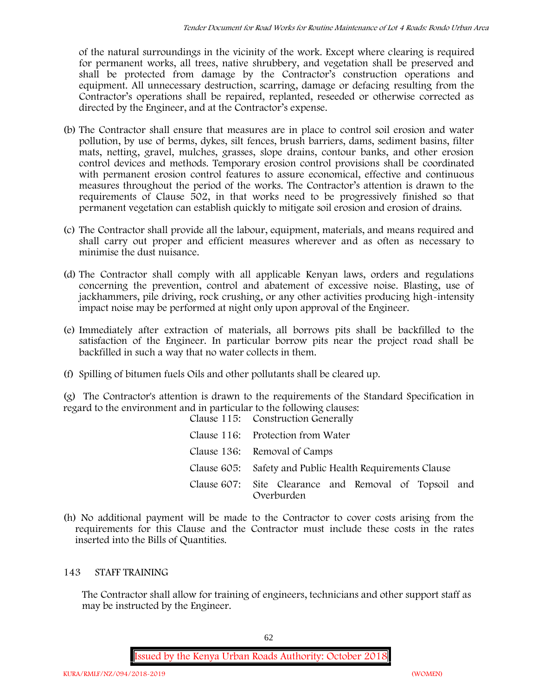of the natural surroundings in the vicinity of the work. Except where clearing is required for permanent works, all trees, native shrubbery, and vegetation shall be preserved and shall be protected from damage by the Contractor's construction operations and equipment. All unnecessary destruction, scarring, damage or defacing resulting from the Contractor's operations shall be repaired, replanted, reseeded or otherwise corrected as directed by the Engineer, and at the Contractor's expense.

- (b) The Contractor shall ensure that measures are in place to control soil erosion and water pollution, by use of berms, dykes, silt fences, brush barriers, dams, sediment basins, filter mats, netting, gravel, mulches, grasses, slope drains, contour banks, and other erosion control devices and methods. Temporary erosion control provisions shall be coordinated with permanent erosion control features to assure economical, effective and continuous measures throughout the period of the works. The Contractor's attention is drawn to the requirements of Clause 502, in that works need to be progressively finished so that permanent vegetation can establish quickly to mitigate soil erosion and erosion of drains.
- (c) The Contractor shall provide all the labour, equipment, materials, and means required and shall carry out proper and efficient measures wherever and as often as necessary to minimise the dust nuisance.
- (d) The Contractor shall comply with all applicable Kenyan laws, orders and regulations concerning the prevention, control and abatement of excessive noise. Blasting, use of jackhammers, pile driving, rock crushing, or any other activities producing high-intensity impact noise may be performed at night only upon approval of the Engineer.
- (e) Immediately after extraction of materials, all borrows pits shall be backfilled to the satisfaction of the Engineer. In particular borrow pits near the project road shall be backfilled in such a way that no water collects in them.
- (f) Spilling of bitumen fuels Oils and other pollutants shall be cleared up.

(g) The Contractor's attention is drawn to the requirements of the Standard Specification in regard to the environment and in particular to the following clauses: Clause 115: Construction Generally

| Clause 115: Construction Generally                                  |
|---------------------------------------------------------------------|
| Clause 116: Protection from Water                                   |
| Clause 136: Removal of Camps                                        |
| Clause 605: Safety and Public Health Requirements Clause            |
| Clause 607: Site Clearance and Removal of Topsoil and<br>Overburden |

(h) No additional payment will be made to the Contractor to cover costs arising from the requirements for this Clause and the Contractor must include these costs in the rates inserted into the Bills of Quantities.

# **143 STAFF TRAINING**

The Contractor shall allow for training of engineers, technicians and other support staff as may be instructed by the Engineer.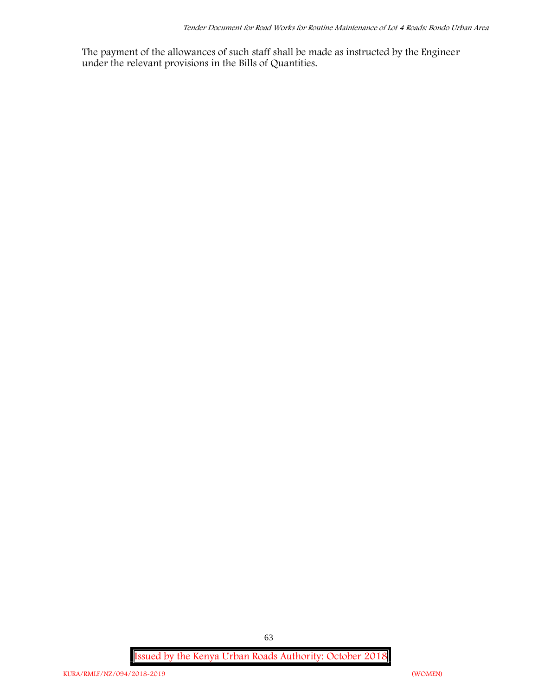The payment of the allowances of such staff shall be made as instructed by the Engineer under the relevant provisions in the Bills of Quantities.

**Issued by the Kenya Urban Roads Authority: October 2018**

63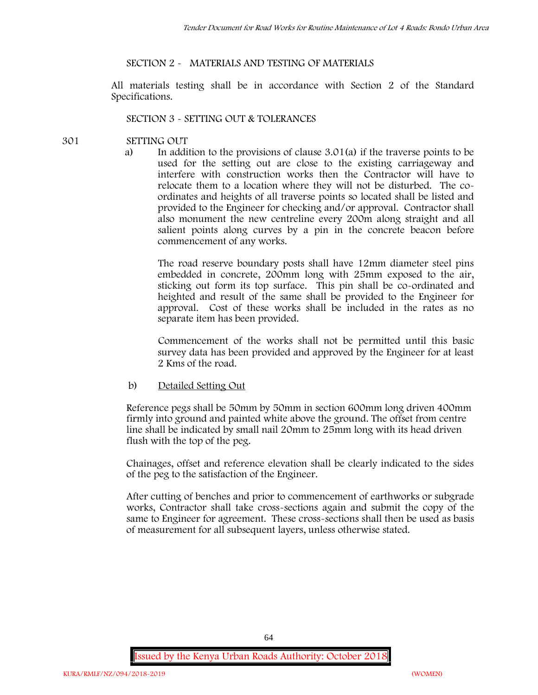### **SECTION 2 - MATERIALS AND TESTING OF MATERIALS**

All materials testing shall be in accordance with Section 2 of the Standard Specifications.

#### **SECTION 3 - SETTING OUT & TOLERANCES**

- **301 SETTING OUT**
	- a) In addition to the provisions of clause 3.01(a) if the traverse points to be used for the setting out are close to the existing carriageway and interfere with construction works then the Contractor will have to relocate them to a location where they will not be disturbed. The co ordinates and heights of all traverse points so located shall be listed and provided to the Engineer for checking and/or approval. Contractor shall also monument the new centreline every 200m along straight and all salient points along curves by a pin in the concrete beacon before commencement of any works.

The road reserve boundary posts shall have 12mm diameter steel pins embedded in concrete, 200mm long with 25mm exposed to the air, sticking out form its top surface. This pin shall be co-ordinated and heighted and result of the same shall be provided to the Engineer for approval. Cost of these works shall be included in the rates as no separate item has been provided.

Commencement of the works shall not be permitted until this basic survey data has been provided and approved by the Engineer for at least 2 Kms of the road.

b) Detailed Setting Out

Reference pegs shall be 50mm by 50mm in section 600mm long driven 400mm firmly into ground and painted white above the ground. The offset from centre line shall be indicated by small nail 20mm to 25mm long with its head driven flush with the top of the peg.

Chainages, offset and reference elevation shall be clearly indicated to the sides of the peg to the satisfaction of the Engineer.

After cutting of benches and prior to commencement of earthworks or subgrade works, Contractor shall take cross-sections again and submit the copy of the same to Engineer for agreement. These cross-sections shall then be used as basis of measurement for all subsequent layers, unless otherwise stated.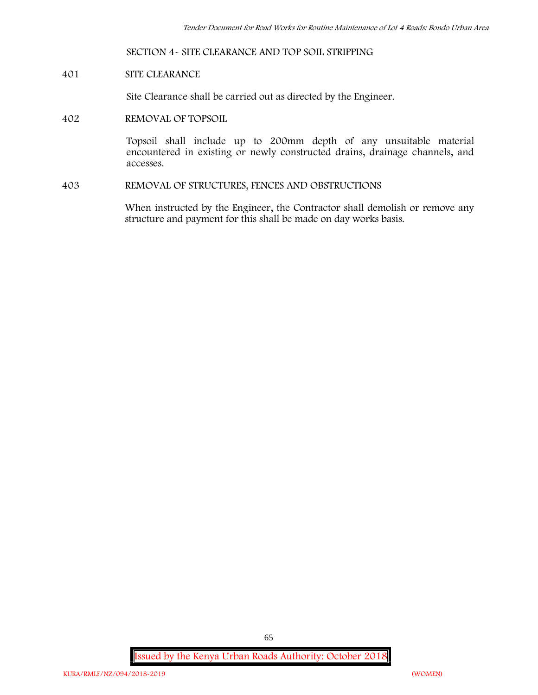#### **SECTION 4- SITE CLEARANCE AND TOP SOIL STRIPPING**

#### **401 SITE CLEARANCE**

Site Clearance shall be carried out as directed by the Engineer.

**402 REMOVAL OF TOPSOIL**

Topsoil shall include up to 200mm depth of any unsuitable material encountered in existing or newly constructed drains, drainage channels, and accesses.

**403 REMOVAL OF STRUCTURES, FENCES AND OBSTRUCTIONS**

When instructed by the Engineer, the Contractor shall demolish or remove any structure and payment for this shall be made on day works basis.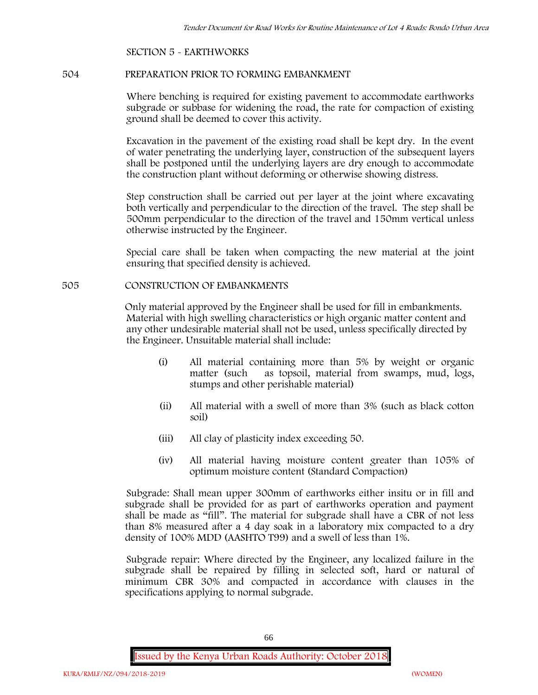#### **SECTION 5 - EARTHWORKS**

### **504 PREPARATION PRIOR TO FORMING EMBANKMENT**

Where benching is required for existing pavement to accommodate earthworks subgrade or subbase for widening the road, the rate for compaction of existing ground shall be deemed to cover this activity.

Excavation in the pavement of the existing road shall be kept dry. In the event of water penetrating the underlying layer, construction of the subsequent layers shall be postponed until the underlying layers are dry enough to accommodate the construction plant without deforming or otherwise showing distress.

Step construction shall be carried out per layer at the joint where excavating both vertically and perpendicular to the direction of the travel. The step shall be 500mm perpendicular to the direction of the travel and 150mm vertical unless otherwise instructed by the Engineer.

Special care shall be taken when compacting the new material at the joint ensuring that specified density is achieved.

#### **505 CONSTRUCTION OF EMBANKMENTS**

Only material approved by the Engineer shall be used for fill in embankments. Material with high swelling characteristics or high organic matter content and any other undesirable material shall not be used, unless specifically directed by the Engineer. Unsuitable material shall include:

- (i) All material containing more than 5% by weight or organic matter (such as topsoil, material from swamps, mud, logs, stumps and other perishable material)
- (ii) All material with a swell of more than 3% (such as black cotton soil)
- (iii) All clay of plasticity index exceeding 50.
- (iv) All material having moisture content greater than 105% of optimum moisture content (Standard Compaction)

Subgrade: Shall mean upper 300mm of earthworks either insitu or in fill and subgrade shall be provided for as part of earthworks operation and payment shall be made as "fill". The material for subgrade shall have a CBR of not less than 8% measured after a 4 day soak in a laboratory mix compacted to a dry density of 100% MDD (AASHTO T99) and a swell of less than 1%.

Subgrade repair: Where directed by the Engineer, any localized failure in the subgrade shall be repaired by filling in selected soft, hard or natural of minimum CBR 30% and compacted in accordance with clauses in the specifications applying to normal subgrade.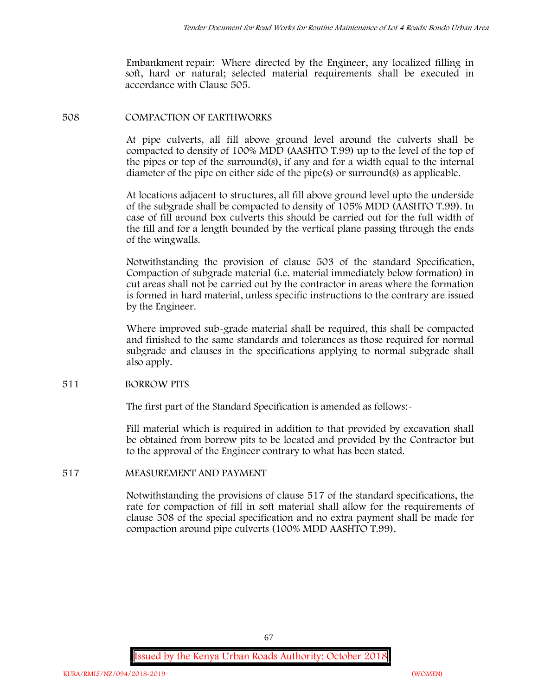Embankment repair: Where directed by the Engineer, any localized filling in soft, hard or natural; selected material requirements shall be executed in accordance with Clause 505.

#### **508 COMPACTION OF EARTHWORKS**

At pipe culverts, all fill above ground level around the culverts shall be compacted to density of 100% MDD (AASHTO T.99) up to the level of the top of the pipes or top of the surround(s), if any and for a width equal to the internal diameter of the pipe on either side of the pipe(s) or surround(s) as applicable.

At locations adjacent to structures, all fill above ground level upto the underside of the subgrade shall be compacted to density of 105% MDD (AASHTO T.99). In case of fill around box culverts this should be carried out for the full width of the fill and for a length bounded by the vertical plane passing through the ends of the wingwalls.

Notwithstanding the provision of clause 503 of the standard Specification, Compaction of subgrade material (i.e. material immediately below formation) in cut areas shall not be carried out by the contractor in areas where the formation is formed in hard material, unless specific instructions to the contrary are issued by the Engineer.

Where improved sub-grade material shall be required, this shall be compacted and finished to the same standards and tolerances as those required for normal subgrade and clauses in the specifications applying to normal subgrade shall also apply.

#### **511 BORROW PITS**

The first part of the Standard Specification is amended as follows:

Fill material which is required in addition to that provided by excavation shall be obtained from borrow pits to be located and provided by the Contractor but to the approval of the Engineer contrary to what has been stated.

# **517 MEASUREMENT AND PAYMENT**

Notwithstanding the provisions of clause 517 of the standard specifications, the rate for compaction of fill in soft material shall allow for the requirements of clause 508 of the special specification and no extra payment shall be made for compaction around pipe culverts (100% MDD AASHTO T.99).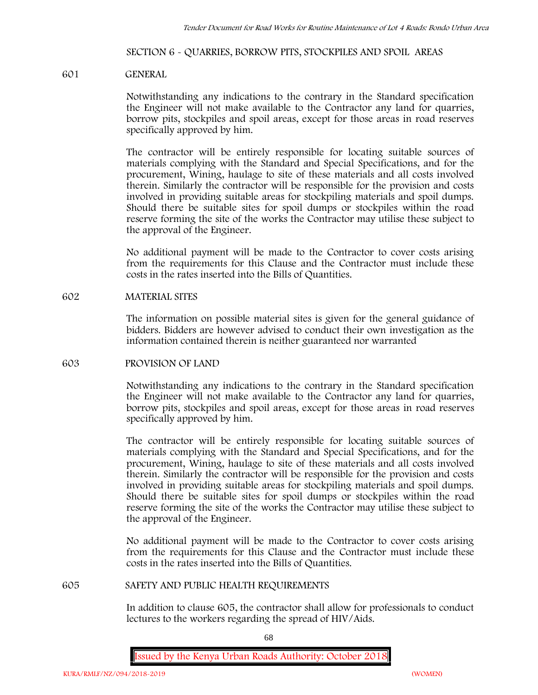#### **SECTION 6 - QUARRIES, BORROW PITS, STOCKPILES AND SPOIL AREAS**

#### **601 GENERAL**

Notwithstanding any indications to the contrary in the Standard specification the Engineer will not make available to the Contractor any land for quarries, borrow pits, stockpiles and spoil areas, except for those areas in road reserves specifically approved by him.

The contractor will be entirely responsible for locating suitable sources of materials complying with the Standard and Special Specifications, and for the procurement, Wining, haulage to site of these materials and all costs involved therein. Similarly the contractor will be responsible for the provision and costs involved in providing suitable areas for stockpiling materials and spoil dumps. Should there be suitable sites for spoil dumps or stockpiles within the road reserve forming the site of the works the Contractor may utilise these subject to the approval of the Engineer.

No additional payment will be made to the Contractor to cover costs arising from the requirements for this Clause and the Contractor must include these costs in the rates inserted into the Bills of Quantities.

### **602 MATERIAL SITES**

The information on possible material sites is given for the general guidance of bidders. Bidders are however advised to conduct their own investigation as the information contained therein is neither guaranteed nor warranted

#### **603 PROVISION OF LAND**

Notwithstanding any indications to the contrary in the Standard specification the Engineer will not make available to the Contractor any land for quarries, borrow pits, stockpiles and spoil areas, except for those areas in road reserves specifically approved by him.

The contractor will be entirely responsible for locating suitable sources of materials complying with the Standard and Special Specifications, and for the procurement, Wining, haulage to site of these materials and all costs involved therein. Similarly the contractor will be responsible for the provision and costs involved in providing suitable areas for stockpiling materials and spoil dumps. Should there be suitable sites for spoil dumps or stockpiles within the road reserve forming the site of the works the Contractor may utilise these subject to the approval of the Engineer.

No additional payment will be made to the Contractor to cover costs arising from the requirements for this Clause and the Contractor must include these costs in the rates inserted into the Bills of Quantities.

#### **605 SAFETY AND PUBLIC HEALTH REQUIREMENTS**

In addition to clause 605, the contractor shall allow for professionals to conduct lectures to the workers regarding the spread of HIV/Aids.

68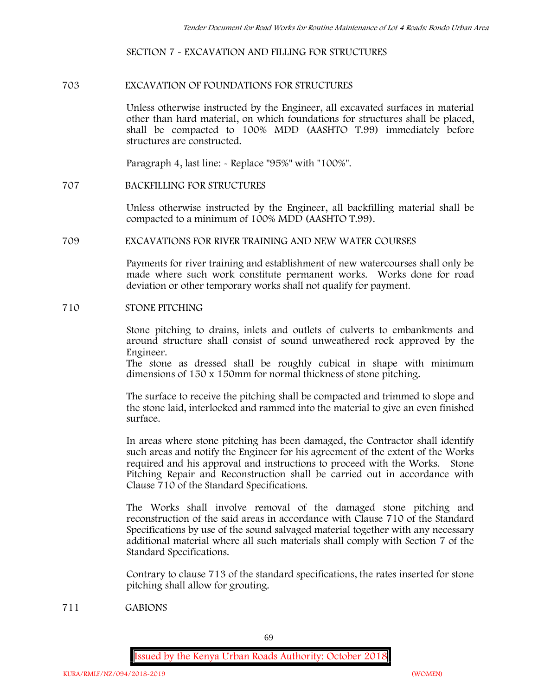#### **SECTION 7 - EXCAVATION AND FILLING FOR STRUCTURES**

#### **703 EXCAVATION OF FOUNDATIONS FOR STRUCTURES**

Unless otherwise instructed by the Engineer, all excavated surfaces in material other than hard material, on which foundations for structures shall be placed, shall be compacted to 100% MDD (AASHTO T.99) immediately before structures are constructed.

Paragraph 4, last line: - Replace "95%" with "100%".

### **707 BACKFILLING FOR STRUCTURES**

Unless otherwise instructed by the Engineer, all backfilling material shall be compacted to a minimum of 100% MDD (AASHTO T.99).

#### **709 EXCAVATIONS FOR RIVER TRAINING AND NEW WATER COURSES**

Payments for river training and establishment of new watercourses shall only be made where such work constitute permanent works. Works done for road deviation or other temporary works shall not qualify for payment.

#### **710 STONE PITCHING**

Stone pitching to drains, inlets and outlets of culverts to embankments and around structure shall consist of sound unweathered rock approved by the Engineer.

The stone as dressed shall be roughly cubical in shape with minimum dimensions of 150 x 150mm for normal thickness of stone pitching.

The surface to receive the pitching shall be compacted and trimmed to slope and the stone laid, interlocked and rammed into the material to give an even finished surface.

In areas where stone pitching has been damaged, the Contractor shall identify such areas and notify the Engineer for his agreement of the extent of the Works required and his approval and instructions to proceed with the Works. Stone Pitching Repair and Reconstruction shall be carried out in accordance with Clause 710 of the Standard Specifications.

The Works shall involve removal of the damaged stone pitching and reconstruction of the said areas in accordance with Clause 710 of the Standard Specifications by use of the sound salvaged material together with any necessary additional material where all such materials shall comply with Section 7 of the Standard Specifications.

Contrary to clause 713 of the standard specifications, the rates inserted for stone pitching shall allow for grouting.

**711 GABIONS**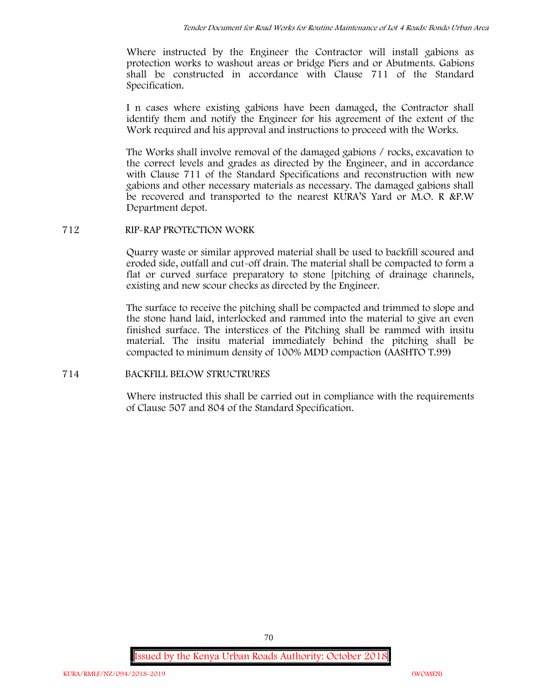Where instructed by the Engineer the Contractor will install gabions as protection works to washout areas or bridge Piers and or Abutments. Gabions shall be constructed in accordance with Clause 711 of the Standard Specification.

I n cases where existing gabions have been damaged, the Contractor shall identify them and notify the Engineer for his agreement of the extent of the Work required and his approval and instructions to proceed with the Works.

The Works shall involve removal of the damaged gabions / rocks, excavation to the correct levels and grades as directed by the Engineer, and in accordance with Clause 711 of the Standard Specifications and reconstruction with new gabions and other necessary materials as necessary. The damaged gabions shall be recovered and transported to the nearest KURA'S Yard or M.O. R &P.W Department depot.

# **712 RIP-RAP PROTECTION WORK**

Quarry waste or similar approved material shall be used to backfill scoured and eroded side, outfall and cut-off drain. The material shall be compacted to form a flat or curved surface preparatory to stone [pitching of drainage channels, existing and new scour checks as directed by the Engineer.

The surface to receive the pitching shall be compacted and trimmed to slope and the stone hand laid, interlocked and rammed into the material to give an even finished surface. The interstices of the Pitching shall be rammed with insitu material. The insitu material immediately behind the pitching shall be compacted to minimum density of 100% MDD compaction (AASHTO T.99)

# **714 BACKFILL BELOW STRUCTRURES**

Where instructed this shall be carried out in compliance with the requirements of Clause 507 and 804 of the Standard Specification.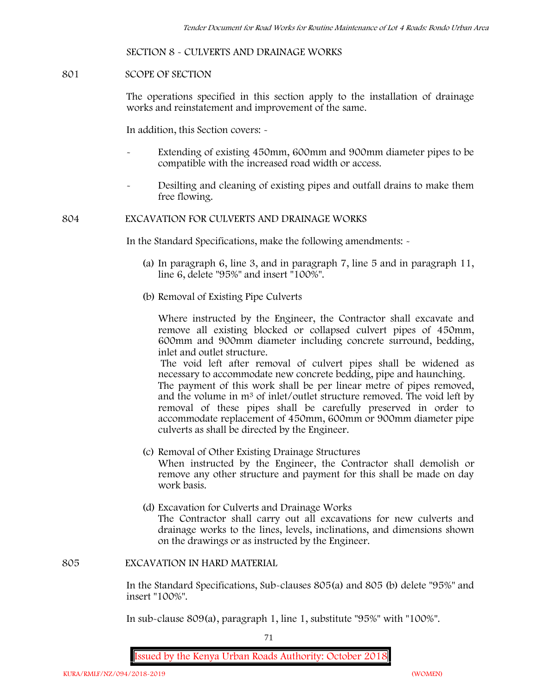#### **SECTION 8 - CULVERTS AND DRAINAGE WORKS**

#### **801 SCOPE OF SECTION**

The operations specified in this section apply to the installation of drainage works and reinstatement and improvement of the same.

In addition, this Section covers: -

- Extending of existing 450mm, 600mm and 900mm diameter pipes to be compatible with the increased road width or access.
- Desilting and cleaning of existing pipes and outfall drains to make them free flowing.

#### **804 EXCAVATION FOR CULVERTS AND DRAINAGE WORKS**

In the Standard Specifications, make the following amendments: -

- (a) In paragraph 6, line 3, and in paragraph 7, line 5 and in paragraph 11, line 6, delete "95%" and insert "100%".
- (b) Removal of Existing Pipe Culverts

Where instructed by the Engineer, the Contractor shall excavate and remove all existing blocked or collapsed culvert pipes of 450mm, 600mm and 900mm diameter including concrete surround, bedding, inlet and outlet structure.

The void left after removal of culvert pipes shall be widened as necessary to accommodate new concrete bedding, pipe and haunching. The payment of this work shall be per linear metre of pipes removed, and the volume in m<sup>3</sup> of inlet/outlet structure removed. The void left by removal of these pipes shall be carefully preserved in order to accommodate replacement of 450mm, 600mm or 900mm diameter pipe culverts as shall be directed by the Engineer.

- (c) Removal of Other Existing Drainage Structures When instructed by the Engineer, the Contractor shall demolish or remove any other structure and payment for this shall be made on day work basis.
- (d) Excavation for Culverts and Drainage Works The Contractor shall carry out all excavations for new culverts and drainage works to the lines, levels, inclinations, and dimensions shown on the drawings or as instructed by the Engineer.

#### **805 EXCAVATION IN HARD MATERIAL**

In the Standard Specifications, Sub-clauses 805(a) and 805 (b) delete "95%" and insert "100%".

In sub-clause 809(a), paragraph 1, line 1, substitute "95%" with "100%".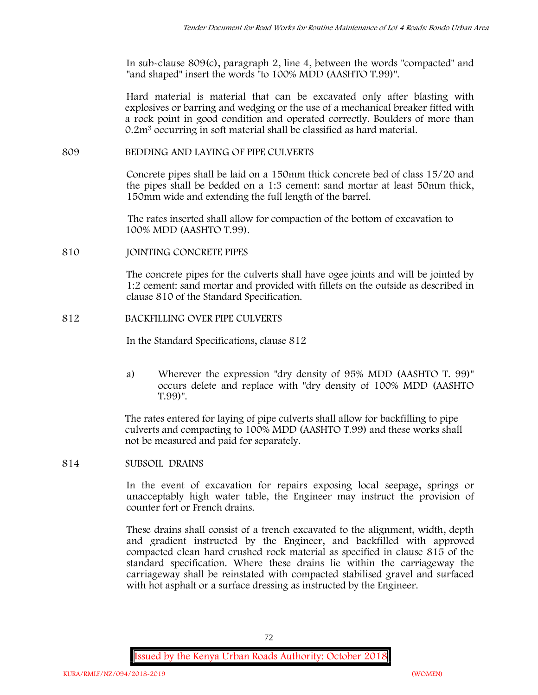In sub-clause 809(c), paragraph 2, line 4, between the words "compacted" and "and shaped" insert the words "to 100% MDD (AASHTO T.99)".

Hard material is material that can be excavated only after blasting with explosives or barring and wedging or the use of a mechanical breaker fitted with a rock point in good condition and operated correctly. Boulders of more than 0.2m<sup>3</sup> occurring in soft material shall be classified as hard material.

### **809 BEDDING AND LAYING OF PIPE CULVERTS**

Concrete pipes shall be laid on a 150mm thick concrete bed of class 15/20 and the pipes shall be bedded on a 1:3 cement: sand mortar at least 50mm thick, 150mm wide and extending the full length of the barrel.

The rates inserted shall allow for compaction of the bottom of excavation to 100% MDD (AASHTO T.99).

### **810 JOINTING CONCRETE PIPES**

The concrete pipes for the culverts shall have ogee joints and will be jointed by 1:2 cement: sand mortar and provided with fillets on the outside as described in clause 810 of the Standard Specification.

## **812 BACKFILLING OVER PIPE CULVERTS**

In the Standard Specifications, clause 812

a) Wherever the expression "dry density of 95% MDD (AASHTO T. 99)" occurs delete and replace with "dry density of 100% MDD (AASHTO T.99)".

The rates entered for laying of pipe culverts shall allow for backfilling to pipe culverts and compacting to 100% MDD (AASHTO T.99) and these works shall not be measured and paid for separately.

**814 SUBSOIL DRAINS**

In the event of excavation for repairs exposing local seepage, springs or unacceptably high water table, the Engineer may instruct the provision of counter fort or French drains.

These drains shall consist of a trench excavated to the alignment, width, depth and gradient instructed by the Engineer, and backfilled with approved compacted clean hard crushed rock material as specified in clause 815 of the standard specification. Where these drains lie within the carriageway the carriageway shall be reinstated with compacted stabilised gravel and surfaced with hot asphalt or a surface dressing as instructed by the Engineer.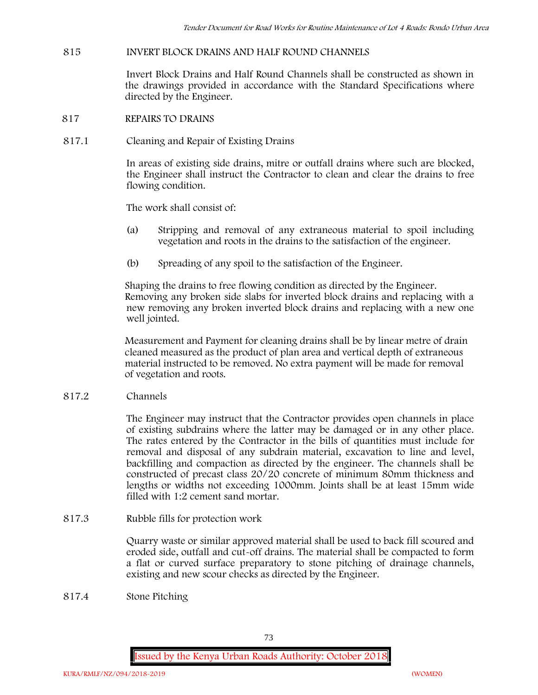# **815 INVERT BLOCK DRAINS AND HALF ROUND CHANNELS**

Invert Block Drains and Half Round Channels shall be constructed as shown in the drawings provided in accordance with the Standard Specifications where directed by the Engineer.

- **817 REPAIRS TO DRAINS**
- **817.1 Cleaning and Repair of Existing Drains**

In areas of existing side drains, mitre or outfall drains where such are blocked, the Engineer shall instruct the Contractor to clean and clear the drains to free flowing condition.

The work shall consist of:

- (a) Stripping and removal of any extraneous material to spoil including vegetation and roots in the drains to the satisfaction of the engineer.
- (b) Spreading of any spoil to the satisfaction of the Engineer.

Shaping the drains to free flowing condition as directed by the Engineer. Removing any broken side slabs for inverted block drains and replacing with a new removing any broken inverted block drains and replacing with a new one well jointed.

Measurement and Payment for cleaning drains shall be by linear metre of drain cleaned measured as the product of plan area and vertical depth of extraneous material instructed to be removed. No extra payment will be made for removal of vegetation and roots.

**817.2 Channels**

The Engineer may instruct that the Contractor provides open channels in place of existing subdrains where the latter may be damaged or in any other place. The rates entered by the Contractor in the bills of quantities must include for removal and disposal of any subdrain material, excavation to line and level, backfilling and compaction as directed by the engineer. The channels shall be constructed of precast class 20/20 concrete of minimum 80mm thickness and lengths or widths not exceeding 1000mm. Joints shall be at least 15mm wide filled with 1:2 cement sand mortar.

**817.3 Rubble fills for protection work**

Quarry waste or similar approved material shall be used to back fill scoured and eroded side, outfall and cut-off drains. The material shall be compacted to form a flat or curved surface preparatory to stone pitching of drainage channels, existing and new scour checks as directed by the Engineer.

**817.4 Stone Pitching**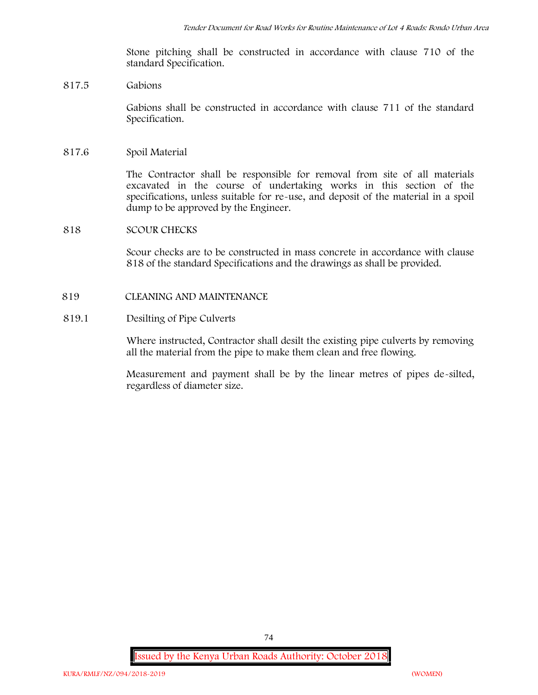Stone pitching shall be constructed in accordance with clause 710 of the standard Specification.

#### **817.5 Gabions**

Gabions shall be constructed in accordance with clause 711 of the standard Specification.

#### **817.6 Spoil Material**

The Contractor shall be responsible for removal from site of all materials excavated in the course of undertaking works in this section of the specifications, unless suitable for re-use, and deposit of the material in a spoil dump to be approved by the Engineer.

#### **818 SCOUR CHECKS**

Scour checks are to be constructed in mass concrete in accordance with clause 818 of the standard Specifications and the drawings as shall be provided.

#### **819 CLEANING AND MAINTENANCE**

### **819.1 Desilting of Pipe Culverts**

Where instructed, Contractor shall desilt the existing pipe culverts by removing all the material from the pipe to make them clean and free flowing.

Measurement and payment shall be by the linear metres of pipes de-silted, regardless of diameter size.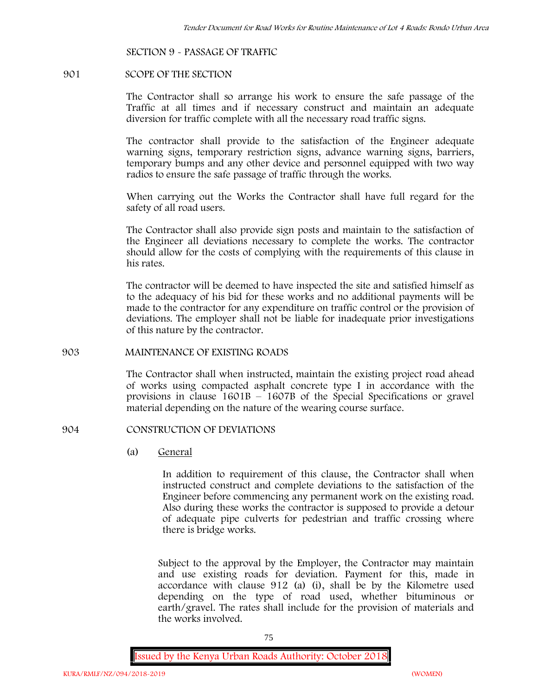#### **SECTION 9 - PASSAGE OF TRAFFIC**

#### **901 SCOPE OF THE SECTION**

The Contractor shall so arrange his work to ensure the safe passage of the Traffic at all times and if necessary construct and maintain an adequate diversion for traffic complete with all the necessary road traffic signs.

The contractor shall provide to the satisfaction of the Engineer adequate warning signs, temporary restriction signs, advance warning signs, barriers, temporary bumps and any other device and personnel equipped with two way radios to ensure the safe passage of traffic through the works.

When carrying out the Works the Contractor shall have full regard for the safety of all road users.

The Contractor shall also provide sign posts and maintain to the satisfaction of the Engineer all deviations necessary to complete the works. The contractor should allow for the costs of complying with the requirements of this clause in his rates.

The contractor will be deemed to have inspected the site and satisfied himself as to the adequacy of his bid for these works and no additional payments will be made to the contractor for any expenditure on traffic control or the provision of deviations. The employer shall not be liable for inadequate prior investigations of this nature by the contractor.

## **903 MAINTENANCE OF EXISTING ROADS**

The Contractor shall when instructed, maintain the existing project road ahead of works using compacted asphalt concrete type I in accordance with the provisions in clause 1601B – 1607B of the Special Specifications or gravel material depending on the nature of the wearing course surface.

#### **904 CONSTRUCTION OF DEVIATIONS**

(a) **General**

In addition to requirement of this clause, the Contractor shall when instructed construct and complete deviations to the satisfaction of the Engineer before commencing any permanent work on the existing road. Also during these works the contractor is supposed to provide a detour of adequate pipe culverts for pedestrian and traffic crossing where there is bridge works.

Subject to the approval by the Employer, the Contractor may maintain and use existing roads for deviation. Payment for this, made in accordance with clause 912 (a) (i), shall be by the Kilometre used depending on the type of road used, whether bituminous or earth/gravel. The rates shall include for the provision of materials and the works involved.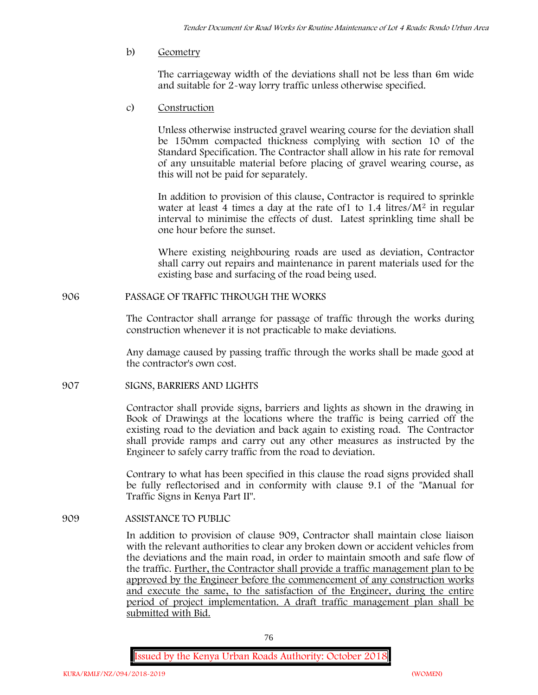b) **Geometry**

The carriageway width of the deviations shall not be less than 6m wide and suitable for 2-way lorry traffic unless otherwise specified.

c) **Construction**

Unless otherwise instructed gravel wearing course for the deviation shall be 150mm compacted thickness complying with section 10 of the Standard Specification. The Contractor shall allow in his rate for removal of any unsuitable material before placing of gravel wearing course, as this will not be paid for separately.

In addition to provision of this clause, Contractor is required to sprinkle water at least 4 times a day at the rate of  $1$  to  $1.4$  litres/ $M<sup>2</sup>$  in regular interval to minimise the effects of dust. Latest sprinkling time shall be one hour before the sunset.

Where existing neighbouring roads are used as deviation, Contractor shall carry out repairs and maintenance in parent materials used for the existing base and surfacing of the road being used.

**906 PASSAGE OF TRAFFIC THROUGH THE WORKS**

The Contractor shall arrange for passage of traffic through the works during construction whenever it is not practicable to make deviations.

Any damage caused by passing traffic through the works shall be made good at the contractor's own cost.

**907 SIGNS, BARRIERS AND LIGHTS**

Contractor shall provide signs, barriers and lights as shown in the drawing in Book of Drawings at the locations where the traffic is being carried off the existing road to the deviation and back again to existing road. The Contractor shall provide ramps and carry out any other measures as instructed by the Engineer to safely carry traffic from the road to deviation.

Contrary to what has been specified in this clause the road signs provided shall be fully reflectorised and in conformity with clause 9.1 of the "Manual for Traffic Signs in Kenya Part II".

**909 ASSISTANCE TO PUBLIC**

In addition to provision of clause 909, Contractor shall maintain close liaison with the relevant authorities to clear any broken down or accident vehicles from the deviations and the main road, in order to maintain smooth and safe flow of the traffic. Further, the Contractor shall provide a traffic management plan to be approved by the Engineer before the commencement of any construction works and execute the same, to the satisfaction of the Engineer, during the entire period of project implementation. A draft traffic management plan shall be submitted with Bid.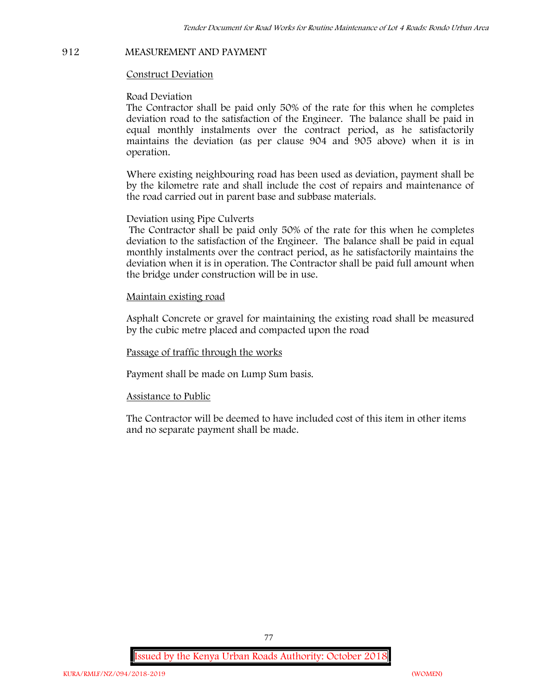#### **912 MEASUREMENT AND PAYMENT**

#### **Construct Deviation**

#### **Road Deviation**

The Contractor shall be paid only 50% of the rate for this when he completes deviation road to the satisfaction of the Engineer. The balance shall be paid in equal monthly instalments over the contract period, as he satisfactorily maintains the deviation (as per clause 904 and 905 above) when it is in operation.

Where existing neighbouring road has been used as deviation, payment shall be by the kilometre rate and shall include the cost of repairs and maintenance of the road carried out in parent base and subbase materials.

#### **Deviation using Pipe Culverts**

The Contractor shall be paid only 50% of the rate for this when he completes deviation to the satisfaction of the Engineer. The balance shall be paid in equal monthly instalments over the contract period, as he satisfactorily maintains the deviation when it is in operation. The Contractor shall be paid full amount when the bridge under construction will be in use.

### **Maintain existing road**

Asphalt Concrete or gravel for maintaining the existing road shall be measured by the cubic metre placed and compacted upon the road

### **Passage of traffic through the works**

Payment shall be made on Lump Sum basis.

#### **Assistance to Public**

The Contractor will be deemed to have included cost of this item in other items and no separate payment shall be made.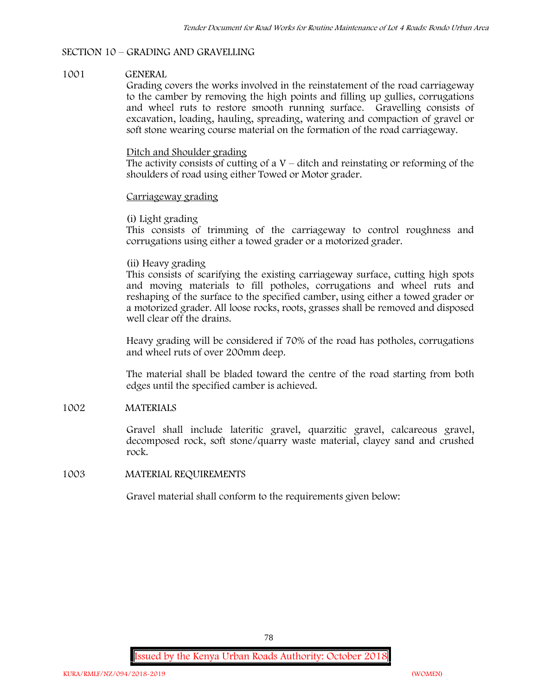## **SECTION 10 – GRADING AND GRAVELLING**

### **1001 GENERAL**

Grading covers the works involved in the reinstatement of the road carriageway to the camber by removing the high points and filling up gullies, corrugations and wheel ruts to restore smooth running surface. Gravelling consists of excavation, loading, hauling, spreading, watering and compaction of gravel or soft stone wearing course material on the formation of the road carriageway.

#### Ditch and Shoulder grading

The activity consists of cutting of a  $V$  – ditch and reinstating or reforming of the shoulders of road using either Towed or Motor grader.

### Carriageway grading

### **(i) Light grading**

This consists of trimming of the carriageway to control roughness and corrugations using either a towed grader or a motorized grader.

## **(ii) Heavy grading**

This consists of scarifying the existing carriageway surface, cutting high spots and moving materials to fill potholes, corrugations and wheel ruts and reshaping of the surface to the specified camber, using either a towed grader or a motorized grader. All loose rocks, roots, grasses shall be removed and disposed well clear off the drains.

Heavy grading will be considered if 70% of the road has potholes, corrugations and wheel ruts of over 200mm deep.

The material shall be bladed toward the centre of the road starting from both edges until the specified camber is achieved.

## **1002 MATERIALS**

Gravel shall include lateritic gravel, quarzitic gravel, calcareous gravel, decomposed rock, soft stone/quarry waste material, clayey sand and crushed rock.

## **1003 MATERIAL REQUIREMENTS**

Gravel material shall conform to the requirements given below: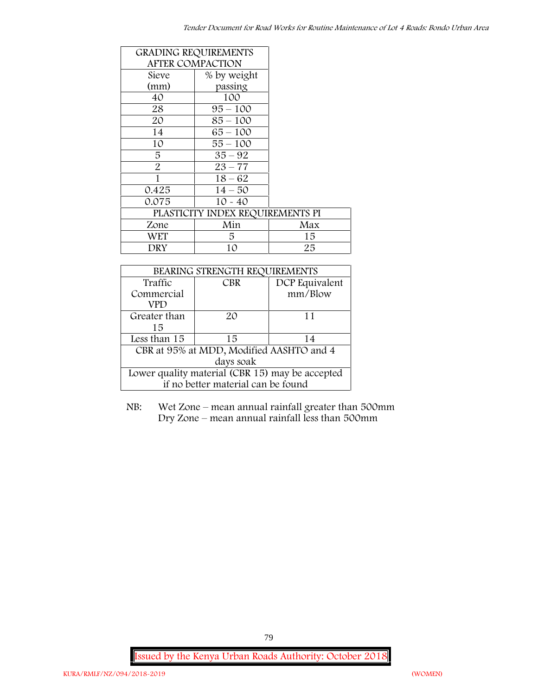| <b>GRADING REQUIREMENTS</b>      |                         |     |  |
|----------------------------------|-------------------------|-----|--|
|                                  | <b>AFTER COMPACTION</b> |     |  |
| Sieve                            | % by weight             |     |  |
| (mm)                             | passing                 |     |  |
| 40                               | 100                     |     |  |
| 28                               | $95 - 100$              |     |  |
| 20                               | $85 - 100$              |     |  |
| 14                               | $65 - 100$              |     |  |
| 10                               | $55 - 100$              |     |  |
| 5                                | $35 - 92$               |     |  |
| $\overline{2}$                   | $23 - 77$               |     |  |
| 1                                | $18 - 62$               |     |  |
| 0.425                            | $14 - 50$               |     |  |
| 0.075                            | $10 - 40$               |     |  |
| PLASTICITY INDEX REQUIREMENTS PI |                         |     |  |
| Zone                             | Min                     | Max |  |
| WET                              | 5                       | 15  |  |
| DRY                              | 10                      | 25  |  |

| BEARING STRENGTH REQUIREMENTS                   |                                    |                |  |  |
|-------------------------------------------------|------------------------------------|----------------|--|--|
| Traffic                                         | CBR                                | DCP Equivalent |  |  |
| Commercial                                      |                                    | mm/Blow        |  |  |
| VPD                                             |                                    |                |  |  |
| Greater than                                    | 20                                 | 11             |  |  |
| 15                                              |                                    |                |  |  |
| Less than 15                                    | 15                                 | 14             |  |  |
| CBR at 95% at MDD, Modified AASHTO and 4        |                                    |                |  |  |
| days soak                                       |                                    |                |  |  |
| Lower quality material (CBR 15) may be accepted |                                    |                |  |  |
|                                                 | if no better material can be found |                |  |  |

NB: Wet Zone – mean annual rainfall greater than 500mm Dry Zone – mean annual rainfall less than 500mm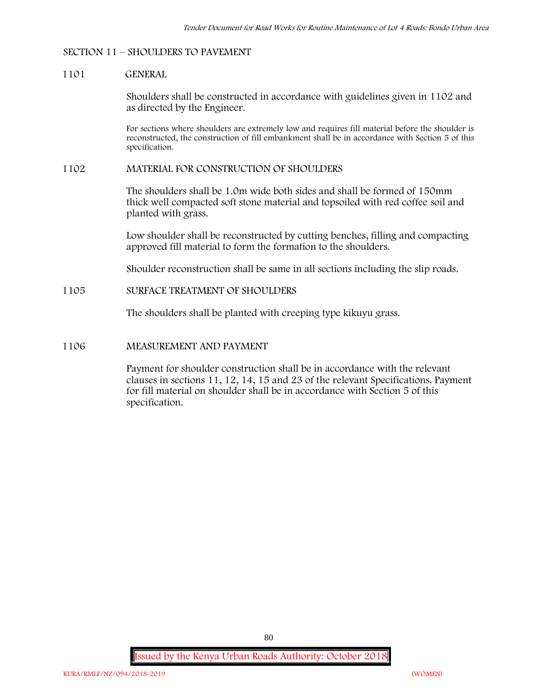#### **SECTION 11 – SHOULDERS TO PAVEMENT**

#### **1101 GENERAL**

Shoulders shall be constructed in accordance with guidelines given in 1102 and as directed by the Engineer.

For sections where shoulders are extremely low and requires fill material before the shoulder is reconstructed, the construction of fill embankment shall be in accordance with Section 5 of this specification.

### **1102 MATERIAL FOR CONSTRUCTION OF SHOULDERS**

The shoulders shall be 1.0m wide both sides and shall be formed of 150mm thick well compacted soft stone material and topsoiled with red coffee soil and planted with grass.

Low shoulder shall be reconstructed by cutting benches, filling and compacting approved fill material to form the formation to the shoulders.

Shoulder reconstruction shall be same in all sections including the slip roads.

## **1105 SURFACE TREATMENT OF SHOULDERS**

The shoulders shall be planted with creeping type kikuyu grass.

#### **1106 MEASUREMENT AND PAYMENT**

Payment for shoulder construction shall be in accordance with the relevant clauses in sections 11, 12, 14, 15 and 23 of the relevant Specifications. Payment for fill material on shoulder shall be in accordance with Section 5 of this specification.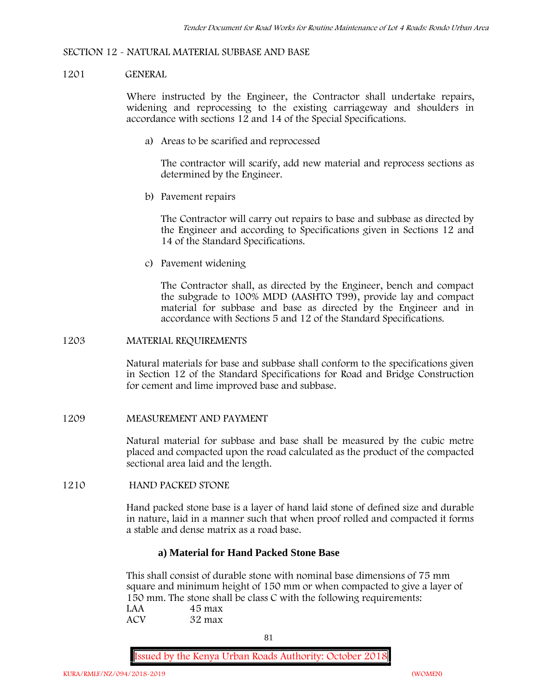#### **SECTION 12 - NATURAL MATERIAL SUBBASE AND BASE**

#### **1201 GENERAL**

Where instructed by the Engineer, the Contractor shall undertake repairs, widening and reprocessing to the existing carriageway and shoulders in accordance with sections 12 and 14 of the Special Specifications.

**a) Areas to be scarified and reprocessed**

The contractor will scarify, add new material and reprocess sections as determined by the Engineer.

**b) Pavement repairs**

The Contractor will carry out repairs to base and subbase as directed by the Engineer and according to Specifications given in Sections 12 and 14 of the Standard Specifications.

**c) Pavement widening**

The Contractor shall, as directed by the Engineer, bench and compact the subgrade to 100% MDD (AASHTO T99), provide lay and compact material for subbase and base as directed by the Engineer and in accordance with Sections 5 and 12 of the Standard Specifications.

#### **1203 MATERIAL REQUIREMENTS**

Natural materials for base and subbase shall conform to the specifications given in Section 12 of the Standard Specifications for Road and Bridge Construction for cement and lime improved base and subbase.

#### **1209 MEASUREMENT AND PAYMENT**

Natural material for subbase and base shall be measured by the cubic metre placed and compacted upon the road calculated as the product of the compacted sectional area laid and the length.

## **1210 HAND PACKED STONE**

Hand packed stone base is a layer of hand laid stone of defined size and durable in nature, laid in a manner such that when proof rolled and compacted it forms a stable and dense matrix as a road base.

#### **a) Material for Hand Packed Stone Base**

This shall consist of durable stone with nominal base dimensions of 75 mm square and minimum height of 150 mm or when compacted to give a layer of 150 mm. The stone shall be class C with the following requirements: **LAA 45 max ACV 32 max**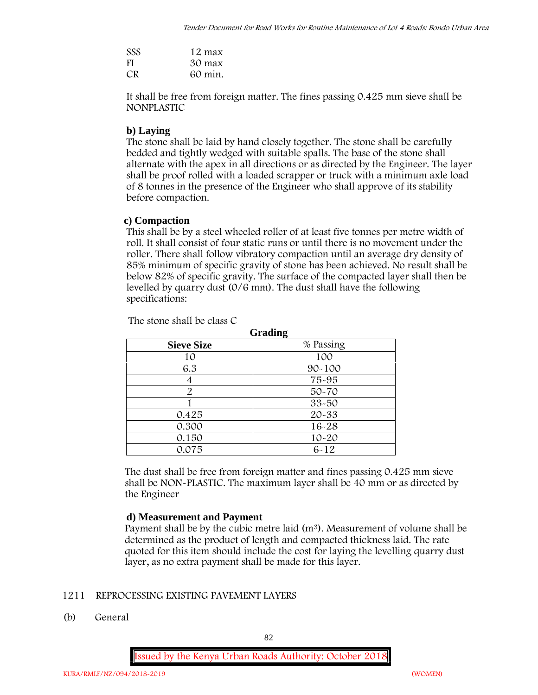| <b>SSS</b> | 12 max  |
|------------|---------|
| <b>FI</b>  | 30 max  |
| CR.        | 60 min. |

It shall be free from foreign matter. The fines passing 0.425 mm sieve shall be **NONPLASTIC**

# **b) Laying**

The stone shall be laid by hand closely together. The stone shall be carefully bedded and tightly wedged with suitable spalls. The base of the stone shall alternate with the apex in all directions or as directed by the Engineer. The layer shall be proof rolled with a loaded scrapper or truck with a minimum axle load of 8 tonnes in the presence of the Engineer who shall approve of its stability before compaction.

# **c) Compaction**

This shall be by a steel wheeled roller of at least five tonnes per metre width of roll. It shall consist of four static runs or until there is no movement under the roller. There shall follow vibratory compaction until an average dry density of 85% minimum of specific gravity of stone has been achieved. No result shall be below 82% of specific gravity. The surface of the compacted layer shall then be levelled by quarry dust (0/6 mm). The dust shall have the following specifications:

| <b>Grading</b>    |            |  |  |  |
|-------------------|------------|--|--|--|
| <b>Sieve Size</b> | % Passing  |  |  |  |
| 10                | 100        |  |  |  |
| 6.3               | $90 - 100$ |  |  |  |
| 4                 | 75-95      |  |  |  |
| $\overline{2}$    | $50 - 70$  |  |  |  |
|                   | $33 - 50$  |  |  |  |
| 0.425             | 20-33      |  |  |  |
| 0.300             | $16 - 28$  |  |  |  |
| 0.150             | $10 - 20$  |  |  |  |
| 0.075             | $6 - 12$   |  |  |  |

The stone shall be class C

The dust shall be free from foreign matter and fines passing 0.425 mm sieve shall be **NON-PLASTIC**. The maximum layer shall be 40 mm or as directed by the Engineer

# **d) Measurement and Payment**

Payment shall be by the cubic metre laid  $(m^3)$ . Measurement of volume shall be determined as the product of length and compacted thickness laid. The rate quoted for this item should include the cost for laying the levelling quarry dust layer, as no extra payment shall be made for this layer.

# **1211 REPROCESSING EXISTING PAVEMENT LAYERS**

**(b) General**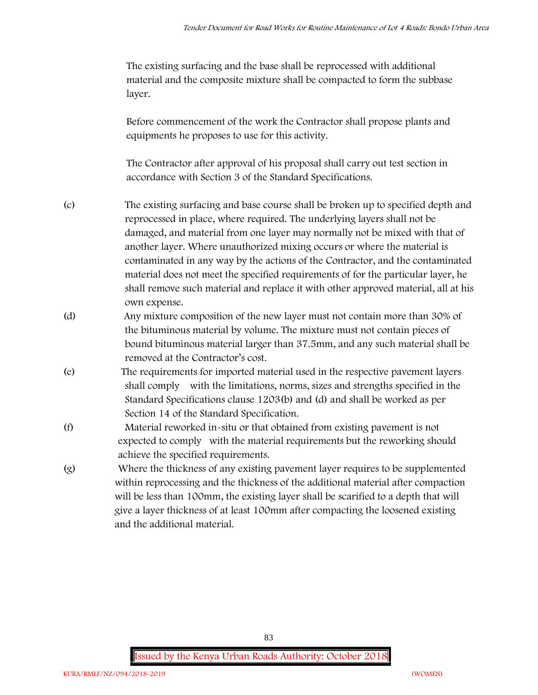The existing surfacing and the base shall be reprocessed with additional material and the composite mixture shall be compacted to form the subbase layer.

Before commencement of the work the Contractor shall propose plants and equipments he proposes to use for this activity.

The Contractor after approval of his proposal shall carry out test section in accordance with Section 3 of the Standard Specifications.

- (c) The existing surfacing and base course shall be broken up to specified depth and reprocessed in place, where required. The underlying layers shall not be damaged, and material from one layer may normally not be mixed with that of another layer. Where unauthorized mixing occurs or where the material is contaminated in any way by the actions of the Contractor, and the contaminated material does not meet the specified requirements of for the particular layer, he shall remove such material and replace it with other approved material, all at his own expense.
- (d) Any mixture composition of the new layer must not contain more than 30% of the bituminous material by volume. The mixture must not contain pieces of bound bituminous material larger than 37.5mm, and any such material shall be removed at the Contractor's cost.
- (e) The requirements for imported material used in the respective pavement layers shall comply with the limitations, norms, sizes and strengths specified in the Standard Specifications clause 1203(b) and (d) and shall be worked as per Section 14 of the Standard Specification.
- (f) Material reworked in-situ or that obtained from existing pavement is not expected to comply with the material requirements but the reworking should achieve the specified requirements.
- (g) Where the thickness of any existing pavement layer requires to be supplemented within reprocessing and the thickness of the additional material after compaction will be less than 100mm, the existing layer shall be scarified to a depth that will give a layer thickness of at least 100mm after compacting the loosened existing and the additional material.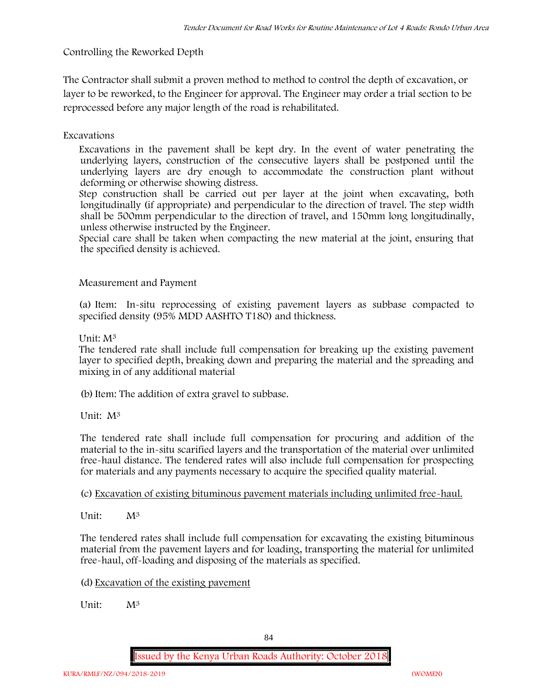**Controlling the Reworked Depth**

The Contractor shall submit a proven method to method to control the depth of excavation, or layer to be reworked, to the Engineer for approval. The Engineer may order a trial section to be reprocessed before any major length of the road is rehabilitated.

**Excavations**

Excavations in the pavement shall be kept dry. In the event of water penetrating the underlying layers, construction of the consecutive layers shall be postponed until the underlying layers are dry enough to accommodate the construction plant without deforming or otherwise showing distress.

Step construction shall be carried out per layer at the joint when excavating, both longitudinally (if appropriate) and perpendicular to the direction of travel. The step width shall be 500mm perpendicular to the direction of travel, and 150mm long longitudinally, unless otherwise instructed by the Engineer.

Special care shall be taken when compacting the new material at the joint, ensuring that the specified density is achieved.

**Measurement and Payment**

(a) Item: In-situ reprocessing of existing pavement layers as subbase compacted to specified density (95% MDD AASHTO T180) and thickness.

Unit: M<sup>3</sup>

The tendered rate shall include full compensation for breaking up the existing pavement layer to specified depth, breaking down and preparing the material and the spreading and mixing in of any additional material

(b)Item: The addition of extra gravel to subbase.

Unit: M<sup>3</sup>

The tendered rate shall include full compensation for procuring and addition of the material to the in-situ scarified layers and the transportation of the material over unlimited free-haul distance. The tendered rates will also include full compensation for prospecting for materials and any payments necessary to acquire the specified quality material.

(c) Excavation of existing bituminous pavement materials including unlimited free-haul.

Unit:  $M^3$ 

The tendered rates shall include full compensation for excavating the existing bituminous material from the pavement layers and for loading, transporting the material for unlimited free-haul, off-loading and disposing of the materials as specified.

(d) Excavation of the existing pavement

Unit: M<sup>3</sup>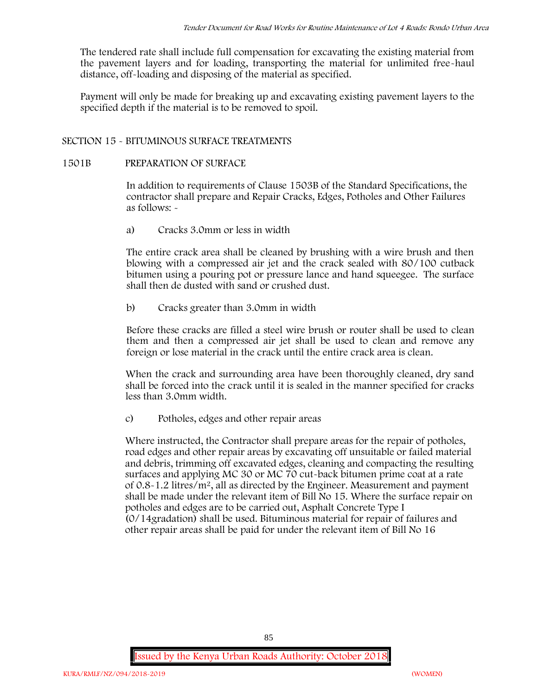The tendered rate shall include full compensation for excavating the existing material from the pavement layers and for loading, transporting the material for unlimited free-haul distance, off-loading and disposing of the material as specified.

Payment will only be made for breaking up and excavating existing pavement layers to the specified depth if the material is to be removed to spoil.

# **SECTION 15 - BITUMINOUS SURFACE TREATMENTS**

## **1501B PREPARATION OF SURFACE**

In addition to requirements of Clause 1503B of the Standard Specifications, the contractor shall prepare and Repair Cracks, Edges, Potholes and Other Failures as follows: **-**

a) **Cracks 3.0mm or less in width**

The entire crack area shall be cleaned by brushing with a wire brush and then blowing with a compressed air jet and the crack sealed with 80/100 cutback bitumen using a pouring pot or pressure lance and hand squeegee. The surface shall then de dusted with sand or crushed dust.

b) **Cracks greater than 3.0mm in width**

Before these cracks are filled a steel wire brush or router shall be used to clean them and then a compressed air jet shall be used to clean and remove any foreign or lose material in the crack until the entire crack area is clean.

When the crack and surrounding area have been thoroughly cleaned, dry sand shall be forced into the crack until it is sealed in the manner specified for cracks less than 3.0mm width.

c) **Potholes, edges and other repair areas**

Where instructed, the Contractor shall prepare areas for the repair of potholes, road edges and other repair areas by excavating off unsuitable or failed material and debris, trimming off excavated edges, cleaning and compacting the resulting surfaces and applying MC 30 or MC 70 cut-back bitumen prime coat at a rate of 0.8-1.2 litres/m2, all as directed by the Engineer. Measurement and payment shall be made under the relevant item of Bill No 15. Where the surface repair on potholes and edges are to be carried out, Asphalt Concrete Type I (0/14gradation) shall be used. Bituminous material for repair of failures and other repair areas shall be paid for under the relevant item of Bill No 16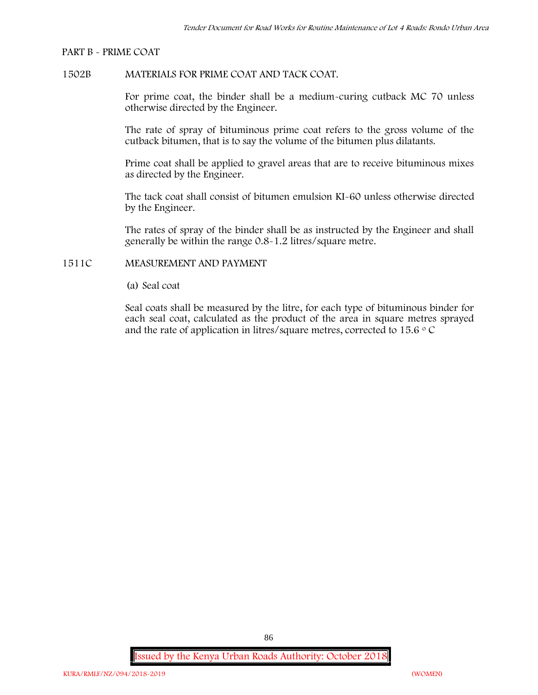#### **PART B - PRIME COAT**

## **1502B MATERIALS FOR PRIME COAT AND TACK COAT.**

For prime coat, the binder shall be a medium-curing cutback MC 70 unless otherwise directed by the Engineer.

The rate of spray of bituminous prime coat refers to the gross volume of the cutback bitumen, that is to say the volume of the bitumen plus dilatants.

Prime coat shall be applied to gravel areas that are to receive bituminous mixes as directed by the Engineer.

The tack coat shall consist of bitumen emulsion KI-60 unless otherwise directed by the Engineer.

The rates of spray of the binder shall be as instructed by the Engineer and shall generally be within the range 0.8-1.2 litres/square metre.

## **1511C MEASUREMENT AND PAYMENT**

(a) Seal coat

Seal coats shall be measured by the litre, for each type of bituminous binder for each seal coat, calculated as the product of the area in square metres sprayed and the rate of application in litres/square metres, corrected to 15.6  $\circ$  C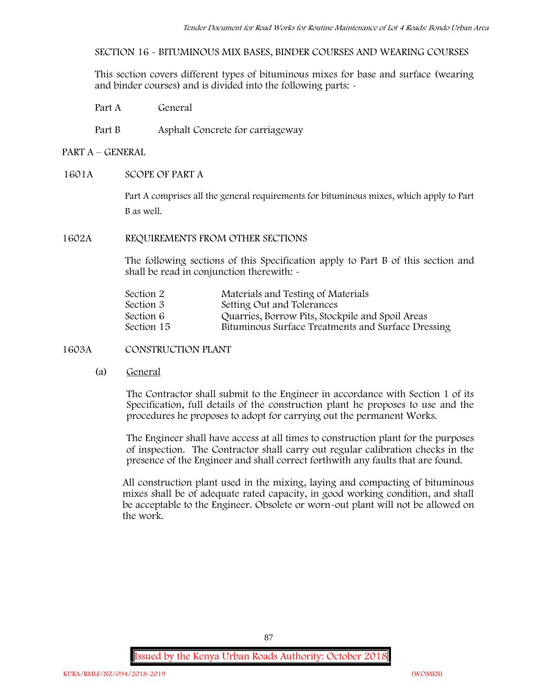**SECTION 16 - BITUMINOUS MIX BASES, BINDER COURSES AND WEARING COURSES**

This section covers different types of bituminous mixes for base and surface (wearing and binder courses) and is divided into the following parts: -

Part A General

Part B Asphalt Concrete for carriageway

# **PART A –GENERAL**

## **1601A SCOPE OF PART A**

Part A comprises all the general requirements for bituminous mixes, which apply to Part B as well.

## **1602A REQUIREMENTS FROM OTHER SECTIONS**

The following sections of this Specification apply to Part B of this section and shall be read in conjunction therewith: -

| Section 2  | Materials and Testing of Materials                 |
|------------|----------------------------------------------------|
| Section 3  | Setting Out and Tolerances                         |
| Section 6  | Quarries, Borrow Pits, Stockpile and Spoil Areas   |
| Section 15 | Bituminous Surface Treatments and Surface Dressing |

**1603A CONSTRUCTION PLANT**

(a) **General**

The Contractor shall submit to the Engineer in accordance with Section 1 of its Specification, full details of the construction plant he proposes to use and the procedures he proposes to adopt for carrying out the permanent Works.

The Engineer shall have access at all times to construction plant for the purposes of inspection. The Contractor shall carry out regular calibration checks in the presence of the Engineer and shall correct forthwith any faults that are found.

All construction plant used in the mixing, laying and compacting of bituminous mixes shall be of adequate rated capacity, in good working condition, and shall be acceptable to the Engineer. Obsolete or worn-out plant will not be allowed on the work.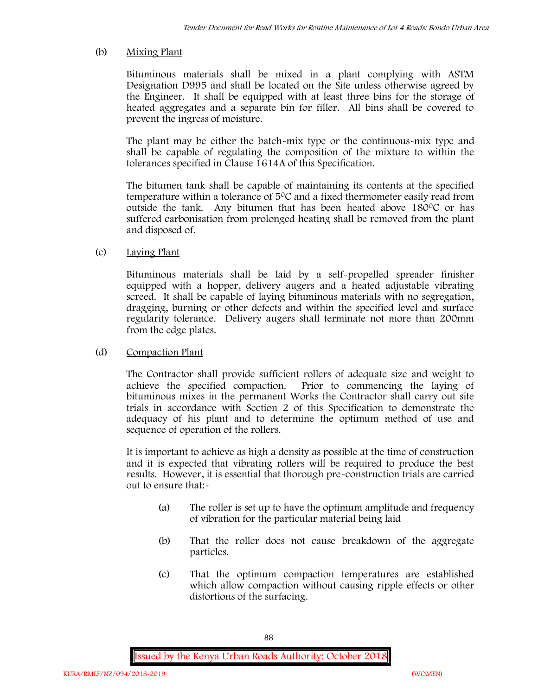## (b) **Mixing Plant**

Bituminous materials shall be mixed in a plant complying with ASTM Designation D995 and shall be located on the Site unless otherwise agreed by the Engineer. It shall be equipped with at least three bins for the storage of heated aggregates and a separate bin for filler. All bins shall be covered to prevent the ingress of moisture.

The plant may be either the batch-mix type or the continuous-mix type and shall be capable of regulating the composition of the mixture to within the tolerances specified in Clause 1614A of this Specification.

The bitumen tank shall be capable of maintaining its contents at the specified temperature within a tolerance of  $5^{\circ}$ C and a fixed thermometer easily read from outside the tank. Any bitumen that has been heated above 180°C or has suffered carbonisation from prolonged heating shall be removed from the plant and disposed of.

# (c) **Laying Plant**

Bituminous materials shall be laid by a self-propelled spreader finisher equipped with a hopper, delivery augers and a heated adjustable vibrating screed. It shall be capable of laying bituminous materials with no segregation, dragging, burning or other defects and within the specified level and surface regularity tolerance. Delivery augers shall terminate not more than 200mm from the edge plates.

## (d) **Compaction Plant**

The Contractor shall provide sufficient rollers of adequate size and weight to achieve the specified compaction. Prior to commencing the laying of bituminous mixes in the permanent Works the Contractor shall carry out site trials in accordance with Section 2 of this Specification to demonstrate the adequacy of his plant and to determine the optimum method of use and sequence of operation of the rollers.

It is important to achieve as high a density as possible at the time of construction and it is expected that vibrating rollers will be required to produce the best results. However, it is essential that thorough pre-construction trials are carried out to ensure that:-

- (a) The roller is set up to have the optimum amplitude and frequency of vibration for the particular material being laid
- (b) That the roller does not cause breakdown of the aggregate particles.
- (c) That the optimum compaction temperatures are established which allow compaction without causing ripple effects or other distortions of the surfacing.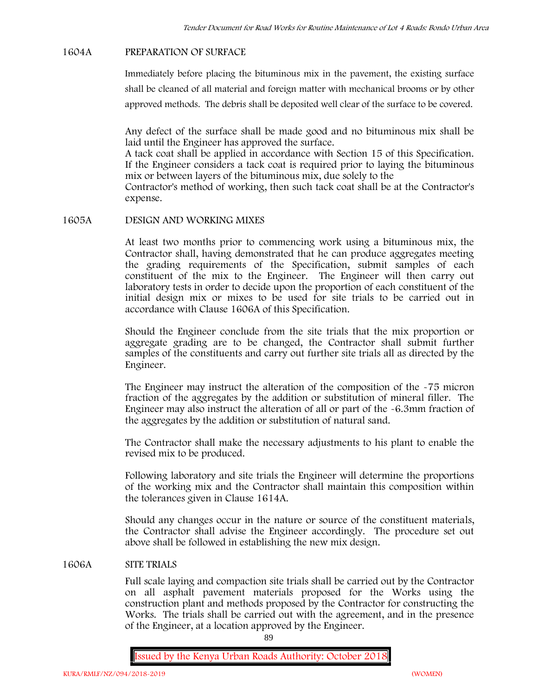#### **1604A PREPARATION OF SURFACE**

Immediately before placing the bituminous mix in the pavement, the existing surface shall be cleaned of all material and foreign matter with mechanical brooms or by other approved methods. The debris shall be deposited well clear of the surface to be covered.

Any defect of the surface shall be made good and no bituminous mix shall be laid until the Engineer has approved the surface.

A tack coat shall be applied in accordance with Section 15 of this Specification. If the Engineer considers a tack coat is required prior to laying the bituminous mix or between layers of the bituminous mix, due solely to the

Contractor's method of working, then such tack coat shall be at the Contractor's expense.

### **1605A DESIGN AND WORKING MIXES**

At least two months prior to commencing work using a bituminous mix, the Contractor shall, having demonstrated that he can produce aggregates meeting the grading requirements of the Specification, submit samples of each constituent of the mix to the Engineer. The Engineer will then carry out laboratory tests in order to decide upon the proportion of each constituent of the initial design mix or mixes to be used for site trials to be carried out in accordance with Clause 1606A of this Specification.

Should the Engineer conclude from the site trials that the mix proportion or aggregate grading are to be changed, the Contractor shall submit further samples of the constituents and carry out further site trials all as directed by the Engineer.

The Engineer may instruct the alteration of the composition of the -75 micron fraction of the aggregates by the addition or substitution of mineral filler. The Engineer may also instruct the alteration of all or part of the -6.3mm fraction of the aggregates by the addition or substitution of natural sand.

The Contractor shall make the necessary adjustments to his plant to enable the revised mix to be produced.

Following laboratory and site trials the Engineer will determine the proportions of the working mix and the Contractor shall maintain this composition within the tolerances given in Clause 1614A.

Should any changes occur in the nature or source of the constituent materials, the Contractor shall advise the Engineer accordingly. The procedure set out above shall be followed in establishing the new mix design.

## **1606A SITE TRIALS**

Full scale laying and compaction site trials shall be carried out by the Contractor on all asphalt pavement materials proposed for the Works using the construction plant and methods proposed by the Contractor for constructing the Works. The trials shall be carried out with the agreement, and in the presence of the Engineer, at a location approved by the Engineer.

89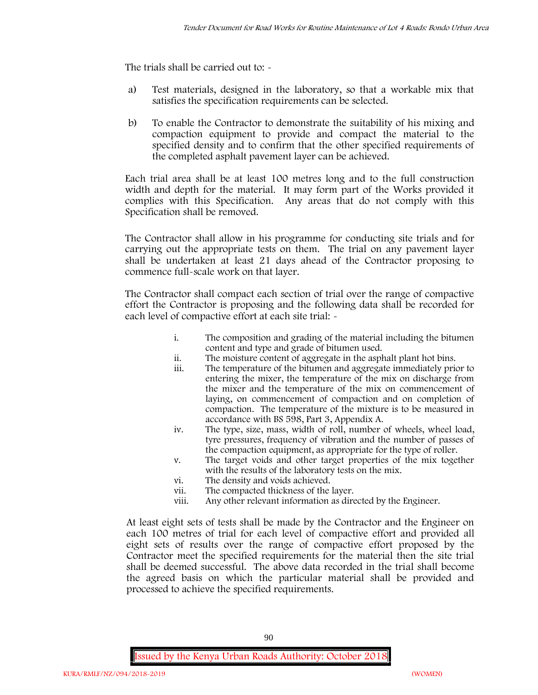The trials shall be carried out to:  $\sim$ 

- a) Test materials, designed in the laboratory, so that a workable mix that satisfies the specification requirements can be selected.
- b) To enable the Contractor to demonstrate the suitability of his mixing and compaction equipment to provide and compact the material to the specified density and to confirm that the other specified requirements of the completed asphalt pavement layer can be achieved.

Each trial area shall be at least 100 metres long and to the full construction width and depth for the material. It may form part of the Works provided it complies with this Specification. Any areas that do not comply with this Specification shall be removed.

The Contractor shall allow in his programme for conducting site trials and for carrying out the appropriate tests on them. The trial on any pavement layer shall be undertaken at least 21 days ahead of the Contractor proposing to commence full-scale work on that layer.

The Contractor shall compact each section of trial over the range of compactive effort the Contractor is proposing and the following data shall be recorded for each level of compactive effort at each site trial:  $\sim$ 

- i. The composition and grading of the material including the bitumen content and type and grade of bitumen used.
- ii. The moisture content of aggregate in the asphalt plant hot bins.
- iii. The temperature of the bitumen and aggregate immediately prior to entering the mixer, the temperature of the mix on discharge from the mixer and the temperature of the mix on commencement of laying, on commencement of compaction and on completion of compaction. The temperature of the mixture is to be measured in accordance with BS 598, Part 3, Appendix A.
- iv. The type, size, mass, width of roll, number of wheels, wheel load, tyre pressures, frequency of vibration and the number of passes of the compaction equipment, as appropriate for the type of roller.
- v. The target voids and other target properties of the mix together with the results of the laboratory tests on the mix.
- vi. The density and voids achieved.
- vii. The compacted thickness of the layer.
- viii. Any other relevant information as directed by the Engineer.

At least eight sets of tests shall be made by the Contractor and the Engineer on each 100 metres of trial for each level of compactive effort and provided all eight sets of results over the range of compactive effort proposed by the Contractor meet the specified requirements for the material then the site trial shall be deemed successful. The above data recorded in the trial shall become the agreed basis on which the particular material shall be provided and processed to achieve the specified requirements.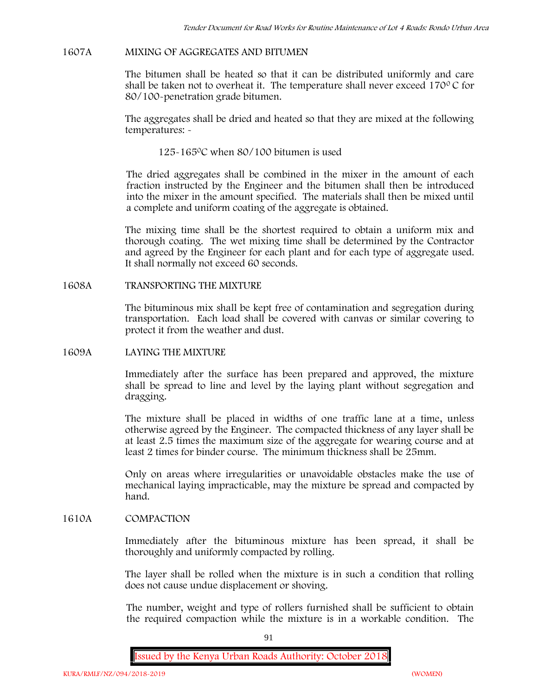#### **1607A MIXING OF AGGREGATES AND BITUMEN**

The bitumen shall be heated so that it can be distributed uniformly and care shall be taken not to overheat it. The temperature shall never exceed  $170^{\circ}$ C for 80/100-penetration grade bitumen.

The aggregates shall be dried and heated so that they are mixed at the following temperatures: -

125-1650C when 80/100 bitumen is used

The dried aggregates shall be combined in the mixer in the amount of each fraction instructed by the Engineer and the bitumen shall then be introduced into the mixer in the amount specified. The materials shall then be mixed until a complete and uniform coating of the aggregate is obtained.

The mixing time shall be the shortest required to obtain a uniform mix and thorough coating. The wet mixing time shall be determined by the Contractor and agreed by the Engineer for each plant and for each type of aggregate used. It shall normally not exceed 60 seconds.

**1608A TRANSPORTING THE MIXTURE**

The bituminous mix shall be kept free of contamination and segregation during transportation. Each load shall be covered with canvas or similar covering to protect it from the weather and dust.

### **1609A LAYING THE MIXTURE**

Immediately after the surface has been prepared and approved, the mixture shall be spread to line and level by the laying plant without segregation and dragging.

The mixture shall be placed in widths of one traffic lane at a time, unless otherwise agreed by the Engineer. The compacted thickness of any layer shall be at least 2.5 times the maximum size of the aggregate for wearing course and at least 2 times for binder course. The minimum thickness shall be 25mm.

Only on areas where irregularities or unavoidable obstacles make the use of mechanical laying impracticable, may the mixture be spread and compacted by hand.

## **1610A COMPACTION**

Immediately after the bituminous mixture has been spread, it shall be thoroughly and uniformly compacted by rolling.

The layer shall be rolled when the mixture is in such a condition that rolling does not cause undue displacement or shoving.

The number, weight and type of rollers furnished shall be sufficient to obtain the required compaction while the mixture is in a workable condition. The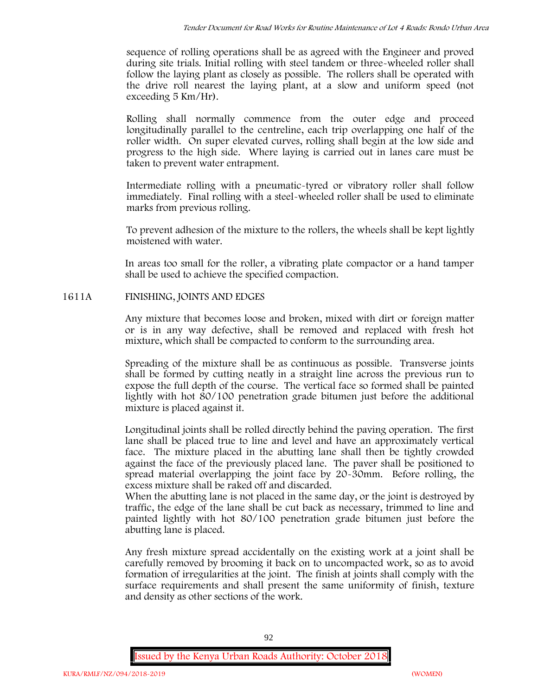sequence of rolling operations shall be as agreed with the Engineer and proved during site trials. Initial rolling with steel tandem or three-wheeled roller shall follow the laying plant as closely as possible. The rollers shall be operated with the drive roll nearest the laying plant, at a slow and uniform speed (not exceeding 5 Km/Hr).

Rolling shall normally commence from the outer edge and proceed longitudinally parallel to the centreline, each trip overlapping one half of the roller width. On super elevated curves, rolling shall begin at the low side and progress to the high side. Where laying is carried out in lanes care must be taken to prevent water entrapment.

Intermediate rolling with a pneumatic-tyred or vibratory roller shall follow immediately. Final rolling with a steel-wheeled roller shall be used to eliminate marks from previous rolling.

To prevent adhesion of the mixture to the rollers, the wheels shall be kept lightly moistened with water.

In areas too small for the roller, a vibrating plate compactor or a hand tamper shall be used to achieve the specified compaction.

# **1611A FINISHING, JOINTS AND EDGES**

Any mixture that becomes loose and broken, mixed with dirt or foreign matter or is in any way defective, shall be removed and replaced with fresh hot mixture, which shall be compacted to conform to the surrounding area.

Spreading of the mixture shall be as continuous as possible. Transverse joints shall be formed by cutting neatly in a straight line across the previous run to expose the full depth of the course. The vertical face so formed shall be painted lightly with hot 80/100 penetration grade bitumen just before the additional mixture is placed against it.

Longitudinal joints shall be rolled directly behind the paving operation. The first lane shall be placed true to line and level and have an approximately vertical face. The mixture placed in the abutting lane shall then be tightly crowded against the face of the previously placed lane. The paver shall be positioned to spread material overlapping the joint face by 20-30mm. Before rolling, the excess mixture shall be raked off and discarded.

When the abutting lane is not placed in the same day, or the joint is destroyed by traffic, the edge of the lane shall be cut back as necessary, trimmed to line and painted lightly with hot 80/100 penetration grade bitumen just before the abutting lane is placed.

Any fresh mixture spread accidentally on the existing work at a joint shall be carefully removed by brooming it back on to uncompacted work, so as to avoid formation of irregularities at the joint. The finish at joints shall comply with the surface requirements and shall present the same uniformity of finish, texture and density as other sections of the work.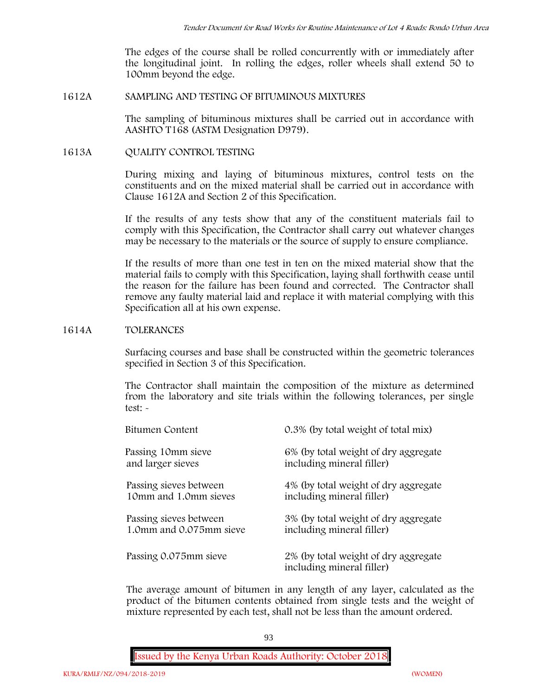The edges of the course shall be rolled concurrently with or immediately after the longitudinal joint. In rolling the edges, roller wheels shall extend 50 to 100mm beyond the edge.

## **1612A SAMPLING AND TESTING OF BITUMINOUS MIXTURES**

The sampling of bituminous mixtures shall be carried out in accordance with AASHTO T168 (ASTM Designation D979).

## **1613A QUALITY CONTROL TESTING**

During mixing and laying of bituminous mixtures, control tests on the constituents and on the mixed material shall be carried out in accordance with Clause 1612A and Section 2 of this Specification.

If the results of any tests show that any of the constituent materials fail to comply with this Specification, the Contractor shall carry out whatever changes may be necessary to the materials or the source of supply to ensure compliance.

If the results of more than one test in ten on the mixed material show that the material fails to comply with this Specification, laying shall forthwith cease until the reason for the failure has been found and corrected. The Contractor shall remove any faulty material laid and replace it with material complying with this Specification all at his own expense.

### **1614A TOLERANCES**

Surfacing courses and base shall be constructed within the geometric tolerances specified in Section 3 of this Specification.

The Contractor shall maintain the composition of the mixture as determined from the laboratory and site trials within the following tolerances, per single test: -

| Bitumen Content         | 0.3% (by total weight of total mix)                               |
|-------------------------|-------------------------------------------------------------------|
| Passing 10mm sieve      | 6% (by total weight of dry aggregate                              |
| and larger sieves       | including mineral filler)                                         |
| Passing sieves between  | 4% (by total weight of dry aggregate                              |
| 10mm and 1.0mm sieves   | including mineral filler)                                         |
| Passing sieves between  | 3% (by total weight of dry aggregate                              |
| 1.0mm and 0.075mm sieve | including mineral filler)                                         |
| Passing 0.075mm sieve   | 2% (by total weight of dry aggregate<br>including mineral filler) |

The average amount of bitumen in any length of any layer, calculated as the product of the bitumen contents obtained from single tests and the weight of mixture represented by each test, shall not be less than the amount ordered.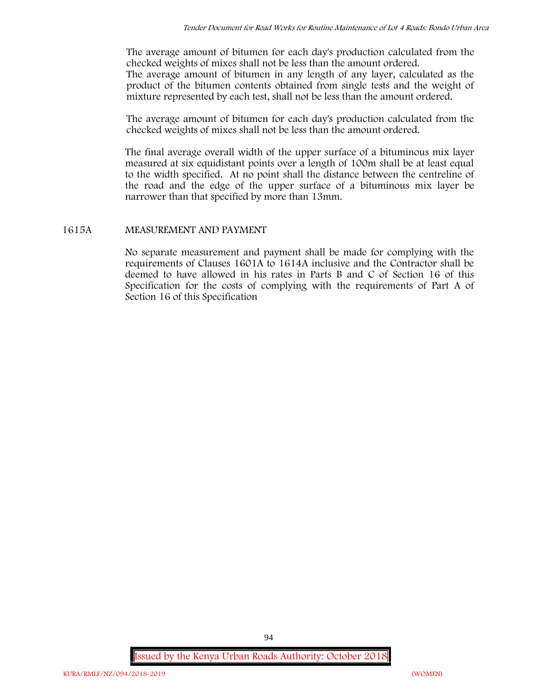The average amount of bitumen for each day's production calculated from the checked weights of mixes shall not be less than the amount ordered. The average amount of bitumen in any length of any layer, calculated as the product of the bitumen contents obtained from single tests and the weight of mixture represented by each test, shall not be less than the amount ordered.

The average amount of bitumen for each day's production calculated from the checked weights of mixes shall not be less than the amount ordered.

The final average overall width of the upper surface of a bituminous mix layer measured at six equidistant points over a length of 100m shall be at least equal to the width specified. At no point shall the distance between the centreline of the road and the edge of the upper surface of a bituminous mix layer be narrower than that specified by more than 13mm.

# **1615A MEASUREMENT AND PAYMENT**

No separate measurement and payment shall be made for complying with the requirements of Clauses 1601A to 1614A inclusive and the Contractor shall be deemed to have allowed in his rates in Parts B and C of Section 16 of this Specification for the costs of complying with the requirements of Part A of Section 16 of this Specification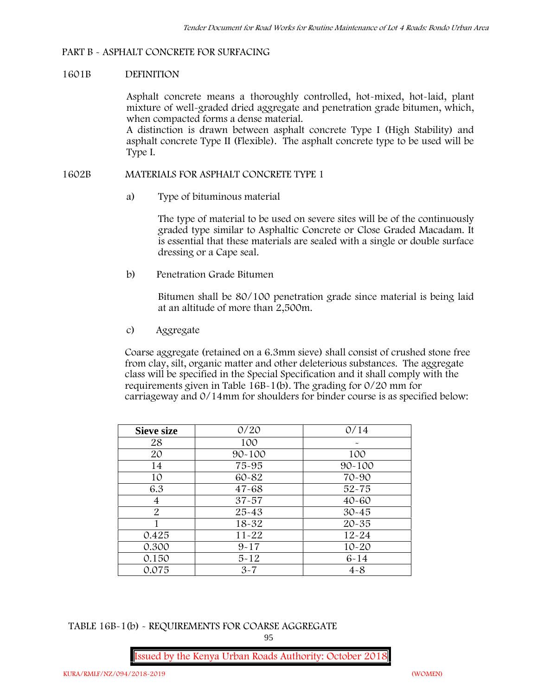#### **PART B - ASPHALT CONCRETE FOR SURFACING**

#### **1601B DEFINITION**

Asphalt concrete means a thoroughly controlled, hot-mixed, hot-laid, plant mixture of well-graded dried aggregate and penetration grade bitumen, which, when compacted forms a dense material.

A distinction is drawn between asphalt concrete Type I (High Stability) and asphalt concrete Type II (Flexible). The asphalt concrete type to be used will be Type I.

#### **1602B MATERIALS FOR ASPHALT CONCRETE TYPE 1**

a) **Type of bituminous material**

The type of material to be used on severe sites will be of the continuously graded type similar to Asphaltic Concrete or Close Graded Macadam. It is essential that these materials are sealed with a single or double surface dressing or a Cape seal.

b) **Penetration Grade Bitumen**

Bitumen shall be 80/100 penetration grade since material is being laid at an altitude of more than 2,500m.

c) **Aggregate**

Coarse aggregate (retained on a 6.3mm sieve) shall consist of crushed stone free from clay, silt, organic matter and other deleterious substances. The aggregate class will be specified in the Special Specification and it shall comply with the requirements given in Table 16B-1(b). The grading for 0/20 mm for carriageway and 0/14mm for shoulders for binder course is as specified below:

| <b>Sieve size</b> | 0/20       | 0/14       |
|-------------------|------------|------------|
| 28                | 100        |            |
| 20                | $90 - 100$ | 100        |
| 14                | 75-95      | $90 - 100$ |
| 10                | 60-82      | 70-90      |
| 6.3               | $47 - 68$  | $52 - 75$  |
| 4                 | $37 - 57$  | $40 - 60$  |
| $\overline{2}$    | 25-43      | $30 - 45$  |
|                   | 18-32      | $20 - 35$  |
| 0.425             | $11 - 22$  | $12 - 24$  |
| 0.300             | $9 - 17$   | $10 - 20$  |
| 0.150             | $5 - 12$   | $6 - 14$   |
| 0.075             | $3 - 7$    | $4 - 8$    |

**TABLE 16B-1(b) - REQUIREMENTS FOR COARSE AGGREGATE**

95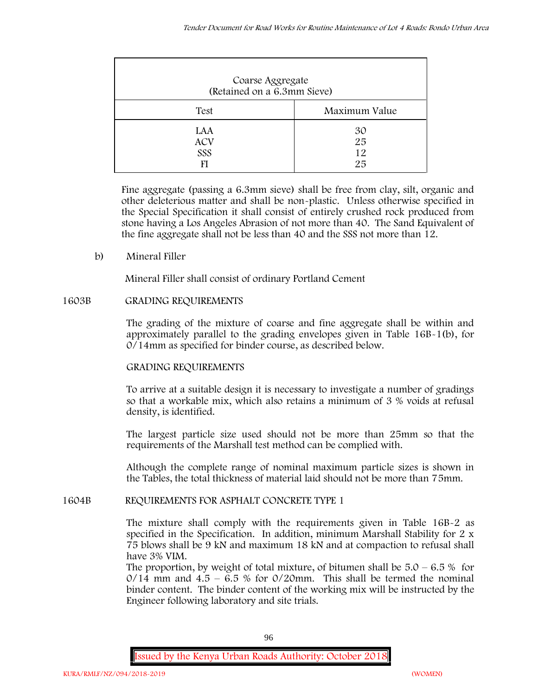| Coarse Aggregate<br>(Retained on a 6.3mm Sieve) |                      |
|-------------------------------------------------|----------------------|
| Test                                            | Maximum Value        |
| LAA<br><b>ACV</b><br>SSS                        | 30<br>25<br>12<br>25 |

Fine aggregate (passing a 6.3mm sieve) shall be free from clay, silt, organic and other deleterious matter and shall be non-plastic. Unless otherwise specified in the Special Specification it shall consist of entirely crushed rock produced from stone having a Los Angeles Abrasion of not more than 40. The Sand Equivalent of the fine aggregate shall not be less than 40 and the SSS not more than 12.

**b) Mineral Filler**

Mineral Filler shall consist of ordinary Portland Cement

# **1603B GRADING REQUIREMENTS**

The grading of the mixture of coarse and fine aggregate shall be within and approximately parallel to the grading envelopes given in Table 16B-1(b), for 0/14mm as specified for binder course, as described below.

# **GRADING REQUIREMENTS**

To arrive at a suitable design it is necessary to investigate a number of gradings so that a workable mix, which also retains a minimum of 3 % voids at refusal density, is identified.

The largest particle size used should not be more than 25mm so that the requirements of the Marshall test method can be complied with.

Although the complete range of nominal maximum particle sizes is shown in the Tables, the total thickness of material laid should not be more than 75mm.

**1604B REQUIREMENTS FOR ASPHALT CONCRETE TYPE 1**

The mixture shall comply with the requirements given in Table 16B-2 as specified in the Specification. In addition, minimum Marshall Stability for 2 x 75 blows shall be 9 kN and maximum 18 kN and at compaction to refusal shall have 3% VIM.

The proportion, by weight of total mixture, of bitumen shall be  $5.0 - 6.5\%$  for  $0/14$  mm and  $4.5 - 6.5$  % for  $0/20$ mm. This shall be termed the nominal binder content. The binder content of the working mix will be instructed by the Engineer following laboratory and site trials.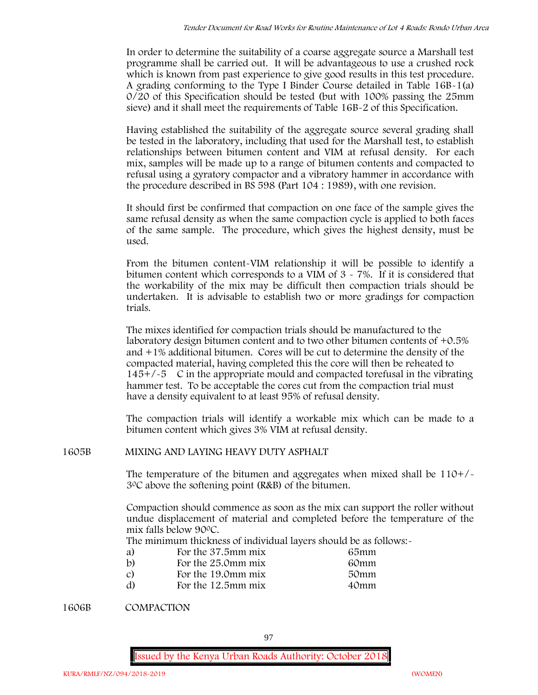In order to determine the suitability of a coarse aggregate source a Marshall test programme shall be carried out. It will be advantageous to use a crushed rock which is known from past experience to give good results in this test procedure. A grading conforming to the Type I Binder Course detailed in Table 16B-1(a) 0/20 of this Specification should be tested (but with 100% passing the 25mm sieve) and it shall meet the requirements of Table 16B-2 of this Specification.

Having established the suitability of the aggregate source several grading shall be tested in the laboratory, including that used for the Marshall test, to establish relationships between bitumen content and VIM at refusal density. For each mix, samples will be made up to a range of bitumen contents and compacted to refusal using a gyratory compactor and a vibratory hammer in accordance with the procedure described in BS 598 (Part 104 : 1989), with one revision.

It should first be confirmed that compaction on one face of the sample gives the same refusal density as when the same compaction cycle is applied to both faces of the same sample. The procedure, which gives the highest density, must be used.

From the bitumen content-VIM relationship it will be possible to identify a bitumen content which corresponds to a VIM of 3 - 7%. If it is considered that the workability of the mix may be difficult then compaction trials should be undertaken. It is advisable to establish two or more gradings for compaction trials.

The mixes identified for compaction trials should be manufactured to the laboratory design bitumen content and to two other bitumen contents of +0.5% and +1% additional bitumen. Cores will be cut to determine the density of the compacted material, having completed this the core will then be reheated to  $145+/5$  C in the appropriate mould and compacted torefusal in the vibrating hammer test. To be acceptable the cores cut from the compaction trial must have a density equivalent to at least 95% of refusal density.

The compaction trials will identify a workable mix which can be made to a bitumen content which gives 3% VIM at refusal density.

**1605B MIXING AND LAYING HEAVY DUTY ASPHALT**

The temperature of the bitumen and aggregates when mixed shall be  $110+/$ 30C above the softening point (R&B) of the bitumen.

Compaction should commence as soon as the mix can support the roller without undue displacement of material and completed before the temperature of the mix falls below 900C.

The minimum thickness of individual layers should be as follows:-

| a)            | For the 37.5mm mix | 65mm |  |
|---------------|--------------------|------|--|
| b)            | For the 25.0mm mix | 60mm |  |
| $\mathcal{C}$ | For the 19.0mm mix | 50mm |  |
| d)            | For the 12.5mm mix | 40mm |  |

**1606B COMPACTION**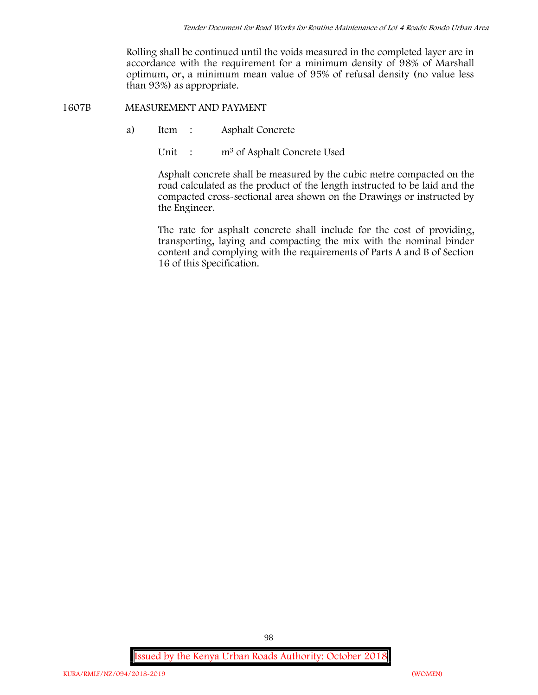Rolling shall be continued until the voids measured in the completed layer are in accordance with the requirement for a minimum density of 98% of Marshall optimum, or, a minimum mean value of 95% of refusal density (no value less than 93%) as appropriate.

**1607B MEASUREMENT AND PAYMENT**

- a) Item : Asphalt Concrete
	- Unit : m<sup>3</sup> of Asphalt Concrete Used

Asphalt concrete shall be measured by the cubic metre compacted on the road calculated as the product of the length instructed to be laid and the compacted cross-sectional area shown on the Drawings or instructed by the Engineer.

The rate for asphalt concrete shall include for the cost of providing, transporting, laying and compacting the mix with the nominal binder content and complying with the requirements of Parts A and B of Section 16 of this Specification.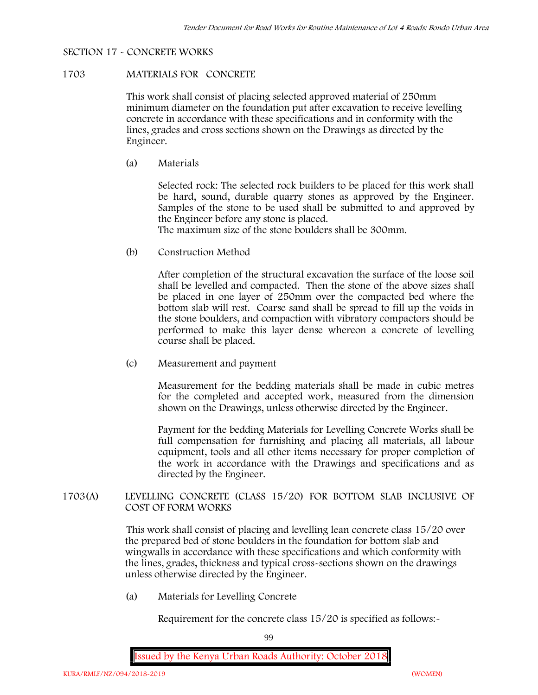## **SECTION 17 - CONCRETE WORKS**

## **1703 MATERIALS FOR CONCRETE**

This work shall consist of placing selected approved material of 250mm minimum diameter on the foundation put after excavation to receive levelling concrete in accordance with these specifications and in conformity with the lines, grades and cross sections shown on the Drawings as directed by the Engineer.

(a) **Materials**

Selected rock: The selected rock builders to be placed for this work shall be hard, sound, durable quarry stones as approved by the Engineer. Samples of the stone to be used shall be submitted to and approved by the Engineer before any stone is placed.

The maximum size of the stone boulders shall be 300mm.

(b) **Construction Method**

After completion of the structural excavation the surface of the loose soil shall be levelled and compacted. Then the stone of the above sizes shall be placed in one layer of 250mm over the compacted bed where the bottom slab will rest. Coarse sand shall be spread to fill up the voids in the stone boulders, and compaction with vibratory compactors should be performed to make this layer dense whereon a concrete of levelling course shall be placed.

(c) **Measurement and payment**

Measurement for the bedding materials shall be made in cubic metres for the completed and accepted work, measured from the dimension shown on the Drawings, unless otherwise directed by the Engineer.

Payment for the bedding Materials for Levelling Concrete Works shall be full compensation for furnishing and placing all materials, all labour equipment, tools and all other items necessary for proper completion of the work in accordance with the Drawings and specifications and as directed by the Engineer.

**1703(A) LEVELLING CONCRETE (CLASS 15/20) FOR BOTTOM SLAB INCLUSIVE OF COST OF FORM WORKS**

> This work shall consist of placing and levelling lean concrete class 15/20 over the prepared bed of stone boulders in the foundation for bottom slab and wingwalls in accordance with these specifications and which conformity with the lines, grades, thickness and typical cross-sections shown on the drawings unless otherwise directed by the Engineer.

(a) **Materials for Levelling Concrete**

Requirement for the concrete class  $15/20$  is specified as follows:-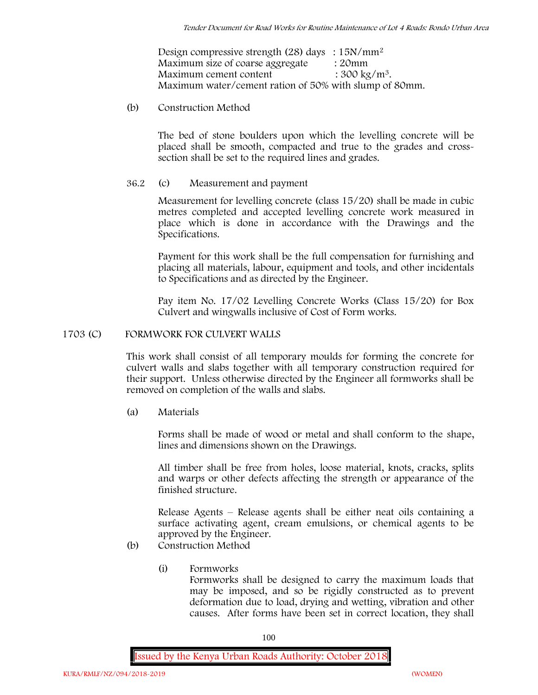Design compressive strength (28) days :  $15N/mm^2$ Maximum size of coarse aggregate : 20mm Maximum cement content  $: 300 \text{ kg/m}^3$ . Maximum water/cement ration of 50% with slump of 80mm.

(b) **Construction Method**

The bed of stone boulders upon which the levelling concrete will be placed shall be smooth, compacted and true to the grades and crosssection shall be set to the required lines and grades.

**36.2** (c) **Measurement and payment**

Measurement for levelling concrete (class 15/20) shall be made in cubic metres completed and accepted levelling concrete work measured in place which is done in accordance with the Drawings and the Specifications.

Payment for this work shall be the full compensation for furnishing and placing all materials, labour, equipment and tools, and other incidentals to Specifications and as directed by the Engineer.

Pay item No. 17/02 Levelling Concrete Works (Class 15/20) for Box Culvert and wingwalls inclusive of Cost of Form works.

### **1703 (C) FORMWORK FOR CULVERT WALLS**

This work shall consist of all temporary moulds for forming the concrete for culvert walls and slabs together with all temporary construction required for their support. Unless otherwise directed by the Engineer all formworks shall be removed on completion of the walls and slabs.

(a) **Materials**

Forms shall be made of wood or metal and shall conform to the shape, lines and dimensions shown on the Drawings.

All timber shall be free from holes, loose material, knots, cracks, splits and warps or other defects affecting the strength or appearance of the finished structure.

Release Agents – Release agents shall be either neat oils containing a surface activating agent, cream emulsions, or chemical agents to be approved by the Engineer.

- (b) **Construction Method**
	- (i) **Formworks** Formworks shall be designed to carry the maximum loads that may be imposed, and so be rigidly constructed as to prevent deformation due to load, drying and wetting, vibration and other causes. After forms have been set in correct location, they shall

100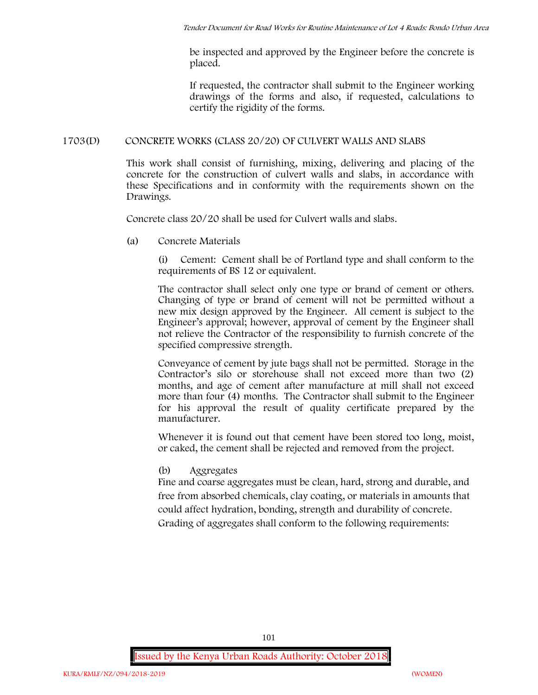be inspected and approved by the Engineer before the concrete is placed.

If requested, the contractor shall submit to the Engineer working drawings of the forms and also, if requested, calculations to certify the rigidity of the forms.

## **1703(D) CONCRETE WORKS (CLASS 20/20) OF CULVERT WALLS AND SLABS**

This work shall consist of furnishing, mixing, delivering and placing of the concrete for the construction of culvert walls and slabs, in accordance with these Specifications and in conformity with the requirements shown on the Drawings.

Concrete class 20/20 shall be used for Culvert walls and slabs.

**(a) Concrete Materials**

(i) Cement: Cement shall be of Portland type and shall conform to the requirements of BS 12 or equivalent.

The contractor shall select only one type or brand of cement or others. Changing of type or brand of cement will not be permitted without a new mix design approved by the Engineer. All cement is subject to the Engineer's approval; however, approval of cement by the Engineer shall not relieve the Contractor of the responsibility to furnish concrete of the specified compressive strength.

Conveyance of cement by jute bags shall not be permitted. Storage in the Contractor's silo or storehouse shall not exceed more than two (2) months, and age of cement after manufacture at mill shall not exceed more than four (4) months. The Contractor shall submit to the Engineer for his approval the result of quality certificate prepared by the manufacturer.

Whenever it is found out that cement have been stored too long, moist, or caked, the cement shall be rejected and removed from the project.

**(b) Aggregates**

Fine and coarse aggregates must be clean, hard, strong and durable, and free from absorbed chemicals, clay coating, or materials in amounts that could affect hydration, bonding, strength and durability of concrete. Grading of aggregates shall conform to the following requirements: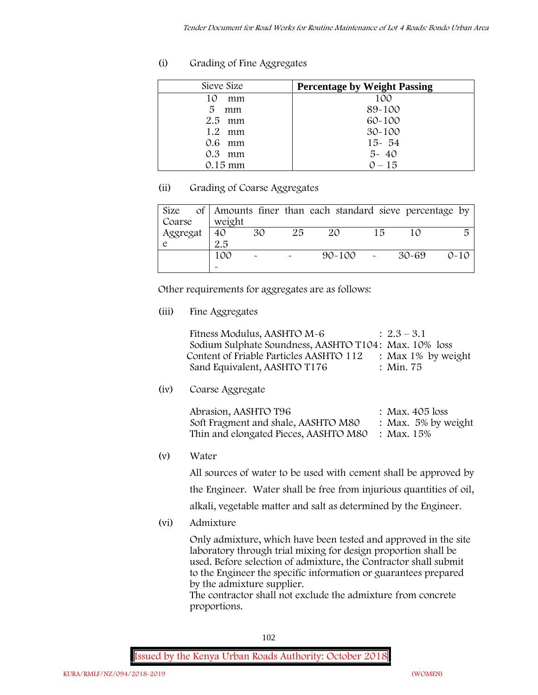## **(i) Grading of Fine Aggregates**

| Sieve Size        | <b>Percentage by Weight Passing</b> |
|-------------------|-------------------------------------|
| 10<br>mm          | 100                                 |
| 5<br>mm           | 89-100                              |
| $2.5$ mm          | 60-100                              |
| $1.2 \cdot mm$    | $30 - 100$                          |
| $0.6$ mm          | $15 - 54$                           |
| $0.3$ mm          | $5 - 40$                            |
| $0.15 \text{ mm}$ | $0 - 15$                            |

## **(ii) Grading of Coarse Aggregates**

| Size     |                       |                       |    | of Amounts finer than each standard sieve percentage by |    |       |          |
|----------|-----------------------|-----------------------|----|---------------------------------------------------------|----|-------|----------|
| Coarse   | weight                |                       |    |                                                         |    |       |          |
| Aggregat | 40                    | 30                    | 25 | 20                                                      | 15 |       | 局        |
|          | 2.5                   |                       |    |                                                         |    |       |          |
|          | 100                   | $\tilde{\phantom{a}}$ |    | $90 - 100$ -                                            |    | 30-69 | $0 - 10$ |
|          | $\tilde{\phantom{a}}$ |                       |    |                                                         |    |       |          |

Other requirements for aggregates are as follows:

**(iii) Fine Aggregates**

| Fitness Modulus, AASHTO M-6                           | $: 2.3 - 3.1$         |
|-------------------------------------------------------|-----------------------|
| Sodium Sulphate Soundness, AASHTO T104: Max. 10% loss |                       |
| Content of Friable Particles AASHTO 112               | : Max $1\%$ by weight |
| Sand Equivalent, AASHTO T176                          | : Min. 75             |

**(iv) Coarse Aggregate**

| Abrasion, AASHTO T96                             | : Max. $405$ loss      |
|--------------------------------------------------|------------------------|
| Soft Fragment and shale, AASHTO M80              | : Max. $5\%$ by weight |
| Thin and elongated Pieces, AASHTO M80 : Max. 15% |                        |

**(v) Water**

All sources of water to be used with cement shall be approved by the Engineer. Water shall be free from injurious quantities of oil, alkali, vegetable matter and salt as determined by the Engineer.

**(vi) Admixture**

Only admixture, which have been tested and approved in the site laboratory through trial mixing for design proportion shall be used. Before selection of admixture, the Contractor shall submit to the Engineer the specific information or guarantees prepared by the admixture supplier.

The contractor shall not exclude the admixture from concrete proportions.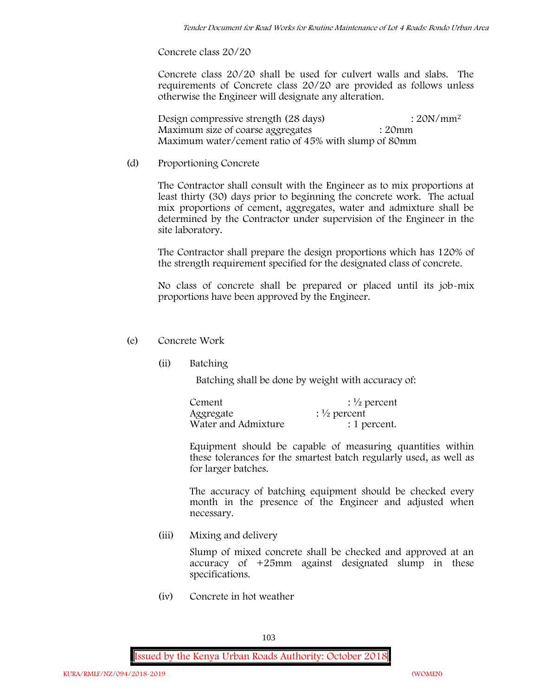**Concrete class 20/20**

Concrete class 20/20 shall be used for culvert walls and slabs. The requirements of Concrete class 20/20 are provided as follows unless otherwise the Engineer will designate any alteration.

Design compressive strength (28 days) : 20N/mm<sup>2</sup> Maximum size of coarse aggregates : 20mm Maximum water/cement ratio of 45% with slump of 80mm

(d) **Proportioning Concrete**

The Contractor shall consult with the Engineer as to mix proportions at least thirty (30) days prior to beginning the concrete work. The actual mix proportions of cement, aggregates, water and admixture shall be determined by the Contractor under supervision of the Engineer in the site laboratory.

The Contractor shall prepare the design proportions which has 120% of the strength requirement specified for the designated class of concrete.

No class of concrete shall be prepared or placed until its job-mix proportions have been approved by the Engineer.

## (e) **Concrete Work**

**(ii) Batching**

Batching shall be done by weight with accuracy of:

| Cement              | $\frac{1}{2}$ percent |
|---------------------|-----------------------|
| Aggregate           | $\frac{1}{2}$ percent |
| Water and Admixture | : 1 percent.          |

Equipment should be capable of measuring quantities within these tolerances for the smartest batch regularly used, as well as for larger batches.

The accuracy of batching equipment should be checked every month in the presence of the Engineer and adjusted when necessary.

**(iii) Mixing and delivery**

Slump of mixed concrete shall be checked and approved at an accuracy of +25mm against designated slump in these specifications.

**(iv) Concrete in hot weather**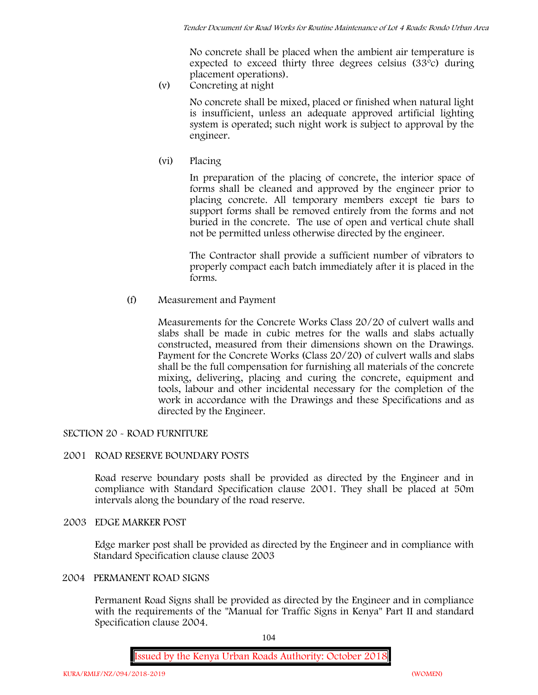No concrete shall be placed when the ambient air temperature is expected to exceed thirty three degrees celsius (33ºc) during placement operations).

**(v) Concreting at night**

No concrete shall be mixed, placed or finished when natural light is insufficient, unless an adequate approved artificial lighting system is operated; such night work is subject to approval by the engineer.

**(vi) Placing**

In preparation of the placing of concrete, the interior space of forms shall be cleaned and approved by the engineer prior to placing concrete. All temporary members except tie bars to support forms shall be removed entirely from the forms and not buried in the concrete. The use of open and vertical chute shall not be permitted unless otherwise directed by the engineer.

The Contractor shall provide a sufficient number of vibrators to properly compact each batch immediately after it is placed in the forms.

(f) **Measurement and Payment**

Measurements for the Concrete Works Class 20/20 of culvert walls and slabs shall be made in cubic metres for the walls and slabs actually constructed, measured from their dimensions shown on the Drawings. Payment for the Concrete Works (Class 20/20) of culvert walls and slabs shall be the full compensation for furnishing all materials of the concrete mixing, delivering, placing and curing the concrete, equipment and tools, labour and other incidental necessary for the completion of the work in accordance with the Drawings and these Specifications and as directed by the Engineer.

# **SECTION 20 - ROAD FURNITURE**

## **2001 ROAD RESERVE BOUNDARY POSTS**

Road reserve boundary posts shall be provided as directed by the Engineer and in compliance with Standard Specification clause 2001. They shall be placed at 50m intervals along the boundary of the road reserve.

## **2003 EDGE MARKER POST**

Edge marker post shall be provided as directed by the Engineer and in compliance with Standard Specification clause clause 2003

# **2004 PERMANENT ROAD SIGNS**

Permanent Road Signs shall be provided as directed by the Engineer and in compliance with the requirements of the "Manual for Traffic Signs in Kenya" Part II and standard Specification clause 2004.

104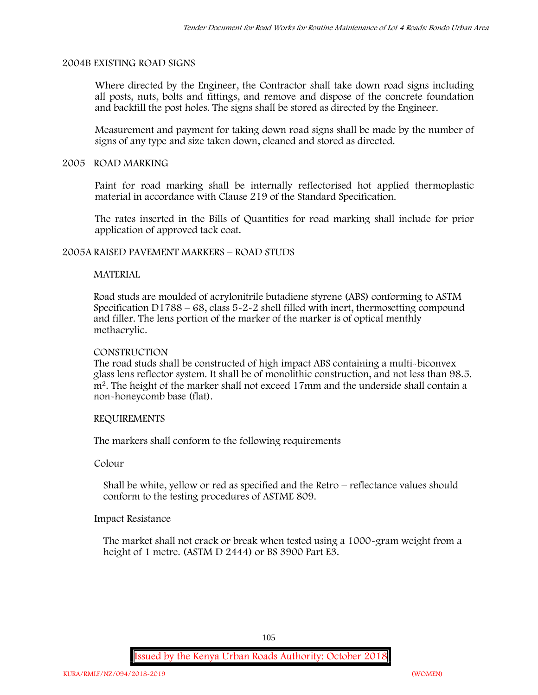## **2004B EXISTING ROAD SIGNS**

Where directed by the Engineer, the Contractor shall take down road signs including all posts, nuts, bolts and fittings, and remove and dispose of the concrete foundation and backfill the post holes. The signs shall be stored as directed by the Engineer.

Measurement and payment for taking down road signs shall be made by the number of signs of any type and size taken down, cleaned and stored as directed.

#### **2005 ROAD MARKING**

Paint for road marking shall be internally reflectorised hot applied thermoplastic material in accordance with Clause 219 of the Standard Specification.

The rates inserted in the Bills of Quantities for road marking shall include for prior application of approved tack coat.

## **2005A RAISED PAVEMENT MARKERS – ROAD STUDS**

## **MATERIAL**

Road studs are moulded of acrylonitrile butadiene styrene (ABS) conforming to ASTM Specification D1788 – 68, class  $5 - 2 - 2$  shell filled with inert, thermosetting compound and filler. The lens portion of the marker of the marker is of optical menthly methacrylic.

#### **CONSTRUCTION**

The road studs shall be constructed of high impact ABS containing a multi-biconvex glass lens reflector system. It shall be of monolithic construction, and not less than 98.5. m2. The height of the marker shall not exceed 17mm and the underside shall contain a non-honeycomb base (flat).

#### **REQUIREMENTS**

The markers shall conform to the following requirements

**Colour**

Shall be white, yellow or red as specified and the Retro – reflectance values should conform to the testing procedures of ASTME 809.

## **Impact Resistance**

The market shall not crack or break when tested using a 1000**-**gram weight from a height of 1 metre. (ASTM D 2444) or BS 3900 Part E3.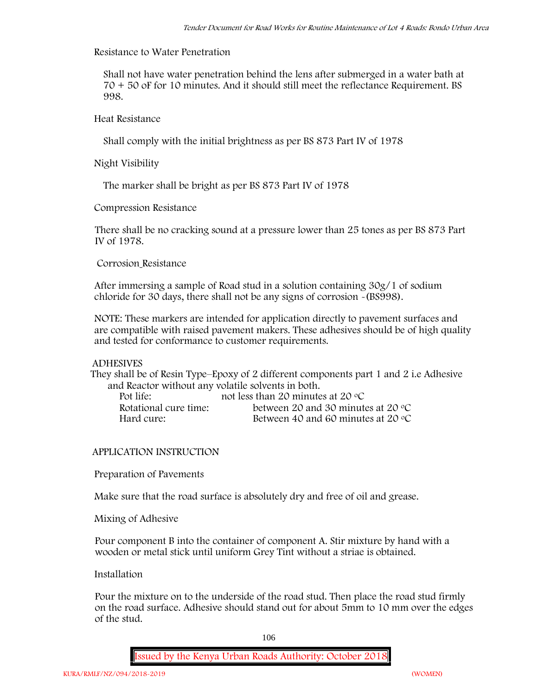# **Resistance to Water Penetration**

Shall not have water penetration behind the lens after submerged in a water bath at 70 + 50 oF for 10 minutes. And it should still meet the reflectance Requirement. BS 998.

**Heat Resistance**

Shall comply with the initial brightness as per BS 873 Part IV of 1978

**Night Visibility**

The marker shall be bright as per BS 873 Part IV of 1978

**Compression Resistance**

There shall be no cracking sound at a pressure lower than 25 tones as per BS 873 Part IV of 1978.

**Corrosion Resistance**

After immersing a sample of Road stud in a solution containing 30g/1 of sodium chloride for 30 days, there shall not be any signs of corrosion **-**(BS998).

**NOTE**: These markers are intended for application directly to pavement surfaces and are compatible with raised pavement makers. These adhesives should be of high quality and tested for conformance to customer requirements.

## **ADHESIVES**

They shall be of Resin Type–Epoxy of 2 different components part 1 and 2 i.e Adhesive and Reactor without any volatile solvents in both.

| Pot life:             | not less than 20 minutes at 20 $\degree$ C  |
|-----------------------|---------------------------------------------|
| Rotational cure time: | between 20 and 30 minutes at 20 $\degree$ C |
| Hard cure:            | Between 40 and 60 minutes at 20 $\degree$ C |

# **APPLICATION INSTRUCTION**

**Preparation of Pavements**

Make sure that the road surface is absolutely dry and free of oil and grease**.**

**Mixing of Adhesive**

Pour component B into the container of component A. Stir mixture by hand with a wooden or metal stick until uniform Grey Tint without a striae is obtained.

**Installation**

Pour the mixture on to the underside of the road stud. Then place the road stud firmly on the road surface. Adhesive should stand out for about 5mm to 10 mm over the edges of the stud.

106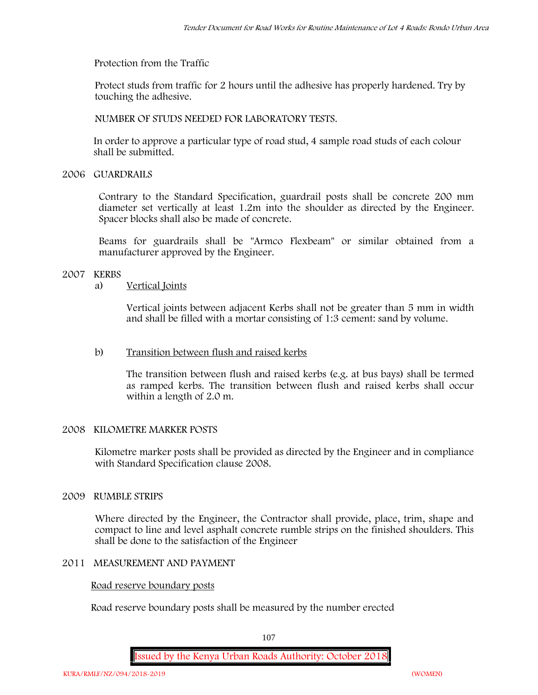**Protection from the Traffic**

Protect studs from traffic for 2 hours until the adhesive has properly hardened. Try by touching the adhesive.

**NUMBER OF STUDS NEEDED FOR LABORATORY TESTS.**

In order to approve a particular type of road stud, 4 sample road studs of each colour shall be submitted.

**2006 GUARDRAILS**

Contrary to the Standard Specification, guardrail posts shall be concrete 200 mm diameter set vertically at least 1.2m into the shoulder as directed by the Engineer. Spacer blocks shall also be made of concrete.

Beams for guardrails shall be "Armco Flexbeam" or similar obtained from a manufacturer approved by the Engineer.

# **2007 KERBS**

# a) **Vertical Joints**

Vertical joints between adjacent Kerbs shall not be greater than 5 mm in width and shall be filled with a mortar consisting of 1:3 cement: sand by volume.

# b) **Transition between flush and raised kerbs**

The transition between flush and raised kerbs (e.g. at bus bays) shall be termed as ramped kerbs. The transition between flush and raised kerbs shall occur within a length of 2.0 m.

# **2008 KILOMETRE MARKER POSTS**

Kilometre marker posts shall be provided as directed by the Engineer and in compliance with Standard Specification clause 2008.

# **2009 RUMBLE STRIPS**

Where directed by the Engineer, the Contractor shall provide, place, trim, shape and compact to line and level asphalt concrete rumble strips on the finished shoulders. This shall be done to the satisfaction of the Engineer

## **2011 MEASUREMENT AND PAYMENT**

## **Road reserve boundary posts**

Road reserve boundary posts shall be measured by the number erected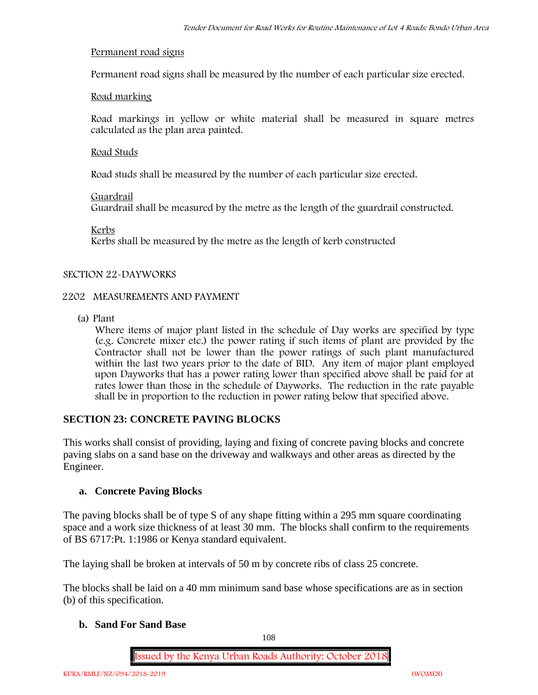### **Permanent road signs**

Permanent road signs shall be measured by the number of each particular size erected.

### **Road marking**

Road markings in yellow or white material shall be measured in square metres calculated as the plan area painted.

### **Road Studs**

Road studs shall be measured by the number of each particular size erected.

### **Guardrail**

Guardrail shall be measured by the metre as the length of the guardrail constructed.

**Kerbs**

Kerbs shall be measured by the metre as the length of kerb constructed

### **SECTION 22-DAYWORKS**

### **2202 MEASUREMENTS AND PAYMENT**

(a) Plant

Where items of major plant listed in the schedule of Day works are specified by type (e.g. Concrete mixer etc.) the power rating if such items of plant are provided by the Contractor shall not be lower than the power ratings of such plant manufactured within the last two years prior to the date of BID. Any item of major plant employed upon Dayworks that has a power rating lower than specified above shall be paid for at rates lower than those in the schedule of Dayworks. The reduction in the rate payable shall be in proportion to the reduction in power rating below that specified above.

### **SECTION 23: CONCRETE PAVING BLOCKS**

This works shall consist of providing, laying and fixing of concrete paving blocks and concrete paving slabs on a sand base on the driveway and walkways and other areas as directed by the Engineer.

### **a. Concrete Paving Blocks**

The paving blocks shall be of type S of any shape fitting within a 295 mm square coordinating space and a work size thickness of at least 30 mm. The blocks shall confirm to the requirements of BS 6717:Pt. 1:1986 or Kenya standard equivalent.

The laying shall be broken at intervals of 50 m by concrete ribs of class 25 concrete.

The blocks shall be laid on a 40 mm minimum sand base whose specifications are as in section (b) of this specification.

### **b. Sand For Sand Base**

108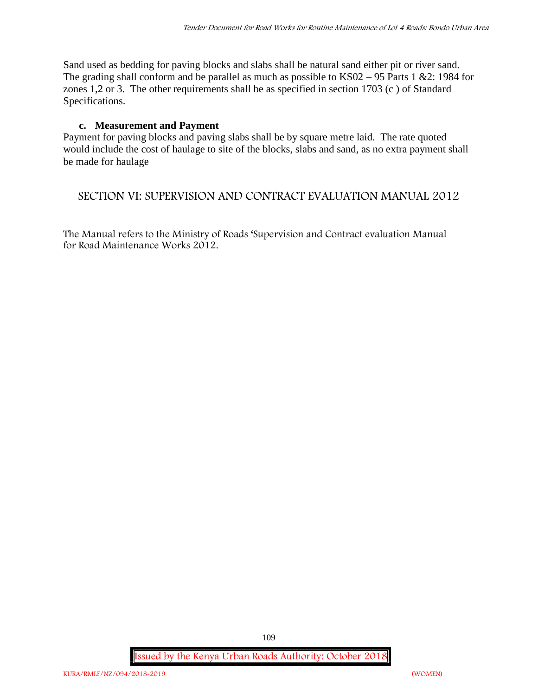Sand used as bedding for paving blocks and slabs shall be natural sand either pit or river sand. The grading shall conform and be parallel as much as possible to KS02 – 95 Parts 1 &2: 1984 for zones 1,2 or 3. The other requirements shall be as specified in section 1703 (c ) of Standard Specifications.

### **c. Measurement and Payment**

Payment for paving blocks and paving slabs shall be by square metre laid. The rate quoted would include the cost of haulage to site of the blocks, slabs and sand, as no extra payment shall be made for haulage

## **SECTION VI: SUPERVISION AND CONTRACT EVALUATION MANUAL 2012**

The Manual refers to the Ministry of Roads 'Supervision and Contract evaluation Manual for Road Maintenance Works 2012.

**Issued by the Kenya Urban Roads Authority: October 2018**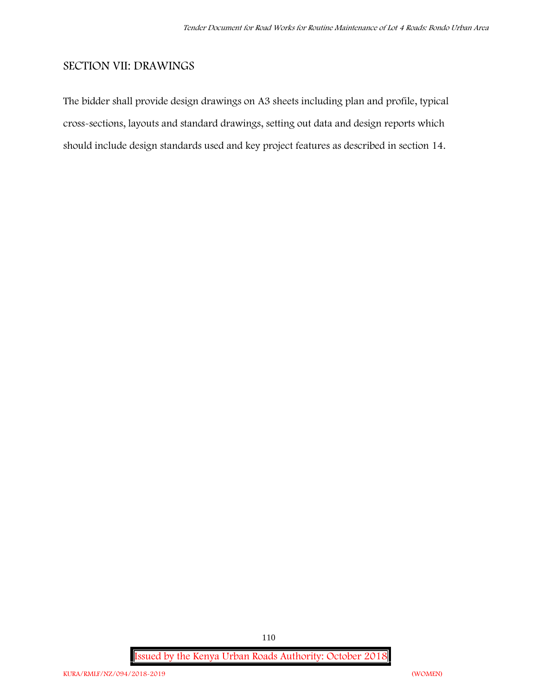# **SECTION VII: DRAWINGS**

The bidder shall provide design drawings on A3 sheets including plan and profile, typical cross-sections, layouts and standard drawings, setting out data and design reports which should include design standards used and key project features as described in section 14.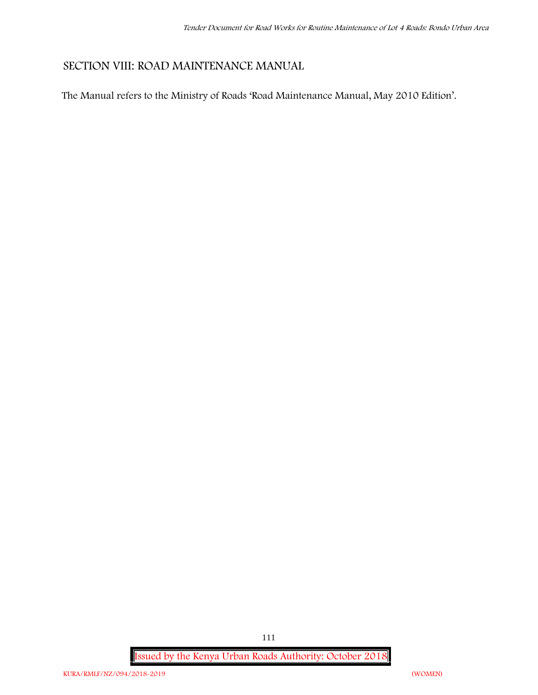# **SECTION VIII: ROAD MAINTENANCE MANUAL**

The Manual refers to the Ministry of Roads 'Road Maintenance Manual, May 2010 Edition'.

**Issued by the Kenya Urban Roads Authority: October 2018**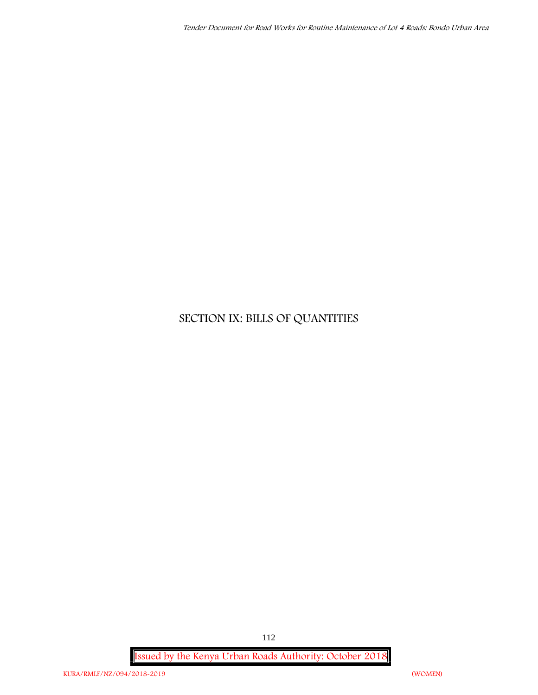# **SECTION IX: BILLS OF QUANTITIES**

**Issued by the Kenya Urban Roads Authority: October 2018**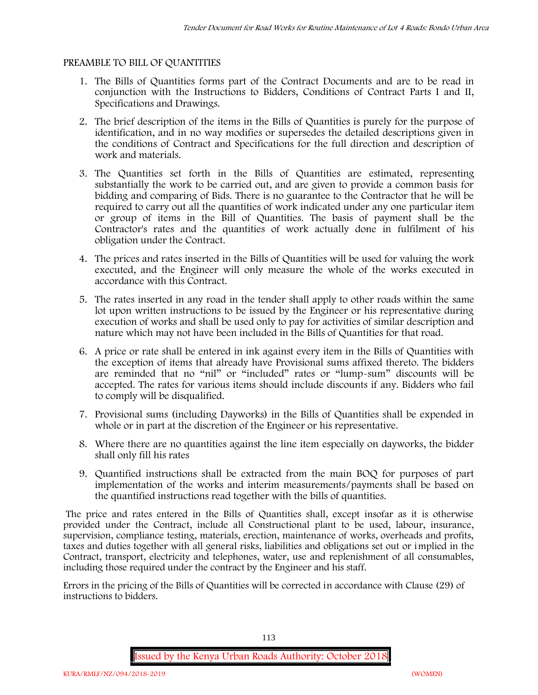### **PREAMBLE TO BILL OF QUANTITIES**

- 1. The Bills of Quantities forms part of the Contract Documents and are to be read in conjunction with the Instructions to Bidders, Conditions of Contract Parts I and II, Specifications and Drawings.
- 2. The brief description of the items in the Bills of Quantities is purely for the purpose of identification, and in no way modifies or supersedes the detailed descriptions given in the conditions of Contract and Specifications for the full direction and description of work and materials.
- 3. The Quantities set forth in the Bills of Quantities are estimated, representing substantially the work to be carried out, and are given to provide a common basis for bidding and comparing of Bids. There is no guarantee to the Contractor that he will be required to carry out all the quantities of work indicated under any one particular item or group of items in the Bill of Quantities. The basis of payment shall be the Contractor's rates and the quantities of work actually done in fulfilment of his obligation under the Contract.
- 4. The prices and rates inserted in the Bills of Quantities will be used for valuing the work executed, and the Engineer will only measure the whole of the works executed in accordance with this Contract.
- 5. The rates inserted in any road in the tender shall apply to other roads within the same lot upon written instructions to be issued by the Engineer or his representative during execution of works and shall be used only to pay for activities of similar description and nature which may not have been included in the Bills of Quantities for that road.
- 6. A price or rate shall be entered in ink against every item in the Bills of Quantities with the exception of items that already have Provisional sums affixed thereto. The bidders are reminded that no "nil" or "included" rates or "lump-sum" discounts will be accepted. The rates for various items should include discounts if any. Bidders who fail to comply will be disqualified.
- 7. Provisional sums (including Dayworks) in the Bills of Quantities shall be expended in whole or in part at the discretion of the Engineer or his representative.
- 8. Where there are no quantities against the line item especially on dayworks, the bidder shall only fill his rates
- 9. Quantified instructions shall be extracted from the main BOQ for purposes of part implementation of the works and interim measurements/payments shall be based on the quantified instructions read together with the bills of quantities.

The price and rates entered in the Bills of Quantities shall, except insofar as it is otherwise provided under the Contract, include all Constructional plant to be used, labour, insurance, supervision, compliance testing, materials, erection, maintenance of works, overheads and profits, taxes and duties together with all general risks, liabilities and obligations set out or implied in the Contract, transport, electricity and telephones, water, use and replenishment of all consumables, including those required under the contract by the Engineer and his staff.

Errors in the pricing of the Bills of Quantities will be corrected in accordance with Clause (29) of instructions to bidders.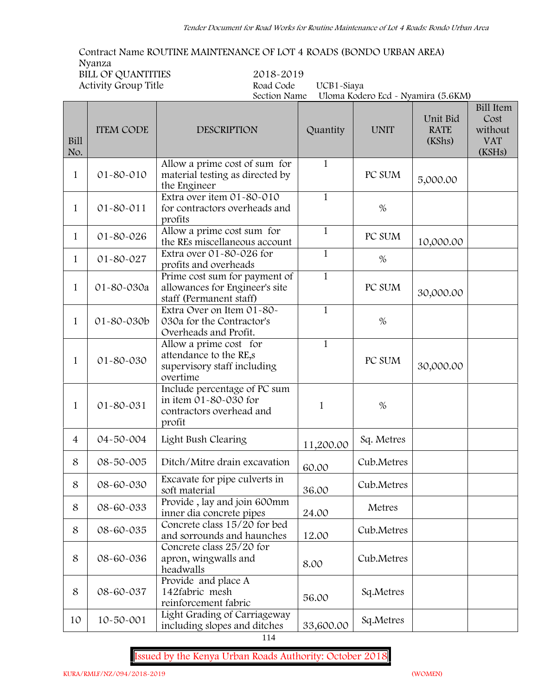**Contract Name ROUTINE MAINTENANCE OF LOT 4 ROADS (BONDO URBAN AREA) Nyanza BILL OF QUANTITIES 2018-2019**

 $\overline{\phantom{0}}$ 

 $\Box$ 

**Activity Group Title Road Code UCB1-Siaya**

**Section Name Uloma Kodero Ecd - Nyamira (5.6KM)**

| Bill<br>No.    | <b>ITEM CODE</b> | <b>DESCRIPTION</b>                                                                          | Quantity     | <b>UNIT</b> | Unit Bid<br><b>RATE</b><br>(KShs) | <b>Bill Item</b><br>Cost<br>without<br><b>VAT</b><br>(KSHs) |
|----------------|------------------|---------------------------------------------------------------------------------------------|--------------|-------------|-----------------------------------|-------------------------------------------------------------|
| 1              | 01-80-010        | Allow a prime cost of sum for<br>material testing as directed by<br>the Engineer            | $\mathbf{1}$ | PC SUM      | 5,000.00                          |                                                             |
| 1              | 01-80-011        | Extra over item 01-80-010<br>for contractors overheads and<br>profits                       | $\mathbf{1}$ | $\%$        |                                   |                                                             |
| $\mathbf{1}$   | $01 - 80 - 026$  | Allow a prime cost sum for<br>the REs miscellaneous account                                 | $\mathbf{1}$ | PC SUM      | 10,000.00                         |                                                             |
| $\mathbf{1}$   | 01-80-027        | Extra over 01-80-026 for<br>profits and overheads                                           | $\mathbf{1}$ | $\%$        |                                   |                                                             |
| $\mathbf{1}$   | 01-80-030a       | Prime cost sum for payment of<br>allowances for Engineer's site<br>staff (Permanent staff)  | $\mathbf{1}$ | PC SUM      | 30,000.00                         |                                                             |
| 1              | 01-80-030b       | Extra Over on Item 01-80-<br>030a for the Contractor's<br>Overheads and Profit.             | $\mathbf{1}$ | $\%$        |                                   |                                                             |
| 1              | 01-80-030        | Allow a prime cost for<br>attendance to the RE,s<br>supervisory staff including<br>overtime | $\mathbf{1}$ | PC SUM      | 30,000.00                         |                                                             |
| 1              | 01-80-031        | Include percentage of PC sum<br>in item 01-80-030 for<br>contractors overhead and<br>profit | $\mathbf{1}$ | $\%$        |                                   |                                                             |
| $\overline{4}$ | 04-50-004        | Light Bush Clearing                                                                         | 11,200.00    | Sq. Metres  |                                   |                                                             |
| 8              | 08-50-005        | Ditch/Mitre drain excavation                                                                | 60.00        | Cub.Metres  |                                   |                                                             |
| 8              | 08-60-030        | Excavate for pipe culverts in<br>soft material                                              | 36.00        | Cub.Metres  |                                   |                                                             |
| 8              | 08-60-033        | Provide, lay and join 600mm<br>inner dia concrete pipes                                     | 24.00        | Metres      |                                   |                                                             |
| 8              | 08-60-035        | Concrete class 15/20 for bed<br>and sorrounds and haunches                                  | 12.00        | Cub.Metres  |                                   |                                                             |
| 8              | 08-60-036        | Concrete class 25/20 for<br>apron, wingwalls and<br>headwalls                               | 8.00         | Cub.Metres  |                                   |                                                             |
| $\,8\,$        | 08-60-037        | Provide and place A<br>142fabric mesh<br>reinforcement fabric                               | 56.00        | Sq.Metres   |                                   |                                                             |
| 10             | 10-50-001        | Light Grading of Carriageway<br>including slopes and ditches                                | 33,600.00    | Sq.Metres   |                                   |                                                             |

114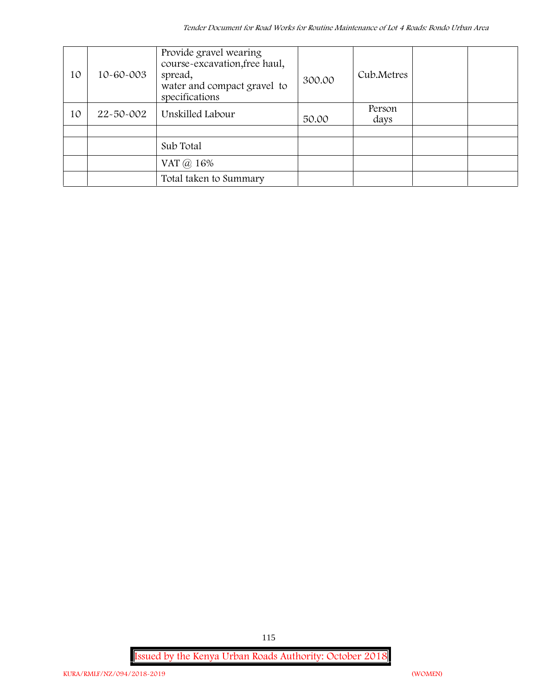| 10 | 10-60-003 | Provide gravel wearing<br>course-excavation, free haul,<br>spread,<br>water and compact gravel to<br>specifications | 300.00 | Cub.Metres     |  |
|----|-----------|---------------------------------------------------------------------------------------------------------------------|--------|----------------|--|
| 10 | 22-50-002 | Unskilled Labour                                                                                                    | 50.00  | Person<br>days |  |
|    |           |                                                                                                                     |        |                |  |
|    |           | Sub Total                                                                                                           |        |                |  |
|    |           | VAT @ 16%                                                                                                           |        |                |  |
|    |           | Total taken to Summary                                                                                              |        |                |  |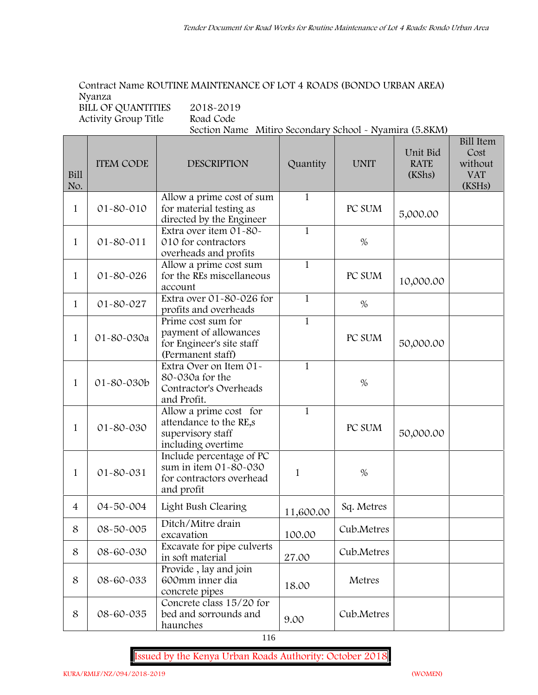#### **Contract Name ROUTINE MAINTENANCE OF LOT 4 ROADS (BONDO URBAN AREA) Nyanza BILL OF QUANTITIES 2018-2019**

**Activity Group Title Road Code**

**Section Name Mitiro Secondary School - Nyamira (5.8KM)**

| Bill<br>No.    | <b>ITEM CODE</b> | <b>DESCRIPTION</b>                                                                            | Quantity     | <b>UNIT</b> | Unit Bid<br><b>RATE</b><br>(KShs) | <b>Bill Item</b><br>Cost<br>without<br><b>VAT</b><br>(KSHs) |
|----------------|------------------|-----------------------------------------------------------------------------------------------|--------------|-------------|-----------------------------------|-------------------------------------------------------------|
| $\mathbf{1}$   | 01-80-010        | Allow a prime cost of sum<br>for material testing as<br>directed by the Engineer              | $\mathbf{1}$ | PC SUM      | 5,000.00                          |                                                             |
| 1              | $01 - 80 - 011$  | Extra over item 01-80-<br>010 for contractors<br>overheads and profits                        | $\mathbf{1}$ | $\%$        |                                   |                                                             |
| 1              | 01-80-026        | Allow a prime cost sum<br>for the REs miscellaneous<br>account                                | $\mathbf{1}$ | PC SUM      | 10,000.00                         |                                                             |
| $\mathbf{1}$   | 01-80-027        | Extra over 01-80-026 for<br>profits and overheads                                             | $\mathbf{1}$ | $\%$        |                                   |                                                             |
| $\mathbf{1}$   | 01-80-030a       | Prime cost sum for<br>payment of allowances<br>for Engineer's site staff<br>(Permanent staff) | $\mathbf{1}$ | PC SUM      | 50,000.00                         |                                                             |
| $\mathbf{1}$   | 01-80-030b       | Extra Over on Item 01-<br>80-030a for the<br>Contractor's Overheads<br>and Profit.            | $\mathbf{1}$ | $\%$        |                                   |                                                             |
| $\mathbf{1}$   | 01-80-030        | Allow a prime cost for<br>attendance to the RE,s<br>supervisory staff<br>including overtime   | $\mathbf{1}$ | PC SUM      | 50,000.00                         |                                                             |
| $\mathbf{1}$   | 01-80-031        | Include percentage of PC<br>sum in item 01-80-030<br>for contractors overhead<br>and profit   | $\mathbf{1}$ | $\%$        |                                   |                                                             |
| $\overline{4}$ | 04-50-004        | Light Bush Clearing                                                                           | 11,600.00    | Sq. Metres  |                                   |                                                             |
| 8              | 08-50-005        | Ditch/Mitre drain<br>excavation                                                               | 100.00       | Cub.Metres  |                                   |                                                             |
| 8              | 08-60-030        | Excavate for pipe culverts<br>in soft material                                                | 27.00        | Cub.Metres  |                                   |                                                             |
| 8              | 08-60-033        | Provide, lay and join<br>600mm inner dia<br>concrete pipes                                    | 18.00        | Metres      |                                   |                                                             |
| 8              | 08-60-035        | Concrete class 15/20 for<br>bed and sorrounds and<br>haunches                                 | 9.00         | Cub.Metres  |                                   |                                                             |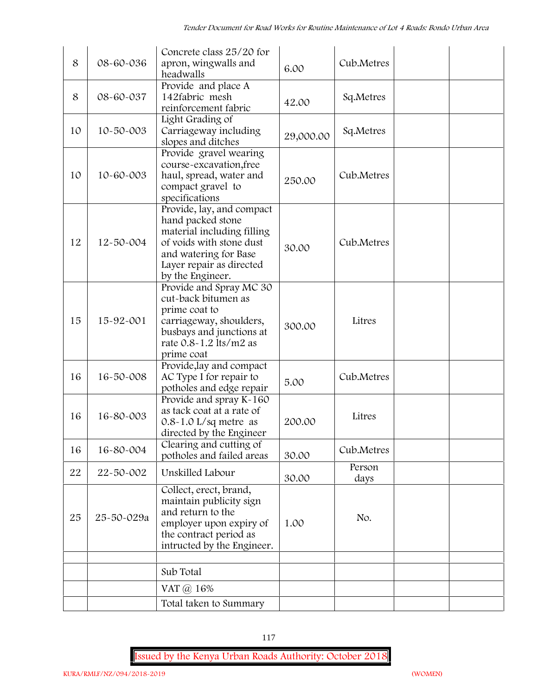| 8  | 08-60-036  | Concrete class 25/20 for<br>apron, wingwalls and<br>headwalls                                                                                                                     | 6.00      | Cub.Metres     |  |
|----|------------|-----------------------------------------------------------------------------------------------------------------------------------------------------------------------------------|-----------|----------------|--|
| 8  | 08-60-037  | Provide and place A<br>142fabric mesh<br>reinforcement fabric                                                                                                                     | 42.00     | Sq.Metres      |  |
| 10 | 10-50-003  | Light Grading of<br>Carriageway including<br>slopes and ditches                                                                                                                   | 29,000.00 | Sq.Metres      |  |
| 10 | 10-60-003  | Provide gravel wearing<br>course-excavation, free<br>haul, spread, water and<br>compact gravel to<br>specifications                                                               | 250.00    | Cub.Metres     |  |
| 12 | 12-50-004  | Provide, lay, and compact<br>hand packed stone<br>material including filling<br>of voids with stone dust<br>and watering for Base<br>Layer repair as directed<br>by the Engineer. | 30.00     | Cub.Metres     |  |
| 15 | 15-92-001  | Provide and Spray MC 30<br>cut-back bitumen as<br>prime coat to<br>carriageway, shoulders,<br>busbays and junctions at<br>rate 0.8-1.2 lts/m2 as                                  | 300.00    | Litres         |  |
| 16 | 16-50-008  | prime coat<br>Provide, lay and compact<br>AC Type I for repair to<br>potholes and edge repair                                                                                     | 5.00      | Cub.Metres     |  |
| 16 | 16-80-003  | Provide and spray K-160<br>as tack coat at a rate of<br>$0.8 - 1.0$ L/sq metre as<br>directed by the Engineer                                                                     | 200.00    | Litres         |  |
| 16 | 16-80-004  | Clearing and cutting of<br>potholes and failed areas                                                                                                                              | 30.00     | Cub.Metres     |  |
| 22 | 22-50-002  | Unskilled Labour                                                                                                                                                                  | 30.00     | Person<br>days |  |
| 25 | 25-50-029a | Collect, erect, brand,<br>maintain publicity sign<br>and return to the<br>employer upon expiry of<br>the contract period as<br>intructed by the Engineer.                         | 1.00      | No.            |  |
|    |            | Sub Total<br>VAT @ 16%                                                                                                                                                            |           |                |  |
|    |            | Total taken to Summary                                                                                                                                                            |           |                |  |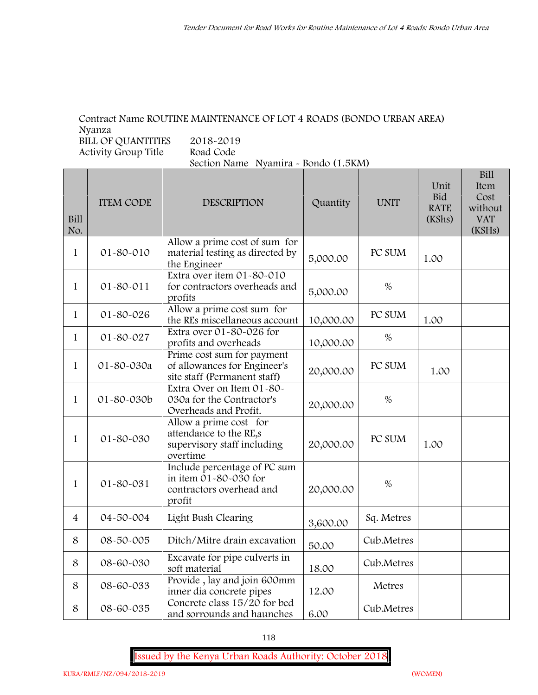## **Contract Name ROUTINE MAINTENANCE OF LOT 4 ROADS (BONDO URBAN AREA) Nyanza**

**BILL OF QUANTITIES** 2018-2019<br>Activity Group Title Road Code **Activity Group Title** 

**Section Name Nyamira - Bondo (1.5KM)**

| Bill<br>No.    | <b>ITEM CODE</b> | <b>DESCRIPTION</b>                                                                          | Quantity  | <b>UNIT</b> | Unit<br>Bid<br><b>RATE</b><br>(KShs) | DIII<br>Item<br>Cost<br>without<br><b>VAT</b><br>(KSHs) |
|----------------|------------------|---------------------------------------------------------------------------------------------|-----------|-------------|--------------------------------------|---------------------------------------------------------|
| $\mathbf{1}$   | 01-80-010        | Allow a prime cost of sum for<br>material testing as directed by<br>the Engineer            | 5,000.00  | PC SUM      | 1.00                                 |                                                         |
| $\mathbf{1}$   | $01 - 80 - 011$  | Extra over item 01-80-010<br>for contractors overheads and<br>profits                       | 5,000.00  | $\%$        |                                      |                                                         |
| $\mathbf{1}$   | 01-80-026        | Allow a prime cost sum for<br>the REs miscellaneous account                                 | 10,000.00 | PC SUM      | 1.00                                 |                                                         |
| $\mathbf{1}$   | 01-80-027        | Extra over 01-80-026 for<br>profits and overheads                                           | 10,000.00 | $\%$        |                                      |                                                         |
| $\mathbf{1}$   | 01-80-030a       | Prime cost sum for payment<br>of allowances for Engineer's<br>site staff (Permanent staff)  | 20,000.00 | PC SUM      | 1.00                                 |                                                         |
| $\mathbf{1}$   | 01-80-030b       | Extra Over on Item 01-80-<br>030a for the Contractor's<br>Overheads and Profit.             | 20,000.00 | $\%$        |                                      |                                                         |
| $\mathbf{1}$   | 01-80-030        | Allow a prime cost for<br>attendance to the RE,s<br>supervisory staff including<br>overtime | 20,000.00 | PC SUM      | 1.00                                 |                                                         |
| $\mathbf{1}$   | 01-80-031        | Include percentage of PC sum<br>in item 01-80-030 for<br>contractors overhead and<br>profit | 20,000.00 | $\%$        |                                      |                                                         |
| $\overline{4}$ | 04-50-004        | Light Bush Clearing                                                                         | 3,600.00  | Sq. Metres  |                                      |                                                         |
| 8              | 08-50-005        | Ditch/Mitre drain excavation                                                                | 50.00     | Cub.Metres  |                                      |                                                         |
| 8              | 08-60-030        | Excavate for pipe culverts in<br>soft material                                              | 18.00     | Cub.Metres  |                                      |                                                         |
| 8              | 08-60-033        | Provide, lay and join 600mm<br>inner dia concrete pipes                                     | 12.00     | Metres      |                                      |                                                         |
| 8              | 08-60-035        | Concrete class 15/20 for bed<br>and sorrounds and haunches                                  | 6.00      | Cub.Metres  |                                      |                                                         |

**Issued by the Kenya Urban Roads Authority: October 2018**

**Bill**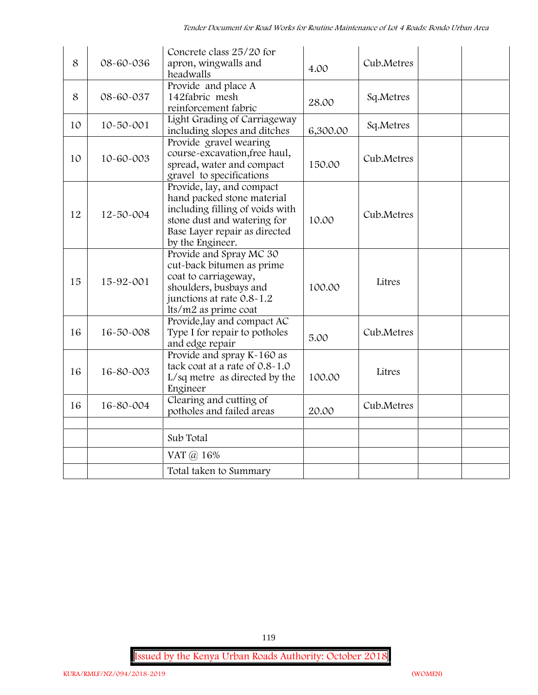| 8  | 08-60-036       | Concrete class 25/20 for<br>apron, wingwalls and<br>headwalls                                                                                                                  | 4.00     | Cub.Metres |
|----|-----------------|--------------------------------------------------------------------------------------------------------------------------------------------------------------------------------|----------|------------|
| 8  | 08-60-037       | Provide and place A<br>142fabric mesh<br>reinforcement fabric                                                                                                                  | 28.00    | Sq.Metres  |
| 10 | $10 - 50 - 001$ | Light Grading of Carriageway<br>including slopes and ditches                                                                                                                   | 6,300.00 | Sq.Metres  |
| 10 | 10-60-003       | Provide gravel wearing<br>course-excavation, free haul,<br>spread, water and compact<br>gravel to specifications                                                               | 150.00   | Cub.Metres |
| 12 | 12-50-004       | Provide, lay, and compact<br>hand packed stone material<br>including filling of voids with<br>stone dust and watering for<br>Base Layer repair as directed<br>by the Engineer. | 10.00    | Cub.Metres |
| 15 | 15-92-001       | Provide and Spray MC 30<br>cut-back bitumen as prime<br>coat to carriageway,<br>shoulders, busbays and<br>junctions at rate 0.8-1.2<br>lts/m2 as prime coat                    | 100.00   | Litres     |
| 16 | 16-50-008       | Provide, lay and compact AC<br>Type I for repair to potholes<br>and edge repair                                                                                                | 5.00     | Cub.Metres |
| 16 | 16-80-003       | Provide and spray K-160 as<br>tack coat at a rate of 0.8-1.0<br>L/sq metre as directed by the<br>Engineer                                                                      | 100.00   | Litres     |
| 16 | 16-80-004       | Clearing and cutting of<br>potholes and failed areas                                                                                                                           | 20.00    | Cub.Metres |
|    |                 | Sub Total                                                                                                                                                                      |          |            |
|    |                 | VAT @ 16%                                                                                                                                                                      |          |            |
|    |                 | Total taken to Summary                                                                                                                                                         |          |            |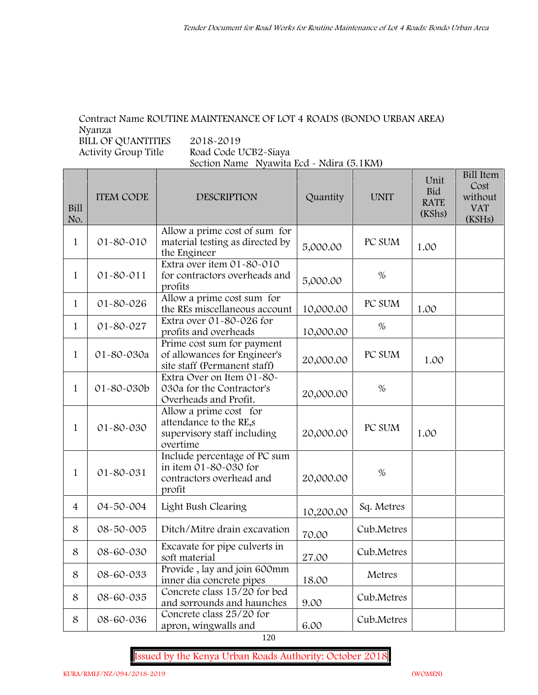### **Contract Name ROUTINE MAINTENANCE OF LOT 4 ROADS (BONDO URBAN AREA) Nyanza**

BILL OF QUANTITIES 2018-2019<br>Activity Group Title Road Code U

**Activity Group Title Road Code UCB2-Siaya Section Name Nyawita Ecd - Ndira (5.1KM)**

| Bill<br>No.    | <b>ITEM CODE</b> | <b>DESCRIPTION</b>                                                                          | Quantity  | <b>UNIT</b> | Unit<br><b>Bid</b><br><b>RATE</b><br>(KShs) | <b>Bill Item</b><br>Cost<br>without<br><b>VAT</b><br>(KSHs) |
|----------------|------------------|---------------------------------------------------------------------------------------------|-----------|-------------|---------------------------------------------|-------------------------------------------------------------|
| 1              | 01-80-010        | Allow a prime cost of sum for<br>material testing as directed by<br>the Engineer            | 5,000.00  | PC SUM      | 1.00                                        |                                                             |
| $\mathbf{1}$   | 01-80-011        | Extra over item 01-80-010<br>for contractors overheads and<br>profits                       | 5,000.00  | $\%$        |                                             |                                                             |
| 1              | 01-80-026        | Allow a prime cost sum for<br>the REs miscellaneous account                                 | 10,000.00 | PC SUM      | 1.00                                        |                                                             |
| $\mathbf{1}$   | 01-80-027        | Extra over 01-80-026 for<br>profits and overheads                                           | 10,000.00 | %           |                                             |                                                             |
| $\mathbf{1}$   | 01-80-030a       | Prime cost sum for payment<br>of allowances for Engineer's<br>site staff (Permanent staff)  | 20,000.00 | PC SUM      | 1.00                                        |                                                             |
| $\mathbf{1}$   | 01-80-030b       | Extra Over on Item 01-80-<br>030a for the Contractor's<br>Overheads and Profit.             | 20,000.00 | $\%$        |                                             |                                                             |
| 1              | 01-80-030        | Allow a prime cost for<br>attendance to the RE,s<br>supervisory staff including<br>overtime | 20,000.00 | PC SUM      | 1.00                                        |                                                             |
| 1              | 01-80-031        | Include percentage of PC sum<br>in item 01-80-030 for<br>contractors overhead and<br>profit | 20,000.00 | $\%$        |                                             |                                                             |
| $\overline{4}$ | 04-50-004        | Light Bush Clearing                                                                         | 10,200.00 | Sq. Metres  |                                             |                                                             |
| 8              | 08-50-005        | Ditch/Mitre drain excavation                                                                | 70.00     | Cub.Metres  |                                             |                                                             |
| 8              | 08-60-030        | Excavate for pipe culverts in<br>soft material                                              | 27.00     | Cub.Metres  |                                             |                                                             |
| 8              | 08-60-033        | Provide, lay and join 600mm<br>inner dia concrete pipes                                     | 18.00     | Metres      |                                             |                                                             |
| 8              | 08-60-035        | Concrete class 15/20 for bed<br>and sorrounds and haunches                                  | 9.00      | Cub.Metres  |                                             |                                                             |
| 8              | 08-60-036        | Concrete class 25/20 for<br>apron, wingwalls and                                            | 6.00      | Cub.Metres  |                                             |                                                             |

120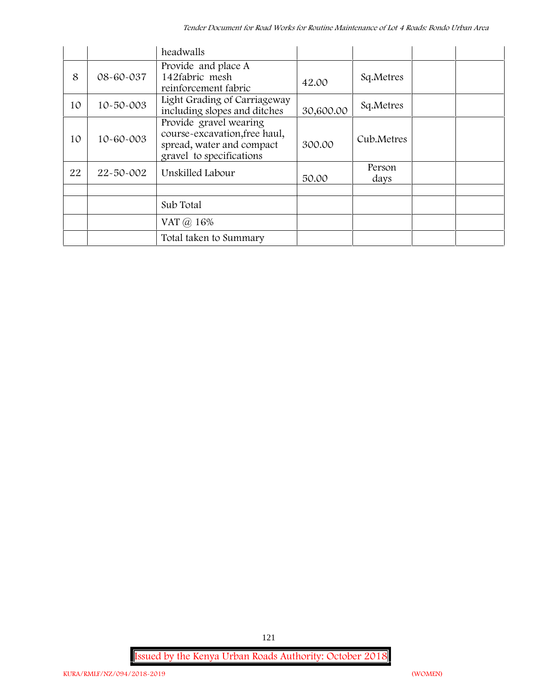|    |           | headwalls                                                                                                        |           |                |  |
|----|-----------|------------------------------------------------------------------------------------------------------------------|-----------|----------------|--|
| 8  | 08-60-037 | Provide and place A<br>142fabric mesh<br>reinforcement fabric                                                    | 42.00     | Sq.Metres      |  |
| 10 | 10-50-003 | Light Grading of Carriageway<br>including slopes and ditches                                                     | 30,600.00 | Sq.Metres      |  |
| 10 | 10-60-003 | Provide gravel wearing<br>course-excavation, free haul,<br>spread, water and compact<br>gravel to specifications | 300.00    | Cub.Metres     |  |
| 22 | 22-50-002 | Unskilled Labour                                                                                                 | 50.00     | Person<br>days |  |
|    |           |                                                                                                                  |           |                |  |
|    |           | Sub Total                                                                                                        |           |                |  |
|    |           | VAT @ 16%                                                                                                        |           |                |  |
|    |           | Total taken to Summary                                                                                           |           |                |  |

**Issued by the Kenya Urban Roads Authority: October 2018**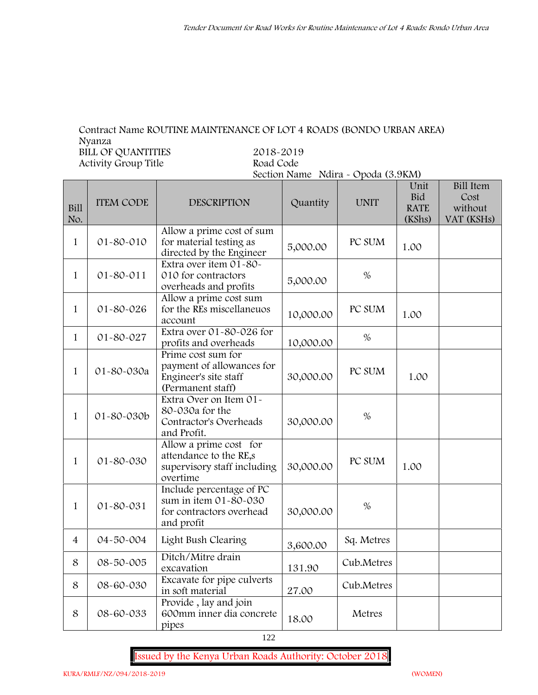### **Contract Name ROUTINE MAINTENANCE OF LOT 4 ROADS (BONDO URBAN AREA) Nyanza BILL OF QUANTITIES 2018-2019 Activity Group Title Road Code**

# **Section Name Ndira - Opoda (3.9KM)**

| <b>Bill</b><br>No. | <b>ITEM CODE</b> | <b>DESCRIPTION</b>                                                                            | Quantity  | <b>UNIT</b> | Unit<br>Bid<br><b>RATE</b><br>(KShs) | <b>Bill Item</b><br>Cost<br>without<br>VAT (KSHs) |
|--------------------|------------------|-----------------------------------------------------------------------------------------------|-----------|-------------|--------------------------------------|---------------------------------------------------|
| $\mathbf{1}$       | 01-80-010        | Allow a prime cost of sum<br>for material testing as<br>directed by the Engineer              | 5,000.00  | PC SUM      | 1.00                                 |                                                   |
| $\mathbf{1}$       | $01 - 80 - 011$  | Extra over item 01-80-<br>010 for contractors<br>overheads and profits                        | 5,000.00  | $\%$        |                                      |                                                   |
| $\mathbf 1$        | 01-80-026        | Allow a prime cost sum<br>for the REs miscellaneuos<br>account                                | 10,000.00 | PC SUM      | 1.00                                 |                                                   |
| 1                  | 01-80-027        | Extra over 01-80-026 for<br>profits and overheads                                             | 10,000.00 | $\%$        |                                      |                                                   |
| $\mathbf{1}$       | 01-80-030a       | Prime cost sum for<br>payment of allowances for<br>Engineer's site staff<br>(Permanent staff) | 30,000.00 | PC SUM      | 1.00                                 |                                                   |
| 1                  | 01-80-030b       | Extra Over on Item 01-<br>80-030a for the<br>Contractor's Overheads<br>and Profit.            | 30,000.00 | $\%$        |                                      |                                                   |
| $\mathbf{1}$       | 01-80-030        | Allow a prime cost for<br>attendance to the RE,s<br>supervisory staff including<br>overtime   | 30,000.00 | PC SUM      | 1.00                                 |                                                   |
| $\mathbf{1}$       | 01-80-031        | Include percentage of PC<br>sum in item 01-80-030<br>for contractors overhead<br>and profit   | 30,000.00 | $\%$        |                                      |                                                   |
| $\overline{4}$     | 04-50-004        | Light Bush Clearing                                                                           | 3,600.00  | Sq. Metres  |                                      |                                                   |
| 8                  | 08-50-005        | Ditch/Mitre drain<br>excavation                                                               | 131.90    | Cub.Metres  |                                      |                                                   |
| 8                  | 08-60-030        | Excavate for pipe culverts<br>in soft material                                                | 27.00     | Cub.Metres  |                                      |                                                   |
| 8                  | 08-60-033        | Provide, lay and join<br>600mm inner dia concrete<br>pipes                                    | 18.00     | Metres      |                                      |                                                   |

**Issued by the Kenya Urban Roads Authority: October 2018**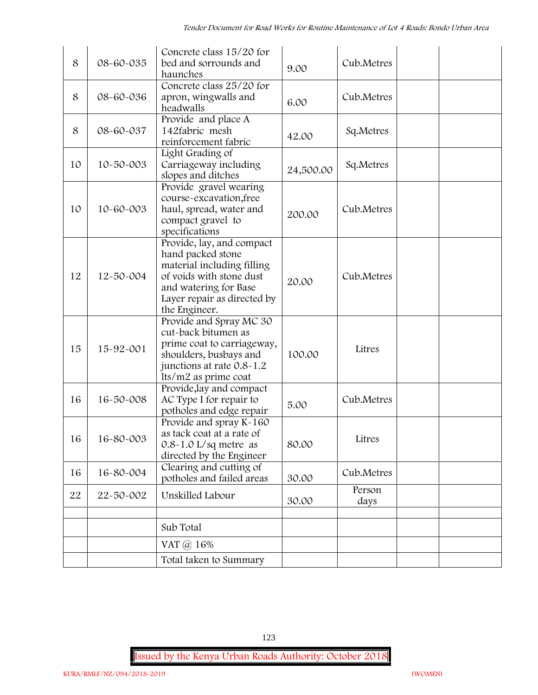| 8  | 08-60-035       | Concrete class 15/20 for<br>bed and sorrounds and<br>haunches                                                                                                                     | 9.00      | Cub.Metres     |  |
|----|-----------------|-----------------------------------------------------------------------------------------------------------------------------------------------------------------------------------|-----------|----------------|--|
| 8  | 08-60-036       | Concrete class 25/20 for<br>apron, wingwalls and<br>headwalls                                                                                                                     | 6.00      | Cub.Metres     |  |
| 8  | 08-60-037       | Provide and place A<br>142fabric mesh<br>reinforcement fabric                                                                                                                     | 42.00     | Sq.Metres      |  |
| 10 | 10-50-003       | Light Grading of<br>Carriageway including<br>slopes and ditches                                                                                                                   | 24,500.00 | Sq.Metres      |  |
| 10 | 10-60-003       | Provide gravel wearing<br>course-excavation, free<br>haul, spread, water and<br>compact gravel to<br>specifications                                                               | 200.00    | Cub.Metres     |  |
| 12 | $12 - 50 - 004$ | Provide, lay, and compact<br>hand packed stone<br>material including filling<br>of voids with stone dust<br>and watering for Base<br>Layer repair as directed by<br>the Engineer. | 20.00     | Cub.Metres     |  |
| 15 | 15-92-001       | Provide and Spray MC 30<br>cut-back bitumen as<br>prime coat to carriageway,<br>shoulders, busbays and<br>junctions at rate 0.8-1.2<br>lts/m2 as prime coat                       | 100.00    | Litres         |  |
| 16 | 16-50-008       | Provide, lay and compact<br>AC Type I for repair to<br>potholes and edge repair                                                                                                   | 5.00      | Cub.Metres     |  |
| 16 | 16-80-003       | Provide and spray K-160<br>as tack coat at a rate of<br>$0.8 - 1.0$ L/sq metre as<br>directed by the Engineer                                                                     | 80.00     | Litres         |  |
| 16 | 16-80-004       | Clearing and cutting of<br>potholes and failed areas                                                                                                                              | 30.00     | Cub.Metres     |  |
| 22 | 22-50-002       | Unskilled Labour                                                                                                                                                                  | 30.00     | Person<br>days |  |
|    |                 | Sub Total                                                                                                                                                                         |           |                |  |
|    |                 | VAT @ 16%                                                                                                                                                                         |           |                |  |
|    |                 | Total taken to Summary                                                                                                                                                            |           |                |  |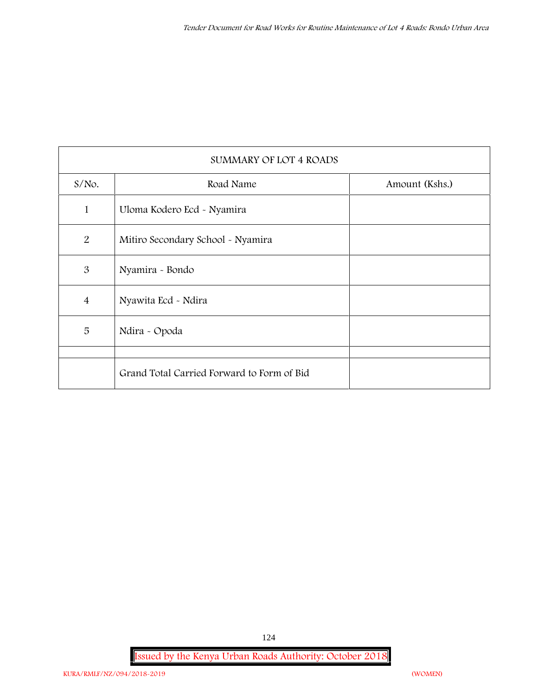|                | <b>SUMMARY OF LOT 4 ROADS</b>              |                |
|----------------|--------------------------------------------|----------------|
| $S/NO$ .       | Road Name                                  | Amount (Kshs.) |
| $\mathbf{1}$   | Uloma Kodero Ecd - Nyamira                 |                |
| $\overline{2}$ | Mitiro Secondary School - Nyamira          |                |
| 3              | Nyamira - Bondo                            |                |
| $\overline{4}$ | Nyawita Ecd - Ndira                        |                |
| 5              | Ndira - Opoda                              |                |
|                |                                            |                |
|                | Grand Total Carried Forward to Form of Bid |                |

**Issued by the Kenya Urban Roads Authority: October 2018**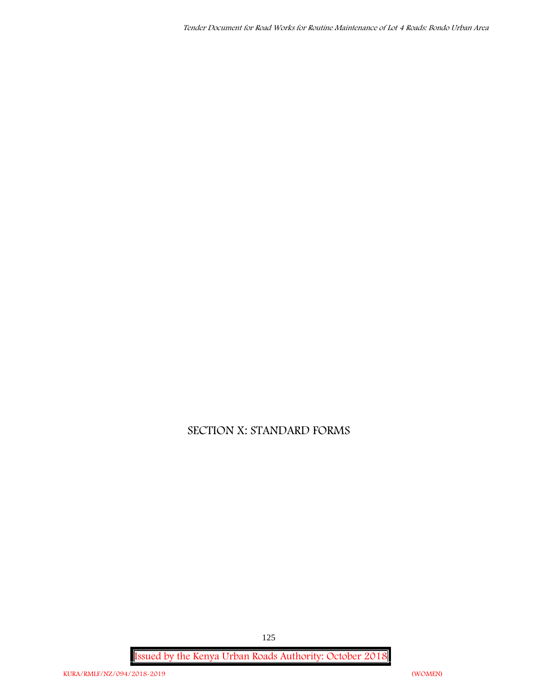*Tender Document for Road Works for Routine Maintenance of Lot 4 Roads: Bondo Urban Area*

# **SECTION X: STANDARD FORMS**

**Issued by the Kenya Urban Roads Authority: October 2018**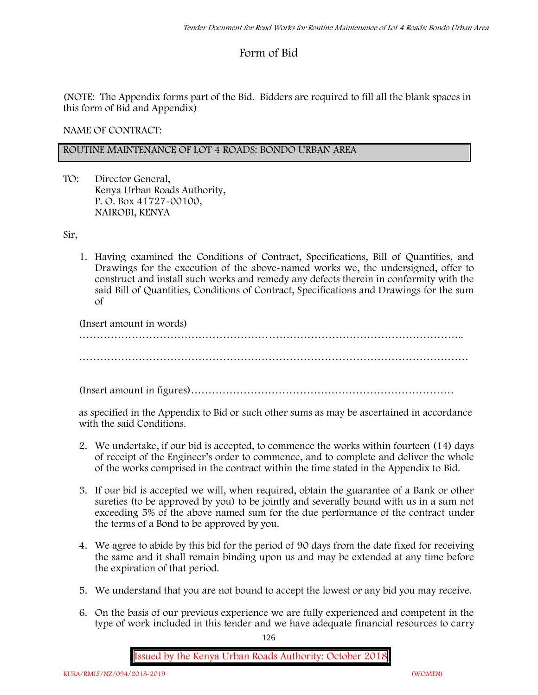# **Form of Bid**

(NOTE: The Appendix forms part of the Bid. Bidders are required to fill all the blank spaces in this form of Bid and Appendix)

**NAME OF CONTRACT:**

### **ROUTINE MAINTENANCE OF LOT 4 ROADS: BONDO URBAN AREA**

TO: Director General, Kenya Urban Roads Authority, P. O. Box 41727-00100, **NAIROBI, KENYA**

Sir,

1. Having examined the Conditions of Contract, Specifications, Bill of Quantities, and Drawings for the execution of the above-named works we, the undersigned, offer to construct and install such works and remedy any defects therein in conformity with the said Bill of Quantities, Conditions of Contract, Specifications and Drawings for the sum of

(Insert amount in words)

………………………………………………………………………………………………..

(Insert amount in figures)…………………………………………………………………

as specified in the Appendix to Bid or such other sums as may be ascertained in accordance with the said Conditions.

- 2. We undertake, if our bid is accepted, to commence the works within fourteen (14) days of receipt of the Engineer's order to commence, and to complete and deliver the whole of the works comprised in the contract within the time stated in the Appendix to Bid.
- 3. If our bid is accepted we will, when required, obtain the guarantee of a Bank or other sureties (to be approved by you) to be jointly and severally bound with us in a sum not exceeding 5% of the above named sum for the due performance of the contract under the terms of a Bond to be approved by you.
- 4. We agree to abide by this bid for the period of 90 days from the date fixed for receiving the same and it shall remain binding upon us and may be extended at any time before the expiration of that period.
- 5. We understand that you are not bound to accept the lowest or any bid you may receive.
- 6. On the basis of our previous experience we are fully experienced and competent in the type of work included in this tender and we have adequate financial resources to carry

126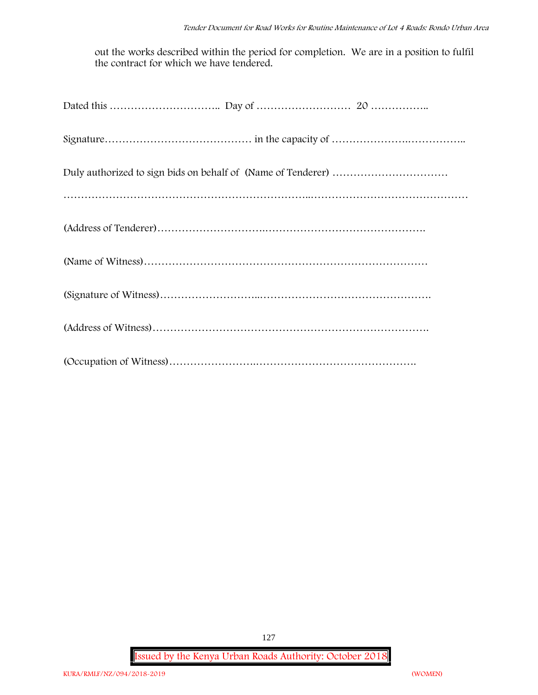out the works described within the period for completion. We are in a position to fulfil the contract for which we have tendered.

**Issued by the Kenya Urban Roads Authority: October 2018**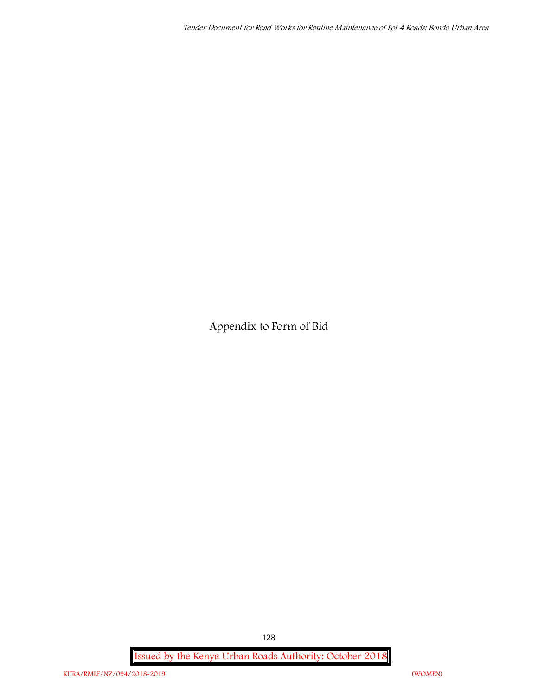**Appendix to Form of Bid**

**Issued by the Kenya Urban Roads Authority: October 2018**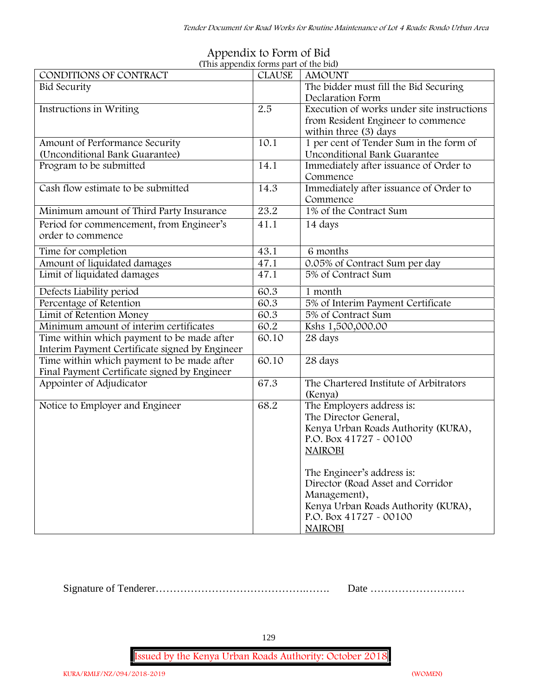| (This appendix forms part of the bid)          |               |                                            |
|------------------------------------------------|---------------|--------------------------------------------|
| CONDITIONS OF CONTRACT                         | <b>CLAUSE</b> | <b>AMOUNT</b>                              |
| <b>Bid Security</b>                            |               | The bidder must fill the Bid Securing      |
|                                                |               | Declaration Form                           |
| Instructions in Writing                        | 2.5           | Execution of works under site instructions |
|                                                |               | from Resident Engineer to commence         |
|                                                |               | within three (3) days                      |
| Amount of Performance Security                 | 10.1          | 1 per cent of Tender Sum in the form of    |
| (Unconditional Bank Guarantee)                 |               | Unconditional Bank Guarantee               |
| Program to be submitted                        | 14.1          | Immediately after issuance of Order to     |
|                                                |               | Commence                                   |
| Cash flow estimate to be submitted             | 14.3          | Immediately after issuance of Order to     |
|                                                |               | Commence                                   |
| Minimum amount of Third Party Insurance        | 23.2          | 1% of the Contract Sum                     |
| Period for commencement, from Engineer's       | 41.1          | 14 days                                    |
| order to commence                              |               |                                            |
| Time for completion                            | 43.1          | 6 months                                   |
| Amount of liquidated damages                   | 47.1          | 0.05% of Contract Sum per day              |
| Limit of liquidated damages                    | 47.1          | 5% of Contract Sum                         |
| Defects Liability period                       | 60.3          | 1 month                                    |
| Percentage of Retention                        | 60.3          | 5% of Interim Payment Certificate          |
| Limit of Retention Money                       | 60.3          | 5% of Contract Sum                         |
| Minimum amount of interim certificates         | 60.2          | Kshs 1,500,000.00                          |
| Time within which payment to be made after     | 60.10         | 28 days                                    |
| Interim Payment Certificate signed by Engineer |               |                                            |
| Time within which payment to be made after     | 60.10         | 28 days                                    |
| Final Payment Certificate signed by Engineer   |               |                                            |
| Appointer of Adjudicator                       | 67.3          | The Chartered Institute of Arbitrators     |
|                                                |               | (Kenya)                                    |
| Notice to Employer and Engineer                | 68.2          | The Employers address is:                  |
|                                                |               | The Director General,                      |
|                                                |               | Kenya Urban Roads Authority (KURA),        |
|                                                |               | P.O. Box 41727 - 00100                     |
|                                                |               | <b>NAIROBI</b>                             |
|                                                |               |                                            |
|                                                |               | The Engineer's address is:                 |
|                                                |               | Director (Road Asset and Corridor          |
|                                                |               | Management),                               |
|                                                |               | Kenya Urban Roads Authority (KURA),        |
|                                                |               | P.O. Box 41727 - 00100                     |
|                                                |               | <b>NAIROBI</b>                             |

# **Appendix to Form of Bid**

Signature of Tenderer…………………………………….……. Date ………………………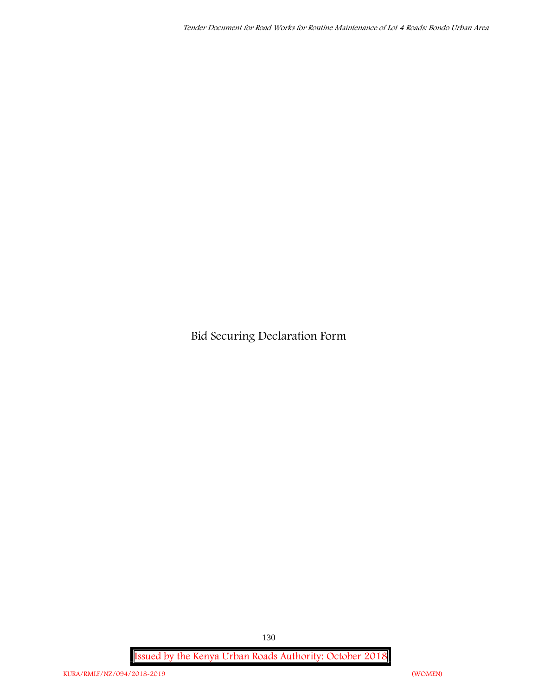**Bid Securing Declaration Form**

**Issued by the Kenya Urban Roads Authority: October 2018**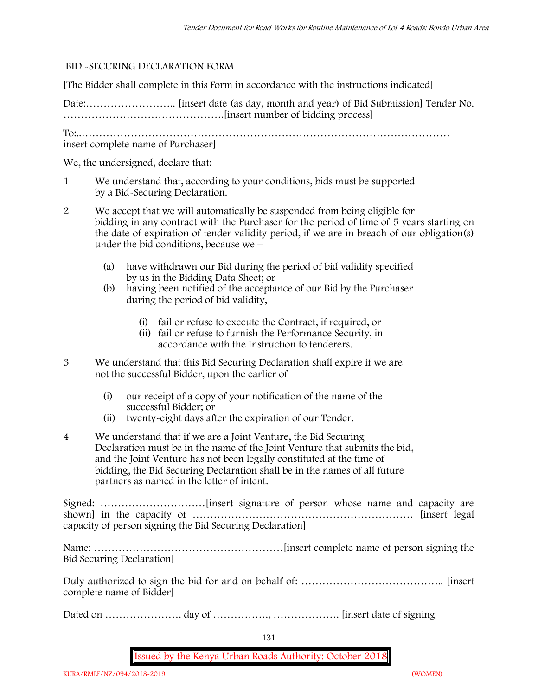### **BID -SECURING DECLARATION FORM**

[The Bidder shall complete in this Form in accordance with the instructions indicated]

Date:…………………….. [insert date (as day, month and year) of Bid Submission] Tender No. ……………………………………….[insert number of bidding process]

To:..……………………………………………………………………………………………

insert complete name of Purchaser]

We, the undersigned, declare that:

- 1 We understand that, according to your conditions, bids must be supported by a Bid-Securing Declaration.
- 2 We accept that we will automatically be suspended from being eligible for bidding in any contract with the Purchaser for the period of time of **5 years** starting on the date of expiration of tender validity period, if we are in breach of our obligation(s) under the bid conditions, because we –
	- (a) have withdrawn our Bid during the period of bid validity specified by us in the Bidding Data Sheet; or
	- (b) having been notified of the acceptance of our Bid by the Purchaser during the period of bid validity,
		- (i) fail or refuse to execute the Contract, if required, or
		- (ii) fail or refuse to furnish the Performance Security, in accordance with the Instruction to tenderers.
- 3 We understand that this Bid Securing Declaration shall expire if we are not the successful Bidder, upon the earlier of
	- (i) our receipt of a copy of your notification of the name of the successful Bidder; or
	- (ii) twenty-eight days after the expiration of our Tender.
- 4 We understand that if we are a Joint Venture, the Bid Securing Declaration must be in the name of the Joint Venture that submits the bid, and the Joint Venture has not been legally constituted at the time of bidding, the Bid Securing Declaration shall be in the names of all future partners as named in the letter of intent.

Signed: …………………………[insert signature of person whose name and capacity are shown] in the capacity of ……………………………………………………… [insert legal capacity of person signing the Bid Securing Declaration]

Name: ………………………………………………[insert complete name of person signing the Bid Securing Declaration]

Duly authorized to sign the bid for and on behalf of: ………………………………….. [insert complete name of Bidder]

Dated on …………………. day of ……………., ………………. [insert date of signing

131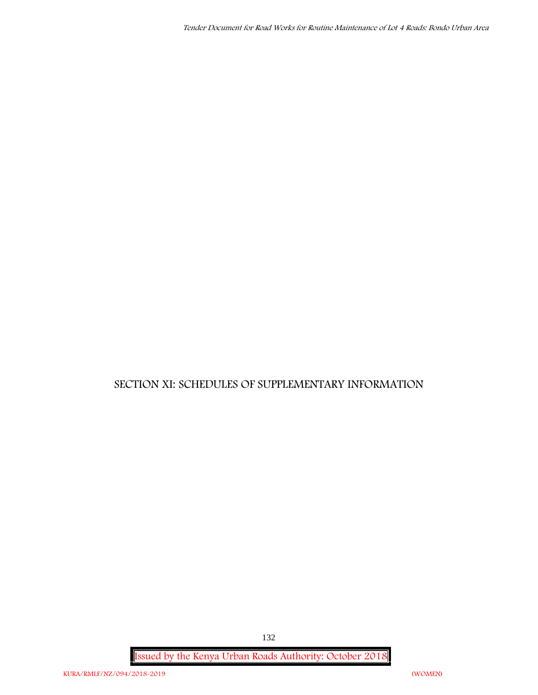# **SECTION XI: SCHEDULES OF SUPPLEMENTARY INFORMATION**

**Issued by the Kenya Urban Roads Authority: October 2018**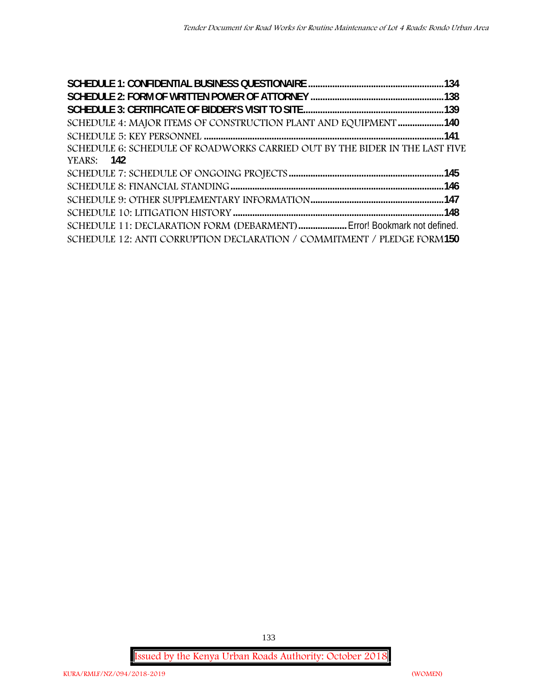| SCHEDULE 4: MAJOR ITEMS OF CONSTRUCTION PLANT AND EQUIPMENT 140             |  |
|-----------------------------------------------------------------------------|--|
|                                                                             |  |
| SCHEDULE 6: SCHEDULE OF ROADWORKS CARRIED OUT BY THE BIDER IN THE LAST FIVE |  |
| <b>YEARS:</b> 142                                                           |  |
|                                                                             |  |
|                                                                             |  |
|                                                                             |  |
|                                                                             |  |
| SCHEDULE 11: DECLARATION FORM (DEBARMENT)  Error! Bookmark not defined.     |  |
| SCHEDULE 12: ANTI CORRUPTION DECLARATION / COMMITMENT / PLEDGE FORM150      |  |

**Issued by the Kenya Urban Roads Authority: October 2018**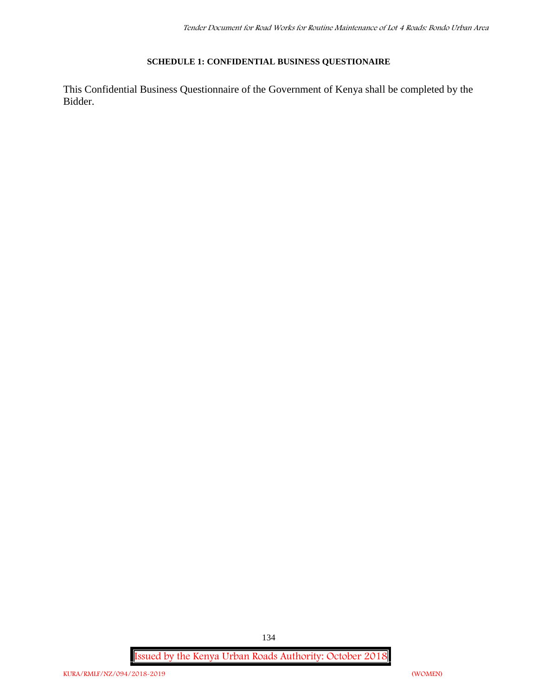### **SCHEDULE 1: CONFIDENTIAL BUSINESS QUESTIONAIRE**

This Confidential Business Questionnaire of the Government of Kenya shall be completed by the Bidder.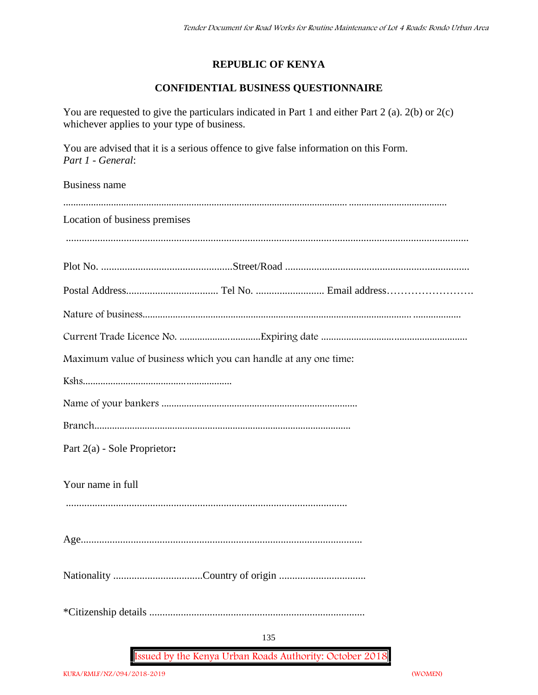## **REPUBLIC OF KENYA**

# **CONFIDENTIAL BUSINESS QUESTIONNAIRE**

You are requested to give the particulars indicated in Part 1 and either Part 2 (a). 2(b) or 2(c) whichever applies to your type of business.

You are advised that it is a serious offence to give false information on this Form. *Part 1 - General*:

Business name

| Location of business premises                                   |
|-----------------------------------------------------------------|
|                                                                 |
|                                                                 |
|                                                                 |
|                                                                 |
|                                                                 |
| Maximum value of business which you can handle at any one time: |
|                                                                 |
|                                                                 |
|                                                                 |
| Part 2(a) - Sole Proprietor:                                    |
|                                                                 |
| Your name in full                                               |
|                                                                 |
|                                                                 |
|                                                                 |
|                                                                 |
|                                                                 |
|                                                                 |
| 135                                                             |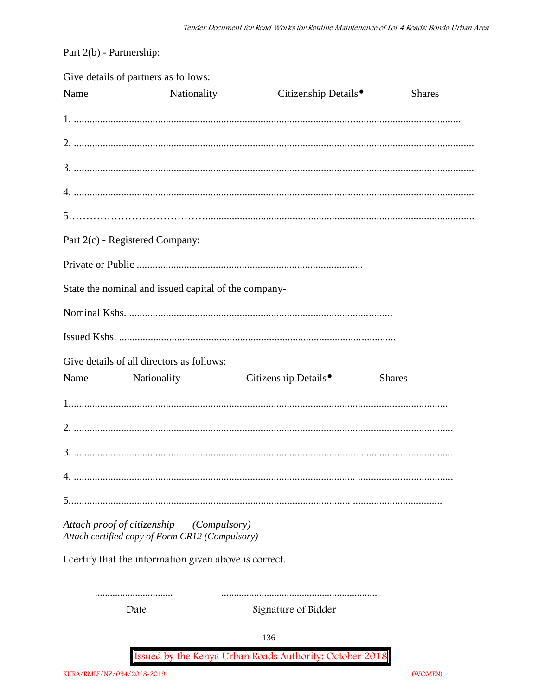Part 2(b) - Partnership:

|      | Give details of partners as follows:                                                        |                                  |               |
|------|---------------------------------------------------------------------------------------------|----------------------------------|---------------|
| Name | Nationality                                                                                 | Citizenship Details <sup>®</sup> | <b>Shares</b> |
|      |                                                                                             |                                  |               |
|      |                                                                                             |                                  |               |
|      |                                                                                             |                                  |               |
|      |                                                                                             |                                  |               |
|      |                                                                                             |                                  |               |
|      | Part 2(c) - Registered Company:                                                             |                                  |               |
|      |                                                                                             |                                  |               |
|      | State the nominal and issued capital of the company-                                        |                                  |               |
|      |                                                                                             |                                  |               |
|      |                                                                                             |                                  |               |
|      | Give details of all directors as follows:                                                   |                                  |               |
|      | Name Nationality                                                                            | Citizenship Details <sup>•</sup> | <b>Shares</b> |
|      |                                                                                             |                                  |               |
|      |                                                                                             |                                  |               |
|      |                                                                                             |                                  |               |
|      |                                                                                             |                                  |               |
|      |                                                                                             |                                  |               |
|      | Attach proof of citizenship (Compulsory)<br>Attach certified copy of Form CR12 (Compulsory) |                                  |               |
|      | I certify that the information given above is correct.                                      |                                  |               |
|      |                                                                                             |                                  |               |
|      | Date                                                                                        | Signature of Bidder              |               |
|      |                                                                                             | 136                              |               |

Issued by the Kenya Urban Roads Authority: October 2018

(WOMEN)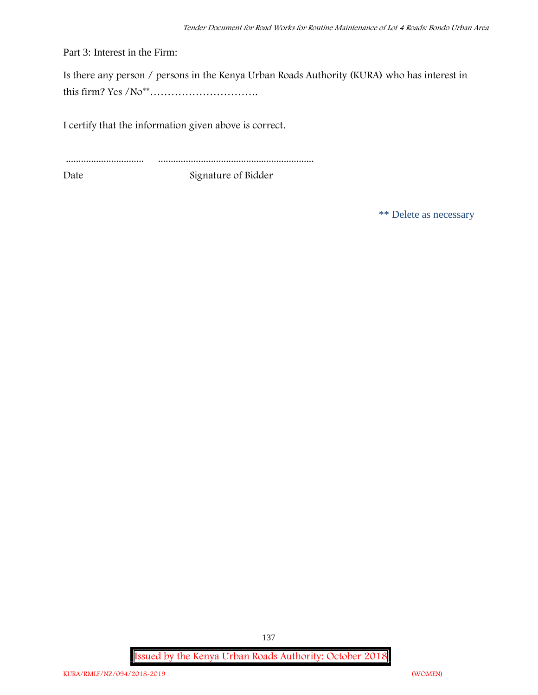Part 3: Interest in the Firm:

Is there any person / persons in the Kenya Urban Roads Authority (KURA) who has interest in this firm? Yes /No\*\*………………………….

I certify that the information given above is correct.

............................... .............................................................. Date Signature of Bidder

\*\* Delete as necessary

**Issued by the Kenya Urban Roads Authority: October 2018**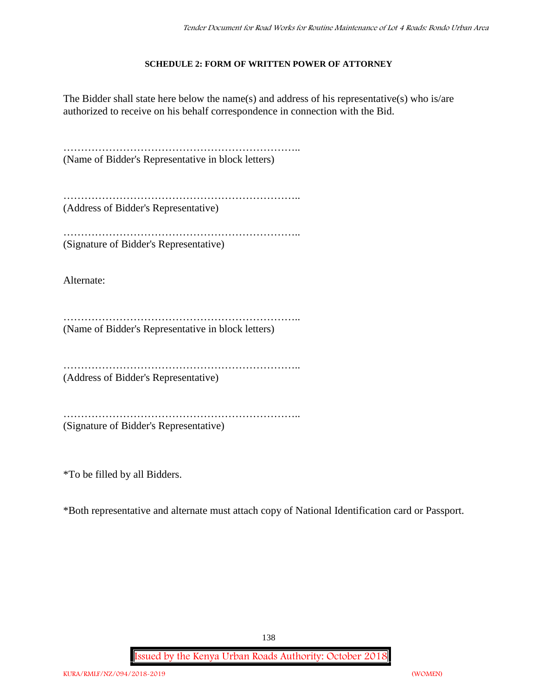### **SCHEDULE 2: FORM OF WRITTEN POWER OF ATTORNEY**

The Bidder shall state here below the name(s) and address of his representative(s) who is/are authorized to receive on his behalf correspondence in connection with the Bid.

………………………………………………………….. (Name of Bidder's Representative in block letters)

………………………………………………………………………… (Address of Bidder's Representative)

…………………………………………………………………… (Signature of Bidder's Representative)

Alternate:

………………………………………………………….. (Name of Bidder's Representative in block letters)

…………………………………………………………..

(Address of Bidder's Representative)

…………………………………………………………..

(Signature of Bidder's Representative)

\*To be filled by all Bidders.

\*Both representative and alternate must attach copy of National Identification card or Passport.

138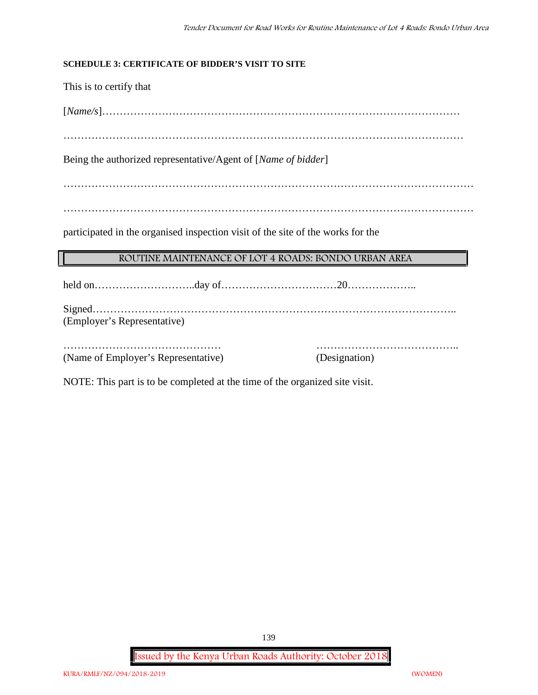### **SCHEDULE 3: CERTIFICATE OF BIDDER'S VISIT TO SITE**

This is to certify that

[*Name/s*]…………………………………………………………………………………………

……………………………………………………………………………………………………

Being the authorized representative/Agent of [*Name of bidder*]

………………………………………………………………………………………………………

………………………………………………………………………………………………………

participated in the organised inspection visit of the site of the works for the

### **ROUTINE MAINTENANCE OF LOT 4 ROADS: BONDO URBAN AREA**

held on………………………..day of……………………………20………………..

Signed………………………………………………………………………………………….. (Employer's Representative)

……………………………………… ………………………………….. (Name of Employer's Representative) (Designation)

NOTE: This part is to be completed at the time of the organized site visit.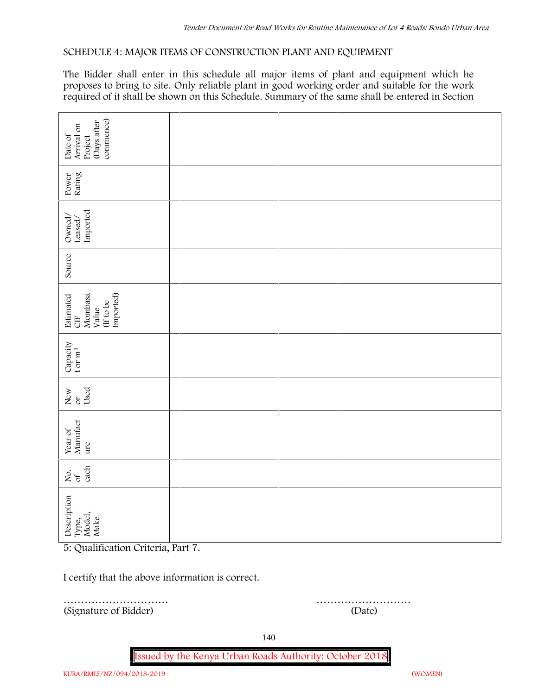### **SCHEDULE 4: MAJOR ITEMS OF CONSTRUCTION PLANT AND EQUIPMENT**

The Bidder shall enter in this schedule all major items of plant and equipment which he proposes to bring to site. Only reliable plant in good working order and suitable for the work required of it shall be shown on this Schedule. Summary of the same shall be entered in Section

| commence)<br>(Days after<br>Arrival on<br>Date of<br>Project              |        |
|---------------------------------------------------------------------------|--------|
| Rating<br>Power                                                           |        |
| Imported<br>Owned/<br>$\mbox{Lased}/$                                     |        |
| Source                                                                    |        |
| Imported)<br>Mombasa<br>Estimated<br>(If to be<br>Value<br>$\overline{a}$ |        |
| Capacity t or $\mathbf{m}^3$                                              |        |
| Used<br>New<br>$\alpha$                                                   |        |
| Year of<br>Manufact<br>ure                                                |        |
| each<br>δά                                                                |        |
| Description<br>Type,<br>Model,<br>Make                                    |        |
| 5: Qualification Criteria, Part 7.                                        |        |
| I certify that the above information is correct.                          |        |
| (Signature of Bidder)                                                     | (Date) |

………………………… ………………………

140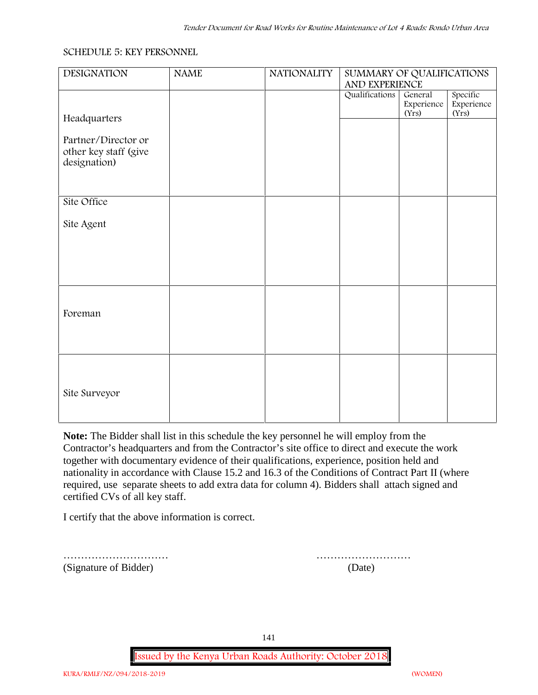#### **SCHEDULE 5: KEY PERSONNEL**

| <b>DESIGNATION</b>                                           | <b>NAME</b> | <b>NATIONALITY</b> | SUMMARY OF QUALIFICATIONS<br>AND EXPERIENCE |                                |                                 |  |
|--------------------------------------------------------------|-------------|--------------------|---------------------------------------------|--------------------------------|---------------------------------|--|
|                                                              |             |                    | Qualifications                              | General<br>Experience<br>(Yrs) | Specific<br>Experience<br>(Yrs) |  |
| Headquarters                                                 |             |                    |                                             |                                |                                 |  |
| Partner/Director or<br>other key staff (give<br>designation) |             |                    |                                             |                                |                                 |  |
|                                                              |             |                    |                                             |                                |                                 |  |
| Site Office                                                  |             |                    |                                             |                                |                                 |  |
| Site Agent                                                   |             |                    |                                             |                                |                                 |  |
|                                                              |             |                    |                                             |                                |                                 |  |
|                                                              |             |                    |                                             |                                |                                 |  |
|                                                              |             |                    |                                             |                                |                                 |  |
| Foreman                                                      |             |                    |                                             |                                |                                 |  |
|                                                              |             |                    |                                             |                                |                                 |  |
|                                                              |             |                    |                                             |                                |                                 |  |
|                                                              |             |                    |                                             |                                |                                 |  |
| Site Surveyor                                                |             |                    |                                             |                                |                                 |  |
|                                                              |             |                    |                                             |                                |                                 |  |

**Note:** The Bidder shall list in this schedule the key personnel he will employ from the Contractor's headquarters and from the Contractor's site office to direct and execute the work together with documentary evidence of their qualifications, experience, position held and nationality in accordance with Clause 15.2 and 16.3 of the Conditions of Contract Part II (where required, use separate sheets to add extra data for column 4). Bidders shall attach signed and certified CVs of all key staff.

I certify that the above information is correct.

(Signature of Bidder) (Date)

………………………… ………………………

141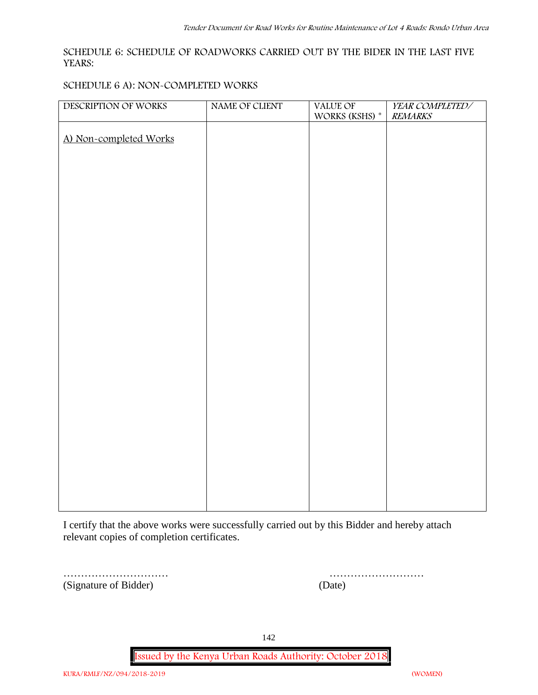### **SCHEDULE 6: SCHEDULE OF ROADWORKS CARRIED OUT BY THE BIDER IN THE LAST FIVE YEARS:**

#### **SCHEDULE 6 A): NON-COMPLETED WORKS**

| DESCRIPTION OF WORKS   | NAME OF CLIENT | VALUE OF<br>WORKS (KSHS) $^\ast$ | YEAR COMPLETED/<br><b>REMARKS</b> |
|------------------------|----------------|----------------------------------|-----------------------------------|
| A) Non-completed Works |                |                                  |                                   |
|                        |                |                                  |                                   |
|                        |                |                                  |                                   |
|                        |                |                                  |                                   |
|                        |                |                                  |                                   |
|                        |                |                                  |                                   |
|                        |                |                                  |                                   |
|                        |                |                                  |                                   |
|                        |                |                                  |                                   |
|                        |                |                                  |                                   |
|                        |                |                                  |                                   |
|                        |                |                                  |                                   |
|                        |                |                                  |                                   |
|                        |                |                                  |                                   |
|                        |                |                                  |                                   |
|                        |                |                                  |                                   |
|                        |                |                                  |                                   |
|                        |                |                                  |                                   |
|                        |                |                                  |                                   |

I certify that the above works were successfully carried out by this Bidder and hereby attach relevant copies of completion certificates.

………………………… ……………………… (Signature of Bidder)

| (Date) |  |  |  |  |  |  |  |  |  |  |  |  |  |
|--------|--|--|--|--|--|--|--|--|--|--|--|--|--|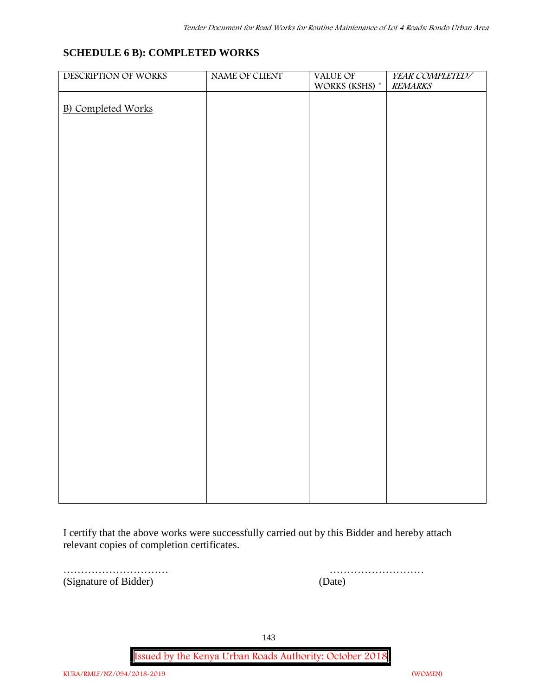## **SCHEDULE 6 B): COMPLETED WORKS**

| DESCRIPTION OF WORKS      | NAME OF CLIENT | VALUE OF       | YEAR COMPLETED/ |
|---------------------------|----------------|----------------|-----------------|
|                           |                | WORKS (KSHS) * | <b>REMARKS</b>  |
| <b>B)</b> Completed Works |                |                |                 |
|                           |                |                |                 |
|                           |                |                |                 |
|                           |                |                |                 |
|                           |                |                |                 |
|                           |                |                |                 |
|                           |                |                |                 |
|                           |                |                |                 |
|                           |                |                |                 |
|                           |                |                |                 |
|                           |                |                |                 |
|                           |                |                |                 |
|                           |                |                |                 |
|                           |                |                |                 |
|                           |                |                |                 |
|                           |                |                |                 |
|                           |                |                |                 |
|                           |                |                |                 |
|                           |                |                |                 |
|                           |                |                |                 |
|                           |                |                |                 |
|                           |                |                |                 |
|                           |                |                |                 |
|                           |                |                |                 |
|                           |                |                |                 |
|                           |                |                |                 |
|                           |                |                |                 |
|                           |                |                |                 |
|                           |                |                |                 |

I certify that the above works were successfully carried out by this Bidder and hereby attach relevant copies of completion certificates.

(Signature of Bidder) (Date)

………………………… ………………………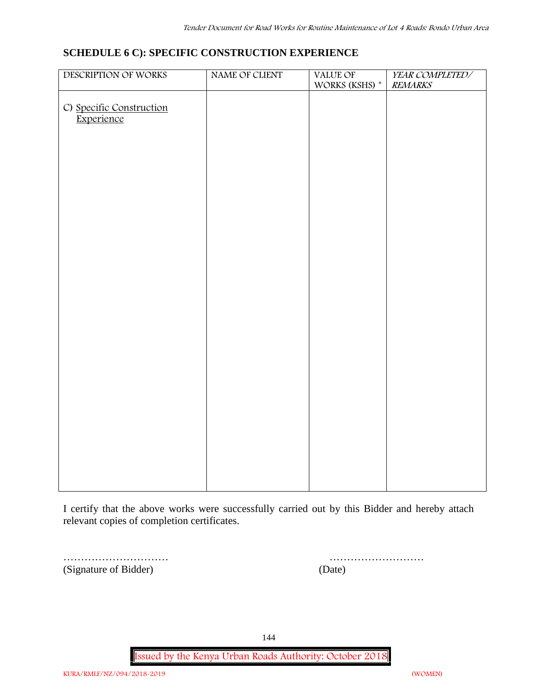## **SCHEDULE 6 C): SPECIFIC CONSTRUCTION EXPERIENCE**

| DESCRIPTION OF WORKS                   | NAME OF CLIENT | VALUE OF<br>WORKS (KSHS) $^\ast$ | YEAR COMPLETED/<br><b>REMARKS</b> |
|----------------------------------------|----------------|----------------------------------|-----------------------------------|
|                                        |                |                                  |                                   |
|                                        |                |                                  |                                   |
| C) Specific Construction<br>Experience |                |                                  |                                   |
|                                        |                |                                  |                                   |
|                                        |                |                                  |                                   |
|                                        |                |                                  |                                   |
|                                        |                |                                  |                                   |
|                                        |                |                                  |                                   |
|                                        |                |                                  |                                   |
|                                        |                |                                  |                                   |
|                                        |                |                                  |                                   |
|                                        |                |                                  |                                   |
|                                        |                |                                  |                                   |
|                                        |                |                                  |                                   |
|                                        |                |                                  |                                   |
|                                        |                |                                  |                                   |
|                                        |                |                                  |                                   |
|                                        |                |                                  |                                   |
|                                        |                |                                  |                                   |
|                                        |                |                                  |                                   |
|                                        |                |                                  |                                   |
|                                        |                |                                  |                                   |
|                                        |                |                                  |                                   |
|                                        |                |                                  |                                   |
|                                        |                |                                  |                                   |
|                                        |                |                                  |                                   |
|                                        |                |                                  |                                   |
|                                        |                |                                  |                                   |
|                                        |                |                                  |                                   |

I certify that the above works were successfully carried out by this Bidder and hereby attach relevant copies of completion certificates.

(Signature of Bidder) (Date)

………………………… ………………………

144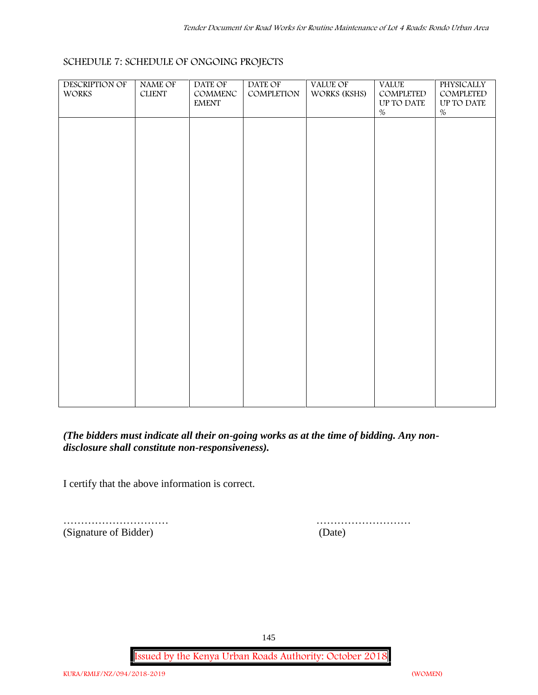| <b>DESCRIPTION OF</b> | NAME OF  | DATE OF       | DATE OF    | VALUE OF     | <b>VALUE</b> | <b>PHYSICALLY</b> |  |
|-----------------------|----------|---------------|------------|--------------|--------------|-------------------|--|
| <b>WORKS</b>          | $CLIENT$ | COMMENC       | COMPLETION | WORKS (KSHS) | COMPLETED    | COMPLETED         |  |
|                       |          | ${\rm EMENT}$ |            |              | UP TO DATE   | UP TO DATE        |  |
|                       |          |               |            |              | $\%$         | $\%$              |  |
|                       |          |               |            |              |              |                   |  |
|                       |          |               |            |              |              |                   |  |
|                       |          |               |            |              |              |                   |  |
|                       |          |               |            |              |              |                   |  |
|                       |          |               |            |              |              |                   |  |
|                       |          |               |            |              |              |                   |  |
|                       |          |               |            |              |              |                   |  |
|                       |          |               |            |              |              |                   |  |
|                       |          |               |            |              |              |                   |  |
|                       |          |               |            |              |              |                   |  |
|                       |          |               |            |              |              |                   |  |
|                       |          |               |            |              |              |                   |  |
|                       |          |               |            |              |              |                   |  |
|                       |          |               |            |              |              |                   |  |
|                       |          |               |            |              |              |                   |  |
|                       |          |               |            |              |              |                   |  |
|                       |          |               |            |              |              |                   |  |
|                       |          |               |            |              |              |                   |  |
|                       |          |               |            |              |              |                   |  |
|                       |          |               |            |              |              |                   |  |
|                       |          |               |            |              |              |                   |  |
|                       |          |               |            |              |              |                   |  |
|                       |          |               |            |              |              |                   |  |
|                       |          |               |            |              |              |                   |  |
|                       |          |               |            |              |              |                   |  |
|                       |          |               |            |              |              |                   |  |
|                       |          |               |            |              |              |                   |  |
|                       |          |               |            |              |              |                   |  |
|                       |          |               |            |              |              |                   |  |

# **SCHEDULE 7: SCHEDULE OF ONGOING PROJECTS**

*(The bidders must indicate all their on-going works as at the time of bidding. Any non disclosure shall constitute non-responsiveness).*

I certify that the above information is correct.

(Signature of Bidder) (Date)

………………………… ………………………

145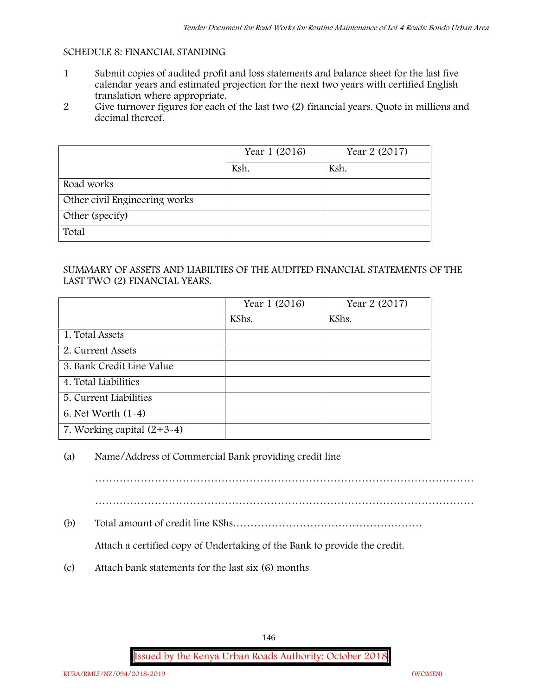#### **SCHEDULE 8: FINANCIAL STANDING**

- 1 Submit copies of audited profit and loss statements and balance sheet for the last five calendar years and estimated projection for the next two years with certified English translation where appropriate.
- 2 Give turnover figures for each of the last two (2) financial years. Quote in millions and decimal thereof.

|                               | Year 1 (2016) | Year 2 (2017) |
|-------------------------------|---------------|---------------|
|                               | Ksh.          | Ksh.          |
| Road works                    |               |               |
| Other civil Engineering works |               |               |
| Other (specify)               |               |               |
| Total                         |               |               |

#### SUMMARY OF ASSETS AND LIABILTIES OF THE AUDITED FINANCIAL STATEMENTS OF THE LAST TWO (2) FINANCIAL YEARS.

|                              | Year 1 (2016) | Year 2 (2017) |
|------------------------------|---------------|---------------|
|                              | KShs.         | KShs.         |
| 1. Total Assets              |               |               |
| 2. Current Assets            |               |               |
| 3. Bank Credit Line Value    |               |               |
| 4. Total Liabilities         |               |               |
| 5. Current Liabilities       |               |               |
| 6. Net Worth $(1-4)$         |               |               |
| 7. Working capital $(2+3-4)$ |               |               |

### (a) Name/Address of Commercial Bank providing credit line

………………………………………………………………………………………………

………………………………………………………………………………………………

(b) Total amount of credit line KShs………………………………………………

Attach a certified copy of Undertaking of the Bank to provide the credit.

(c) Attach bank statements for the last six (6) months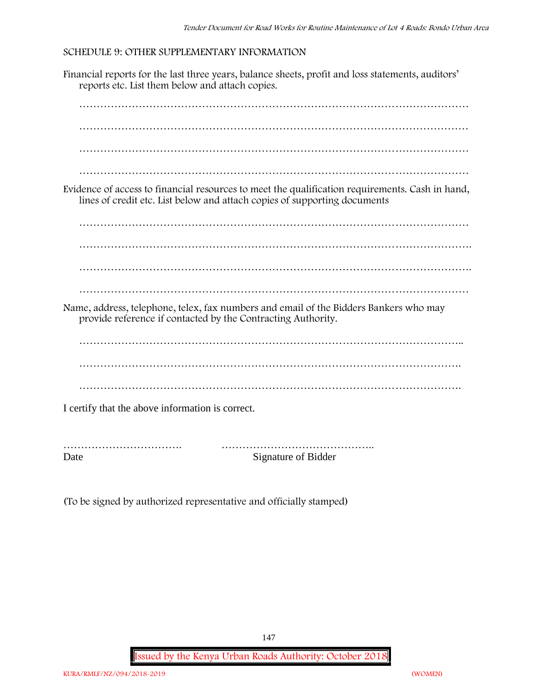#### **SCHEDULE 9: OTHER SUPPLEMENTARY INFORMATION**

Financial reports for the last three years, balance sheets, profit and loss statements, auditors' reports etc. List them below and attach copies.



Date Signature of Bidder

(To be signed by authorized representative and officially stamped)

147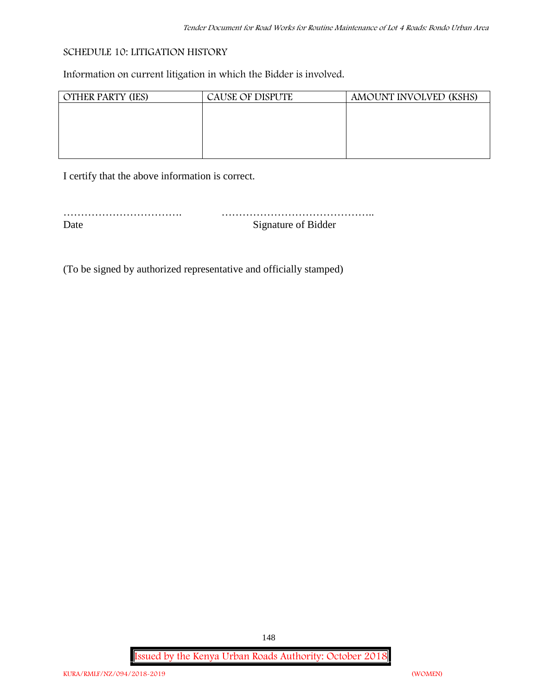#### **SCHEDULE 10: LITIGATION HISTORY**

Information on current litigation in which the Bidder is involved.

| <b>OTHER PARTY (IES)</b> | CAUSE OF DISPUTE | AMOUNT INVOLVED (KSHS) |
|--------------------------|------------------|------------------------|
|                          |                  |                        |
|                          |                  |                        |
|                          |                  |                        |
|                          |                  |                        |
|                          |                  |                        |

I certify that the above information is correct.

| Signature of Bidder |
|---------------------|

(To be signed by authorized representative and officially stamped)

**Issued by the Kenya Urban Roads Authority: October 2018**

148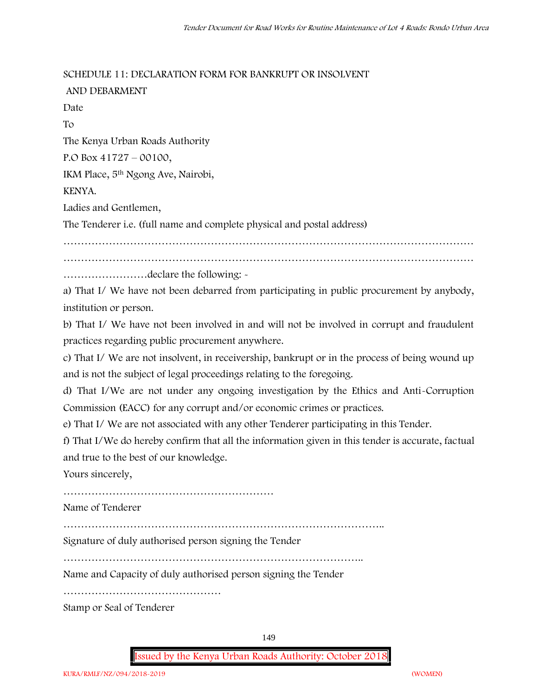#### **SCHEDULE 11: DECLARATION FORM FOR BANKRUPT OR INSOLVENT**

| AND DEBARMENT                                                                              |
|--------------------------------------------------------------------------------------------|
| Date                                                                                       |
| To                                                                                         |
| The Kenya Urban Roads Authority                                                            |
| P.O Box $41727 - 00100$ ,                                                                  |
| IKM Place, 5 <sup>th</sup> Ngong Ave, Nairobi,                                             |
| KENYA.                                                                                     |
| Ladies and Gentlemen,                                                                      |
| The Tenderer i.e. (full name and complete physical and postal address)                     |
|                                                                                            |
|                                                                                            |
| declare the following: -                                                                   |
| a) That I/ We have not been debarred from participating in public procurement by anybody,  |
| institution or person.                                                                     |
| b) That I/ We have not been involved in and will not be involved in corrupt and fraudulent |

practices regarding public procurement anywhere.

c) That I/ We are not insolvent, in receivership, bankrupt or in the process of being wound up and is not the subject of legal proceedings relating to the foregoing.

d) That I/We are not under any ongoing investigation by the Ethics and Anti-Corruption Commission (EACC) for any corrupt and/or economic crimes or practices.

e) That I/ We are not associated with any other Tenderer participating in this Tender.

f) That I/We do hereby confirm that all the information given in this tender is accurate, factual and true to the best of our knowledge.

Yours sincerely,

……………………………………………………

Name of Tenderer

………………………………………………………………………………..

Signature of duly authorised person signing the Tender

…………………………………………………………………………..

Name and Capacity of duly authorised person signing the Tender

………………………………………

Stamp or Seal of Tenderer

149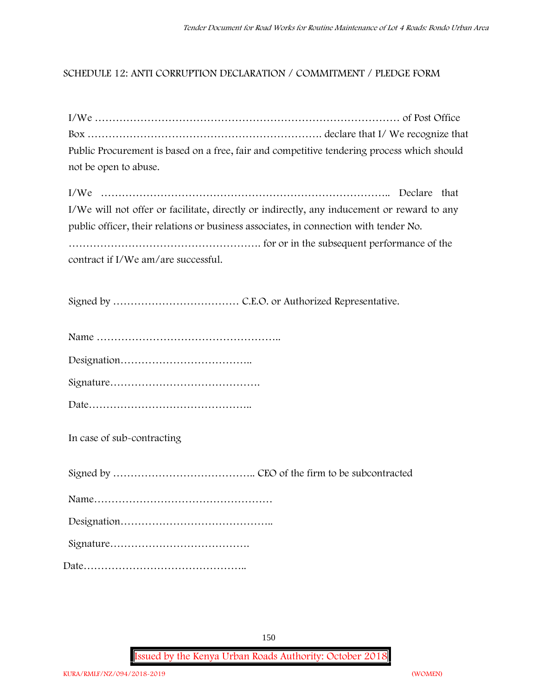### **SCHEDULE 12: ANTI CORRUPTION DECLARATION / COMMITMENT / PLEDGE FORM**

| Public Procurement is based on a free, fair and competitive tendering process which should |  |
|--------------------------------------------------------------------------------------------|--|
| not be open to abuse.                                                                      |  |
|                                                                                            |  |

| I/We will not offer or facilitate, directly or indirectly, any inducement or reward to any |  |
|--------------------------------------------------------------------------------------------|--|
| public officer, their relations or business associates, in connection with tender No.      |  |
|                                                                                            |  |
| contract if I/We am/are successful.                                                        |  |

Signed by ……………………………… C.E.O. or Authorized Representative.

Designation………………………………..

**In case of sub-contracting**

Signed by ………………………………….. CEO of the firm to be subcontracted Name…………………………………………… Designation…………………………………….. Signature…………………………………. Date………………………………………..

150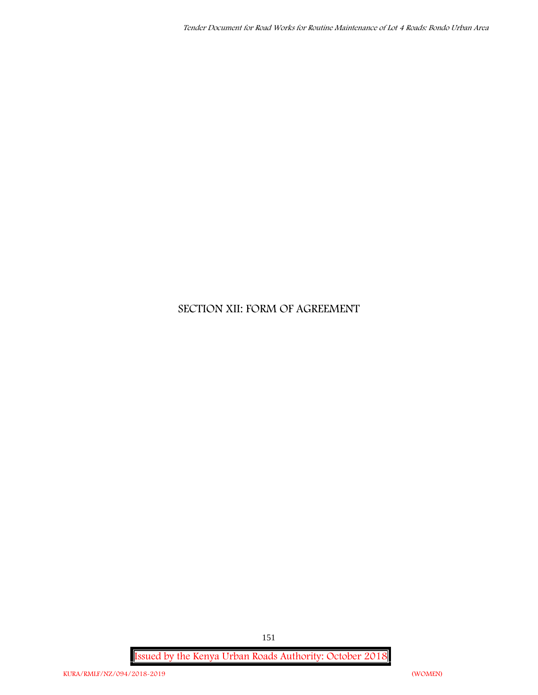# **SECTION XII: FORM OF AGREEMENT**

**Issued by the Kenya Urban Roads Authority: October 2018**

151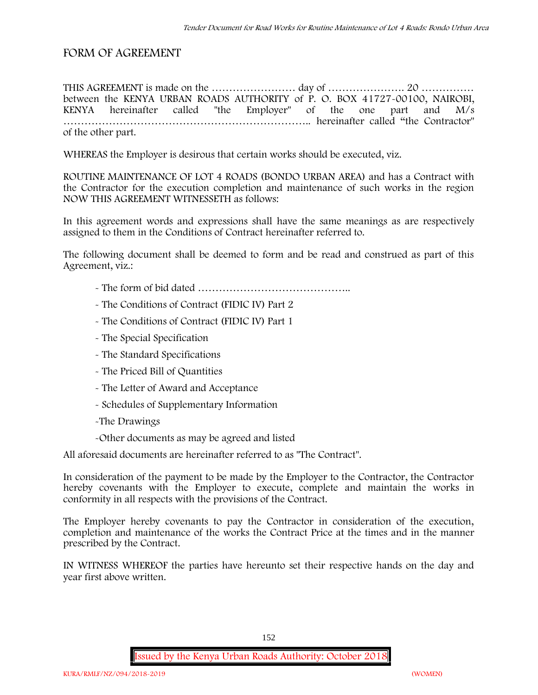### **FORM OF AGREEMENT**

THIS AGREEMENT is made on the …………………… day of …………………. 20 …………… between the **KENYA URBAN ROADS AUTHORITY** of **P. O. BOX 41727-00100, NAIROBI, KENYA** hereinafter called "the Employer" of the one part and **M/s ……………………………………………………………..** hereinafter called "the Contractor" of the other part.

WHEREAS the Employer is desirous that certain works should be executed, viz.

**ROUTINE MAINTENANCE OF LOT 4 ROADS (BONDO URBAN AREA)** and has a Contract with the Contractor for the execution completion and maintenance of such works in the region NOW THIS AGREEMENT WITNESSETH as follows:

In this agreement words and expressions shall have the same meanings as are respectively assigned to them in the Conditions of Contract hereinafter referred to.

The following document shall be deemed to form and be read and construed as part of this Agreement, viz.:

- The form of bid dated **……………………………………..**
- The Conditions of Contract (FIDIC IV) Part 2
- The Conditions of Contract (FIDIC IV) Part 1
- The Special Specification
- The Standard Specifications
- The Priced Bill of Quantities
- The Letter of Award and Acceptance
- Schedules of Supplementary Information
- -The Drawings
- -Other documents as may be agreed and listed

All aforesaid documents are hereinafter referred to as "The Contract".

In consideration of the payment to be made by the Employer to the Contractor, the Contractor hereby covenants with the Employer to execute, complete and maintain the works in conformity in all respects with the provisions of the Contract.

The Employer hereby covenants to pay the Contractor in consideration of the execution, completion and maintenance of the works the Contract Price at the times and in the manner prescribed by the Contract.

IN WITNESS WHEREOF the parties have hereunto set their respective hands on the day and year first above written.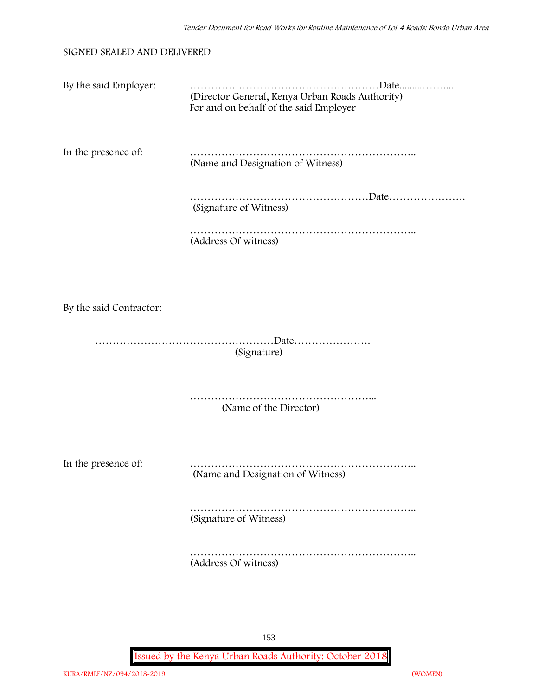#### **SIGNED SEALED AND DELIVERED**

| By the said Employer:   | (Director General, Kenya Urban Roads Authority)<br>For and on behalf of the said Employer |
|-------------------------|-------------------------------------------------------------------------------------------|
| In the presence of:     | (Name and Designation of Witness)                                                         |
|                         | (Signature of Witness)                                                                    |
|                         | (Address Of witness)                                                                      |
|                         |                                                                                           |
| By the said Contractor: |                                                                                           |
|                         | (Signature)                                                                               |
|                         | (Name of the Director)                                                                    |
| In the presence of:     | (Name and Designation of Witness)                                                         |
|                         | (Signature of Witness)                                                                    |
|                         | (Address Of witness)                                                                      |

153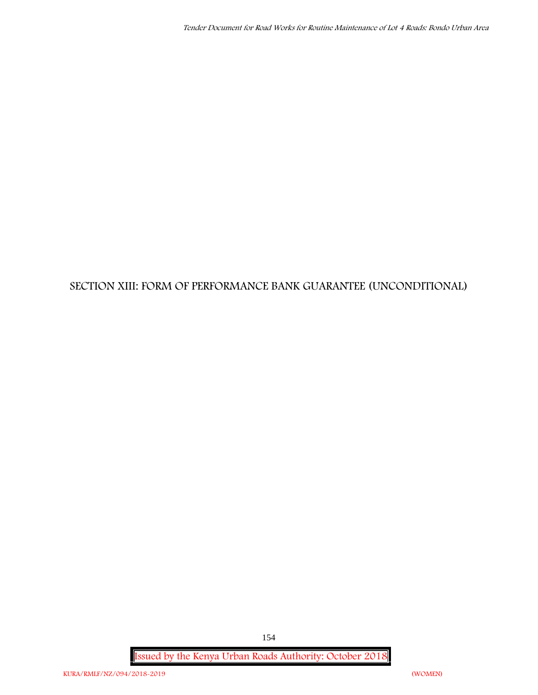# **SECTION XIII: FORM OF PERFORMANCE BANK GUARANTEE (UNCONDITIONAL)**

**Issued by the Kenya Urban Roads Authority: October 2018**

154